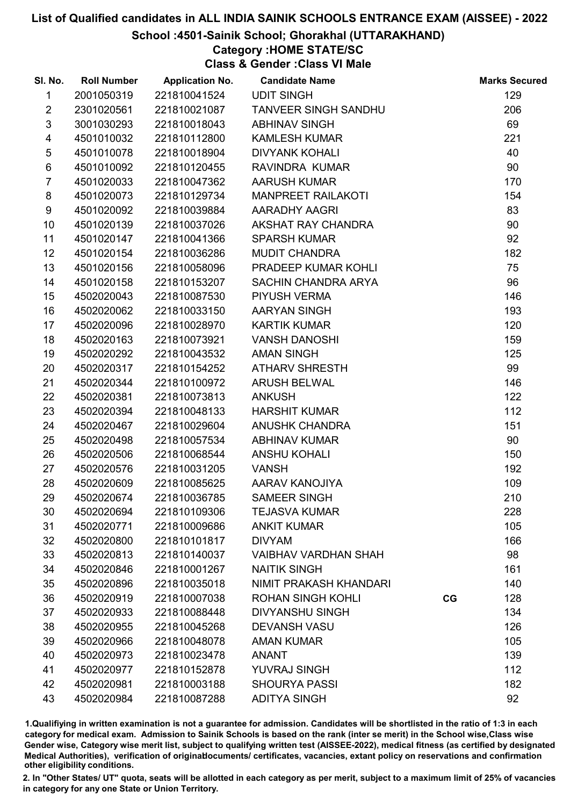#### School :4501-Sainik School; Ghorakhal (UTTARAKHAND)

## Category :HOME STATE/SC

Class & Gender :Class VI Male

| SI. No.         | <b>Roll Number</b> | <b>Application No.</b> | <b>Candidate Name</b>       |    | <b>Marks Secured</b> |
|-----------------|--------------------|------------------------|-----------------------------|----|----------------------|
| 1               | 2001050319         | 221810041524           | <b>UDIT SINGH</b>           |    | 129                  |
| $\overline{2}$  | 2301020561         | 221810021087           | <b>TANVEER SINGH SANDHU</b> |    | 206                  |
| $\mathfrak{S}$  | 3001030293         | 221810018043           | <b>ABHINAV SINGH</b>        |    | 69                   |
| 4               | 4501010032         | 221810112800           | <b>KAMLESH KUMAR</b>        |    | 221                  |
| $\sqrt{5}$      | 4501010078         | 221810018904           | <b>DIVYANK KOHALI</b>       |    | 40                   |
| $\,6$           | 4501010092         | 221810120455           | RAVINDRA KUMAR              |    | 90                   |
| $\overline{7}$  | 4501020033         | 221810047362           | <b>AARUSH KUMAR</b>         |    | 170                  |
| 8               | 4501020073         | 221810129734           | <b>MANPREET RAILAKOTI</b>   |    | 154                  |
| 9               | 4501020092         | 221810039884           | AARADHY AAGRI               |    | 83                   |
| 10              | 4501020139         | 221810037026           | AKSHAT RAY CHANDRA          |    | 90                   |
| 11              | 4501020147         | 221810041366           | <b>SPARSH KUMAR</b>         |    | 92                   |
| 12 <sup>2</sup> | 4501020154         | 221810036286           | <b>MUDIT CHANDRA</b>        |    | 182                  |
| 13              | 4501020156         | 221810058096           | PRADEEP KUMAR KOHLI         |    | 75                   |
| 14              | 4501020158         | 221810153207           | SACHIN CHANDRA ARYA         |    | 96                   |
| 15              | 4502020043         | 221810087530           | PIYUSH VERMA                |    | 146                  |
| 16              | 4502020062         | 221810033150           | AARYAN SINGH                |    | 193                  |
| 17              | 4502020096         | 221810028970           | <b>KARTIK KUMAR</b>         |    | 120                  |
| 18              | 4502020163         | 221810073921           | <b>VANSH DANOSHI</b>        |    | 159                  |
| 19              | 4502020292         | 221810043532           | <b>AMAN SINGH</b>           |    | 125                  |
| 20              | 4502020317         | 221810154252           | <b>ATHARV SHRESTH</b>       |    | 99                   |
| 21              | 4502020344         | 221810100972           | ARUSH BELWAL                |    | 146                  |
| 22              | 4502020381         | 221810073813           | <b>ANKUSH</b>               |    | 122                  |
| 23              | 4502020394         | 221810048133           | <b>HARSHIT KUMAR</b>        |    | 112                  |
| 24              | 4502020467         | 221810029604           | <b>ANUSHK CHANDRA</b>       |    | 151                  |
| 25              | 4502020498         | 221810057534           | <b>ABHINAV KUMAR</b>        |    | 90                   |
| 26              | 4502020506         | 221810068544           | <b>ANSHU KOHALI</b>         |    | 150                  |
| 27              | 4502020576         | 221810031205           | <b>VANSH</b>                |    | 192                  |
| 28              | 4502020609         | 221810085625           | AARAV KANOJIYA              |    | 109                  |
| 29              | 4502020674         | 221810036785           | <b>SAMEER SINGH</b>         |    | 210                  |
| 30              | 4502020694         | 221810109306           | <b>TEJASVA KUMAR</b>        |    | 228                  |
| 31              | 4502020771         | 221810009686           | <b>ANKIT KUMAR</b>          |    | 105                  |
| 32              | 4502020800         | 221810101817           | <b>DIVYAM</b>               |    | 166                  |
| 33              | 4502020813         | 221810140037           | <b>VAIBHAV VARDHAN SHAH</b> |    | 98                   |
| 34              | 4502020846         | 221810001267           | <b>NAITIK SINGH</b>         |    | 161                  |
| 35              | 4502020896         | 221810035018           | NIMIT PRAKASH KHANDARI      |    | 140                  |
| 36              | 4502020919         | 221810007038           | <b>ROHAN SINGH KOHLI</b>    | CG | 128                  |
| 37              | 4502020933         | 221810088448           | <b>DIVYANSHU SINGH</b>      |    | 134                  |
| 38              | 4502020955         | 221810045268           | <b>DEVANSH VASU</b>         |    | 126                  |
| 39              | 4502020966         | 221810048078           | <b>AMAN KUMAR</b>           |    | 105                  |
| 40              | 4502020973         | 221810023478           | <b>ANANT</b>                |    | 139                  |
| 41              | 4502020977         | 221810152878           | <b>YUVRAJ SINGH</b>         |    | 112                  |
| 42              | 4502020981         | 221810003188           | <b>SHOURYA PASSI</b>        |    | 182                  |
| 43              | 4502020984         | 221810087288           | <b>ADITYA SINGH</b>         |    | 92                   |

1.Qualifiying in written examination is not a guarantee for admission. Candidates will be shortlisted in the ratio of 1:3 in each category for medical exam. Admission to Sainik Schools is based on the rank (inter se merit) in the School wise,Class wise Gender wise, Category wise merit list, subject to qualifying written test (AISSEE-2022), medical fitness (as certified by designated Medical Authorities), verification of originablocuments/ certificates, vacancies, extant policy on reservations and confirmation other eligibility conditions.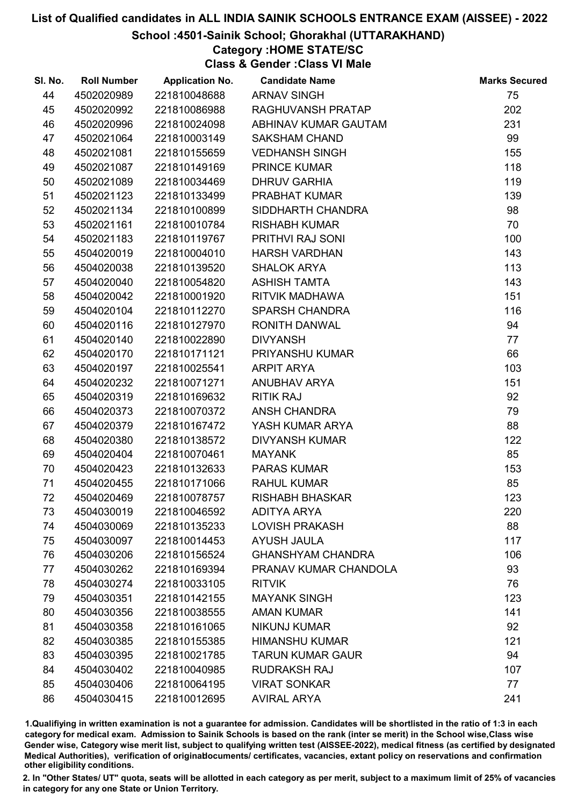#### School :4501-Sainik School; Ghorakhal (UTTARAKHAND)

# Category :HOME STATE/SC

Class & Gender :Class VI Male

| SI. No. | <b>Roll Number</b> | <b>Application No.</b> | <b>Candidate Name</b>    | <b>Marks Secured</b> |
|---------|--------------------|------------------------|--------------------------|----------------------|
| 44      | 4502020989         | 221810048688           | <b>ARNAV SINGH</b>       | 75                   |
| 45      | 4502020992         | 221810086988           | RAGHUVANSH PRATAP        | 202                  |
| 46      | 4502020996         | 221810024098           | ABHINAV KUMAR GAUTAM     | 231                  |
| 47      | 4502021064         | 221810003149           | <b>SAKSHAM CHAND</b>     | 99                   |
| 48      | 4502021081         | 221810155659           | <b>VEDHANSH SINGH</b>    | 155                  |
| 49      | 4502021087         | 221810149169           | <b>PRINCE KUMAR</b>      | 118                  |
| 50      | 4502021089         | 221810034469           | <b>DHRUV GARHIA</b>      | 119                  |
| 51      | 4502021123         | 221810133499           | PRABHAT KUMAR            | 139                  |
| 52      | 4502021134         | 221810100899           | SIDDHARTH CHANDRA        | 98                   |
| 53      | 4502021161         | 221810010784           | <b>RISHABH KUMAR</b>     | 70                   |
| 54      | 4502021183         | 221810119767           | PRITHVI RAJ SONI         | 100                  |
| 55      | 4504020019         | 221810004010           | <b>HARSH VARDHAN</b>     | 143                  |
| 56      | 4504020038         | 221810139520           | <b>SHALOK ARYA</b>       | 113                  |
| 57      | 4504020040         | 221810054820           | <b>ASHISH TAMTA</b>      | 143                  |
| 58      | 4504020042         | 221810001920           | <b>RITVIK MADHAWA</b>    | 151                  |
| 59      | 4504020104         | 221810112270           | <b>SPARSH CHANDRA</b>    | 116                  |
| 60      | 4504020116         | 221810127970           | RONITH DANWAL            | 94                   |
| 61      | 4504020140         | 221810022890           | <b>DIVYANSH</b>          | 77                   |
| 62      | 4504020170         | 221810171121           | PRIYANSHU KUMAR          | 66                   |
| 63      | 4504020197         | 221810025541           | <b>ARPIT ARYA</b>        | 103                  |
| 64      | 4504020232         | 221810071271           | ANUBHAV ARYA             | 151                  |
| 65      | 4504020319         | 221810169632           | <b>RITIK RAJ</b>         | 92                   |
| 66      | 4504020373         | 221810070372           | ANSH CHANDRA             | 79                   |
| 67      | 4504020379         | 221810167472           | YASH KUMAR ARYA          | 88                   |
| 68      | 4504020380         | 221810138572           | <b>DIVYANSH KUMAR</b>    | 122                  |
| 69      | 4504020404         | 221810070461           | <b>MAYANK</b>            | 85                   |
| 70      | 4504020423         | 221810132633           | <b>PARAS KUMAR</b>       | 153                  |
| 71      | 4504020455         | 221810171066           | <b>RAHUL KUMAR</b>       | 85                   |
| 72      | 4504020469         | 221810078757           | <b>RISHABH BHASKAR</b>   | 123                  |
| 73      | 4504030019         | 221810046592           | <b>ADITYA ARYA</b>       | 220                  |
| 74      | 4504030069         | 221810135233           | <b>LOVISH PRAKASH</b>    | 88                   |
| 75      | 4504030097         | 221810014453           | <b>AYUSH JAULA</b>       | 117                  |
| 76      | 4504030206         | 221810156524           | <b>GHANSHYAM CHANDRA</b> | 106                  |
| 77      | 4504030262         | 221810169394           | PRANAV KUMAR CHANDOLA    | 93                   |
| 78      | 4504030274         | 221810033105           | <b>RITVIK</b>            | 76                   |
| 79      | 4504030351         | 221810142155           | <b>MAYANK SINGH</b>      | 123                  |
| 80      | 4504030356         | 221810038555           | <b>AMAN KUMAR</b>        | 141                  |
| 81      | 4504030358         | 221810161065           | <b>NIKUNJ KUMAR</b>      | 92                   |
| 82      | 4504030385         | 221810155385           | <b>HIMANSHU KUMAR</b>    | 121                  |
| 83      | 4504030395         | 221810021785           | <b>TARUN KUMAR GAUR</b>  | 94                   |
| 84      | 4504030402         | 221810040985           | <b>RUDRAKSH RAJ</b>      | 107                  |
| 85      | 4504030406         | 221810064195           | <b>VIRAT SONKAR</b>      | 77                   |
| 86      | 4504030415         | 221810012695           | <b>AVIRAL ARYA</b>       | 241                  |

1.Qualifiying in written examination is not a guarantee for admission. Candidates will be shortlisted in the ratio of 1:3 in each category for medical exam. Admission to Sainik Schools is based on the rank (inter se merit) in the School wise,Class wise Gender wise, Category wise merit list, subject to qualifying written test (AISSEE-2022), medical fitness (as certified by designated Medical Authorities), verification of originablocuments/ certificates, vacancies, extant policy on reservations and confirmation other eligibility conditions.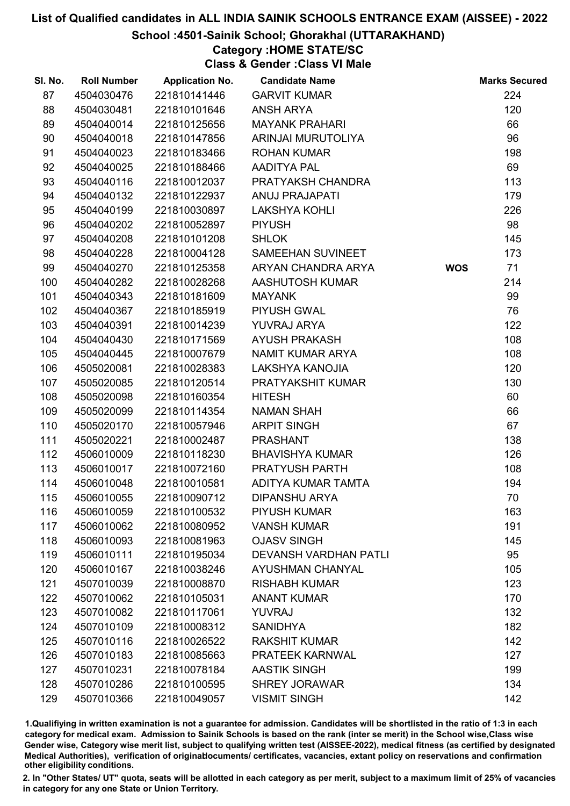School :4501-Sainik School; Ghorakhal (UTTARAKHAND)

### Category :HOME STATE/SC

Class & Gender :Class VI Male

| SI. No. | <b>Roll Number</b> | <b>Application No.</b> | <b>Candidate Name</b>        |            | <b>Marks Secured</b> |
|---------|--------------------|------------------------|------------------------------|------------|----------------------|
| 87      | 4504030476         | 221810141446           | <b>GARVIT KUMAR</b>          |            | 224                  |
| 88      | 4504030481         | 221810101646           | <b>ANSH ARYA</b>             |            | 120                  |
| 89      | 4504040014         | 221810125656           | <b>MAYANK PRAHARI</b>        |            | 66                   |
| 90      | 4504040018         | 221810147856           | ARINJAI MURUTOLIYA           |            | 96                   |
| 91      | 4504040023         | 221810183466           | <b>ROHAN KUMAR</b>           |            | 198                  |
| 92      | 4504040025         | 221810188466           | <b>AADITYA PAL</b>           |            | 69                   |
| 93      | 4504040116         | 221810012037           | PRATYAKSH CHANDRA            |            | 113                  |
| 94      | 4504040132         | 221810122937           | <b>ANUJ PRAJAPATI</b>        |            | 179                  |
| 95      | 4504040199         | 221810030897           | <b>LAKSHYA KOHLI</b>         |            | 226                  |
| 96      | 4504040202         | 221810052897           | <b>PIYUSH</b>                |            | 98                   |
| 97      | 4504040208         | 221810101208           | <b>SHLOK</b>                 |            | 145                  |
| 98      | 4504040228         | 221810004128           | SAMEEHAN SUVINEET            |            | 173                  |
| 99      | 4504040270         | 221810125358           | ARYAN CHANDRA ARYA           | <b>WOS</b> | 71                   |
| 100     | 4504040282         | 221810028268           | AASHUTOSH KUMAR              |            | 214                  |
| 101     | 4504040343         | 221810181609           | <b>MAYANK</b>                |            | 99                   |
| 102     | 4504040367         | 221810185919           | <b>PIYUSH GWAL</b>           |            | 76                   |
| 103     | 4504040391         | 221810014239           | YUVRAJ ARYA                  |            | 122                  |
| 104     | 4504040430         | 221810171569           | <b>AYUSH PRAKASH</b>         |            | 108                  |
| 105     | 4504040445         | 221810007679           | NAMIT KUMAR ARYA             |            | 108                  |
| 106     | 4505020081         | 221810028383           | LAKSHYA KANOJIA              |            | 120                  |
| 107     | 4505020085         | 221810120514           | PRATYAKSHIT KUMAR            |            | 130                  |
| 108     | 4505020098         | 221810160354           | <b>HITESH</b>                |            | 60                   |
| 109     | 4505020099         | 221810114354           | <b>NAMAN SHAH</b>            |            | 66                   |
| 110     | 4505020170         | 221810057946           | <b>ARPIT SINGH</b>           |            | 67                   |
| 111     | 4505020221         | 221810002487           | <b>PRASHANT</b>              |            | 138                  |
| 112     | 4506010009         | 221810118230           | <b>BHAVISHYA KUMAR</b>       |            | 126                  |
| 113     | 4506010017         | 221810072160           | PRATYUSH PARTH               |            | 108                  |
| 114     | 4506010048         | 221810010581           | ADITYA KUMAR TAMTA           |            | 194                  |
| 115     | 4506010055         | 221810090712           | <b>DIPANSHU ARYA</b>         |            | 70                   |
| 116     | 4506010059         | 221810100532           | <b>PIYUSH KUMAR</b>          |            | 163                  |
| 117     | 4506010062         | 221810080952           | <b>VANSH KUMAR</b>           |            | 191                  |
| 118     | 4506010093         | 221810081963           | <b>OJASV SINGH</b>           |            | 145                  |
| 119     | 4506010111         | 221810195034           | <b>DEVANSH VARDHAN PATLI</b> |            | 95                   |
| 120     | 4506010167         | 221810038246           | <b>AYUSHMAN CHANYAL</b>      |            | 105                  |
| 121     | 4507010039         | 221810008870           | <b>RISHABH KUMAR</b>         |            | 123                  |
| 122     | 4507010062         | 221810105031           | <b>ANANT KUMAR</b>           |            | 170                  |
| 123     | 4507010082         | 221810117061           | <b>YUVRAJ</b>                |            | 132                  |
| 124     | 4507010109         | 221810008312           | <b>SANIDHYA</b>              |            | 182                  |
| 125     | 4507010116         | 221810026522           | <b>RAKSHIT KUMAR</b>         |            | 142                  |
| 126     | 4507010183         | 221810085663           | PRATEEK KARNWAL              |            | 127                  |
| 127     | 4507010231         | 221810078184           | <b>AASTIK SINGH</b>          |            | 199                  |
| 128     | 4507010286         | 221810100595           | <b>SHREY JORAWAR</b>         |            | 134                  |
| 129     | 4507010366         | 221810049057           | <b>VISMIT SINGH</b>          |            | 142                  |

1.Qualifiying in written examination is not a guarantee for admission. Candidates will be shortlisted in the ratio of 1:3 in each category for medical exam. Admission to Sainik Schools is based on the rank (inter se merit) in the School wise,Class wise Gender wise, Category wise merit list, subject to qualifying written test (AISSEE-2022), medical fitness (as certified by designated Medical Authorities), verification of originablocuments/ certificates, vacancies, extant policy on reservations and confirmation other eligibility conditions.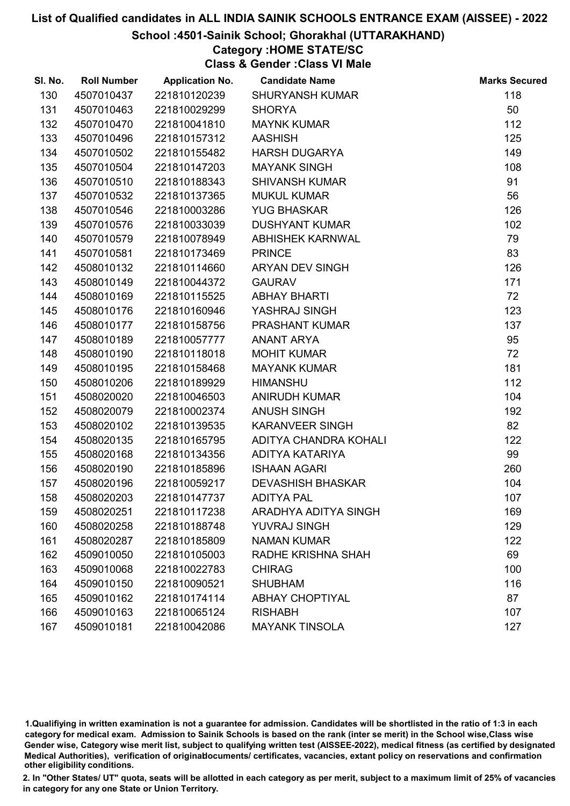#### School :4501-Sainik School; Ghorakhal (UTTARAKHAND)

### Category :HOME STATE/SC

Class & Gender :Class VI Male

| SI. No. | <b>Roll Number</b> | <b>Application No.</b> | <b>Candidate Name</b>    | <b>Marks Secured</b> |
|---------|--------------------|------------------------|--------------------------|----------------------|
| 130     | 4507010437         | 221810120239           | <b>SHURYANSH KUMAR</b>   | 118                  |
| 131     | 4507010463         | 221810029299           | <b>SHORYA</b>            | 50                   |
| 132     | 4507010470         | 221810041810           | <b>MAYNK KUMAR</b>       | 112                  |
| 133     | 4507010496         | 221810157312           | <b>AASHISH</b>           | 125                  |
| 134     | 4507010502         | 221810155482           | <b>HARSH DUGARYA</b>     | 149                  |
| 135     | 4507010504         | 221810147203           | <b>MAYANK SINGH</b>      | 108                  |
| 136     | 4507010510         | 221810188343           | <b>SHIVANSH KUMAR</b>    | 91                   |
| 137     | 4507010532         | 221810137365           | <b>MUKUL KUMAR</b>       | 56                   |
| 138     | 4507010546         | 221810003286           | <b>YUG BHASKAR</b>       | 126                  |
| 139     | 4507010576         | 221810033039           | <b>DUSHYANT KUMAR</b>    | 102                  |
| 140     | 4507010579         | 221810078949           | <b>ABHISHEK KARNWAL</b>  | 79                   |
| 141     | 4507010581         | 221810173469           | <b>PRINCE</b>            | 83                   |
| 142     | 4508010132         | 221810114660           | <b>ARYAN DEV SINGH</b>   | 126                  |
| 143     | 4508010149         | 221810044372           | <b>GAURAV</b>            | 171                  |
| 144     | 4508010169         | 221810115525           | <b>ABHAY BHARTI</b>      | 72                   |
| 145     | 4508010176         | 221810160946           | YASHRAJ SINGH            | 123                  |
| 146     | 4508010177         | 221810158756           | <b>PRASHANT KUMAR</b>    | 137                  |
| 147     | 4508010189         | 221810057777           | ANANT ARYA               | 95                   |
| 148     | 4508010190         | 221810118018           | <b>MOHIT KUMAR</b>       | 72                   |
| 149     | 4508010195         | 221810158468           | <b>MAYANK KUMAR</b>      | 181                  |
| 150     | 4508010206         | 221810189929           | <b>HIMANSHU</b>          | 112                  |
| 151     | 4508020020         | 221810046503           | <b>ANIRUDH KUMAR</b>     | 104                  |
| 152     | 4508020079         | 221810002374           | <b>ANUSH SINGH</b>       | 192                  |
| 153     | 4508020102         | 221810139535           | <b>KARANVEER SINGH</b>   | 82                   |
| 154     | 4508020135         | 221810165795           | ADITYA CHANDRA KOHALI    | 122                  |
| 155     | 4508020168         | 221810134356           | ADITYA KATARIYA          | 99                   |
| 156     | 4508020190         | 221810185896           | <b>ISHAAN AGARI</b>      | 260                  |
| 157     | 4508020196         | 221810059217           | <b>DEVASHISH BHASKAR</b> | 104                  |
| 158     | 4508020203         | 221810147737           | <b>ADITYA PAL</b>        | 107                  |
| 159     | 4508020251         | 221810117238           | ARADHYA ADITYA SINGH     | 169                  |
| 160     | 4508020258         | 221810188748           | <b>YUVRAJ SINGH</b>      | 129                  |
| 161     | 4508020287         | 221810185809           | <b>NAMAN KUMAR</b>       | 122                  |
| 162     | 4509010050         | 221810105003           | RADHE KRISHNA SHAH       | 69                   |
| 163     | 4509010068         | 221810022783           | <b>CHIRAG</b>            | 100                  |
| 164     | 4509010150         | 221810090521           | <b>SHUBHAM</b>           | 116                  |
| 165     | 4509010162         | 221810174114           | <b>ABHAY CHOPTIYAL</b>   | 87                   |
| 166     | 4509010163         | 221810065124           | <b>RISHABH</b>           | 107                  |
| 167     | 4509010181         | 221810042086           | <b>MAYANK TINSOLA</b>    | 127                  |

1.Qualifiying in written examination is not a guarantee for admission. Candidates will be shortlisted in the ratio of 1:3 in each category for medical exam. Admission to Sainik Schools is based on the rank (inter se merit) in the School wise,Class wise Gender wise, Category wise merit list, subject to qualifying written test (AISSEE-2022), medical fitness (as certified by designated Medical Authorities), verification of originablocuments/ certificates, vacancies, extant policy on reservations and confirmation other eligibility conditions.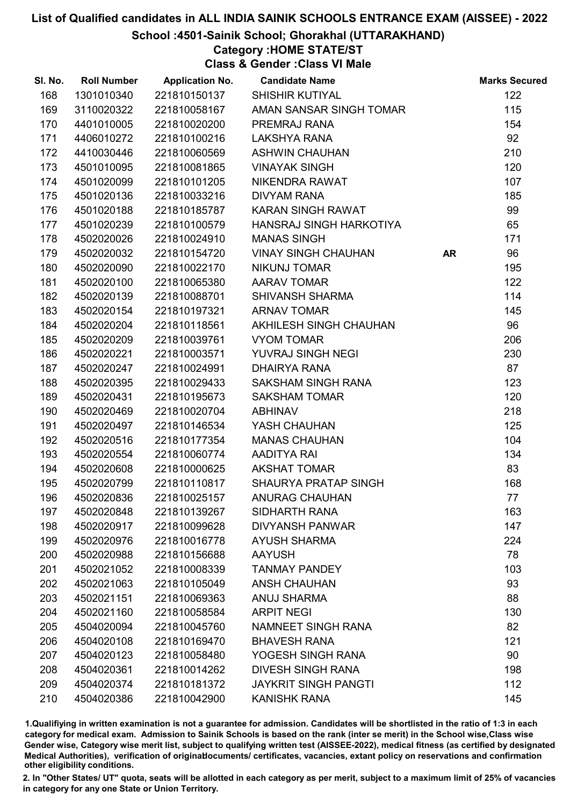School :4501-Sainik School; Ghorakhal (UTTARAKHAND)

### Category :HOME STATE/ST

Class & Gender :Class VI Male

| SI. No. | <b>Roll Number</b> | <b>Application No.</b> | <b>Candidate Name</b>       |           | <b>Marks Secured</b> |
|---------|--------------------|------------------------|-----------------------------|-----------|----------------------|
| 168     | 1301010340         | 221810150137           | <b>SHISHIR KUTIYAL</b>      |           | 122                  |
| 169     | 3110020322         | 221810058167           | AMAN SANSAR SINGH TOMAR     |           | 115                  |
| 170     | 4401010005         | 221810020200           | PREMRAJ RANA                |           | 154                  |
| 171     | 4406010272         | 221810100216           | LAKSHYA RANA                |           | 92                   |
| 172     | 4410030446         | 221810060569           | <b>ASHWIN CHAUHAN</b>       |           | 210                  |
| 173     | 4501010095         | 221810081865           | <b>VINAYAK SINGH</b>        |           | 120                  |
| 174     | 4501020099         | 221810101205           | NIKENDRA RAWAT              |           | 107                  |
| 175     | 4501020136         | 221810033216           | <b>DIVYAM RANA</b>          |           | 185                  |
| 176     | 4501020188         | 221810185787           | KARAN SINGH RAWAT           |           | 99                   |
| 177     | 4501020239         | 221810100579           | HANSRAJ SINGH HARKOTIYA     |           | 65                   |
| 178     | 4502020026         | 221810024910           | <b>MANAS SINGH</b>          |           | 171                  |
| 179     | 4502020032         | 221810154720           | <b>VINAY SINGH CHAUHAN</b>  | <b>AR</b> | 96                   |
| 180     | 4502020090         | 221810022170           | <b>NIKUNJ TOMAR</b>         |           | 195                  |
| 181     | 4502020100         | 221810065380           | <b>AARAV TOMAR</b>          |           | 122                  |
| 182     | 4502020139         | 221810088701           | <b>SHIVANSH SHARMA</b>      |           | 114                  |
| 183     | 4502020154         | 221810197321           | <b>ARNAV TOMAR</b>          |           | 145                  |
| 184     | 4502020204         | 221810118561           | AKHILESH SINGH CHAUHAN      |           | 96                   |
| 185     | 4502020209         | 221810039761           | <b>VYOM TOMAR</b>           |           | 206                  |
| 186     | 4502020221         | 221810003571           | YUVRAJ SINGH NEGI           |           | 230                  |
| 187     | 4502020247         | 221810024991           | <b>DHAIRYA RANA</b>         |           | 87                   |
| 188     | 4502020395         | 221810029433           | <b>SAKSHAM SINGH RANA</b>   |           | 123                  |
| 189     | 4502020431         | 221810195673           | <b>SAKSHAM TOMAR</b>        |           | 120                  |
| 190     | 4502020469         | 221810020704           | <b>ABHINAV</b>              |           | 218                  |
| 191     | 4502020497         | 221810146534           | YASH CHAUHAN                |           | 125                  |
| 192     | 4502020516         | 221810177354           | <b>MANAS CHAUHAN</b>        |           | 104                  |
| 193     | 4502020554         | 221810060774           | AADITYA RAI                 |           | 134                  |
| 194     | 4502020608         | 221810000625           | <b>AKSHAT TOMAR</b>         |           | 83                   |
| 195     | 4502020799         | 221810110817           | SHAURYA PRATAP SINGH        |           | 168                  |
| 196     | 4502020836         | 221810025157           | <b>ANURAG CHAUHAN</b>       |           | 77                   |
| 197     | 4502020848         | 221810139267           | SIDHARTH RANA               |           | 163                  |
| 198     | 4502020917         | 221810099628           | <b>DIVYANSH PANWAR</b>      |           | 147                  |
| 199     | 4502020976         | 221810016778           | <b>AYUSH SHARMA</b>         |           | 224                  |
| 200     | 4502020988         | 221810156688           | <b>AAYUSH</b>               |           | 78                   |
| 201     | 4502021052         | 221810008339           | <b>TANMAY PANDEY</b>        |           | 103                  |
| 202     | 4502021063         | 221810105049           | <b>ANSH CHAUHAN</b>         |           | 93                   |
| 203     | 4502021151         | 221810069363           | <b>ANUJ SHARMA</b>          |           | 88                   |
| 204     | 4502021160         | 221810058584           | <b>ARPIT NEGI</b>           |           | 130                  |
| 205     | 4504020094         | 221810045760           | NAMNEET SINGH RANA          |           | 82                   |
| 206     | 4504020108         | 221810169470           | <b>BHAVESH RANA</b>         |           | 121                  |
| 207     | 4504020123         | 221810058480           | YOGESH SINGH RANA           |           | 90                   |
| 208     | 4504020361         | 221810014262           | <b>DIVESH SINGH RANA</b>    |           | 198                  |
| 209     | 4504020374         | 221810181372           | <b>JAYKRIT SINGH PANGTI</b> |           | 112                  |
| 210     | 4504020386         | 221810042900           | <b>KANISHK RANA</b>         |           | 145                  |

1.Qualifiying in written examination is not a guarantee for admission. Candidates will be shortlisted in the ratio of 1:3 in each category for medical exam. Admission to Sainik Schools is based on the rank (inter se merit) in the School wise,Class wise Gender wise, Category wise merit list, subject to qualifying written test (AISSEE-2022), medical fitness (as certified by designated Medical Authorities), verification of originablocuments/ certificates, vacancies, extant policy on reservations and confirmation other eligibility conditions.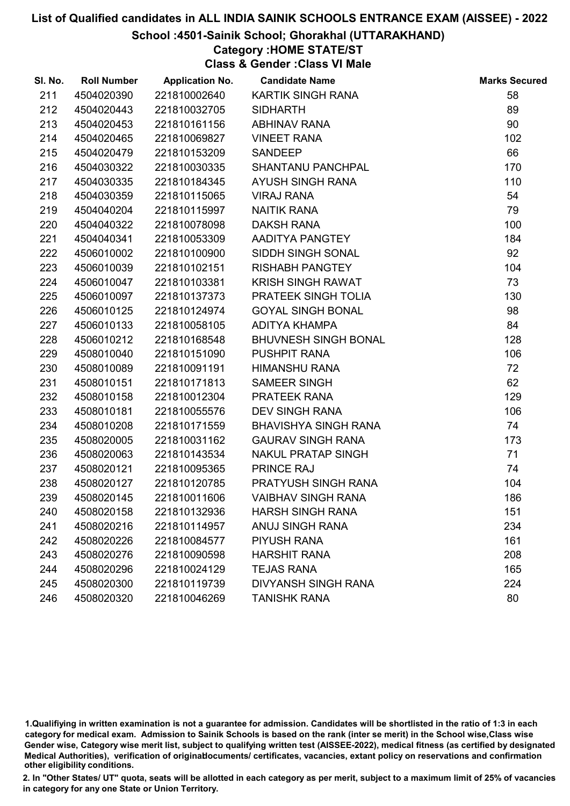#### School :4501-Sainik School; Ghorakhal (UTTARAKHAND)

# Category :HOME STATE/ST

Class & Gender :Class VI Male

| SI. No. | <b>Roll Number</b> | <b>Application No.</b> | <b>Candidate Name</b>       | <b>Marks Secured</b> |
|---------|--------------------|------------------------|-----------------------------|----------------------|
| 211     | 4504020390         | 221810002640           | KARTIK SINGH RANA           | 58                   |
| 212     | 4504020443         | 221810032705           | <b>SIDHARTH</b>             | 89                   |
| 213     | 4504020453         | 221810161156           | <b>ABHINAV RANA</b>         | 90                   |
| 214     | 4504020465         | 221810069827           | <b>VINEET RANA</b>          | 102                  |
| 215     | 4504020479         | 221810153209           | <b>SANDEEP</b>              | 66                   |
| 216     | 4504030322         | 221810030335           | SHANTANU PANCHPAL           | 170                  |
| 217     | 4504030335         | 221810184345           | AYUSH SINGH RANA            | 110                  |
| 218     | 4504030359         | 221810115065           | <b>VIRAJ RANA</b>           | 54                   |
| 219     | 4504040204         | 221810115997           | <b>NAITIK RANA</b>          | 79                   |
| 220     | 4504040322         | 221810078098           | <b>DAKSH RANA</b>           | 100                  |
| 221     | 4504040341         | 221810053309           | AADITYA PANGTEY             | 184                  |
| 222     | 4506010002         | 221810100900           | SIDDH SINGH SONAL           | 92                   |
| 223     | 4506010039         | 221810102151           | <b>RISHABH PANGTEY</b>      | 104                  |
| 224     | 4506010047         | 221810103381           | <b>KRISH SINGH RAWAT</b>    | 73                   |
| 225     | 4506010097         | 221810137373           | PRATEEK SINGH TOLIA         | 130                  |
| 226     | 4506010125         | 221810124974           | <b>GOYAL SINGH BONAL</b>    | 98                   |
| 227     | 4506010133         | 221810058105           | ADITYA KHAMPA               | 84                   |
| 228     | 4506010212         | 221810168548           | <b>BHUVNESH SINGH BONAL</b> | 128                  |
| 229     | 4508010040         | 221810151090           | PUSHPIT RANA                | 106                  |
| 230     | 4508010089         | 221810091191           | <b>HIMANSHU RANA</b>        | 72                   |
| 231     | 4508010151         | 221810171813           | SAMEER SINGH                | 62                   |
| 232     | 4508010158         | 221810012304           | PRATEEK RANA                | 129                  |
| 233     | 4508010181         | 221810055576           | <b>DEV SINGH RANA</b>       | 106                  |
| 234     | 4508010208         | 221810171559           | <b>BHAVISHYA SINGH RANA</b> | 74                   |
| 235     | 4508020005         | 221810031162           | <b>GAURAV SINGH RANA</b>    | 173                  |
| 236     | 4508020063         | 221810143534           | <b>NAKUL PRATAP SINGH</b>   | 71                   |
| 237     | 4508020121         | 221810095365           | PRINCE RAJ                  | 74                   |
| 238     | 4508020127         | 221810120785           | PRATYUSH SINGH RANA         | 104                  |
| 239     | 4508020145         | 221810011606           | <b>VAIBHAV SINGH RANA</b>   | 186                  |
| 240     | 4508020158         | 221810132936           | <b>HARSH SINGH RANA</b>     | 151                  |
| 241     | 4508020216         | 221810114957           | <b>ANUJ SINGH RANA</b>      | 234                  |
| 242     | 4508020226         | 221810084577           | <b>PIYUSH RANA</b>          | 161                  |
| 243     | 4508020276         | 221810090598           | <b>HARSHIT RANA</b>         | 208                  |
| 244     | 4508020296         | 221810024129           | <b>TEJAS RANA</b>           | 165                  |
| 245     | 4508020300         | 221810119739           | <b>DIVYANSH SINGH RANA</b>  | 224                  |
| 246     | 4508020320         | 221810046269           | <b>TANISHK RANA</b>         | 80                   |

1.Qualifiying in written examination is not a guarantee for admission. Candidates will be shortlisted in the ratio of 1:3 in each category for medical exam. Admission to Sainik Schools is based on the rank (inter se merit) in the School wise,Class wise Gender wise, Category wise merit list, subject to qualifying written test (AISSEE-2022), medical fitness (as certified by designated Medical Authorities), verification of originablocuments/ certificates, vacancies, extant policy on reservations and confirmation other eligibility conditions.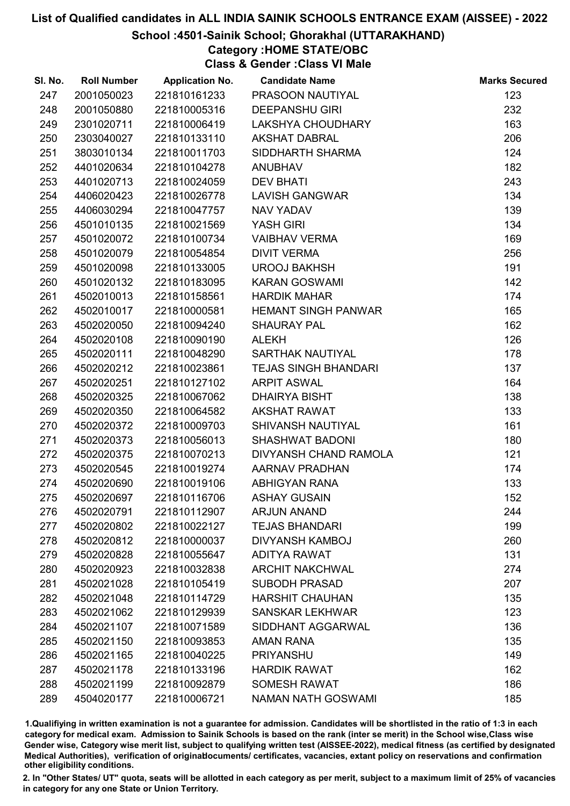#### School :4501-Sainik School; Ghorakhal (UTTARAKHAND)

## Category :HOME STATE/OBC

Class & Gender :Class VI Male

| SI. No. | <b>Roll Number</b> | <b>Application No.</b> | <b>Candidate Name</b>       | <b>Marks Secured</b> |
|---------|--------------------|------------------------|-----------------------------|----------------------|
| 247     | 2001050023         | 221810161233           | PRASOON NAUTIYAL            | 123                  |
| 248     | 2001050880         | 221810005316           | <b>DEEPANSHU GIRI</b>       | 232                  |
| 249     | 2301020711         | 221810006419           | LAKSHYA CHOUDHARY           | 163                  |
| 250     | 2303040027         | 221810133110           | <b>AKSHAT DABRAL</b>        | 206                  |
| 251     | 3803010134         | 221810011703           | SIDDHARTH SHARMA            | 124                  |
| 252     | 4401020634         | 221810104278           | <b>ANUBHAV</b>              | 182                  |
| 253     | 4401020713         | 221810024059           | <b>DEV BHATI</b>            | 243                  |
| 254     | 4406020423         | 221810026778           | <b>LAVISH GANGWAR</b>       | 134                  |
| 255     | 4406030294         | 221810047757           | <b>NAV YADAV</b>            | 139                  |
| 256     | 4501010135         | 221810021569           | <b>YASH GIRI</b>            | 134                  |
| 257     | 4501020072         | 221810100734           | <b>VAIBHAV VERMA</b>        | 169                  |
| 258     | 4501020079         | 221810054854           | <b>DIVIT VERMA</b>          | 256                  |
| 259     | 4501020098         | 221810133005           | <b>UROOJ BAKHSH</b>         | 191                  |
| 260     | 4501020132         | 221810183095           | <b>KARAN GOSWAMI</b>        | 142                  |
| 261     | 4502010013         | 221810158561           | <b>HARDIK MAHAR</b>         | 174                  |
| 262     | 4502010017         | 221810000581           | <b>HEMANT SINGH PANWAR</b>  | 165                  |
| 263     | 4502020050         | 221810094240           | <b>SHAURAY PAL</b>          | 162                  |
| 264     | 4502020108         | 221810090190           | <b>ALEKH</b>                | 126                  |
| 265     | 4502020111         | 221810048290           | SARTHAK NAUTIYAL            | 178                  |
| 266     | 4502020212         | 221810023861           | <b>TEJAS SINGH BHANDARI</b> | 137                  |
| 267     | 4502020251         | 221810127102           | <b>ARPIT ASWAL</b>          | 164                  |
| 268     | 4502020325         | 221810067062           | <b>DHAIRYA BISHT</b>        | 138                  |
| 269     | 4502020350         | 221810064582           | <b>AKSHAT RAWAT</b>         | 133                  |
| 270     | 4502020372         | 221810009703           | <b>SHIVANSH NAUTIYAL</b>    | 161                  |
| 271     | 4502020373         | 221810056013           | <b>SHASHWAT BADONI</b>      | 180                  |
| 272     | 4502020375         | 221810070213           | DIVYANSH CHAND RAMOLA       | 121                  |
| 273     | 4502020545         | 221810019274           | AARNAV PRADHAN              | 174                  |
| 274     | 4502020690         | 221810019106           | <b>ABHIGYAN RANA</b>        | 133                  |
| 275     | 4502020697         | 221810116706           | <b>ASHAY GUSAIN</b>         | 152                  |
| 276     | 4502020791         | 221810112907           | <b>ARJUN ANAND</b>          | 244                  |
| 277     | 4502020802         | 221810022127           | <b>TEJAS BHANDARI</b>       | 199                  |
| 278     | 4502020812         | 221810000037           | <b>DIVYANSH KAMBOJ</b>      | 260                  |
| 279     | 4502020828         | 221810055647           | <b>ADITYA RAWAT</b>         | 131                  |
| 280     | 4502020923         | 221810032838           | <b>ARCHIT NAKCHWAL</b>      | 274                  |
| 281     | 4502021028         | 221810105419           | <b>SUBODH PRASAD</b>        | 207                  |
| 282     | 4502021048         | 221810114729           | <b>HARSHIT CHAUHAN</b>      | 135                  |
| 283     | 4502021062         | 221810129939           | <b>SANSKAR LEKHWAR</b>      | 123                  |
| 284     | 4502021107         | 221810071589           | SIDDHANT AGGARWAL           | 136                  |
| 285     | 4502021150         | 221810093853           | <b>AMAN RANA</b>            | 135                  |
| 286     | 4502021165         | 221810040225           | <b>PRIYANSHU</b>            | 149                  |
| 287     | 4502021178         | 221810133196           | <b>HARDIK RAWAT</b>         | 162                  |
| 288     | 4502021199         | 221810092879           | <b>SOMESH RAWAT</b>         | 186                  |
| 289     | 4504020177         | 221810006721           | <b>NAMAN NATH GOSWAMI</b>   | 185                  |

1.Qualifiying in written examination is not a guarantee for admission. Candidates will be shortlisted in the ratio of 1:3 in each category for medical exam. Admission to Sainik Schools is based on the rank (inter se merit) in the School wise,Class wise Gender wise, Category wise merit list, subject to qualifying written test (AISSEE-2022), medical fitness (as certified by designated Medical Authorities), verification of originablocuments/ certificates, vacancies, extant policy on reservations and confirmation other eligibility conditions.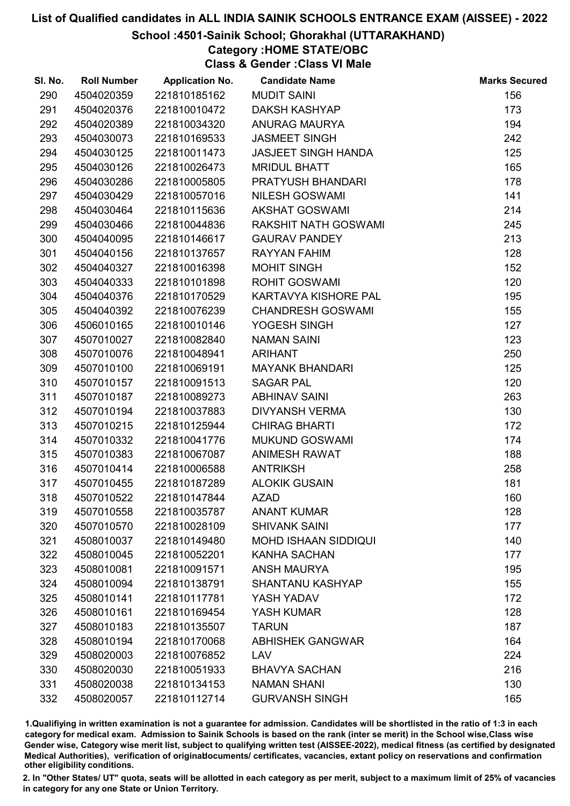#### School :4501-Sainik School; Ghorakhal (UTTARAKHAND)

# Category :HOME STATE/OBC

Class & Gender :Class VI Male

| SI. No. | <b>Roll Number</b> | <b>Application No.</b> | <b>Candidate Name</b>      | <b>Marks Secured</b> |
|---------|--------------------|------------------------|----------------------------|----------------------|
| 290     | 4504020359         | 221810185162           | <b>MUDIT SAINI</b>         | 156                  |
| 291     | 4504020376         | 221810010472           | <b>DAKSH KASHYAP</b>       | 173                  |
| 292     | 4504020389         | 221810034320           | <b>ANURAG MAURYA</b>       | 194                  |
| 293     | 4504030073         | 221810169533           | <b>JASMEET SINGH</b>       | 242                  |
| 294     | 4504030125         | 221810011473           | <b>JASJEET SINGH HANDA</b> | 125                  |
| 295     | 4504030126         | 221810026473           | <b>MRIDUL BHATT</b>        | 165                  |
| 296     | 4504030286         | 221810005805           | PRATYUSH BHANDARI          | 178                  |
| 297     | 4504030429         | 221810057016           | <b>NILESH GOSWAMI</b>      | 141                  |
| 298     | 4504030464         | 221810115636           | <b>AKSHAT GOSWAMI</b>      | 214                  |
| 299     | 4504030466         | 221810044836           | RAKSHIT NATH GOSWAMI       | 245                  |
| 300     | 4504040095         | 221810146617           | <b>GAURAV PANDEY</b>       | 213                  |
| 301     | 4504040156         | 221810137657           | <b>RAYYAN FAHIM</b>        | 128                  |
| 302     | 4504040327         | 221810016398           | <b>MOHIT SINGH</b>         | 152                  |
| 303     | 4504040333         | 221810101898           | <b>ROHIT GOSWAMI</b>       | 120                  |
| 304     | 4504040376         | 221810170529           | KARTAVYA KISHORE PAL       | 195                  |
| 305     | 4504040392         | 221810076239           | <b>CHANDRESH GOSWAMI</b>   | 155                  |
| 306     | 4506010165         | 221810010146           | YOGESH SINGH               | 127                  |
| 307     | 4507010027         | 221810082840           | <b>NAMAN SAINI</b>         | 123                  |
| 308     | 4507010076         | 221810048941           | <b>ARIHANT</b>             | 250                  |
| 309     | 4507010100         | 221810069191           | <b>MAYANK BHANDARI</b>     | 125                  |
| 310     | 4507010157         | 221810091513           | <b>SAGAR PAL</b>           | 120                  |
| 311     | 4507010187         | 221810089273           | <b>ABHINAV SAINI</b>       | 263                  |
| 312     | 4507010194         | 221810037883           | <b>DIVYANSH VERMA</b>      | 130                  |
| 313     | 4507010215         | 221810125944           | <b>CHIRAG BHARTI</b>       | 172                  |
| 314     | 4507010332         | 221810041776           | <b>MUKUND GOSWAMI</b>      | 174                  |
| 315     | 4507010383         | 221810067087           | <b>ANIMESH RAWAT</b>       | 188                  |
| 316     | 4507010414         | 221810006588           | <b>ANTRIKSH</b>            | 258                  |
| 317     | 4507010455         | 221810187289           | <b>ALOKIK GUSAIN</b>       | 181                  |
| 318     | 4507010522         | 221810147844           | <b>AZAD</b>                | 160                  |
| 319     | 4507010558         | 221810035787           | <b>ANANT KUMAR</b>         | 128                  |
| 320     | 4507010570         | 221810028109           | <b>SHIVANK SAINI</b>       | 177                  |
| 321     | 4508010037         | 221810149480           | MOHD ISHAAN SIDDIQUI       | 140                  |
| 322     | 4508010045         | 221810052201           | <b>KANHA SACHAN</b>        | 177                  |
| 323     | 4508010081         | 221810091571           | <b>ANSH MAURYA</b>         | 195                  |
| 324     | 4508010094         | 221810138791           | <b>SHANTANU KASHYAP</b>    | 155                  |
| 325     | 4508010141         | 221810117781           | YASH YADAV                 | 172                  |
| 326     | 4508010161         | 221810169454           | YASH KUMAR                 | 128                  |
| 327     | 4508010183         | 221810135507           | <b>TARUN</b>               | 187                  |
| 328     | 4508010194         | 221810170068           | <b>ABHISHEK GANGWAR</b>    | 164                  |
| 329     | 4508020003         | 221810076852           | LAV                        | 224                  |
| 330     | 4508020030         | 221810051933           | <b>BHAVYA SACHAN</b>       | 216                  |
| 331     | 4508020038         | 221810134153           | <b>NAMAN SHANI</b>         | 130                  |
| 332     | 4508020057         | 221810112714           | <b>GURVANSH SINGH</b>      | 165                  |

1.Qualifiying in written examination is not a guarantee for admission. Candidates will be shortlisted in the ratio of 1:3 in each category for medical exam. Admission to Sainik Schools is based on the rank (inter se merit) in the School wise,Class wise Gender wise, Category wise merit list, subject to qualifying written test (AISSEE-2022), medical fitness (as certified by designated Medical Authorities), verification of originablocuments/ certificates, vacancies, extant policy on reservations and confirmation other eligibility conditions.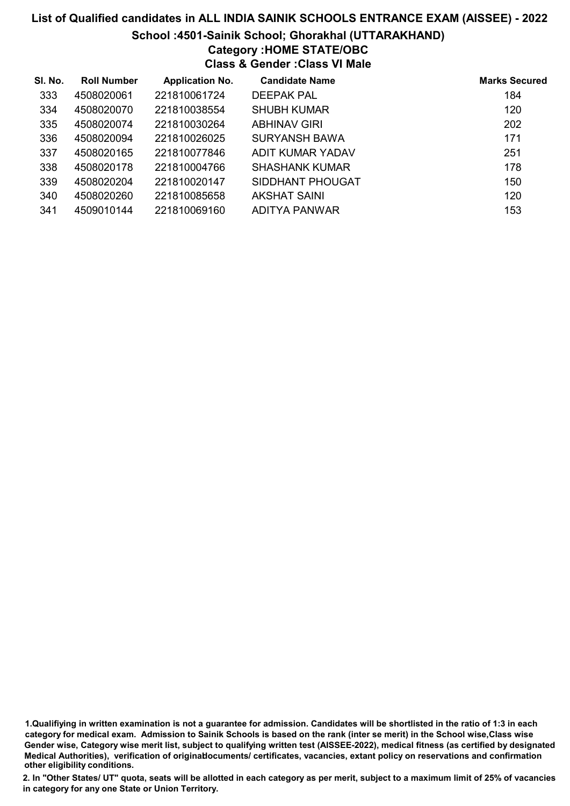## List of Qualified candidates in ALL INDIA SAINIK SCHOOLS ENTRANCE EXAM (AISSEE) - 2022 School :4501-Sainik School; Ghorakhal (UTTARAKHAND) Category :HOME STATE/OBC Class & Gender :Class VI Male

| SI. No. | <b>Roll Number</b> | <b>Application No.</b> | <b>Candidate Name</b> | <b>Marks Secured</b> |
|---------|--------------------|------------------------|-----------------------|----------------------|
| 333     | 4508020061         | 221810061724           | <b>DEEPAK PAL</b>     | 184                  |
| 334     | 4508020070         | 221810038554           | <b>SHUBH KUMAR</b>    | 120                  |
| 335     | 4508020074         | 221810030264           | <b>ABHINAV GIRI</b>   | 202                  |
| 336     | 4508020094         | 221810026025           | <b>SURYANSH BAWA</b>  | 171                  |
| 337     | 4508020165         | 221810077846           | ADIT KUMAR YADAV      | 251                  |
| 338     | 4508020178         | 221810004766           | <b>SHASHANK KUMAR</b> | 178                  |
| 339     | 4508020204         | 221810020147           | SIDDHANT PHOUGAT      | 150                  |
| 340     | 4508020260         | 221810085658           | AKSHAT SAINI          | 120                  |
| 341     | 4509010144         | 221810069160           | ADITYA PANWAR         | 153                  |

<sup>1.</sup>Qualifiying in written examination is not a guarantee for admission. Candidates will be shortlisted in the ratio of 1:3 in each category for medical exam. Admission to Sainik Schools is based on the rank (inter se merit) in the School wise,Class wise Gender wise, Category wise merit list, subject to qualifying written test (AISSEE-2022), medical fitness (as certified by designated Medical Authorities), verification of originablocuments/ certificates, vacancies, extant policy on reservations and confirmation other eligibility conditions.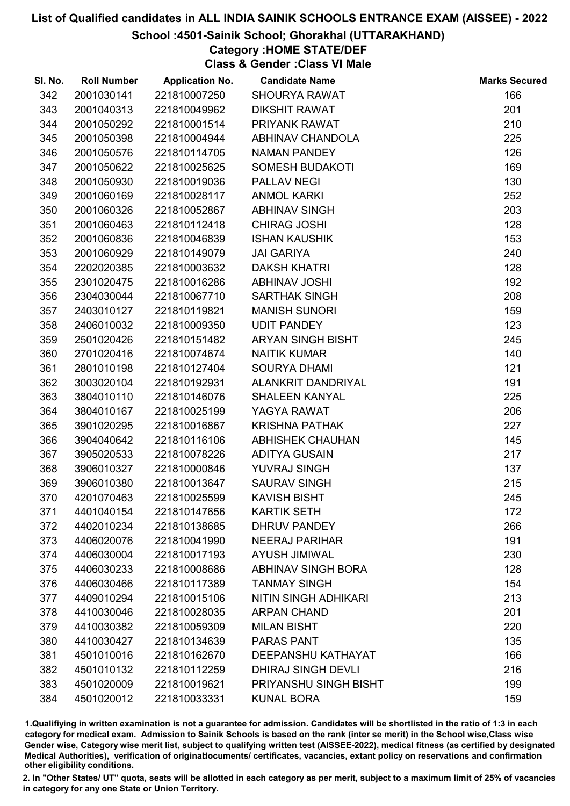#### School :4501-Sainik School; Ghorakhal (UTTARAKHAND)

### Category :HOME STATE/DEF

Class & Gender :Class VI Male

| SI. No. | <b>Roll Number</b> | <b>Application No.</b> | <b>Candidate Name</b>       | <b>Marks Secured</b> |
|---------|--------------------|------------------------|-----------------------------|----------------------|
| 342     | 2001030141         | 221810007250           | <b>SHOURYA RAWAT</b>        | 166                  |
| 343     | 2001040313         | 221810049962           | <b>DIKSHIT RAWAT</b>        | 201                  |
| 344     | 2001050292         | 221810001514           | PRIYANK RAWAT               | 210                  |
| 345     | 2001050398         | 221810004944           | <b>ABHINAV CHANDOLA</b>     | 225                  |
| 346     | 2001050576         | 221810114705           | <b>NAMAN PANDEY</b>         | 126                  |
| 347     | 2001050622         | 221810025625           | <b>SOMESH BUDAKOTI</b>      | 169                  |
| 348     | 2001050930         | 221810019036           | <b>PALLAV NEGI</b>          | 130                  |
| 349     | 2001060169         | 221810028117           | <b>ANMOL KARKI</b>          | 252                  |
| 350     | 2001060326         | 221810052867           | <b>ABHINAV SINGH</b>        | 203                  |
| 351     | 2001060463         | 221810112418           | <b>CHIRAG JOSHI</b>         | 128                  |
| 352     | 2001060836         | 221810046839           | <b>ISHAN KAUSHIK</b>        | 153                  |
| 353     | 2001060929         | 221810149079           | <b>JAI GARIYA</b>           | 240                  |
| 354     | 2202020385         | 221810003632           | <b>DAKSH KHATRI</b>         | 128                  |
| 355     | 2301020475         | 221810016286           | <b>ABHINAV JOSHI</b>        | 192                  |
| 356     | 2304030044         | 221810067710           | <b>SARTHAK SINGH</b>        | 208                  |
| 357     | 2403010127         | 221810119821           | <b>MANISH SUNORI</b>        | 159                  |
| 358     | 2406010032         | 221810009350           | <b>UDIT PANDEY</b>          | 123                  |
| 359     | 2501020426         | 221810151482           | <b>ARYAN SINGH BISHT</b>    | 245                  |
| 360     | 2701020416         | 221810074674           | <b>NAITIK KUMAR</b>         | 140                  |
| 361     | 2801010198         | 221810127404           | <b>SOURYA DHAMI</b>         | 121                  |
| 362     | 3003020104         | 221810192931           | ALANKRIT DANDRIYAL          | 191                  |
| 363     | 3804010110         | 221810146076           | <b>SHALEEN KANYAL</b>       | 225                  |
| 364     | 3804010167         | 221810025199           | YAGYA RAWAT                 | 206                  |
| 365     | 3901020295         | 221810016867           | <b>KRISHNA PATHAK</b>       | 227                  |
| 366     | 3904040642         | 221810116106           | <b>ABHISHEK CHAUHAN</b>     | 145                  |
| 367     | 3905020533         | 221810078226           | <b>ADITYA GUSAIN</b>        | 217                  |
| 368     | 3906010327         | 221810000846           | YUVRAJ SINGH                | 137                  |
| 369     | 3906010380         | 221810013647           | <b>SAURAV SINGH</b>         | 215                  |
| 370     | 4201070463         | 221810025599           | <b>KAVISH BISHT</b>         | 245                  |
| 371     | 4401040154         | 221810147656           | <b>KARTIK SETH</b>          | 172                  |
| 372     | 4402010234         | 221810138685           | <b>DHRUV PANDEY</b>         | 266                  |
| 373     | 4406020076         | 221810041990           | <b>NEERAJ PARIHAR</b>       | 191                  |
| 374     | 4406030004         | 221810017193           | <b>AYUSH JIMIWAL</b>        | 230                  |
| 375     | 4406030233         | 221810008686           | <b>ABHINAV SINGH BORA</b>   | 128                  |
| 376     | 4406030466         | 221810117389           | <b>TANMAY SINGH</b>         | 154                  |
| 377     | 4409010294         | 221810015106           | <b>NITIN SINGH ADHIKARI</b> | 213                  |
| 378     | 4410030046         | 221810028035           | <b>ARPAN CHAND</b>          | 201                  |
| 379     | 4410030382         | 221810059309           | <b>MILAN BISHT</b>          | 220                  |
| 380     | 4410030427         | 221810134639           | <b>PARAS PANT</b>           | 135                  |
| 381     | 4501010016         | 221810162670           | DEEPANSHU KATHAYAT          | 166                  |
| 382     | 4501010132         | 221810112259           | <b>DHIRAJ SINGH DEVLI</b>   | 216                  |
| 383     | 4501020009         | 221810019621           | PRIYANSHU SINGH BISHT       | 199                  |
| 384     | 4501020012         | 221810033331           | <b>KUNAL BORA</b>           | 159                  |

1.Qualifiying in written examination is not a guarantee for admission. Candidates will be shortlisted in the ratio of 1:3 in each category for medical exam. Admission to Sainik Schools is based on the rank (inter se merit) in the School wise,Class wise Gender wise, Category wise merit list, subject to qualifying written test (AISSEE-2022), medical fitness (as certified by designated Medical Authorities), verification of originablocuments/ certificates, vacancies, extant policy on reservations and confirmation other eligibility conditions.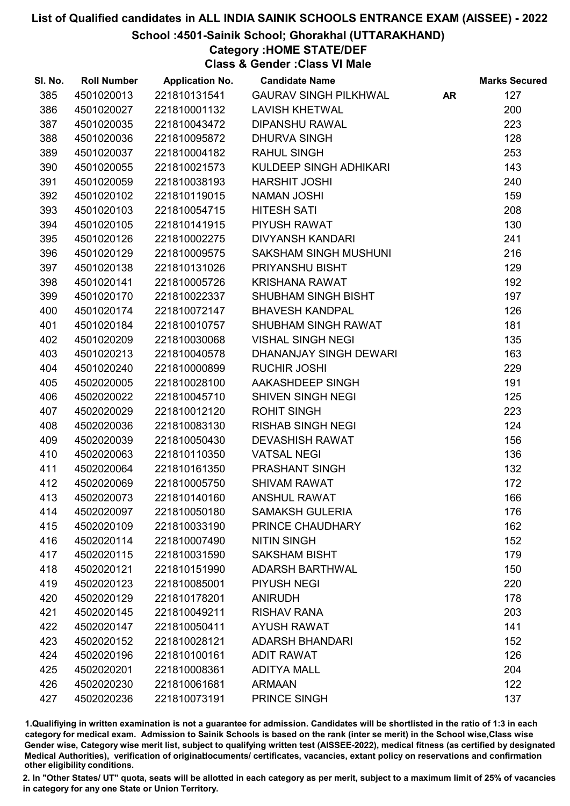#### School :4501-Sainik School; Ghorakhal (UTTARAKHAND)

### Category :HOME STATE/DEF

Class & Gender :Class VI Male

| SI. No. | <b>Roll Number</b> | <b>Application No.</b> | <b>Candidate Name</b>        |           | <b>Marks Secured</b> |
|---------|--------------------|------------------------|------------------------------|-----------|----------------------|
| 385     | 4501020013         | 221810131541           | <b>GAURAV SINGH PILKHWAL</b> | <b>AR</b> | 127                  |
| 386     | 4501020027         | 221810001132           | <b>LAVISH KHETWAL</b>        |           | 200                  |
| 387     | 4501020035         | 221810043472           | <b>DIPANSHU RAWAL</b>        |           | 223                  |
| 388     | 4501020036         | 221810095872           | <b>DHURVA SINGH</b>          |           | 128                  |
| 389     | 4501020037         | 221810004182           | <b>RAHUL SINGH</b>           |           | 253                  |
| 390     | 4501020055         | 221810021573           | KULDEEP SINGH ADHIKARI       |           | 143                  |
| 391     | 4501020059         | 221810038193           | <b>HARSHIT JOSHI</b>         |           | 240                  |
| 392     | 4501020102         | 221810119015           | <b>NAMAN JOSHI</b>           |           | 159                  |
| 393     | 4501020103         | 221810054715           | <b>HITESH SATI</b>           |           | 208                  |
| 394     | 4501020105         | 221810141915           | PIYUSH RAWAT                 |           | 130                  |
| 395     | 4501020126         | 221810002275           | <b>DIVYANSH KANDARI</b>      |           | 241                  |
| 396     | 4501020129         | 221810009575           | <b>SAKSHAM SINGH MUSHUNI</b> |           | 216                  |
| 397     | 4501020138         | 221810131026           | PRIYANSHU BISHT              |           | 129                  |
| 398     | 4501020141         | 221810005726           | <b>KRISHANA RAWAT</b>        |           | 192                  |
| 399     | 4501020170         | 221810022337           | SHUBHAM SINGH BISHT          |           | 197                  |
| 400     | 4501020174         | 221810072147           | <b>BHAVESH KANDPAL</b>       |           | 126                  |
| 401     | 4501020184         | 221810010757           | SHUBHAM SINGH RAWAT          |           | 181                  |
| 402     | 4501020209         | 221810030068           | <b>VISHAL SINGH NEGI</b>     |           | 135                  |
| 403     | 4501020213         | 221810040578           | DHANANJAY SINGH DEWARI       |           | 163                  |
| 404     | 4501020240         | 221810000899           | <b>RUCHIR JOSHI</b>          |           | 229                  |
| 405     | 4502020005         | 221810028100           | AAKASHDEEP SINGH             |           | 191                  |
| 406     | 4502020022         | 221810045710           | <b>SHIVEN SINGH NEGI</b>     |           | 125                  |
| 407     | 4502020029         | 221810012120           | <b>ROHIT SINGH</b>           |           | 223                  |
| 408     | 4502020036         | 221810083130           | <b>RISHAB SINGH NEGI</b>     |           | 124                  |
| 409     | 4502020039         | 221810050430           | <b>DEVASHISH RAWAT</b>       |           | 156                  |
| 410     | 4502020063         | 221810110350           | <b>VATSAL NEGI</b>           |           | 136                  |
| 411     | 4502020064         | 221810161350           | PRASHANT SINGH               |           | 132                  |
| 412     | 4502020069         | 221810005750           | <b>SHIVAM RAWAT</b>          |           | 172                  |
| 413     | 4502020073         | 221810140160           | <b>ANSHUL RAWAT</b>          |           | 166                  |
| 414     | 4502020097         | 221810050180           | <b>SAMAKSH GULERIA</b>       |           | 176                  |
| 415     | 4502020109         | 221810033190           | PRINCE CHAUDHARY             |           | 162                  |
| 416     | 4502020114         | 221810007490           | <b>NITIN SINGH</b>           |           | 152                  |
| 417     | 4502020115         | 221810031590           | <b>SAKSHAM BISHT</b>         |           | 179                  |
| 418     | 4502020121         | 221810151990           | <b>ADARSH BARTHWAL</b>       |           | 150                  |
| 419     | 4502020123         | 221810085001           | <b>PIYUSH NEGI</b>           |           | 220                  |
| 420     | 4502020129         | 221810178201           | <b>ANIRUDH</b>               |           | 178                  |
| 421     | 4502020145         | 221810049211           | <b>RISHAV RANA</b>           |           | 203                  |
| 422     | 4502020147         | 221810050411           | <b>AYUSH RAWAT</b>           |           | 141                  |
| 423     | 4502020152         | 221810028121           | <b>ADARSH BHANDARI</b>       |           | 152                  |
| 424     | 4502020196         | 221810100161           | <b>ADIT RAWAT</b>            |           | 126                  |
| 425     | 4502020201         | 221810008361           | <b>ADITYA MALL</b>           |           | 204                  |
| 426     | 4502020230         | 221810061681           | <b>ARMAAN</b>                |           | 122                  |
| 427     | 4502020236         | 221810073191           | PRINCE SINGH                 |           | 137                  |

1.Qualifiying in written examination is not a guarantee for admission. Candidates will be shortlisted in the ratio of 1:3 in each category for medical exam. Admission to Sainik Schools is based on the rank (inter se merit) in the School wise,Class wise Gender wise, Category wise merit list, subject to qualifying written test (AISSEE-2022), medical fitness (as certified by designated Medical Authorities), verification of originablocuments/ certificates, vacancies, extant policy on reservations and confirmation other eligibility conditions.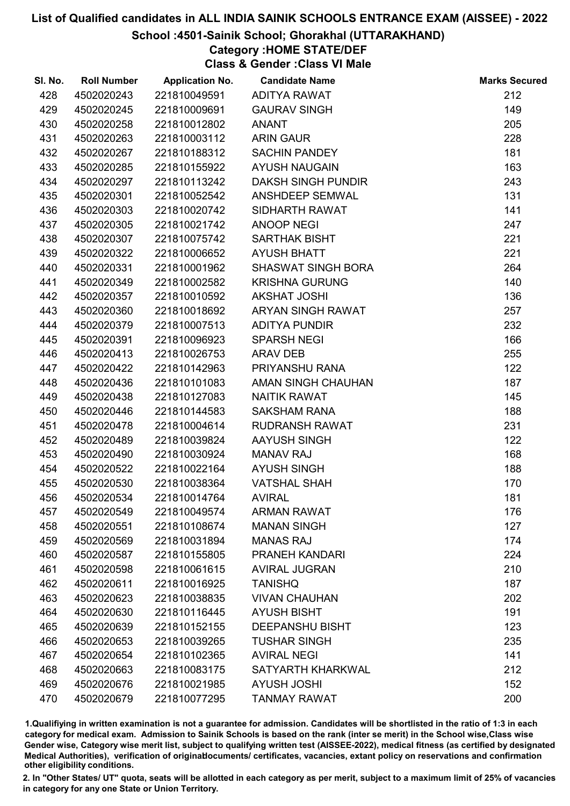#### School :4501-Sainik School; Ghorakhal (UTTARAKHAND)

## Category :HOME STATE/DEF

Class & Gender :Class VI Male

| SI. No. | <b>Roll Number</b> | <b>Application No.</b> | <b>Candidate Name</b>     | <b>Marks Secured</b> |
|---------|--------------------|------------------------|---------------------------|----------------------|
| 428     | 4502020243         | 221810049591           | ADITYA RAWAT              | 212                  |
| 429     | 4502020245         | 221810009691           | <b>GAURAV SINGH</b>       | 149                  |
| 430     | 4502020258         | 221810012802           | <b>ANANT</b>              | 205                  |
| 431     | 4502020263         | 221810003112           | <b>ARIN GAUR</b>          | 228                  |
| 432     | 4502020267         | 221810188312           | <b>SACHIN PANDEY</b>      | 181                  |
| 433     | 4502020285         | 221810155922           | <b>AYUSH NAUGAIN</b>      | 163                  |
| 434     | 4502020297         | 221810113242           | <b>DAKSH SINGH PUNDIR</b> | 243                  |
| 435     | 4502020301         | 221810052542           | ANSHDEEP SEMWAL           | 131                  |
| 436     | 4502020303         | 221810020742           | SIDHARTH RAWAT            | 141                  |
| 437     | 4502020305         | 221810021742           | <b>ANOOP NEGI</b>         | 247                  |
| 438     | 4502020307         | 221810075742           | <b>SARTHAK BISHT</b>      | 221                  |
| 439     | 4502020322         | 221810006652           | <b>AYUSH BHATT</b>        | 221                  |
| 440     | 4502020331         | 221810001962           | <b>SHASWAT SINGH BORA</b> | 264                  |
| 441     | 4502020349         | 221810002582           | <b>KRISHNA GURUNG</b>     | 140                  |
| 442     | 4502020357         | 221810010592           | <b>AKSHAT JOSHI</b>       | 136                  |
| 443     | 4502020360         | 221810018692           | ARYAN SINGH RAWAT         | 257                  |
| 444     | 4502020379         | 221810007513           | <b>ADITYA PUNDIR</b>      | 232                  |
| 445     | 4502020391         | 221810096923           | <b>SPARSH NEGI</b>        | 166                  |
| 446     | 4502020413         | 221810026753           | <b>ARAV DEB</b>           | 255                  |
| 447     | 4502020422         | 221810142963           | PRIYANSHU RANA            | 122                  |
| 448     | 4502020436         | 221810101083           | AMAN SINGH CHAUHAN        | 187                  |
| 449     | 4502020438         | 221810127083           | <b>NAITIK RAWAT</b>       | 145                  |
| 450     | 4502020446         | 221810144583           | <b>SAKSHAM RANA</b>       | 188                  |
| 451     | 4502020478         | 221810004614           | RUDRANSH RAWAT            | 231                  |
| 452     | 4502020489         | 221810039824           | AAYUSH SINGH              | 122                  |
| 453     | 4502020490         | 221810030924           | <b>MANAV RAJ</b>          | 168                  |
| 454     | 4502020522         | 221810022164           | <b>AYUSH SINGH</b>        | 188                  |
| 455     | 4502020530         | 221810038364           | <b>VATSHAL SHAH</b>       | 170                  |
| 456     | 4502020534         | 221810014764           | <b>AVIRAL</b>             | 181                  |
| 457     | 4502020549         | 221810049574           | <b>ARMAN RAWAT</b>        | 176                  |
| 458     | 4502020551         | 221810108674           | <b>MANAN SINGH</b>        | 127                  |
| 459     | 4502020569         | 221810031894           | <b>MANAS RAJ</b>          | 174                  |
| 460     | 4502020587         | 221810155805           | <b>PRANEH KANDARI</b>     | 224                  |
| 461     | 4502020598         | 221810061615           | <b>AVIRAL JUGRAN</b>      | 210                  |
| 462     | 4502020611         | 221810016925           | <b>TANISHQ</b>            | 187                  |
| 463     | 4502020623         | 221810038835           | <b>VIVAN CHAUHAN</b>      | 202                  |
| 464     | 4502020630         | 221810116445           | <b>AYUSH BISHT</b>        | 191                  |
| 465     | 4502020639         | 221810152155           | <b>DEEPANSHU BISHT</b>    | 123                  |
| 466     | 4502020653         | 221810039265           | <b>TUSHAR SINGH</b>       | 235                  |
| 467     | 4502020654         | 221810102365           | <b>AVIRAL NEGI</b>        | 141                  |
| 468     | 4502020663         | 221810083175           | SATYARTH KHARKWAL         | 212                  |
| 469     | 4502020676         | 221810021985           | <b>AYUSH JOSHI</b>        | 152                  |
| 470     | 4502020679         | 221810077295           | <b>TANMAY RAWAT</b>       | 200                  |

1.Qualifiying in written examination is not a guarantee for admission. Candidates will be shortlisted in the ratio of 1:3 in each category for medical exam. Admission to Sainik Schools is based on the rank (inter se merit) in the School wise,Class wise Gender wise, Category wise merit list, subject to qualifying written test (AISSEE-2022), medical fitness (as certified by designated Medical Authorities), verification of originablocuments/ certificates, vacancies, extant policy on reservations and confirmation other eligibility conditions.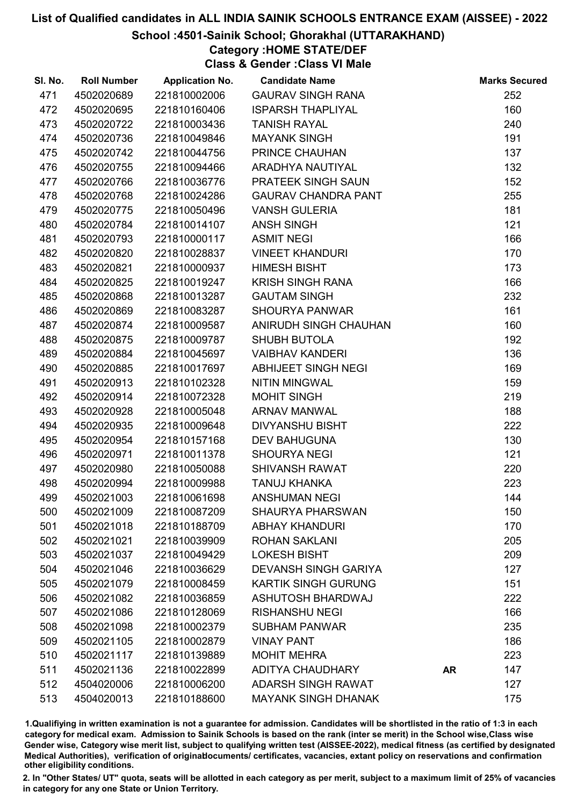#### School :4501-Sainik School; Ghorakhal (UTTARAKHAND)

### Category :HOME STATE/DEF

Class & Gender :Class VI Male

| SI. No. | <b>Roll Number</b> | <b>Application No.</b> | <b>Candidate Name</b>       |           | <b>Marks Secured</b> |
|---------|--------------------|------------------------|-----------------------------|-----------|----------------------|
| 471     | 4502020689         | 221810002006           | <b>GAURAV SINGH RANA</b>    |           | 252                  |
| 472     | 4502020695         | 221810160406           | <b>ISPARSH THAPLIYAL</b>    |           | 160                  |
| 473     | 4502020722         | 221810003436           | <b>TANISH RAYAL</b>         |           | 240                  |
| 474     | 4502020736         | 221810049846           | <b>MAYANK SINGH</b>         |           | 191                  |
| 475     | 4502020742         | 221810044756           | PRINCE CHAUHAN              |           | 137                  |
| 476     | 4502020755         | 221810094466           | ARADHYA NAUTIYAL            |           | 132                  |
| 477     | 4502020766         | 221810036776           | PRATEEK SINGH SAUN          |           | 152                  |
| 478     | 4502020768         | 221810024286           | <b>GAURAV CHANDRA PANT</b>  |           | 255                  |
| 479     | 4502020775         | 221810050496           | <b>VANSH GULERIA</b>        |           | 181                  |
| 480     | 4502020784         | 221810014107           | <b>ANSH SINGH</b>           |           | 121                  |
| 481     | 4502020793         | 221810000117           | <b>ASMIT NEGI</b>           |           | 166                  |
| 482     | 4502020820         | 221810028837           | <b>VINEET KHANDURI</b>      |           | 170                  |
| 483     | 4502020821         | 221810000937           | <b>HIMESH BISHT</b>         |           | 173                  |
| 484     | 4502020825         | 221810019247           | <b>KRISH SINGH RANA</b>     |           | 166                  |
| 485     | 4502020868         | 221810013287           | <b>GAUTAM SINGH</b>         |           | 232                  |
| 486     | 4502020869         | 221810083287           | <b>SHOURYA PANWAR</b>       |           | 161                  |
| 487     | 4502020874         | 221810009587           | ANIRUDH SINGH CHAUHAN       |           | 160                  |
| 488     | 4502020875         | 221810009787           | <b>SHUBH BUTOLA</b>         |           | 192                  |
| 489     | 4502020884         | 221810045697           | <b>VAIBHAV KANDERI</b>      |           | 136                  |
| 490     | 4502020885         | 221810017697           | ABHIJEET SINGH NEGI         |           | 169                  |
| 491     | 4502020913         | 221810102328           | <b>NITIN MINGWAL</b>        |           | 159                  |
| 492     | 4502020914         | 221810072328           | <b>MOHIT SINGH</b>          |           | 219                  |
| 493     | 4502020928         | 221810005048           | <b>ARNAV MANWAL</b>         |           | 188                  |
| 494     | 4502020935         | 221810009648           | <b>DIVYANSHU BISHT</b>      |           | 222                  |
| 495     | 4502020954         | 221810157168           | <b>DEV BAHUGUNA</b>         |           | 130                  |
| 496     | 4502020971         | 221810011378           | <b>SHOURYA NEGI</b>         |           | 121                  |
| 497     | 4502020980         | 221810050088           | <b>SHIVANSH RAWAT</b>       |           | 220                  |
| 498     | 4502020994         | 221810009988           | <b>TANUJ KHANKA</b>         |           | 223                  |
| 499     | 4502021003         | 221810061698           | <b>ANSHUMAN NEGI</b>        |           | 144                  |
| 500     | 4502021009         | 221810087209           | <b>SHAURYA PHARSWAN</b>     |           | 150                  |
| 501     | 4502021018         | 221810188709           | <b>ABHAY KHANDURI</b>       |           | 170                  |
| 502     | 4502021021         | 221810039909           | <b>ROHAN SAKLANI</b>        |           | 205                  |
| 503     | 4502021037         | 221810049429           | <b>LOKESH BISHT</b>         |           | 209                  |
| 504     | 4502021046         | 221810036629           | <b>DEVANSH SINGH GARIYA</b> |           | 127                  |
| 505     | 4502021079         | 221810008459           | <b>KARTIK SINGH GURUNG</b>  |           | 151                  |
| 506     | 4502021082         | 221810036859           | <b>ASHUTOSH BHARDWAJ</b>    |           | 222                  |
| 507     | 4502021086         | 221810128069           | <b>RISHANSHU NEGI</b>       |           | 166                  |
| 508     | 4502021098         | 221810002379           | <b>SUBHAM PANWAR</b>        |           | 235                  |
| 509     | 4502021105         | 221810002879           | <b>VINAY PANT</b>           |           | 186                  |
| 510     | 4502021117         | 221810139889           | <b>MOHIT MEHRA</b>          |           | 223                  |
| 511     | 4502021136         | 221810022899           | <b>ADITYA CHAUDHARY</b>     | <b>AR</b> | 147                  |
| 512     | 4504020006         | 221810006200           | <b>ADARSH SINGH RAWAT</b>   |           | 127                  |
| 513     | 4504020013         | 221810188600           | <b>MAYANK SINGH DHANAK</b>  |           | 175                  |

1.Qualifiying in written examination is not a guarantee for admission. Candidates will be shortlisted in the ratio of 1:3 in each category for medical exam. Admission to Sainik Schools is based on the rank (inter se merit) in the School wise,Class wise Gender wise, Category wise merit list, subject to qualifying written test (AISSEE-2022), medical fitness (as certified by designated Medical Authorities), verification of originablocuments/ certificates, vacancies, extant policy on reservations and confirmation other eligibility conditions.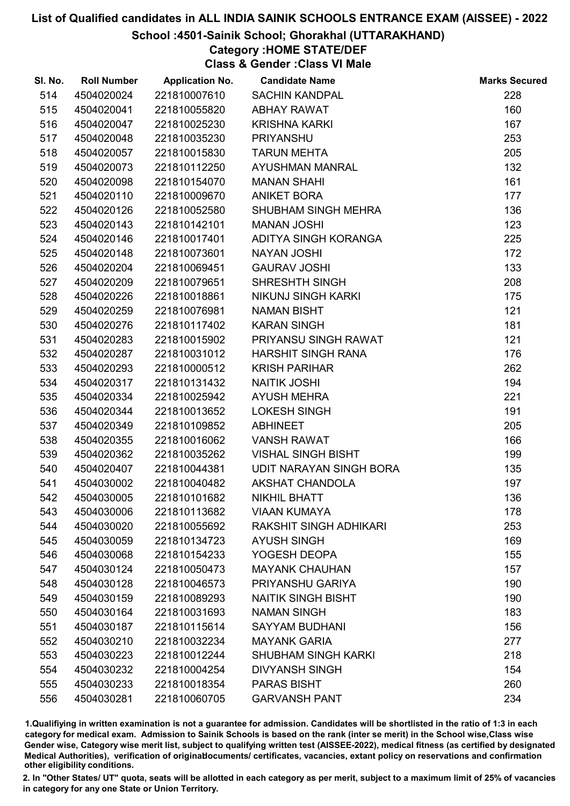#### School :4501-Sainik School; Ghorakhal (UTTARAKHAND)

### Category :HOME STATE/DEF

Class & Gender :Class VI Male

| SI. No. | <b>Roll Number</b> | <b>Application No.</b> | <b>Candidate Name</b>      | <b>Marks Secured</b> |
|---------|--------------------|------------------------|----------------------------|----------------------|
| 514     | 4504020024         | 221810007610           | <b>SACHIN KANDPAL</b>      | 228                  |
| 515     | 4504020041         | 221810055820           | <b>ABHAY RAWAT</b>         | 160                  |
| 516     | 4504020047         | 221810025230           | <b>KRISHNA KARKI</b>       | 167                  |
| 517     | 4504020048         | 221810035230           | <b>PRIYANSHU</b>           | 253                  |
| 518     | 4504020057         | 221810015830           | <b>TARUN MEHTA</b>         | 205                  |
| 519     | 4504020073         | 221810112250           | <b>AYUSHMAN MANRAL</b>     | 132                  |
| 520     | 4504020098         | 221810154070           | <b>MANAN SHAHI</b>         | 161                  |
| 521     | 4504020110         | 221810009670           | <b>ANIKET BORA</b>         | 177                  |
| 522     | 4504020126         | 221810052580           | SHUBHAM SINGH MEHRA        | 136                  |
| 523     | 4504020143         | 221810142101           | <b>MANAN JOSHI</b>         | 123                  |
| 524     | 4504020146         | 221810017401           | ADITYA SINGH KORANGA       | 225                  |
| 525     | 4504020148         | 221810073601           | <b>NAYAN JOSHI</b>         | 172                  |
| 526     | 4504020204         | 221810069451           | <b>GAURAV JOSHI</b>        | 133                  |
| 527     | 4504020209         | 221810079651           | SHRESHTH SINGH             | 208                  |
| 528     | 4504020226         | 221810018861           | <b>NIKUNJ SINGH KARKI</b>  | 175                  |
| 529     | 4504020259         | 221810076981           | <b>NAMAN BISHT</b>         | 121                  |
| 530     | 4504020276         | 221810117402           | <b>KARAN SINGH</b>         | 181                  |
| 531     | 4504020283         | 221810015902           | PRIYANSU SINGH RAWAT       | 121                  |
| 532     | 4504020287         | 221810031012           | <b>HARSHIT SINGH RANA</b>  | 176                  |
| 533     | 4504020293         | 221810000512           | <b>KRISH PARIHAR</b>       | 262                  |
| 534     | 4504020317         | 221810131432           | <b>NAITIK JOSHI</b>        | 194                  |
| 535     | 4504020334         | 221810025942           | <b>AYUSH MEHRA</b>         | 221                  |
| 536     | 4504020344         | 221810013652           | <b>LOKESH SINGH</b>        | 191                  |
| 537     | 4504020349         | 221810109852           | <b>ABHINEET</b>            | 205                  |
| 538     | 4504020355         | 221810016062           | <b>VANSH RAWAT</b>         | 166                  |
| 539     | 4504020362         | 221810035262           | <b>VISHAL SINGH BISHT</b>  | 199                  |
| 540     | 4504020407         | 221810044381           | UDIT NARAYAN SINGH BORA    | 135                  |
| 541     | 4504030002         | 221810040482           | <b>AKSHAT CHANDOLA</b>     | 197                  |
| 542     | 4504030005         | 221810101682           | <b>NIKHIL BHATT</b>        | 136                  |
| 543     | 4504030006         | 221810113682           | <b>VIAAN KUMAYA</b>        | 178                  |
| 544     | 4504030020         | 221810055692           | RAKSHIT SINGH ADHIKARI     | 253                  |
| 545     | 4504030059         | 221810134723           | <b>AYUSH SINGH</b>         | 169                  |
| 546     | 4504030068         | 221810154233           | YOGESH DEOPA               | 155                  |
| 547     | 4504030124         | 221810050473           | <b>MAYANK CHAUHAN</b>      | 157                  |
| 548     | 4504030128         | 221810046573           | PRIYANSHU GARIYA           | 190                  |
| 549     | 4504030159         | 221810089293           | <b>NAITIK SINGH BISHT</b>  | 190                  |
| 550     | 4504030164         | 221810031693           | <b>NAMAN SINGH</b>         | 183                  |
| 551     | 4504030187         | 221810115614           | <b>SAYYAM BUDHANI</b>      | 156                  |
| 552     | 4504030210         | 221810032234           | <b>MAYANK GARIA</b>        | 277                  |
| 553     | 4504030223         | 221810012244           | <b>SHUBHAM SINGH KARKI</b> | 218                  |
| 554     | 4504030232         | 221810004254           | <b>DIVYANSH SINGH</b>      | 154                  |
| 555     | 4504030233         | 221810018354           | <b>PARAS BISHT</b>         | 260                  |
| 556     | 4504030281         | 221810060705           | <b>GARVANSH PANT</b>       | 234                  |

1.Qualifiying in written examination is not a guarantee for admission. Candidates will be shortlisted in the ratio of 1:3 in each category for medical exam. Admission to Sainik Schools is based on the rank (inter se merit) in the School wise,Class wise Gender wise, Category wise merit list, subject to qualifying written test (AISSEE-2022), medical fitness (as certified by designated Medical Authorities), verification of originablocuments/ certificates, vacancies, extant policy on reservations and confirmation other eligibility conditions.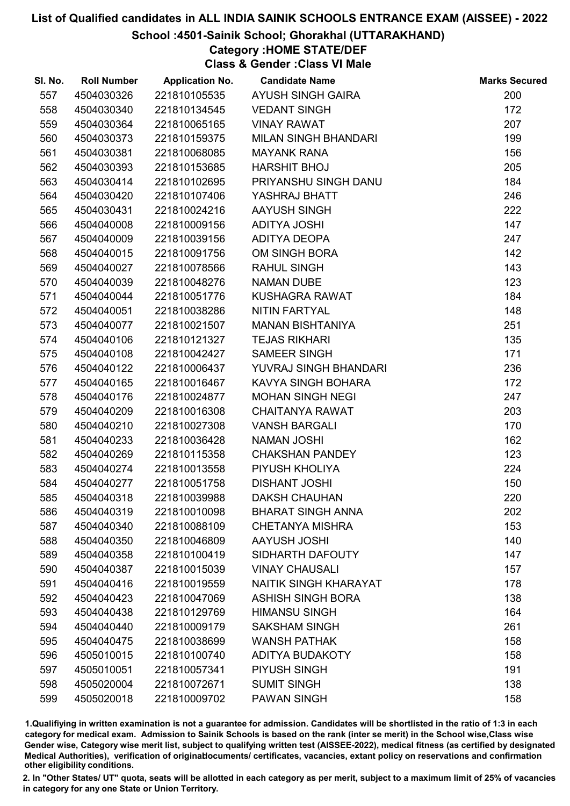#### School :4501-Sainik School; Ghorakhal (UTTARAKHAND)

### Category :HOME STATE/DEF

Class & Gender :Class VI Male

| SI. No. | <b>Roll Number</b> | <b>Application No.</b> | <b>Candidate Name</b>        | <b>Marks Secured</b> |
|---------|--------------------|------------------------|------------------------------|----------------------|
| 557     | 4504030326         | 221810105535           | <b>AYUSH SINGH GAIRA</b>     | 200                  |
| 558     | 4504030340         | 221810134545           | <b>VEDANT SINGH</b>          | 172                  |
| 559     | 4504030364         | 221810065165           | <b>VINAY RAWAT</b>           | 207                  |
| 560     | 4504030373         | 221810159375           | <b>MILAN SINGH BHANDARI</b>  | 199                  |
| 561     | 4504030381         | 221810068085           | <b>MAYANK RANA</b>           | 156                  |
| 562     | 4504030393         | 221810153685           | <b>HARSHIT BHOJ</b>          | 205                  |
| 563     | 4504030414         | 221810102695           | PRIYANSHU SINGH DANU         | 184                  |
| 564     | 4504030420         | 221810107406           | YASHRAJ BHATT                | 246                  |
| 565     | 4504030431         | 221810024216           | AAYUSH SINGH                 | 222                  |
| 566     | 4504040008         | 221810009156           | <b>ADITYA JOSHI</b>          | 147                  |
| 567     | 4504040009         | 221810039156           | ADITYA DEOPA                 | 247                  |
| 568     | 4504040015         | 221810091756           | OM SINGH BORA                | 142                  |
| 569     | 4504040027         | 221810078566           | <b>RAHUL SINGH</b>           | 143                  |
| 570     | 4504040039         | 221810048276           | <b>NAMAN DUBE</b>            | 123                  |
| 571     | 4504040044         | 221810051776           | KUSHAGRA RAWAT               | 184                  |
| 572     | 4504040051         | 221810038286           | <b>NITIN FARTYAL</b>         | 148                  |
| 573     | 4504040077         | 221810021507           | <b>MANAN BISHTANIYA</b>      | 251                  |
| 574     | 4504040106         | 221810121327           | <b>TEJAS RIKHARI</b>         | 135                  |
| 575     | 4504040108         | 221810042427           | <b>SAMEER SINGH</b>          | 171                  |
| 576     | 4504040122         | 221810006437           | YUVRAJ SINGH BHANDARI        | 236                  |
| 577     | 4504040165         | 221810016467           | KAVYA SINGH BOHARA           | 172                  |
| 578     | 4504040176         | 221810024877           | <b>MOHAN SINGH NEGI</b>      | 247                  |
| 579     | 4504040209         | 221810016308           | <b>CHAITANYA RAWAT</b>       | 203                  |
| 580     | 4504040210         | 221810027308           | <b>VANSH BARGALI</b>         | 170                  |
| 581     | 4504040233         | 221810036428           | <b>NAMAN JOSHI</b>           | 162                  |
| 582     | 4504040269         | 221810115358           | <b>CHAKSHAN PANDEY</b>       | 123                  |
| 583     | 4504040274         | 221810013558           | PIYUSH KHOLIYA               | 224                  |
| 584     | 4504040277         | 221810051758           | <b>DISHANT JOSHI</b>         | 150                  |
| 585     | 4504040318         | 221810039988           | <b>DAKSH CHAUHAN</b>         | 220                  |
| 586     | 4504040319         | 221810010098           | <b>BHARAT SINGH ANNA</b>     | 202                  |
| 587     | 4504040340         | 221810088109           | <b>CHETANYA MISHRA</b>       | 153                  |
| 588     | 4504040350         | 221810046809           | <b>AAYUSH JOSHI</b>          | 140                  |
| 589     | 4504040358         | 221810100419           | SIDHARTH DAFOUTY             | 147                  |
| 590     | 4504040387         | 221810015039           | <b>VINAY CHAUSALI</b>        | 157                  |
| 591     | 4504040416         | 221810019559           | <b>NAITIK SINGH KHARAYAT</b> | 178                  |
| 592     | 4504040423         | 221810047069           | <b>ASHISH SINGH BORA</b>     | 138                  |
| 593     | 4504040438         | 221810129769           | <b>HIMANSU SINGH</b>         | 164                  |
| 594     | 4504040440         | 221810009179           | <b>SAKSHAM SINGH</b>         | 261                  |
| 595     | 4504040475         | 221810038699           | <b>WANSH PATHAK</b>          | 158                  |
| 596     | 4505010015         | 221810100740           | <b>ADITYA BUDAKOTY</b>       | 158                  |
| 597     | 4505010051         | 221810057341           | PIYUSH SINGH                 | 191                  |
| 598     | 4505020004         | 221810072671           | <b>SUMIT SINGH</b>           | 138                  |
| 599     | 4505020018         | 221810009702           | <b>PAWAN SINGH</b>           | 158                  |

1.Qualifiying in written examination is not a guarantee for admission. Candidates will be shortlisted in the ratio of 1:3 in each category for medical exam. Admission to Sainik Schools is based on the rank (inter se merit) in the School wise,Class wise Gender wise, Category wise merit list, subject to qualifying written test (AISSEE-2022), medical fitness (as certified by designated Medical Authorities), verification of originablocuments/ certificates, vacancies, extant policy on reservations and confirmation other eligibility conditions.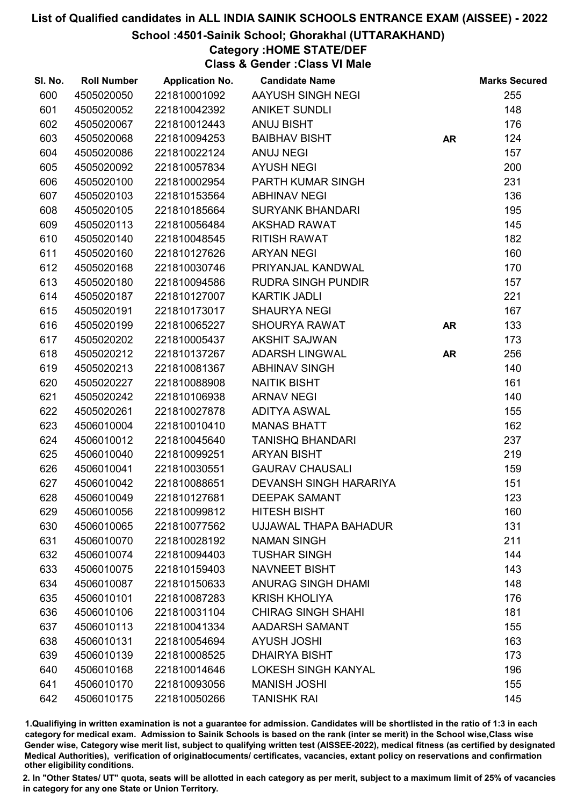#### School :4501-Sainik School; Ghorakhal (UTTARAKHAND)

### Category :HOME STATE/DEF

Class & Gender :Class VI Male

| SI. No. | <b>Roll Number</b> | <b>Application No.</b> | <b>Candidate Name</b>         |           | <b>Marks Secured</b> |
|---------|--------------------|------------------------|-------------------------------|-----------|----------------------|
| 600     | 4505020050         | 221810001092           | AAYUSH SINGH NEGI             |           | 255                  |
| 601     | 4505020052         | 221810042392           | <b>ANIKET SUNDLI</b>          |           | 148                  |
| 602     | 4505020067         | 221810012443           | <b>ANUJ BISHT</b>             |           | 176                  |
| 603     | 4505020068         | 221810094253           | <b>BAIBHAV BISHT</b>          | <b>AR</b> | 124                  |
| 604     | 4505020086         | 221810022124           | <b>ANUJ NEGI</b>              |           | 157                  |
| 605     | 4505020092         | 221810057834           | <b>AYUSH NEGI</b>             |           | 200                  |
| 606     | 4505020100         | 221810002954           | <b>PARTH KUMAR SINGH</b>      |           | 231                  |
| 607     | 4505020103         | 221810153564           | <b>ABHINAV NEGI</b>           |           | 136                  |
| 608     | 4505020105         | 221810185664           | <b>SURYANK BHANDARI</b>       |           | 195                  |
| 609     | 4505020113         | 221810056484           | <b>AKSHAD RAWAT</b>           |           | 145                  |
| 610     | 4505020140         | 221810048545           | <b>RITISH RAWAT</b>           |           | 182                  |
| 611     | 4505020160         | 221810127626           | <b>ARYAN NEGI</b>             |           | 160                  |
| 612     | 4505020168         | 221810030746           | PRIYANJAL KANDWAL             |           | 170                  |
| 613     | 4505020180         | 221810094586           | <b>RUDRA SINGH PUNDIR</b>     |           | 157                  |
| 614     | 4505020187         | 221810127007           | <b>KARTIK JADLI</b>           |           | 221                  |
| 615     | 4505020191         | 221810173017           | <b>SHAURYA NEGI</b>           |           | 167                  |
| 616     | 4505020199         | 221810065227           | <b>SHOURYA RAWAT</b>          | <b>AR</b> | 133                  |
| 617     | 4505020202         | 221810005437           | <b>AKSHIT SAJWAN</b>          |           | 173                  |
| 618     | 4505020212         | 221810137267           | <b>ADARSH LINGWAL</b>         | <b>AR</b> | 256                  |
| 619     | 4505020213         | 221810081367           | <b>ABHINAV SINGH</b>          |           | 140                  |
| 620     | 4505020227         | 221810088908           | <b>NAITIK BISHT</b>           |           | 161                  |
| 621     | 4505020242         | 221810106938           | <b>ARNAV NEGI</b>             |           | 140                  |
| 622     | 4505020261         | 221810027878           | <b>ADITYA ASWAL</b>           |           | 155                  |
| 623     | 4506010004         | 221810010410           | <b>MANAS BHATT</b>            |           | 162                  |
| 624     | 4506010012         | 221810045640           | <b>TANISHQ BHANDARI</b>       |           | 237                  |
| 625     | 4506010040         | 221810099251           | <b>ARYAN BISHT</b>            |           | 219                  |
| 626     | 4506010041         | 221810030551           | <b>GAURAV CHAUSALI</b>        |           | 159                  |
| 627     | 4506010042         | 221810088651           | <b>DEVANSH SINGH HARARIYA</b> |           | 151                  |
| 628     | 4506010049         | 221810127681           | <b>DEEPAK SAMANT</b>          |           | 123                  |
| 629     | 4506010056         | 221810099812           | <b>HITESH BISHT</b>           |           | 160                  |
| 630     | 4506010065         | 221810077562           | UJJAWAL THAPA BAHADUR         |           | 131                  |
| 631     | 4506010070         | 221810028192           | <b>NAMAN SINGH</b>            |           | 211                  |
| 632     | 4506010074         | 221810094403           | <b>TUSHAR SINGH</b>           |           | 144                  |
| 633     | 4506010075         | 221810159403           | <b>NAVNEET BISHT</b>          |           | 143                  |
| 634     | 4506010087         | 221810150633           | <b>ANURAG SINGH DHAMI</b>     |           | 148                  |
| 635     | 4506010101         | 221810087283           | <b>KRISH KHOLIYA</b>          |           | 176                  |
| 636     | 4506010106         | 221810031104           | <b>CHIRAG SINGH SHAHI</b>     |           | 181                  |
| 637     | 4506010113         | 221810041334           | AADARSH SAMANT                |           | 155                  |
| 638     | 4506010131         | 221810054694           | <b>AYUSH JOSHI</b>            |           | 163                  |
| 639     | 4506010139         | 221810008525           | <b>DHAIRYA BISHT</b>          |           | 173                  |
| 640     | 4506010168         | 221810014646           | LOKESH SINGH KANYAL           |           | 196                  |
| 641     | 4506010170         | 221810093056           | <b>MANISH JOSHI</b>           |           | 155                  |
| 642     | 4506010175         | 221810050266           | <b>TANISHK RAI</b>            |           | 145                  |

1.Qualifiying in written examination is not a guarantee for admission. Candidates will be shortlisted in the ratio of 1:3 in each category for medical exam. Admission to Sainik Schools is based on the rank (inter se merit) in the School wise,Class wise Gender wise, Category wise merit list, subject to qualifying written test (AISSEE-2022), medical fitness (as certified by designated Medical Authorities), verification of originablocuments/ certificates, vacancies, extant policy on reservations and confirmation other eligibility conditions.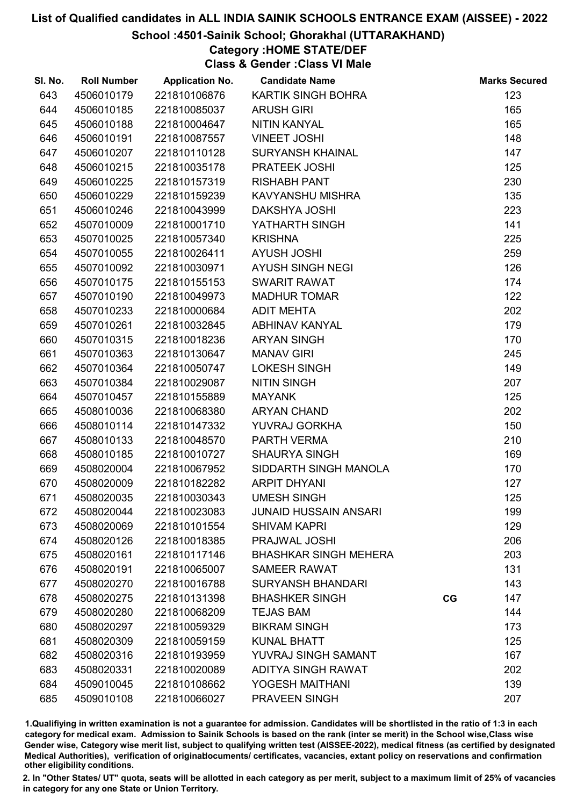#### School :4501-Sainik School; Ghorakhal (UTTARAKHAND)

### Category :HOME STATE/DEF

Class & Gender :Class VI Male

| SI. No. | <b>Roll Number</b> | <b>Application No.</b> | <b>Candidate Name</b>        |    | <b>Marks Secured</b> |
|---------|--------------------|------------------------|------------------------------|----|----------------------|
| 643     | 4506010179         | 221810106876           | KARTIK SINGH BOHRA           |    | 123                  |
| 644     | 4506010185         | 221810085037           | <b>ARUSH GIRI</b>            |    | 165                  |
| 645     | 4506010188         | 221810004647           | NITIN KANYAL                 |    | 165                  |
| 646     | 4506010191         | 221810087557           | <b>VINEET JOSHI</b>          |    | 148                  |
| 647     | 4506010207         | 221810110128           | <b>SURYANSH KHAINAL</b>      |    | 147                  |
| 648     | 4506010215         | 221810035178           | PRATEEK JOSHI                |    | 125                  |
| 649     | 4506010225         | 221810157319           | <b>RISHABH PANT</b>          |    | 230                  |
| 650     | 4506010229         | 221810159239           | KAVYANSHU MISHRA             |    | 135                  |
| 651     | 4506010246         | 221810043999           | <b>DAKSHYA JOSHI</b>         |    | 223                  |
| 652     | 4507010009         | 221810001710           | YATHARTH SINGH               |    | 141                  |
| 653     | 4507010025         | 221810057340           | <b>KRISHNA</b>               |    | 225                  |
| 654     | 4507010055         | 221810026411           | <b>AYUSH JOSHI</b>           |    | 259                  |
| 655     | 4507010092         | 221810030971           | <b>AYUSH SINGH NEGI</b>      |    | 126                  |
| 656     | 4507010175         | 221810155153           | <b>SWARIT RAWAT</b>          |    | 174                  |
| 657     | 4507010190         | 221810049973           | <b>MADHUR TOMAR</b>          |    | 122                  |
| 658     | 4507010233         | 221810000684           | <b>ADIT MEHTA</b>            |    | 202                  |
| 659     | 4507010261         | 221810032845           | <b>ABHINAV KANYAL</b>        |    | 179                  |
| 660     | 4507010315         | 221810018236           | <b>ARYAN SINGH</b>           |    | 170                  |
| 661     | 4507010363         | 221810130647           | <b>MANAV GIRI</b>            |    | 245                  |
| 662     | 4507010364         | 221810050747           | <b>LOKESH SINGH</b>          |    | 149                  |
| 663     | 4507010384         | 221810029087           | <b>NITIN SINGH</b>           |    | 207                  |
| 664     | 4507010457         | 221810155889           | <b>MAYANK</b>                |    | 125                  |
| 665     | 4508010036         | 221810068380           | <b>ARYAN CHAND</b>           |    | 202                  |
| 666     | 4508010114         | 221810147332           | YUVRAJ GORKHA                |    | 150                  |
| 667     | 4508010133         | 221810048570           | PARTH VERMA                  |    | 210                  |
| 668     | 4508010185         | 221810010727           | <b>SHAURYA SINGH</b>         |    | 169                  |
| 669     | 4508020004         | 221810067952           | SIDDARTH SINGH MANOLA        |    | 170                  |
| 670     | 4508020009         | 221810182282           | <b>ARPIT DHYANI</b>          |    | 127                  |
| 671     | 4508020035         | 221810030343           | <b>UMESH SINGH</b>           |    | 125                  |
| 672     | 4508020044         | 221810023083           | <b>JUNAID HUSSAIN ANSARI</b> |    | 199                  |
| 673     | 4508020069         | 221810101554           | <b>SHIVAM KAPRI</b>          |    | 129                  |
| 674     | 4508020126         | 221810018385           | PRAJWAL JOSHI                |    | 206                  |
| 675     | 4508020161         | 221810117146           | <b>BHASHKAR SINGH MEHERA</b> |    | 203                  |
| 676     | 4508020191         | 221810065007           | <b>SAMEER RAWAT</b>          |    | 131                  |
| 677     | 4508020270         | 221810016788           | <b>SURYANSH BHANDARI</b>     |    | 143                  |
| 678     | 4508020275         | 221810131398           | <b>BHASHKER SINGH</b>        | CG | 147                  |
| 679     | 4508020280         | 221810068209           | <b>TEJAS BAM</b>             |    | 144                  |
| 680     | 4508020297         | 221810059329           | <b>BIKRAM SINGH</b>          |    | 173                  |
| 681     | 4508020309         | 221810059159           | <b>KUNAL BHATT</b>           |    | 125                  |
| 682     | 4508020316         | 221810193959           | YUVRAJ SINGH SAMANT          |    | 167                  |
| 683     | 4508020331         | 221810020089           | <b>ADITYA SINGH RAWAT</b>    |    | 202                  |
| 684     | 4509010045         | 221810108662           | YOGESH MAITHANI              |    | 139                  |
| 685     | 4509010108         | 221810066027           | PRAVEEN SINGH                |    | 207                  |

1.Qualifiying in written examination is not a guarantee for admission. Candidates will be shortlisted in the ratio of 1:3 in each category for medical exam. Admission to Sainik Schools is based on the rank (inter se merit) in the School wise,Class wise Gender wise, Category wise merit list, subject to qualifying written test (AISSEE-2022), medical fitness (as certified by designated Medical Authorities), verification of originablocuments/ certificates, vacancies, extant policy on reservations and confirmation other eligibility conditions.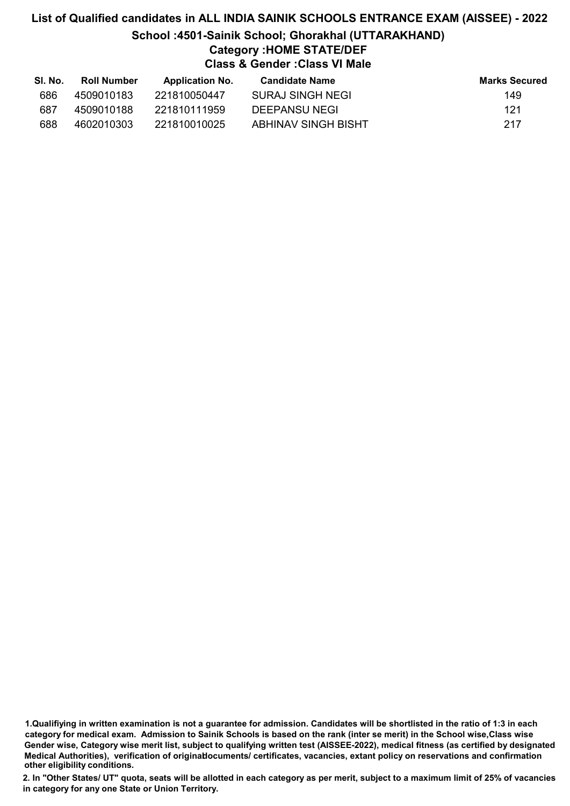### List of Qualified candidates in ALL INDIA SAINIK SCHOOLS ENTRANCE EXAM (AISSEE) - 2022 School :4501-Sainik School; Ghorakhal (UTTARAKHAND) Category :HOME STATE/DEF Class & Gender :Class VI Male

| SI. No. | Roll Number | <b>Application No.</b> | Candidate Name      | <b>Marks Secured</b> |
|---------|-------------|------------------------|---------------------|----------------------|
| 686     | 4509010183  | 221810050447           | SURAJ SINGH NEGI    | 149                  |
| 687     | 4509010188  | 221810111959           | DEEPANSU NEGI       | 121                  |
| 688     | 4602010303  | 221810010025           | ABHINAV SINGH BISHT | 217                  |

1.Qualifiying in written examination is not a guarantee for admission. Candidates will be shortlisted in the ratio of 1:3 in each category for medical exam. Admission to Sainik Schools is based on the rank (inter se merit) in the School wise,Class wise Gender wise, Category wise merit list, subject to qualifying written test (AISSEE-2022), medical fitness (as certified by designated Medical Authorities), verification of originablocuments/ certificates, vacancies, extant policy on reservations and confirmation other eligibility conditions.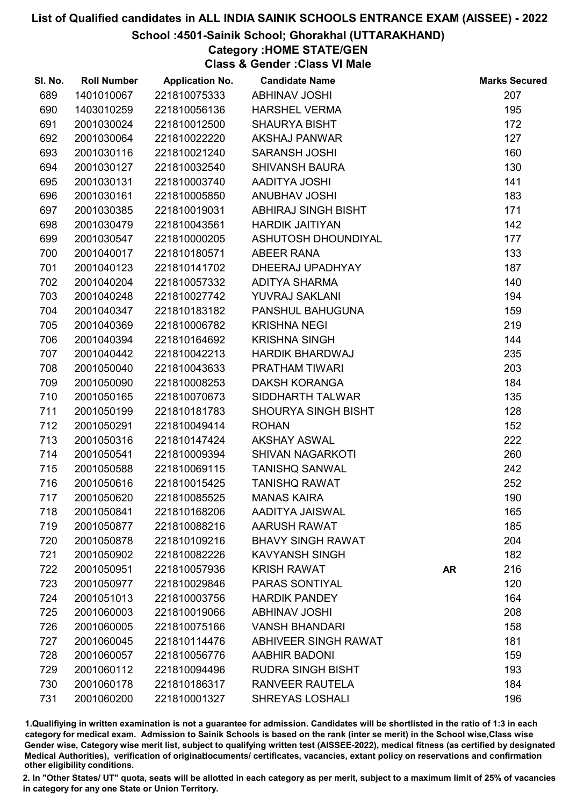#### School :4501-Sainik School; Ghorakhal (UTTARAKHAND)

## Category :HOME STATE/GEN

Class & Gender :Class VI Male

| SI. No. | <b>Roll Number</b> | <b>Application No.</b> | <b>Candidate Name</b>       |           | <b>Marks Secured</b> |
|---------|--------------------|------------------------|-----------------------------|-----------|----------------------|
| 689     | 1401010067         | 221810075333           | <b>ABHINAV JOSHI</b>        |           | 207                  |
| 690     | 1403010259         | 221810056136           | <b>HARSHEL VERMA</b>        |           | 195                  |
| 691     | 2001030024         | 221810012500           | <b>SHAURYA BISHT</b>        |           | 172                  |
| 692     | 2001030064         | 221810022220           | <b>AKSHAJ PANWAR</b>        |           | 127                  |
| 693     | 2001030116         | 221810021240           | <b>SARANSH JOSHI</b>        |           | 160                  |
| 694     | 2001030127         | 221810032540           | <b>SHIVANSH BAURA</b>       |           | 130                  |
| 695     | 2001030131         | 221810003740           | AADITYA JOSHI               |           | 141                  |
| 696     | 2001030161         | 221810005850           | <b>ANUBHAV JOSHI</b>        |           | 183                  |
| 697     | 2001030385         | 221810019031           | ABHIRAJ SINGH BISHT         |           | 171                  |
| 698     | 2001030479         | 221810043561           | <b>HARDIK JAITIYAN</b>      |           | 142                  |
| 699     | 2001030547         | 221810000205           | ASHUTOSH DHOUNDIYAL         |           | 177                  |
| 700     | 2001040017         | 221810180571           | <b>ABEER RANA</b>           |           | 133                  |
| 701     | 2001040123         | 221810141702           | DHEERAJ UPADHYAY            |           | 187                  |
| 702     | 2001040204         | 221810057332           | <b>ADITYA SHARMA</b>        |           | 140                  |
| 703     | 2001040248         | 221810027742           | YUVRAJ SAKLANI              |           | 194                  |
| 704     | 2001040347         | 221810183182           | PANSHUL BAHUGUNA            |           | 159                  |
| 705     | 2001040369         | 221810006782           | <b>KRISHNA NEGI</b>         |           | 219                  |
| 706     | 2001040394         | 221810164692           | <b>KRISHNA SINGH</b>        |           | 144                  |
| 707     | 2001040442         | 221810042213           | <b>HARDIK BHARDWAJ</b>      |           | 235                  |
| 708     | 2001050040         | 221810043633           | PRATHAM TIWARI              |           | 203                  |
| 709     | 2001050090         | 221810008253           | <b>DAKSH KORANGA</b>        |           | 184                  |
| 710     | 2001050165         | 221810070673           | SIDDHARTH TALWAR            |           | 135                  |
| 711     | 2001050199         | 221810181783           | SHOURYA SINGH BISHT         |           | 128                  |
| 712     | 2001050291         | 221810049414           | <b>ROHAN</b>                |           | 152                  |
| 713     | 2001050316         | 221810147424           | <b>AKSHAY ASWAL</b>         |           | 222                  |
| 714     | 2001050541         | 221810009394           | <b>SHIVAN NAGARKOTI</b>     |           | 260                  |
| 715     | 2001050588         | 221810069115           | <b>TANISHQ SANWAL</b>       |           | 242                  |
| 716     | 2001050616         | 221810015425           | <b>TANISHQ RAWAT</b>        |           | 252                  |
| 717     | 2001050620         | 221810085525           | <b>MANAS KAIRA</b>          |           | 190                  |
| 718     | 2001050841         | 221810168206           | AADITYA JAISWAL             |           | 165                  |
| 719     | 2001050877         | 221810088216           | <b>AARUSH RAWAT</b>         |           | 185                  |
| 720     | 2001050878         | 221810109216           | <b>BHAVY SINGH RAWAT</b>    |           | 204                  |
| 721     | 2001050902         | 221810082226           | <b>KAVYANSH SINGH</b>       |           | 182                  |
| 722     | 2001050951         | 221810057936           | <b>KRISH RAWAT</b>          | <b>AR</b> | 216                  |
| 723     | 2001050977         | 221810029846           | PARAS SONTIYAL              |           | 120                  |
| 724     | 2001051013         | 221810003756           | <b>HARDIK PANDEY</b>        |           | 164                  |
| 725     | 2001060003         | 221810019066           | <b>ABHINAV JOSHI</b>        |           | 208                  |
| 726     | 2001060005         | 221810075166           | <b>VANSH BHANDARI</b>       |           | 158                  |
| 727     | 2001060045         | 221810114476           | <b>ABHIVEER SINGH RAWAT</b> |           | 181                  |
| 728     | 2001060057         | 221810056776           | <b>AABHIR BADONI</b>        |           | 159                  |
| 729     | 2001060112         | 221810094496           | <b>RUDRA SINGH BISHT</b>    |           | 193                  |
| 730     | 2001060178         | 221810186317           | <b>RANVEER RAUTELA</b>      |           | 184                  |
| 731     | 2001060200         | 221810001327           | <b>SHREYAS LOSHALI</b>      |           | 196                  |

1.Qualifiying in written examination is not a guarantee for admission. Candidates will be shortlisted in the ratio of 1:3 in each category for medical exam. Admission to Sainik Schools is based on the rank (inter se merit) in the School wise,Class wise Gender wise, Category wise merit list, subject to qualifying written test (AISSEE-2022), medical fitness (as certified by designated Medical Authorities), verification of originablocuments/ certificates, vacancies, extant policy on reservations and confirmation other eligibility conditions.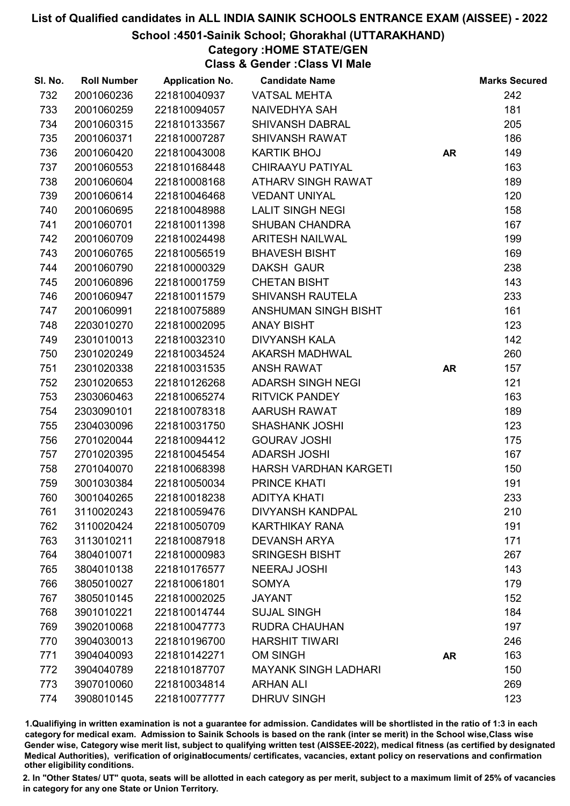#### School :4501-Sainik School; Ghorakhal (UTTARAKHAND)

Category :HOME STATE/GEN

Class & Gender :Class VI Male

| SI. No. | <b>Roll Number</b> | <b>Application No.</b> | <b>Candidate Name</b>       |           | <b>Marks Secured</b> |
|---------|--------------------|------------------------|-----------------------------|-----------|----------------------|
| 732     | 2001060236         | 221810040937           | <b>VATSAL MEHTA</b>         |           | 242                  |
| 733     | 2001060259         | 221810094057           | <b>NAIVEDHYA SAH</b>        |           | 181                  |
| 734     | 2001060315         | 221810133567           | <b>SHIVANSH DABRAL</b>      |           | 205                  |
| 735     | 2001060371         | 221810007287           | <b>SHIVANSH RAWAT</b>       |           | 186                  |
| 736     | 2001060420         | 221810043008           | <b>KARTIK BHOJ</b>          | <b>AR</b> | 149                  |
| 737     | 2001060553         | 221810168448           | <b>CHIRAAYU PATIYAL</b>     |           | 163                  |
| 738     | 2001060604         | 221810008168           | <b>ATHARV SINGH RAWAT</b>   |           | 189                  |
| 739     | 2001060614         | 221810046468           | <b>VEDANT UNIYAL</b>        |           | 120                  |
| 740     | 2001060695         | 221810048988           | <b>LALIT SINGH NEGI</b>     |           | 158                  |
| 741     | 2001060701         | 221810011398           | <b>SHUBAN CHANDRA</b>       |           | 167                  |
| 742     | 2001060709         | 221810024498           | <b>ARITESH NAILWAL</b>      |           | 199                  |
| 743     | 2001060765         | 221810056519           | <b>BHAVESH BISHT</b>        |           | 169                  |
| 744     | 2001060790         | 221810000329           | <b>DAKSH GAUR</b>           |           | 238                  |
| 745     | 2001060896         | 221810001759           | <b>CHETAN BISHT</b>         |           | 143                  |
| 746     | 2001060947         | 221810011579           | <b>SHIVANSH RAUTELA</b>     |           | 233                  |
| 747     | 2001060991         | 221810075889           | <b>ANSHUMAN SINGH BISHT</b> |           | 161                  |
| 748     | 2203010270         | 221810002095           | <b>ANAY BISHT</b>           |           | 123                  |
| 749     | 2301010013         | 221810032310           | <b>DIVYANSH KALA</b>        |           | 142                  |
| 750     | 2301020249         | 221810034524           | <b>AKARSH MADHWAL</b>       |           | 260                  |
| 751     | 2301020338         | 221810031535           | <b>ANSH RAWAT</b>           | <b>AR</b> | 157                  |
| 752     | 2301020653         | 221810126268           | <b>ADARSH SINGH NEGI</b>    |           | 121                  |
| 753     | 2303060463         | 221810065274           | <b>RITVICK PANDEY</b>       |           | 163                  |
| 754     | 2303090101         | 221810078318           | <b>AARUSH RAWAT</b>         |           | 189                  |
| 755     | 2304030096         | 221810031750           | <b>SHASHANK JOSHI</b>       |           | 123                  |
| 756     | 2701020044         | 221810094412           | <b>GOURAV JOSHI</b>         |           | 175                  |
| 757     | 2701020395         | 221810045454           | <b>ADARSH JOSHI</b>         |           | 167                  |
| 758     | 2701040070         | 221810068398           | HARSH VARDHAN KARGETI       |           | 150                  |
| 759     | 3001030384         | 221810050034           | <b>PRINCE KHATI</b>         |           | 191                  |
| 760     | 3001040265         | 221810018238           | <b>ADITYA KHATI</b>         |           | 233                  |
| 761     | 3110020243         | 221810059476           | <b>DIVYANSH KANDPAL</b>     |           | 210                  |
| 762     | 3110020424         | 221810050709           | <b>KARTHIKAY RANA</b>       |           | 191                  |
| 763     | 3113010211         | 221810087918           | <b>DEVANSH ARYA</b>         |           | 171                  |
| 764     | 3804010071         | 221810000983           | <b>SRINGESH BISHT</b>       |           | 267                  |
| 765     | 3804010138         | 221810176577           | <b>NEERAJ JOSHI</b>         |           | 143                  |
| 766     | 3805010027         | 221810061801           | <b>SOMYA</b>                |           | 179                  |
| 767     | 3805010145         | 221810002025           | <b>JAYANT</b>               |           | 152                  |
| 768     | 3901010221         | 221810014744           | <b>SUJAL SINGH</b>          |           | 184                  |
| 769     | 3902010068         | 221810047773           | <b>RUDRA CHAUHAN</b>        |           | 197                  |
| 770     | 3904030013         | 221810196700           | <b>HARSHIT TIWARI</b>       |           | 246                  |
| 771     | 3904040093         | 221810142271           | <b>OM SINGH</b>             | <b>AR</b> | 163                  |
| 772     | 3904040789         | 221810187707           | <b>MAYANK SINGH LADHARI</b> |           | 150                  |
| 773     | 3907010060         | 221810034814           | <b>ARHAN ALI</b>            |           | 269                  |
| 774     | 3908010145         | 221810077777           | <b>DHRUV SINGH</b>          |           | 123                  |

1.Qualifiying in written examination is not a guarantee for admission. Candidates will be shortlisted in the ratio of 1:3 in each category for medical exam. Admission to Sainik Schools is based on the rank (inter se merit) in the School wise,Class wise Gender wise, Category wise merit list, subject to qualifying written test (AISSEE-2022), medical fitness (as certified by designated Medical Authorities), verification of originablocuments/ certificates, vacancies, extant policy on reservations and confirmation other eligibility conditions.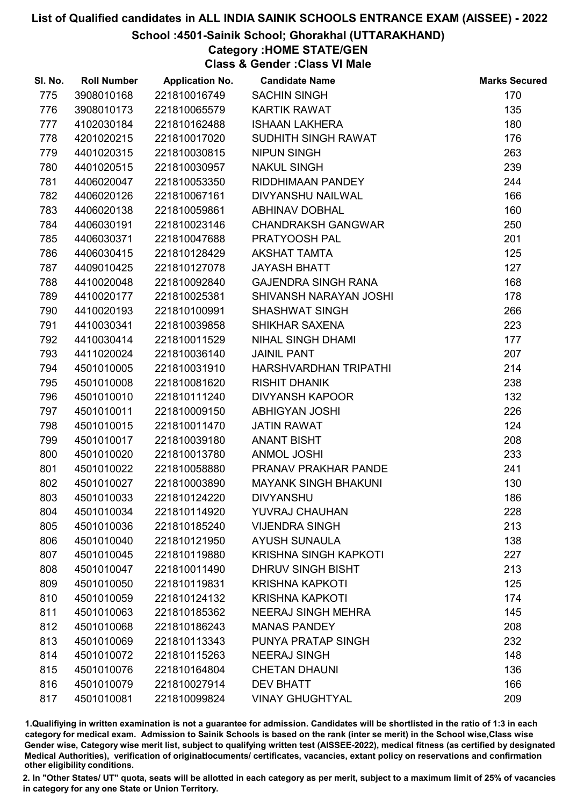#### School :4501-Sainik School; Ghorakhal (UTTARAKHAND)

# Category :HOME STATE/GEN

Class & Gender :Class VI Male

| SI. No. | <b>Roll Number</b> | <b>Application No.</b> | <b>Candidate Name</b>        | <b>Marks Secured</b> |
|---------|--------------------|------------------------|------------------------------|----------------------|
| 775     | 3908010168         | 221810016749           | <b>SACHIN SINGH</b>          | 170                  |
| 776     | 3908010173         | 221810065579           | <b>KARTIK RAWAT</b>          | 135                  |
| 777     | 4102030184         | 221810162488           | <b>ISHAAN LAKHERA</b>        | 180                  |
| 778     | 4201020215         | 221810017020           | SUDHITH SINGH RAWAT          | 176                  |
| 779     | 4401020315         | 221810030815           | <b>NIPUN SINGH</b>           | 263                  |
| 780     | 4401020515         | 221810030957           | <b>NAKUL SINGH</b>           | 239                  |
| 781     | 4406020047         | 221810053350           | RIDDHIMAAN PANDEY            | 244                  |
| 782     | 4406020126         | 221810067161           | DIVYANSHU NAILWAL            | 166                  |
| 783     | 4406020138         | 221810059861           | <b>ABHINAV DOBHAL</b>        | 160                  |
| 784     | 4406030191         | 221810023146           | <b>CHANDRAKSH GANGWAR</b>    | 250                  |
| 785     | 4406030371         | 221810047688           | PRATYOOSH PAL                | 201                  |
| 786     | 4406030415         | 221810128429           | <b>AKSHAT TAMTA</b>          | 125                  |
| 787     | 4409010425         | 221810127078           | <b>JAYASH BHATT</b>          | 127                  |
| 788     | 4410020048         | 221810092840           | <b>GAJENDRA SINGH RANA</b>   | 168                  |
| 789     | 4410020177         | 221810025381           | SHIVANSH NARAYAN JOSHI       | 178                  |
| 790     | 4410020193         | 221810100991           | <b>SHASHWAT SINGH</b>        | 266                  |
| 791     | 4410030341         | 221810039858           | SHIKHAR SAXENA               | 223                  |
| 792     | 4410030414         | 221810011529           | NIHAL SINGH DHAMI            | 177                  |
| 793     | 4411020024         | 221810036140           | <b>JAINIL PANT</b>           | 207                  |
| 794     | 4501010005         | 221810031910           | HARSHVARDHAN TRIPATHI        | 214                  |
| 795     | 4501010008         | 221810081620           | <b>RISHIT DHANIK</b>         | 238                  |
| 796     | 4501010010         | 221810111240           | <b>DIVYANSH KAPOOR</b>       | 132                  |
| 797     | 4501010011         | 221810009150           | <b>ABHIGYAN JOSHI</b>        | 226                  |
| 798     | 4501010015         | 221810011470           | <b>JATIN RAWAT</b>           | 124                  |
| 799     | 4501010017         | 221810039180           | <b>ANANT BISHT</b>           | 208                  |
| 800     | 4501010020         | 221810013780           | <b>ANMOL JOSHI</b>           | 233                  |
| 801     | 4501010022         | 221810058880           | PRANAV PRAKHAR PANDE         | 241                  |
| 802     | 4501010027         | 221810003890           | <b>MAYANK SINGH BHAKUNI</b>  | 130                  |
| 803     | 4501010033         | 221810124220           | <b>DIVYANSHU</b>             | 186                  |
| 804     | 4501010034         | 221810114920           | <b>YUVRAJ CHAUHAN</b>        | 228                  |
| 805     | 4501010036         | 221810185240           | <b>VIJENDRA SINGH</b>        | 213                  |
| 806     | 4501010040         | 221810121950           | <b>AYUSH SUNAULA</b>         | 138                  |
| 807     | 4501010045         | 221810119880           | <b>KRISHNA SINGH KAPKOTI</b> | 227                  |
| 808     | 4501010047         | 221810011490           | DHRUV SINGH BISHT            | 213                  |
| 809     | 4501010050         | 221810119831           | <b>KRISHNA KAPKOTI</b>       | 125                  |
| 810     | 4501010059         | 221810124132           | <b>KRISHNA KAPKOTI</b>       | 174                  |
| 811     | 4501010063         | 221810185362           | <b>NEERAJ SINGH MEHRA</b>    | 145                  |
| 812     | 4501010068         | 221810186243           | <b>MANAS PANDEY</b>          | 208                  |
| 813     | 4501010069         | 221810113343           | PUNYA PRATAP SINGH           | 232                  |
| 814     | 4501010072         | 221810115263           | <b>NEERAJ SINGH</b>          | 148                  |
| 815     | 4501010076         | 221810164804           | <b>CHETAN DHAUNI</b>         | 136                  |
| 816     | 4501010079         | 221810027914           | <b>DEV BHATT</b>             | 166                  |
| 817     | 4501010081         | 221810099824           | <b>VINAY GHUGHTYAL</b>       | 209                  |

1.Qualifiying in written examination is not a guarantee for admission. Candidates will be shortlisted in the ratio of 1:3 in each category for medical exam. Admission to Sainik Schools is based on the rank (inter se merit) in the School wise,Class wise Gender wise, Category wise merit list, subject to qualifying written test (AISSEE-2022), medical fitness (as certified by designated Medical Authorities), verification of originablocuments/ certificates, vacancies, extant policy on reservations and confirmation other eligibility conditions.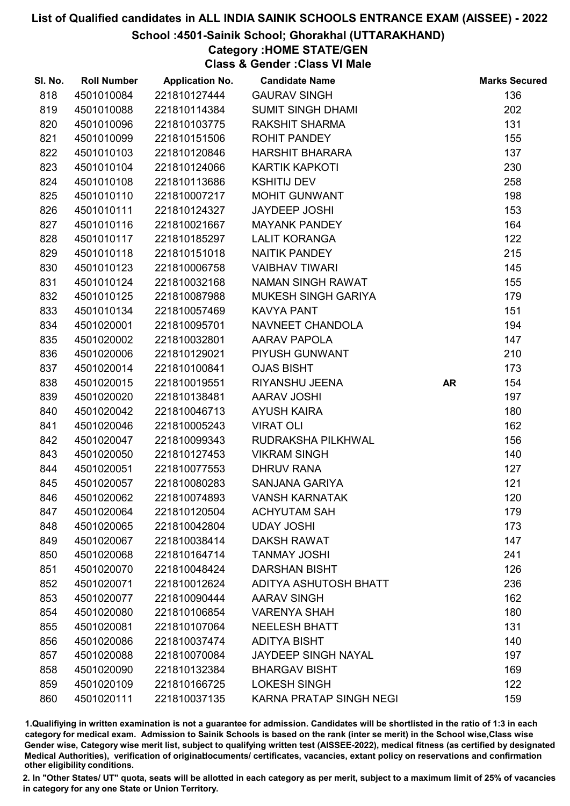#### School :4501-Sainik School; Ghorakhal (UTTARAKHAND)

# Category :HOME STATE/GEN

Class & Gender :Class VI Male

| SI. No. | <b>Roll Number</b> | <b>Application No.</b> | <b>Candidate Name</b>          |           | <b>Marks Secured</b> |
|---------|--------------------|------------------------|--------------------------------|-----------|----------------------|
| 818     | 4501010084         | 221810127444           | <b>GAURAV SINGH</b>            |           | 136                  |
| 819     | 4501010088         | 221810114384           | <b>SUMIT SINGH DHAMI</b>       |           | 202                  |
| 820     | 4501010096         | 221810103775           | <b>RAKSHIT SHARMA</b>          |           | 131                  |
| 821     | 4501010099         | 221810151506           | <b>ROHIT PANDEY</b>            |           | 155                  |
| 822     | 4501010103         | 221810120846           | <b>HARSHIT BHARARA</b>         |           | 137                  |
| 823     | 4501010104         | 221810124066           | <b>KARTIK KAPKOTI</b>          |           | 230                  |
| 824     | 4501010108         | 221810113686           | <b>KSHITIJ DEV</b>             |           | 258                  |
| 825     | 4501010110         | 221810007217           | MOHIT GUNWANT                  |           | 198                  |
| 826     | 4501010111         | 221810124327           | <b>JAYDEEP JOSHI</b>           |           | 153                  |
| 827     | 4501010116         | 221810021667           | <b>MAYANK PANDEY</b>           |           | 164                  |
| 828     | 4501010117         | 221810185297           | <b>LALIT KORANGA</b>           |           | 122                  |
| 829     | 4501010118         | 221810151018           | NAITIK PANDEY                  |           | 215                  |
| 830     | 4501010123         | 221810006758           | <b>VAIBHAV TIWARI</b>          |           | 145                  |
| 831     | 4501010124         | 221810032168           | NAMAN SINGH RAWAT              |           | 155                  |
| 832     | 4501010125         | 221810087988           | <b>MUKESH SINGH GARIYA</b>     |           | 179                  |
| 833     | 4501010134         | 221810057469           | <b>KAVYA PANT</b>              |           | 151                  |
| 834     | 4501020001         | 221810095701           | NAVNEET CHANDOLA               |           | 194                  |
| 835     | 4501020002         | 221810032801           | <b>AARAV PAPOLA</b>            |           | 147                  |
| 836     | 4501020006         | 221810129021           | PIYUSH GUNWANT                 |           | 210                  |
| 837     | 4501020014         | 221810100841           | <b>OJAS BISHT</b>              |           | 173                  |
| 838     | 4501020015         | 221810019551           | RIYANSHU JEENA                 | <b>AR</b> | 154                  |
| 839     | 4501020020         | 221810138481           | <b>AARAV JOSHI</b>             |           | 197                  |
| 840     | 4501020042         | 221810046713           | <b>AYUSH KAIRA</b>             |           | 180                  |
| 841     | 4501020046         | 221810005243           | <b>VIRAT OLI</b>               |           | 162                  |
| 842     | 4501020047         | 221810099343           | RUDRAKSHA PILKHWAL             |           | 156                  |
| 843     | 4501020050         | 221810127453           | <b>VIKRAM SINGH</b>            |           | 140                  |
| 844     | 4501020051         | 221810077553           | <b>DHRUV RANA</b>              |           | 127                  |
| 845     | 4501020057         | 221810080283           | SANJANA GARIYA                 |           | 121                  |
| 846     | 4501020062         | 221810074893           | <b>VANSH KARNATAK</b>          |           | 120                  |
| 847     | 4501020064         | 221810120504           | <b>ACHYUTAM SAH</b>            |           | 179                  |
| 848     | 4501020065         | 221810042804           | <b>UDAY JOSHI</b>              |           | 173                  |
| 849     | 4501020067         | 221810038414           | <b>DAKSH RAWAT</b>             |           | 147                  |
| 850     | 4501020068         | 221810164714           | <b>TANMAY JOSHI</b>            |           | 241                  |
| 851     | 4501020070         | 221810048424           | <b>DARSHAN BISHT</b>           |           | 126                  |
| 852     | 4501020071         | 221810012624           | ADITYA ASHUTOSH BHATT          |           | 236                  |
| 853     | 4501020077         | 221810090444           | <b>AARAV SINGH</b>             |           | 162                  |
| 854     | 4501020080         | 221810106854           | <b>VARENYA SHAH</b>            |           | 180                  |
| 855     | 4501020081         | 221810107064           | <b>NEELESH BHATT</b>           |           | 131                  |
| 856     | 4501020086         | 221810037474           | <b>ADITYA BISHT</b>            |           | 140                  |
| 857     | 4501020088         | 221810070084           | <b>JAYDEEP SINGH NAYAL</b>     |           | 197                  |
| 858     | 4501020090         | 221810132384           | <b>BHARGAV BISHT</b>           |           | 169                  |
| 859     | 4501020109         | 221810166725           | <b>LOKESH SINGH</b>            |           | 122                  |
| 860     | 4501020111         | 221810037135           | <b>KARNA PRATAP SINGH NEGI</b> |           | 159                  |

1.Qualifiying in written examination is not a guarantee for admission. Candidates will be shortlisted in the ratio of 1:3 in each category for medical exam. Admission to Sainik Schools is based on the rank (inter se merit) in the School wise,Class wise Gender wise, Category wise merit list, subject to qualifying written test (AISSEE-2022), medical fitness (as certified by designated Medical Authorities), verification of originablocuments/ certificates, vacancies, extant policy on reservations and confirmation other eligibility conditions.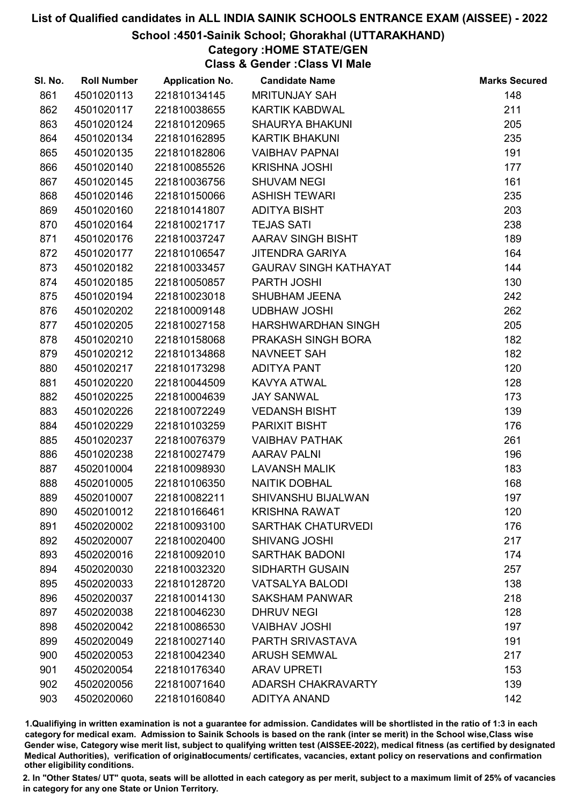#### School :4501-Sainik School; Ghorakhal (UTTARAKHAND)

# Category :HOME STATE/GEN

Class & Gender :Class VI Male

| SI. No. | <b>Roll Number</b> | <b>Application No.</b> | <b>Candidate Name</b>        | <b>Marks Secured</b> |
|---------|--------------------|------------------------|------------------------------|----------------------|
| 861     | 4501020113         | 221810134145           | <b>MRITUNJAY SAH</b>         | 148                  |
| 862     | 4501020117         | 221810038655           | <b>KARTIK KABDWAL</b>        | 211                  |
| 863     | 4501020124         | 221810120965           | <b>SHAURYA BHAKUNI</b>       | 205                  |
| 864     | 4501020134         | 221810162895           | <b>KARTIK BHAKUNI</b>        | 235                  |
| 865     | 4501020135         | 221810182806           | <b>VAIBHAV PAPNAI</b>        | 191                  |
| 866     | 4501020140         | 221810085526           | <b>KRISHNA JOSHI</b>         | 177                  |
| 867     | 4501020145         | 221810036756           | <b>SHUVAM NEGI</b>           | 161                  |
| 868     | 4501020146         | 221810150066           | <b>ASHISH TEWARI</b>         | 235                  |
| 869     | 4501020160         | 221810141807           | <b>ADITYA BISHT</b>          | 203                  |
| 870     | 4501020164         | 221810021717           | <b>TEJAS SATI</b>            | 238                  |
| 871     | 4501020176         | 221810037247           | AARAV SINGH BISHT            | 189                  |
| 872     | 4501020177         | 221810106547           | <b>JITENDRA GARIYA</b>       | 164                  |
| 873     | 4501020182         | 221810033457           | <b>GAURAV SINGH KATHAYAT</b> | 144                  |
| 874     | 4501020185         | 221810050857           | PARTH JOSHI                  | 130                  |
| 875     | 4501020194         | 221810023018           | SHUBHAM JEENA                | 242                  |
| 876     | 4501020202         | 221810009148           | <b>UDBHAW JOSHI</b>          | 262                  |
| 877     | 4501020205         | 221810027158           | HARSHWARDHAN SINGH           | 205                  |
| 878     | 4501020210         | 221810158068           | PRAKASH SINGH BORA           | 182                  |
| 879     | 4501020212         | 221810134868           | <b>NAVNEET SAH</b>           | 182                  |
| 880     | 4501020217         | 221810173298           | <b>ADITYA PANT</b>           | 120                  |
| 881     | 4501020220         | 221810044509           | <b>KAVYA ATWAL</b>           | 128                  |
| 882     | 4501020225         | 221810004639           | <b>JAY SANWAL</b>            | 173                  |
| 883     | 4501020226         | 221810072249           | <b>VEDANSH BISHT</b>         | 139                  |
| 884     | 4501020229         | 221810103259           | <b>PARIXIT BISHT</b>         | 176                  |
| 885     | 4501020237         | 221810076379           | <b>VAIBHAV PATHAK</b>        | 261                  |
| 886     | 4501020238         | 221810027479           | <b>AARAV PALNI</b>           | 196                  |
| 887     | 4502010004         | 221810098930           | <b>LAVANSH MALIK</b>         | 183                  |
| 888     | 4502010005         | 221810106350           | <b>NAITIK DOBHAL</b>         | 168                  |
| 889     | 4502010007         | 221810082211           | <b>SHIVANSHU BIJALWAN</b>    | 197                  |
| 890     | 4502010012         | 221810166461           | <b>KRISHNA RAWAT</b>         | 120                  |
| 891     | 4502020002         | 221810093100           | <b>SARTHAK CHATURVEDI</b>    | 176                  |
| 892     | 4502020007         | 221810020400           | <b>SHIVANG JOSHI</b>         | 217                  |
| 893     | 4502020016         | 221810092010           | <b>SARTHAK BADONI</b>        | 174                  |
| 894     | 4502020030         | 221810032320           | <b>SIDHARTH GUSAIN</b>       | 257                  |
| 895     | 4502020033         | 221810128720           | <b>VATSALYA BALODI</b>       | 138                  |
| 896     | 4502020037         | 221810014130           | <b>SAKSHAM PANWAR</b>        | 218                  |
| 897     | 4502020038         | 221810046230           | <b>DHRUV NEGI</b>            | 128                  |
| 898     | 4502020042         | 221810086530           | <b>VAIBHAV JOSHI</b>         | 197                  |
| 899     | 4502020049         | 221810027140           | PARTH SRIVASTAVA             | 191                  |
| 900     | 4502020053         | 221810042340           | <b>ARUSH SEMWAL</b>          | 217                  |
| 901     | 4502020054         | 221810176340           | <b>ARAV UPRETI</b>           | 153                  |
| 902     | 4502020056         | 221810071640           | <b>ADARSH CHAKRAVARTY</b>    | 139                  |
| 903     | 4502020060         | 221810160840           | <b>ADITYA ANAND</b>          | 142                  |

1.Qualifiying in written examination is not a guarantee for admission. Candidates will be shortlisted in the ratio of 1:3 in each category for medical exam. Admission to Sainik Schools is based on the rank (inter se merit) in the School wise,Class wise Gender wise, Category wise merit list, subject to qualifying written test (AISSEE-2022), medical fitness (as certified by designated Medical Authorities), verification of originablocuments/ certificates, vacancies, extant policy on reservations and confirmation other eligibility conditions.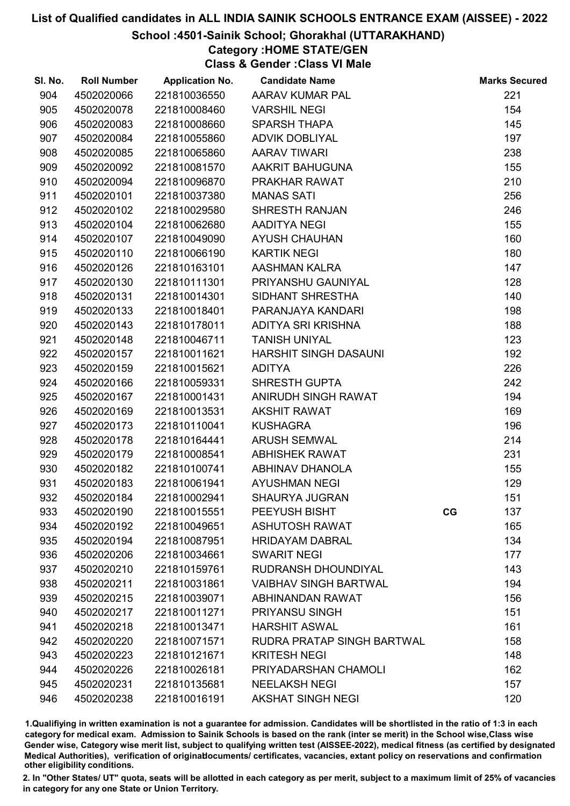#### School :4501-Sainik School; Ghorakhal (UTTARAKHAND)

## Category :HOME STATE/GEN

Class & Gender :Class VI Male

| SI. No. | <b>Roll Number</b> | <b>Application No.</b> | <b>Candidate Name</b>        |    | <b>Marks Secured</b> |
|---------|--------------------|------------------------|------------------------------|----|----------------------|
| 904     | 4502020066         | 221810036550           | AARAV KUMAR PAL              |    | 221                  |
| 905     | 4502020078         | 221810008460           | <b>VARSHIL NEGI</b>          |    | 154                  |
| 906     | 4502020083         | 221810008660           | <b>SPARSH THAPA</b>          |    | 145                  |
| 907     | 4502020084         | 221810055860           | <b>ADVIK DOBLIYAL</b>        |    | 197                  |
| 908     | 4502020085         | 221810065860           | <b>AARAV TIWARI</b>          |    | 238                  |
| 909     | 4502020092         | 221810081570           | AAKRIT BAHUGUNA              |    | 155                  |
| 910     | 4502020094         | 221810096870           | PRAKHAR RAWAT                |    | 210                  |
| 911     | 4502020101         | 221810037380           | <b>MANAS SATI</b>            |    | 256                  |
| 912     | 4502020102         | 221810029580           | <b>SHRESTH RANJAN</b>        |    | 246                  |
| 913     | 4502020104         | 221810062680           | AADITYA NEGI                 |    | 155                  |
| 914     | 4502020107         | 221810049090           | <b>AYUSH CHAUHAN</b>         |    | 160                  |
| 915     | 4502020110         | 221810066190           | <b>KARTIK NEGI</b>           |    | 180                  |
| 916     | 4502020126         | 221810163101           | AASHMAN KALRA                |    | 147                  |
| 917     | 4502020130         | 221810111301           | PRIYANSHU GAUNIYAL           |    | 128                  |
| 918     | 4502020131         | 221810014301           | SIDHANT SHRESTHA             |    | 140                  |
| 919     | 4502020133         | 221810018401           | PARANJAYA KANDARI            |    | 198                  |
| 920     | 4502020143         | 221810178011           | ADITYA SRI KRISHNA           |    | 188                  |
| 921     | 4502020148         | 221810046711           | <b>TANISH UNIYAL</b>         |    | 123                  |
| 922     | 4502020157         | 221810011621           | HARSHIT SINGH DASAUNI        |    | 192                  |
| 923     | 4502020159         | 221810015621           | <b>ADITYA</b>                |    | 226                  |
| 924     | 4502020166         | 221810059331           | <b>SHRESTH GUPTA</b>         |    | 242                  |
| 925     | 4502020167         | 221810001431           | ANIRUDH SINGH RAWAT          |    | 194                  |
| 926     | 4502020169         | 221810013531           | <b>AKSHIT RAWAT</b>          |    | 169                  |
| 927     | 4502020173         | 221810110041           | <b>KUSHAGRA</b>              |    | 196                  |
| 928     | 4502020178         | 221810164441           | <b>ARUSH SEMWAL</b>          |    | 214                  |
| 929     | 4502020179         | 221810008541           | <b>ABHISHEK RAWAT</b>        |    | 231                  |
| 930     | 4502020182         | 221810100741           | ABHINAV DHANOLA              |    | 155                  |
| 931     | 4502020183         | 221810061941           | <b>AYUSHMAN NEGI</b>         |    | 129                  |
| 932     | 4502020184         | 221810002941           | <b>SHAURYA JUGRAN</b>        |    | 151                  |
| 933     | 4502020190         | 221810015551           | PEEYUSH BISHT                | CG | 137                  |
| 934     | 4502020192         | 221810049651           | <b>ASHUTOSH RAWAT</b>        |    | 165                  |
| 935     | 4502020194         | 221810087951           | <b>HRIDAYAM DABRAL</b>       |    | 134                  |
| 936     | 4502020206         | 221810034661           | <b>SWARIT NEGI</b>           |    | 177                  |
| 937     | 4502020210         | 221810159761           | RUDRANSH DHOUNDIYAL          |    | 143                  |
| 938     | 4502020211         | 221810031861           | <b>VAIBHAV SINGH BARTWAL</b> |    | 194                  |
| 939     | 4502020215         | 221810039071           | ABHINANDAN RAWAT             |    | 156                  |
| 940     | 4502020217         | 221810011271           | PRIYANSU SINGH               |    | 151                  |
| 941     | 4502020218         | 221810013471           | <b>HARSHIT ASWAL</b>         |    | 161                  |
| 942     | 4502020220         | 221810071571           | RUDRA PRATAP SINGH BARTWAL   |    | 158                  |
| 943     | 4502020223         | 221810121671           | <b>KRITESH NEGI</b>          |    | 148                  |
| 944     | 4502020226         | 221810026181           | PRIYADARSHAN CHAMOLI         |    | 162                  |
| 945     | 4502020231         | 221810135681           | <b>NEELAKSH NEGI</b>         |    | 157                  |
| 946     | 4502020238         | 221810016191           | <b>AKSHAT SINGH NEGI</b>     |    | 120                  |

1.Qualifiying in written examination is not a guarantee for admission. Candidates will be shortlisted in the ratio of 1:3 in each category for medical exam. Admission to Sainik Schools is based on the rank (inter se merit) in the School wise,Class wise Gender wise, Category wise merit list, subject to qualifying written test (AISSEE-2022), medical fitness (as certified by designated Medical Authorities), verification of originablocuments/ certificates, vacancies, extant policy on reservations and confirmation other eligibility conditions.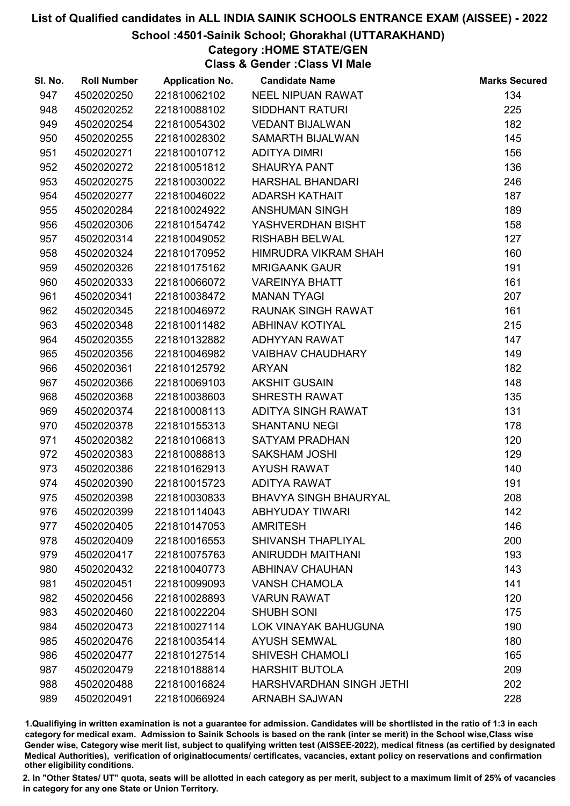#### School :4501-Sainik School; Ghorakhal (UTTARAKHAND)

## Category :HOME STATE/GEN

Class & Gender :Class VI Male

| SI. No. | <b>Roll Number</b> | <b>Application No.</b> | <b>Candidate Name</b>        | <b>Marks Secured</b> |
|---------|--------------------|------------------------|------------------------------|----------------------|
| 947     | 4502020250         | 221810062102           | <b>NEEL NIPUAN RAWAT</b>     | 134                  |
| 948     | 4502020252         | 221810088102           | <b>SIDDHANT RATURI</b>       | 225                  |
| 949     | 4502020254         | 221810054302           | <b>VEDANT BIJALWAN</b>       | 182                  |
| 950     | 4502020255         | 221810028302           | SAMARTH BIJALWAN             | 145                  |
| 951     | 4502020271         | 221810010712           | <b>ADITYA DIMRI</b>          | 156                  |
| 952     | 4502020272         | 221810051812           | <b>SHAURYA PANT</b>          | 136                  |
| 953     | 4502020275         | 221810030022           | <b>HARSHAL BHANDARI</b>      | 246                  |
| 954     | 4502020277         | 221810046022           | <b>ADARSH KATHAIT</b>        | 187                  |
| 955     | 4502020284         | 221810024922           | <b>ANSHUMAN SINGH</b>        | 189                  |
| 956     | 4502020306         | 221810154742           | YASHVERDHAN BISHT            | 158                  |
| 957     | 4502020314         | 221810049052           | <b>RISHABH BELWAL</b>        | 127                  |
| 958     | 4502020324         | 221810170952           | HIMRUDRA VIKRAM SHAH         | 160                  |
| 959     | 4502020326         | 221810175162           | <b>MRIGAANK GAUR</b>         | 191                  |
| 960     | 4502020333         | 221810066072           | <b>VAREINYA BHATT</b>        | 161                  |
| 961     | 4502020341         | 221810038472           | <b>MANAN TYAGI</b>           | 207                  |
| 962     | 4502020345         | 221810046972           | <b>RAUNAK SINGH RAWAT</b>    | 161                  |
| 963     | 4502020348         | 221810011482           | <b>ABHINAV KOTIYAL</b>       | 215                  |
| 964     | 4502020355         | 221810132882           | <b>ADHYYAN RAWAT</b>         | 147                  |
| 965     | 4502020356         | 221810046982           | <b>VAIBHAV CHAUDHARY</b>     | 149                  |
| 966     | 4502020361         | 221810125792           | <b>ARYAN</b>                 | 182                  |
| 967     | 4502020366         | 221810069103           | <b>AKSHIT GUSAIN</b>         | 148                  |
| 968     | 4502020368         | 221810038603           | <b>SHRESTH RAWAT</b>         | 135                  |
| 969     | 4502020374         | 221810008113           | ADITYA SINGH RAWAT           | 131                  |
| 970     | 4502020378         | 221810155313           | <b>SHANTANU NEGI</b>         | 178                  |
| 971     | 4502020382         | 221810106813           | <b>SATYAM PRADHAN</b>        | 120                  |
| 972     | 4502020383         | 221810088813           | <b>SAKSHAM JOSHI</b>         | 129                  |
| 973     | 4502020386         | 221810162913           | <b>AYUSH RAWAT</b>           | 140                  |
| 974     | 4502020390         | 221810015723           | <b>ADITYA RAWAT</b>          | 191                  |
| 975     | 4502020398         | 221810030833           | <b>BHAVYA SINGH BHAURYAL</b> | 208                  |
| 976     | 4502020399         | 221810114043           | <b>ABHYUDAY TIWARI</b>       | 142                  |
| 977     | 4502020405         | 221810147053           | <b>AMRITESH</b>              | 146                  |
| 978     | 4502020409         | 221810016553           | <b>SHIVANSH THAPLIYAL</b>    | 200                  |
| 979     | 4502020417         | 221810075763           | ANIRUDDH MAITHANI            | 193                  |
| 980     | 4502020432         | 221810040773           | <b>ABHINAV CHAUHAN</b>       | 143                  |
| 981     | 4502020451         | 221810099093           | <b>VANSH CHAMOLA</b>         | 141                  |
| 982     | 4502020456         | 221810028893           | <b>VARUN RAWAT</b>           | 120                  |
| 983     | 4502020460         | 221810022204           | <b>SHUBH SONI</b>            | 175                  |
| 984     | 4502020473         | 221810027114           | <b>LOK VINAYAK BAHUGUNA</b>  | 190                  |
| 985     | 4502020476         | 221810035414           | <b>AYUSH SEMWAL</b>          | 180                  |
| 986     | 4502020477         | 221810127514           | <b>SHIVESH CHAMOLI</b>       | 165                  |
| 987     | 4502020479         | 221810188814           | <b>HARSHIT BUTOLA</b>        | 209                  |
| 988     | 4502020488         | 221810016824           | HARSHVARDHAN SINGH JETHI     | 202                  |
| 989     | 4502020491         | 221810066924           | <b>ARNABH SAJWAN</b>         | 228                  |

1.Qualifiying in written examination is not a guarantee for admission. Candidates will be shortlisted in the ratio of 1:3 in each category for medical exam. Admission to Sainik Schools is based on the rank (inter se merit) in the School wise,Class wise Gender wise, Category wise merit list, subject to qualifying written test (AISSEE-2022), medical fitness (as certified by designated Medical Authorities), verification of originablocuments/ certificates, vacancies, extant policy on reservations and confirmation other eligibility conditions.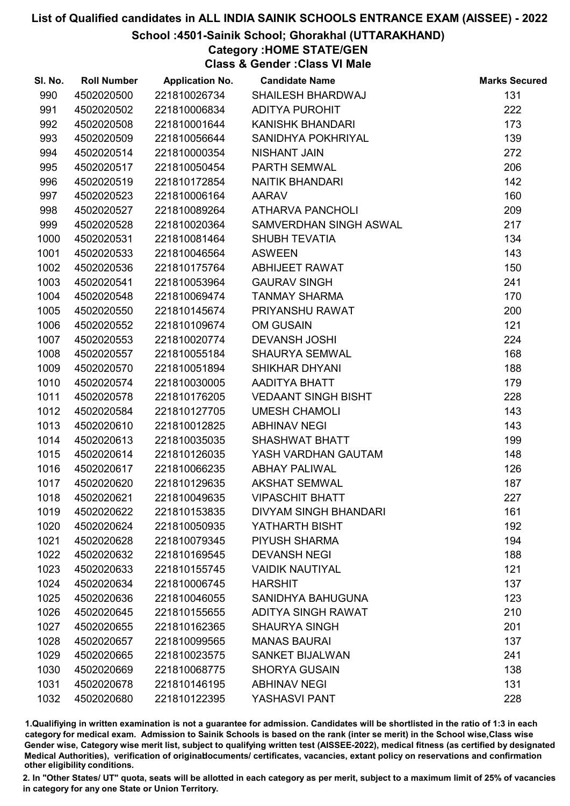#### School :4501-Sainik School; Ghorakhal (UTTARAKHAND)

## Category :HOME STATE/GEN

Class & Gender :Class VI Male

| SI. No. | <b>Roll Number</b> | <b>Application No.</b> | <b>Candidate Name</b>        | <b>Marks Secured</b> |
|---------|--------------------|------------------------|------------------------------|----------------------|
| 990     | 4502020500         | 221810026734           | SHAILESH BHARDWAJ            | 131                  |
| 991     | 4502020502         | 221810006834           | <b>ADITYA PUROHIT</b>        | 222                  |
| 992     | 4502020508         | 221810001644           | <b>KANISHK BHANDARI</b>      | 173                  |
| 993     | 4502020509         | 221810056644           | SANIDHYA POKHRIYAL           | 139                  |
| 994     | 4502020514         | 221810000354           | <b>NISHANT JAIN</b>          | 272                  |
| 995     | 4502020517         | 221810050454           | PARTH SEMWAL                 | 206                  |
| 996     | 4502020519         | 221810172854           | <b>NAITIK BHANDARI</b>       | 142                  |
| 997     | 4502020523         | 221810006164           | <b>AARAV</b>                 | 160                  |
| 998     | 4502020527         | 221810089264           | <b>ATHARVA PANCHOLI</b>      | 209                  |
| 999     | 4502020528         | 221810020364           | SAMVERDHAN SINGH ASWAL       | 217                  |
| 1000    | 4502020531         | 221810081464           | <b>SHUBH TEVATIA</b>         | 134                  |
| 1001    | 4502020533         | 221810046564           | <b>ASWEEN</b>                | 143                  |
| 1002    | 4502020536         | 221810175764           | <b>ABHIJEET RAWAT</b>        | 150                  |
| 1003    | 4502020541         | 221810053964           | <b>GAURAV SINGH</b>          | 241                  |
| 1004    | 4502020548         | 221810069474           | <b>TANMAY SHARMA</b>         | 170                  |
| 1005    | 4502020550         | 221810145674           | PRIYANSHU RAWAT              | 200                  |
| 1006    | 4502020552         | 221810109674           | <b>OM GUSAIN</b>             | 121                  |
| 1007    | 4502020553         | 221810020774           | <b>DEVANSH JOSHI</b>         | 224                  |
| 1008    | 4502020557         | 221810055184           | <b>SHAURYA SEMWAL</b>        | 168                  |
| 1009    | 4502020570         | 221810051894           | <b>SHIKHAR DHYANI</b>        | 188                  |
| 1010    | 4502020574         | 221810030005           | AADITYA BHATT                | 179                  |
| 1011    | 4502020578         | 221810176205           | <b>VEDAANT SINGH BISHT</b>   | 228                  |
| 1012    | 4502020584         | 221810127705           | <b>UMESH CHAMOLI</b>         | 143                  |
| 1013    | 4502020610         | 221810012825           | <b>ABHINAV NEGI</b>          | 143                  |
| 1014    | 4502020613         | 221810035035           | SHASHWAT BHATT               | 199                  |
| 1015    | 4502020614         | 221810126035           | YASH VARDHAN GAUTAM          | 148                  |
| 1016    | 4502020617         | 221810066235           | <b>ABHAY PALIWAL</b>         | 126                  |
| 1017    | 4502020620         | 221810129635           | <b>AKSHAT SEMWAL</b>         | 187                  |
| 1018    | 4502020621         | 221810049635           | <b>VIPASCHIT BHATT</b>       | 227                  |
| 1019    | 4502020622         | 221810153835           | <b>DIVYAM SINGH BHANDARI</b> | 161                  |
| 1020    | 4502020624         | 221810050935           | YATHARTH BISHT               | 192                  |
| 1021    | 4502020628         | 221810079345           | PIYUSH SHARMA                | 194                  |
| 1022    | 4502020632         | 221810169545           | <b>DEVANSH NEGI</b>          | 188                  |
| 1023    | 4502020633         | 221810155745           | <b>VAIDIK NAUTIYAL</b>       | 121                  |
| 1024    | 4502020634         | 221810006745           | <b>HARSHIT</b>               | 137                  |
| 1025    | 4502020636         | 221810046055           | <b>SANIDHYA BAHUGUNA</b>     | 123                  |
| 1026    | 4502020645         | 221810155655           | <b>ADITYA SINGH RAWAT</b>    | 210                  |
| 1027    | 4502020655         | 221810162365           | <b>SHAURYA SINGH</b>         | 201                  |
| 1028    | 4502020657         | 221810099565           | <b>MANAS BAURAI</b>          | 137                  |
| 1029    | 4502020665         | 221810023575           | <b>SANKET BIJALWAN</b>       | 241                  |
| 1030    | 4502020669         | 221810068775           | <b>SHORYA GUSAIN</b>         | 138                  |
| 1031    | 4502020678         | 221810146195           | <b>ABHINAV NEGI</b>          | 131                  |
| 1032    | 4502020680         | 221810122395           | YASHASVI PANT                | 228                  |

1.Qualifiying in written examination is not a guarantee for admission. Candidates will be shortlisted in the ratio of 1:3 in each category for medical exam. Admission to Sainik Schools is based on the rank (inter se merit) in the School wise,Class wise Gender wise, Category wise merit list, subject to qualifying written test (AISSEE-2022), medical fitness (as certified by designated Medical Authorities), verification of originablocuments/ certificates, vacancies, extant policy on reservations and confirmation other eligibility conditions.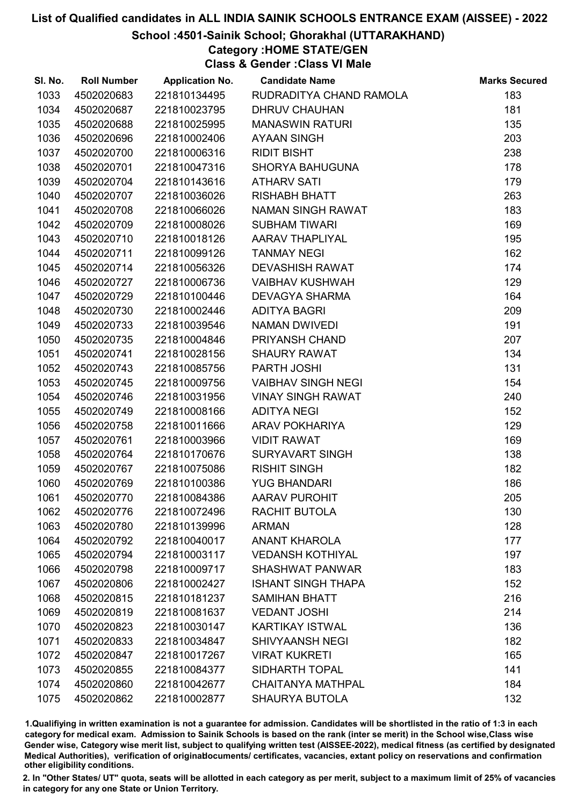#### School :4501-Sainik School; Ghorakhal (UTTARAKHAND)

## Category :HOME STATE/GEN

Class & Gender :Class VI Male

| SI. No. | <b>Roll Number</b> | <b>Application No.</b> | <b>Candidate Name</b>     | <b>Marks Secured</b> |
|---------|--------------------|------------------------|---------------------------|----------------------|
| 1033    | 4502020683         | 221810134495           | RUDRADITYA CHAND RAMOLA   | 183                  |
| 1034    | 4502020687         | 221810023795           | <b>DHRUV CHAUHAN</b>      | 181                  |
| 1035    | 4502020688         | 221810025995           | <b>MANASWIN RATURI</b>    | 135                  |
| 1036    | 4502020696         | 221810002406           | <b>AYAAN SINGH</b>        | 203                  |
| 1037    | 4502020700         | 221810006316           | <b>RIDIT BISHT</b>        | 238                  |
| 1038    | 4502020701         | 221810047316           | <b>SHORYA BAHUGUNA</b>    | 178                  |
| 1039    | 4502020704         | 221810143616           | <b>ATHARV SATI</b>        | 179                  |
| 1040    | 4502020707         | 221810036026           | <b>RISHABH BHATT</b>      | 263                  |
| 1041    | 4502020708         | 221810066026           | NAMAN SINGH RAWAT         | 183                  |
| 1042    | 4502020709         | 221810008026           | <b>SUBHAM TIWARI</b>      | 169                  |
| 1043    | 4502020710         | 221810018126           | <b>AARAV THAPLIYAL</b>    | 195                  |
| 1044    | 4502020711         | 221810099126           | <b>TANMAY NEGI</b>        | 162                  |
| 1045    | 4502020714         | 221810056326           | <b>DEVASHISH RAWAT</b>    | 174                  |
| 1046    | 4502020727         | 221810006736           | <b>VAIBHAV KUSHWAH</b>    | 129                  |
| 1047    | 4502020729         | 221810100446           | <b>DEVAGYA SHARMA</b>     | 164                  |
| 1048    | 4502020730         | 221810002446           | <b>ADITYA BAGRI</b>       | 209                  |
| 1049    | 4502020733         | 221810039546           | <b>NAMAN DWIVEDI</b>      | 191                  |
| 1050    | 4502020735         | 221810004846           | PRIYANSH CHAND            | 207                  |
| 1051    | 4502020741         | 221810028156           | <b>SHAURY RAWAT</b>       | 134                  |
| 1052    | 4502020743         | 221810085756           | PARTH JOSHI               | 131                  |
| 1053    | 4502020745         | 221810009756           | <b>VAIBHAV SINGH NEGI</b> | 154                  |
| 1054    | 4502020746         | 221810031956           | <b>VINAY SINGH RAWAT</b>  | 240                  |
| 1055    | 4502020749         | 221810008166           | <b>ADITYA NEGI</b>        | 152                  |
| 1056    | 4502020758         | 221810011666           | <b>ARAV POKHARIYA</b>     | 129                  |
| 1057    | 4502020761         | 221810003966           | <b>VIDIT RAWAT</b>        | 169                  |
| 1058    | 4502020764         | 221810170676           | <b>SURYAVART SINGH</b>    | 138                  |
| 1059    | 4502020767         | 221810075086           | <b>RISHIT SINGH</b>       | 182                  |
| 1060    | 4502020769         | 221810100386           | <b>YUG BHANDARI</b>       | 186                  |
| 1061    | 4502020770         | 221810084386           | <b>AARAV PUROHIT</b>      | 205                  |
| 1062    | 4502020776         | 221810072496           | RACHIT BUTOLA             | 130                  |
| 1063    | 4502020780         | 221810139996           | <b>ARMAN</b>              | 128                  |
| 1064    | 4502020792         | 221810040017           | <b>ANANT KHAROLA</b>      | 177                  |
| 1065    | 4502020794         | 221810003117           | <b>VEDANSH KOTHIYAL</b>   | 197                  |
| 1066    | 4502020798         | 221810009717           | <b>SHASHWAT PANWAR</b>    | 183                  |
| 1067    | 4502020806         | 221810002427           | <b>ISHANT SINGH THAPA</b> | 152                  |
| 1068    | 4502020815         | 221810181237           | <b>SAMIHAN BHATT</b>      | 216                  |
| 1069    | 4502020819         | 221810081637           | <b>VEDANT JOSHI</b>       | 214                  |
| 1070    | 4502020823         | 221810030147           | <b>KARTIKAY ISTWAL</b>    | 136                  |
| 1071    | 4502020833         | 221810034847           | <b>SHIVYAANSH NEGI</b>    | 182                  |
| 1072    | 4502020847         | 221810017267           | <b>VIRAT KUKRETI</b>      | 165                  |
| 1073    | 4502020855         | 221810084377           | <b>SIDHARTH TOPAL</b>     | 141                  |
| 1074    | 4502020860         | 221810042677           | <b>CHAITANYA MATHPAL</b>  | 184                  |
| 1075    | 4502020862         | 221810002877           | <b>SHAURYA BUTOLA</b>     | 132                  |

1.Qualifiying in written examination is not a guarantee for admission. Candidates will be shortlisted in the ratio of 1:3 in each category for medical exam. Admission to Sainik Schools is based on the rank (inter se merit) in the School wise,Class wise Gender wise, Category wise merit list, subject to qualifying written test (AISSEE-2022), medical fitness (as certified by designated Medical Authorities), verification of originablocuments/ certificates, vacancies, extant policy on reservations and confirmation other eligibility conditions.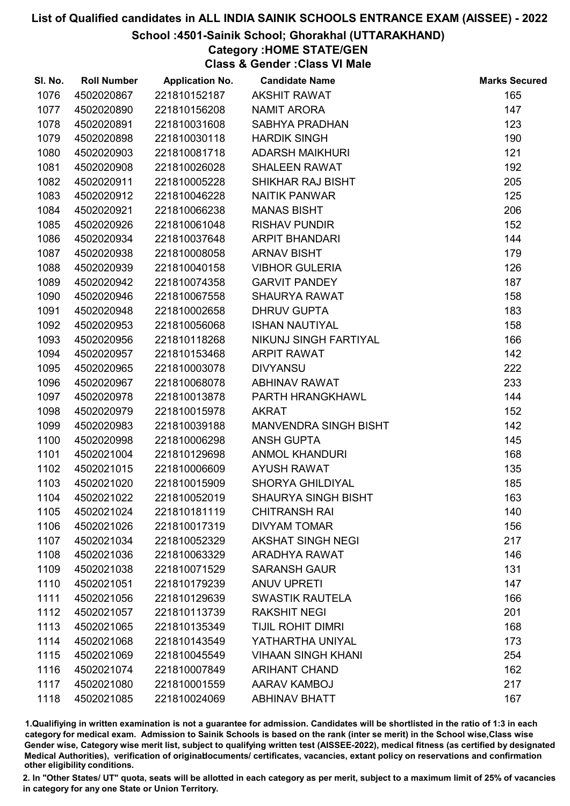#### School :4501-Sainik School; Ghorakhal (UTTARAKHAND)

## Category :HOME STATE/GEN

Class & Gender :Class VI Male

| SI. No. | <b>Roll Number</b> | <b>Application No.</b> | <b>Candidate Name</b>      | <b>Marks Secured</b> |
|---------|--------------------|------------------------|----------------------------|----------------------|
| 1076    | 4502020867         | 221810152187           | <b>AKSHIT RAWAT</b>        | 165                  |
| 1077    | 4502020890         | 221810156208           | <b>NAMIT ARORA</b>         | 147                  |
| 1078    | 4502020891         | 221810031608           | SABHYA PRADHAN             | 123                  |
| 1079    | 4502020898         | 221810030118           | <b>HARDIK SINGH</b>        | 190                  |
| 1080    | 4502020903         | 221810081718           | <b>ADARSH MAIKHURI</b>     | 121                  |
| 1081    | 4502020908         | 221810026028           | <b>SHALEEN RAWAT</b>       | 192                  |
| 1082    | 4502020911         | 221810005228           | SHIKHAR RAJ BISHT          | 205                  |
| 1083    | 4502020912         | 221810046228           | <b>NAITIK PANWAR</b>       | 125                  |
| 1084    | 4502020921         | 221810066238           | <b>MANAS BISHT</b>         | 206                  |
| 1085    | 4502020926         | 221810061048           | <b>RISHAV PUNDIR</b>       | 152                  |
| 1086    | 4502020934         | 221810037648           | <b>ARPIT BHANDARI</b>      | 144                  |
| 1087    | 4502020938         | 221810008058           | <b>ARNAV BISHT</b>         | 179                  |
| 1088    | 4502020939         | 221810040158           | <b>VIBHOR GULERIA</b>      | 126                  |
| 1089    | 4502020942         | 221810074358           | <b>GARVIT PANDEY</b>       | 187                  |
| 1090    | 4502020946         | 221810067558           | <b>SHAURYA RAWAT</b>       | 158                  |
| 1091    | 4502020948         | 221810002658           | <b>DHRUV GUPTA</b>         | 183                  |
| 1092    | 4502020953         | 221810056068           | <b>ISHAN NAUTIYAL</b>      | 158                  |
| 1093    | 4502020956         | 221810118268           | NIKUNJ SINGH FARTIYAL      | 166                  |
| 1094    | 4502020957         | 221810153468           | <b>ARPIT RAWAT</b>         | 142                  |
| 1095    | 4502020965         | 221810003078           | <b>DIVYANSU</b>            | 222                  |
| 1096    | 4502020967         | 221810068078           | <b>ABHINAV RAWAT</b>       | 233                  |
| 1097    | 4502020978         | 221810013878           | PARTH HRANGKHAWL           | 144                  |
| 1098    | 4502020979         | 221810015978           | <b>AKRAT</b>               | 152                  |
| 1099    | 4502020983         | 221810039188           | MANVENDRA SINGH BISHT      | 142                  |
| 1100    | 4502020998         | 221810006298           | <b>ANSH GUPTA</b>          | 145                  |
| 1101    | 4502021004         | 221810129698           | <b>ANMOL KHANDURI</b>      | 168                  |
| 1102    | 4502021015         | 221810006609           | <b>AYUSH RAWAT</b>         | 135                  |
| 1103    | 4502021020         | 221810015909           | <b>SHORYA GHILDIYAL</b>    | 185                  |
| 1104    | 4502021022         | 221810052019           | <b>SHAURYA SINGH BISHT</b> | 163                  |
| 1105    | 4502021024         | 221810181119           | <b>CHITRANSH RAI</b>       | 140                  |
| 1106    | 4502021026         | 221810017319           | <b>DIVYAM TOMAR</b>        | 156                  |
| 1107    | 4502021034         | 221810052329           | <b>AKSHAT SINGH NEGI</b>   | 217                  |
| 1108    | 4502021036         | 221810063329           | <b>ARADHYA RAWAT</b>       | 146                  |
| 1109    | 4502021038         | 221810071529           | <b>SARANSH GAUR</b>        | 131                  |
| 1110    | 4502021051         | 221810179239           | <b>ANUV UPRETI</b>         | 147                  |
| 1111    | 4502021056         | 221810129639           | <b>SWASTIK RAUTELA</b>     | 166                  |
| 1112    | 4502021057         | 221810113739           | <b>RAKSHIT NEGI</b>        | 201                  |
| 1113    | 4502021065         | 221810135349           | TIJIL ROHIT DIMRI          | 168                  |
| 1114    | 4502021068         | 221810143549           | YATHARTHA UNIYAL           | 173                  |
| 1115    | 4502021069         | 221810045549           | <b>VIHAAN SINGH KHANI</b>  | 254                  |
| 1116    | 4502021074         | 221810007849           | <b>ARIHANT CHAND</b>       | 162                  |
| 1117    | 4502021080         | 221810001559           | AARAV KAMBOJ               | 217                  |
| 1118    | 4502021085         | 221810024069           | <b>ABHINAV BHATT</b>       | 167                  |

1.Qualifiying in written examination is not a guarantee for admission. Candidates will be shortlisted in the ratio of 1:3 in each category for medical exam. Admission to Sainik Schools is based on the rank (inter se merit) in the School wise,Class wise Gender wise, Category wise merit list, subject to qualifying written test (AISSEE-2022), medical fitness (as certified by designated Medical Authorities), verification of originablocuments/ certificates, vacancies, extant policy on reservations and confirmation other eligibility conditions.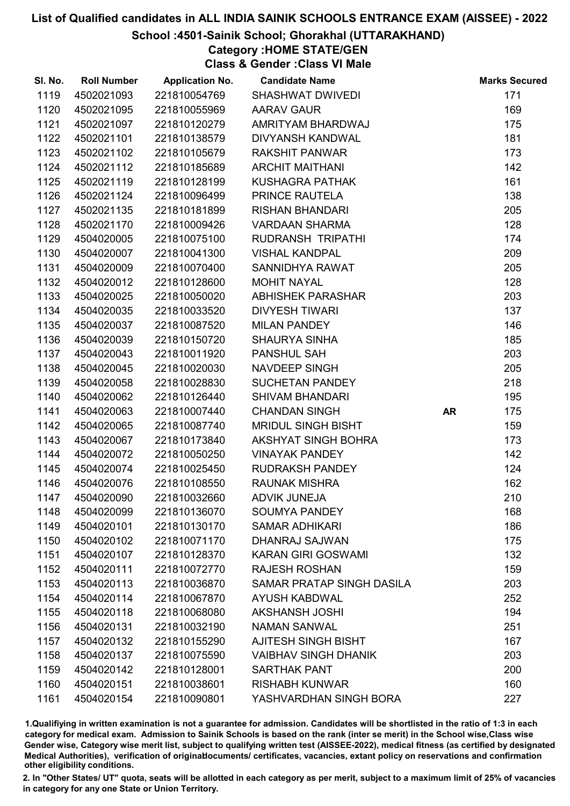#### School :4501-Sainik School; Ghorakhal (UTTARAKHAND)

Category :HOME STATE/GEN

Class & Gender :Class VI Male

| SI. No. | <b>Roll Number</b> | <b>Application No.</b> | <b>Candidate Name</b>       |           | <b>Marks Secured</b> |
|---------|--------------------|------------------------|-----------------------------|-----------|----------------------|
| 1119    | 4502021093         | 221810054769           | <b>SHASHWAT DWIVEDI</b>     |           | 171                  |
| 1120    | 4502021095         | 221810055969           | <b>AARAV GAUR</b>           |           | 169                  |
| 1121    | 4502021097         | 221810120279           | AMRITYAM BHARDWAJ           |           | 175                  |
| 1122    | 4502021101         | 221810138579           | DIVYANSH KANDWAL            |           | 181                  |
| 1123    | 4502021102         | 221810105679           | <b>RAKSHIT PANWAR</b>       |           | 173                  |
| 1124    | 4502021112         | 221810185689           | <b>ARCHIT MAITHANI</b>      |           | 142                  |
| 1125    | 4502021119         | 221810128199           | <b>KUSHAGRA PATHAK</b>      |           | 161                  |
| 1126    | 4502021124         | 221810096499           | PRINCE RAUTELA              |           | 138                  |
| 1127    | 4502021135         | 221810181899           | <b>RISHAN BHANDARI</b>      |           | 205                  |
| 1128    | 4502021170         | 221810009426           | <b>VARDAAN SHARMA</b>       |           | 128                  |
| 1129    | 4504020005         | 221810075100           | RUDRANSH TRIPATHI           |           | 174                  |
| 1130    | 4504020007         | 221810041300           | <b>VISHAL KANDPAL</b>       |           | 209                  |
| 1131    | 4504020009         | 221810070400           | SANNIDHYA RAWAT             |           | 205                  |
| 1132    | 4504020012         | 221810128600           | <b>MOHIT NAYAL</b>          |           | 128                  |
| 1133    | 4504020025         | 221810050020           | <b>ABHISHEK PARASHAR</b>    |           | 203                  |
| 1134    | 4504020035         | 221810033520           | <b>DIVYESH TIWARI</b>       |           | 137                  |
| 1135    | 4504020037         | 221810087520           | <b>MILAN PANDEY</b>         |           | 146                  |
| 1136    | 4504020039         | 221810150720           | <b>SHAURYA SINHA</b>        |           | 185                  |
| 1137    | 4504020043         | 221810011920           | <b>PANSHUL SAH</b>          |           | 203                  |
| 1138    | 4504020045         | 221810020030           | NAVDEEP SINGH               |           | 205                  |
| 1139    | 4504020058         | 221810028830           | SUCHETAN PANDEY             |           | 218                  |
| 1140    | 4504020062         | 221810126440           | <b>SHIVAM BHANDARI</b>      |           | 195                  |
| 1141    | 4504020063         | 221810007440           | <b>CHANDAN SINGH</b>        | <b>AR</b> | 175                  |
| 1142    | 4504020065         | 221810087740           | <b>MRIDUL SINGH BISHT</b>   |           | 159                  |
| 1143    | 4504020067         | 221810173840           | AKSHYAT SINGH BOHRA         |           | 173                  |
| 1144    | 4504020072         | 221810050250           | <b>VINAYAK PANDEY</b>       |           | 142                  |
| 1145    | 4504020074         | 221810025450           | <b>RUDRAKSH PANDEY</b>      |           | 124                  |
| 1146    | 4504020076         | 221810108550           | <b>RAUNAK MISHRA</b>        |           | 162                  |
| 1147    | 4504020090         | 221810032660           | <b>ADVIK JUNEJA</b>         |           | 210                  |
| 1148    | 4504020099         | 221810136070           | <b>SOUMYA PANDEY</b>        |           | 168                  |
| 1149    | 4504020101         | 221810130170           | <b>SAMAR ADHIKARI</b>       |           | 186                  |
| 1150    | 4504020102         | 221810071170           | <b>DHANRAJ SAJWAN</b>       |           | 175                  |
| 1151    | 4504020107         | 221810128370           | <b>KARAN GIRI GOSWAMI</b>   |           | 132                  |
| 1152    | 4504020111         | 221810072770           | <b>RAJESH ROSHAN</b>        |           | 159                  |
| 1153    | 4504020113         | 221810036870           | SAMAR PRATAP SINGH DASILA   |           | 203                  |
| 1154    | 4504020114         | 221810067870           | <b>AYUSH KABDWAL</b>        |           | 252                  |
| 1155    | 4504020118         | 221810068080           | <b>AKSHANSH JOSHI</b>       |           | 194                  |
| 1156    | 4504020131         | 221810032190           | <b>NAMAN SANWAL</b>         |           | 251                  |
| 1157    | 4504020132         | 221810155290           | <b>AJITESH SINGH BISHT</b>  |           | 167                  |
| 1158    | 4504020137         | 221810075590           | <b>VAIBHAV SINGH DHANIK</b> |           | 203                  |
| 1159    | 4504020142         | 221810128001           | <b>SARTHAK PANT</b>         |           | 200                  |
| 1160    | 4504020151         | 221810038601           | <b>RISHABH KUNWAR</b>       |           | 160                  |
| 1161    | 4504020154         | 221810090801           | YASHVARDHAN SINGH BORA      |           | 227                  |

1.Qualifiying in written examination is not a guarantee for admission. Candidates will be shortlisted in the ratio of 1:3 in each category for medical exam. Admission to Sainik Schools is based on the rank (inter se merit) in the School wise,Class wise Gender wise, Category wise merit list, subject to qualifying written test (AISSEE-2022), medical fitness (as certified by designated Medical Authorities), verification of originablocuments/ certificates, vacancies, extant policy on reservations and confirmation other eligibility conditions.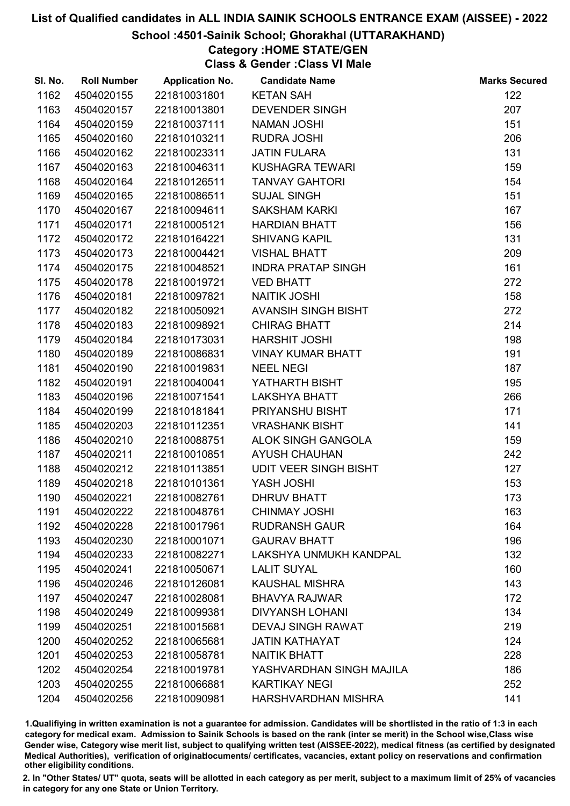#### School :4501-Sainik School; Ghorakhal (UTTARAKHAND)

## Category :HOME STATE/GEN

Class & Gender :Class VI Male

| SI. No. | <b>Roll Number</b> | <b>Application No.</b> | <b>Candidate Name</b>        | <b>Marks Secured</b> |
|---------|--------------------|------------------------|------------------------------|----------------------|
| 1162    | 4504020155         | 221810031801           | <b>KETAN SAH</b>             | 122                  |
| 1163    | 4504020157         | 221810013801           | <b>DEVENDER SINGH</b>        | 207                  |
| 1164    | 4504020159         | 221810037111           | <b>NAMAN JOSHI</b>           | 151                  |
| 1165    | 4504020160         | 221810103211           | RUDRA JOSHI                  | 206                  |
| 1166    | 4504020162         | 221810023311           | <b>JATIN FULARA</b>          | 131                  |
| 1167    | 4504020163         | 221810046311           | <b>KUSHAGRA TEWARI</b>       | 159                  |
| 1168    | 4504020164         | 221810126511           | <b>TANVAY GAHTORI</b>        | 154                  |
| 1169    | 4504020165         | 221810086511           | <b>SUJAL SINGH</b>           | 151                  |
| 1170    | 4504020167         | 221810094611           | <b>SAKSHAM KARKI</b>         | 167                  |
| 1171    | 4504020171         | 221810005121           | <b>HARDIAN BHATT</b>         | 156                  |
| 1172    | 4504020172         | 221810164221           | <b>SHIVANG KAPIL</b>         | 131                  |
| 1173    | 4504020173         | 221810004421           | <b>VISHAL BHATT</b>          | 209                  |
| 1174    | 4504020175         | 221810048521           | <b>INDRA PRATAP SINGH</b>    | 161                  |
| 1175    | 4504020178         | 221810019721           | <b>VED BHATT</b>             | 272                  |
| 1176    | 4504020181         | 221810097821           | <b>NAITIK JOSHI</b>          | 158                  |
| 1177    | 4504020182         | 221810050921           | AVANSIH SINGH BISHT          | 272                  |
| 1178    | 4504020183         | 221810098921           | <b>CHIRAG BHATT</b>          | 214                  |
| 1179    | 4504020184         | 221810173031           | <b>HARSHIT JOSHI</b>         | 198                  |
| 1180    | 4504020189         | 221810086831           | <b>VINAY KUMAR BHATT</b>     | 191                  |
| 1181    | 4504020190         | 221810019831           | <b>NEEL NEGI</b>             | 187                  |
| 1182    | 4504020191         | 221810040041           | YATHARTH BISHT               | 195                  |
| 1183    | 4504020196         | 221810071541           | <b>LAKSHYA BHATT</b>         | 266                  |
| 1184    | 4504020199         | 221810181841           | PRIYANSHU BISHT              | 171                  |
| 1185    | 4504020203         | 221810112351           | <b>VRASHANK BISHT</b>        | 141                  |
| 1186    | 4504020210         | 221810088751           | ALOK SINGH GANGOLA           | 159                  |
| 1187    | 4504020211         | 221810010851           | <b>AYUSH CHAUHAN</b>         | 242                  |
| 1188    | 4504020212         | 221810113851           | <b>UDIT VEER SINGH BISHT</b> | 127                  |
| 1189    | 4504020218         | 221810101361           | YASH JOSHI                   | 153                  |
| 1190    | 4504020221         | 221810082761           | <b>DHRUV BHATT</b>           | 173                  |
| 1191    | 4504020222         | 221810048761           | <b>CHINMAY JOSHI</b>         | 163                  |
| 1192    | 4504020228         | 221810017961           | <b>RUDRANSH GAUR</b>         | 164                  |
| 1193    | 4504020230         | 221810001071           | <b>GAURAV BHATT</b>          | 196                  |
| 1194    | 4504020233         | 221810082271           | LAKSHYA UNMUKH KANDPAL       | 132                  |
| 1195    | 4504020241         | 221810050671           | <b>LALIT SUYAL</b>           | 160                  |
| 1196    | 4504020246         | 221810126081           | <b>KAUSHAL MISHRA</b>        | 143                  |
| 1197    | 4504020247         | 221810028081           | <b>BHAVYA RAJWAR</b>         | 172                  |
| 1198    | 4504020249         | 221810099381           | <b>DIVYANSH LOHANI</b>       | 134                  |
| 1199    | 4504020251         | 221810015681           | <b>DEVAJ SINGH RAWAT</b>     | 219                  |
| 1200    | 4504020252         | 221810065681           | <b>JATIN KATHAYAT</b>        | 124                  |
| 1201    | 4504020253         | 221810058781           | <b>NAITIK BHATT</b>          | 228                  |
| 1202    | 4504020254         | 221810019781           | YASHVARDHAN SINGH MAJILA     | 186                  |
| 1203    | 4504020255         | 221810066881           | <b>KARTIKAY NEGI</b>         | 252                  |
| 1204    | 4504020256         | 221810090981           | HARSHVARDHAN MISHRA          | 141                  |

1.Qualifiying in written examination is not a guarantee for admission. Candidates will be shortlisted in the ratio of 1:3 in each category for medical exam. Admission to Sainik Schools is based on the rank (inter se merit) in the School wise,Class wise Gender wise, Category wise merit list, subject to qualifying written test (AISSEE-2022), medical fitness (as certified by designated Medical Authorities), verification of originablocuments/ certificates, vacancies, extant policy on reservations and confirmation other eligibility conditions.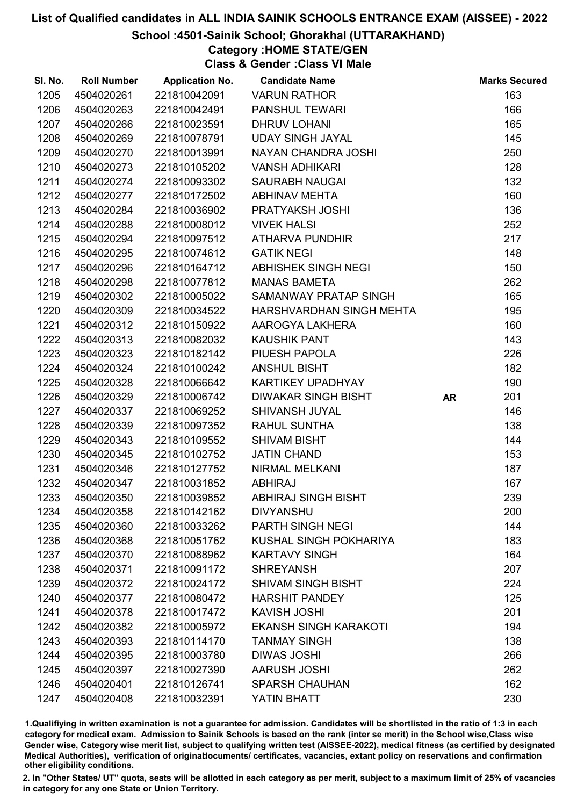#### School :4501-Sainik School; Ghorakhal (UTTARAKHAND)

## Category :HOME STATE/GEN

Class & Gender :Class VI Male

| SI. No. | <b>Roll Number</b> | <b>Application No.</b> | <b>Candidate Name</b>        |           | <b>Marks Secured</b> |
|---------|--------------------|------------------------|------------------------------|-----------|----------------------|
| 1205    | 4504020261         | 221810042091           | <b>VARUN RATHOR</b>          |           | 163                  |
| 1206    | 4504020263         | 221810042491           | PANSHUL TEWARI               |           | 166                  |
| 1207    | 4504020266         | 221810023591           | <b>DHRUV LOHANI</b>          |           | 165                  |
| 1208    | 4504020269         | 221810078791           | <b>UDAY SINGH JAYAL</b>      |           | 145                  |
| 1209    | 4504020270         | 221810013991           | NAYAN CHANDRA JOSHI          |           | 250                  |
| 1210    | 4504020273         | 221810105202           | <b>VANSH ADHIKARI</b>        |           | 128                  |
| 1211    | 4504020274         | 221810093302           | <b>SAURABH NAUGAI</b>        |           | 132                  |
| 1212    | 4504020277         | 221810172502           | <b>ABHINAV MEHTA</b>         |           | 160                  |
| 1213    | 4504020284         | 221810036902           | PRATYAKSH JOSHI              |           | 136                  |
| 1214    | 4504020288         | 221810008012           | <b>VIVEK HALSI</b>           |           | 252                  |
| 1215    | 4504020294         | 221810097512           | <b>ATHARVA PUNDHIR</b>       |           | 217                  |
| 1216    | 4504020295         | 221810074612           | <b>GATIK NEGI</b>            |           | 148                  |
| 1217    | 4504020296         | 221810164712           | ABHISHEK SINGH NEGI          |           | 150                  |
| 1218    | 4504020298         | 221810077812           | <b>MANAS BAMETA</b>          |           | 262                  |
| 1219    | 4504020302         | 221810005022           | SAMANWAY PRATAP SINGH        |           | 165                  |
| 1220    | 4504020309         | 221810034522           | HARSHVARDHAN SINGH MEHTA     |           | 195                  |
| 1221    | 4504020312         | 221810150922           | AAROGYA LAKHERA              |           | 160                  |
| 1222    | 4504020313         | 221810082032           | <b>KAUSHIK PANT</b>          |           | 143                  |
| 1223    | 4504020323         | 221810182142           | PIUESH PAPOLA                |           | 226                  |
| 1224    | 4504020324         | 221810100242           | <b>ANSHUL BISHT</b>          |           | 182                  |
| 1225    | 4504020328         | 221810066642           | KARTIKEY UPADHYAY            |           | 190                  |
| 1226    | 4504020329         | 221810006742           | <b>DIWAKAR SINGH BISHT</b>   | <b>AR</b> | 201                  |
| 1227    | 4504020337         | 221810069252           | SHIVANSH JUYAL               |           | 146                  |
| 1228    | 4504020339         | 221810097352           | <b>RAHUL SUNTHA</b>          |           | 138                  |
| 1229    | 4504020343         | 221810109552           | <b>SHIVAM BISHT</b>          |           | 144                  |
| 1230    | 4504020345         | 221810102752           | <b>JATIN CHAND</b>           |           | 153                  |
| 1231    | 4504020346         | 221810127752           | NIRMAL MELKANI               |           | 187                  |
| 1232    | 4504020347         | 221810031852           | <b>ABHIRAJ</b>               |           | 167                  |
| 1233    | 4504020350         | 221810039852           | <b>ABHIRAJ SINGH BISHT</b>   |           | 239                  |
| 1234    | 4504020358         | 221810142162           | <b>DIVYANSHU</b>             |           | 200                  |
| 1235    | 4504020360         | 221810033262           | PARTH SINGH NEGI             |           | 144                  |
| 1236    | 4504020368         | 221810051762           | KUSHAL SINGH POKHARIYA       |           | 183                  |
| 1237    | 4504020370         | 221810088962           | <b>KARTAVY SINGH</b>         |           | 164                  |
| 1238    | 4504020371         | 221810091172           | <b>SHREYANSH</b>             |           | 207                  |
| 1239    | 4504020372         | 221810024172           | <b>SHIVAM SINGH BISHT</b>    |           | 224                  |
| 1240    | 4504020377         | 221810080472           | <b>HARSHIT PANDEY</b>        |           | 125                  |
| 1241    | 4504020378         | 221810017472           | <b>KAVISH JOSHI</b>          |           | 201                  |
| 1242    | 4504020382         | 221810005972           | <b>EKANSH SINGH KARAKOTI</b> |           | 194                  |
| 1243    | 4504020393         | 221810114170           | <b>TANMAY SINGH</b>          |           | 138                  |
| 1244    | 4504020395         | 221810003780           | <b>DIWAS JOSHI</b>           |           | 266                  |
| 1245    | 4504020397         | 221810027390           | <b>AARUSH JOSHI</b>          |           | 262                  |
| 1246    | 4504020401         | 221810126741           | <b>SPARSH CHAUHAN</b>        |           | 162                  |
| 1247    | 4504020408         | 221810032391           | YATIN BHATT                  |           | 230                  |

1.Qualifiying in written examination is not a guarantee for admission. Candidates will be shortlisted in the ratio of 1:3 in each category for medical exam. Admission to Sainik Schools is based on the rank (inter se merit) in the School wise,Class wise Gender wise, Category wise merit list, subject to qualifying written test (AISSEE-2022), medical fitness (as certified by designated Medical Authorities), verification of originablocuments/ certificates, vacancies, extant policy on reservations and confirmation other eligibility conditions.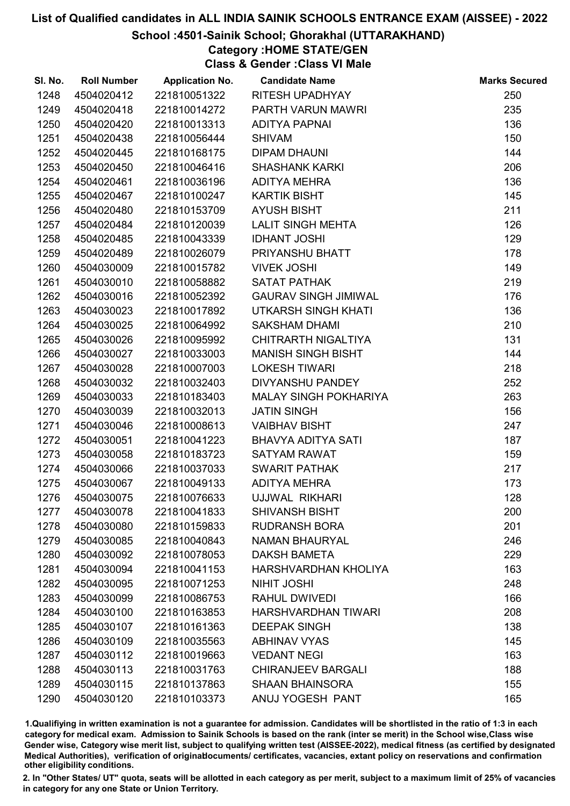#### School :4501-Sainik School; Ghorakhal (UTTARAKHAND)

### Category :HOME STATE/GEN

Class & Gender :Class VI Male

| SI. No. | <b>Roll Number</b> | <b>Application No.</b> | <b>Candidate Name</b>        | <b>Marks Secured</b> |
|---------|--------------------|------------------------|------------------------------|----------------------|
| 1248    | 4504020412         | 221810051322           | RITESH UPADHYAY              | 250                  |
| 1249    | 4504020418         | 221810014272           | PARTH VARUN MAWRI            | 235                  |
| 1250    | 4504020420         | 221810013313           | ADITYA PAPNAI                | 136                  |
| 1251    | 4504020438         | 221810056444           | <b>SHIVAM</b>                | 150                  |
| 1252    | 4504020445         | 221810168175           | <b>DIPAM DHAUNI</b>          | 144                  |
| 1253    | 4504020450         | 221810046416           | <b>SHASHANK KARKI</b>        | 206                  |
| 1254    | 4504020461         | 221810036196           | <b>ADITYA MEHRA</b>          | 136                  |
| 1255    | 4504020467         | 221810100247           | <b>KARTIK BISHT</b>          | 145                  |
| 1256    | 4504020480         | 221810153709           | <b>AYUSH BISHT</b>           | 211                  |
| 1257    | 4504020484         | 221810120039           | <b>LALIT SINGH MEHTA</b>     | 126                  |
| 1258    | 4504020485         | 221810043339           | <b>IDHANT JOSHI</b>          | 129                  |
| 1259    | 4504020489         | 221810026079           | PRIYANSHU BHATT              | 178                  |
| 1260    | 4504030009         | 221810015782           | <b>VIVEK JOSHI</b>           | 149                  |
| 1261    | 4504030010         | 221810058882           | <b>SATAT PATHAK</b>          | 219                  |
| 1262    | 4504030016         | 221810052392           | <b>GAURAV SINGH JIMIWAL</b>  | 176                  |
| 1263    | 4504030023         | 221810017892           | <b>UTKARSH SINGH KHATI</b>   | 136                  |
| 1264    | 4504030025         | 221810064992           | <b>SAKSHAM DHAMI</b>         | 210                  |
| 1265    | 4504030026         | 221810095992           | CHITRARTH NIGALTIYA          | 131                  |
| 1266    | 4504030027         | 221810033003           | <b>MANISH SINGH BISHT</b>    | 144                  |
| 1267    | 4504030028         | 221810007003           | <b>LOKESH TIWARI</b>         | 218                  |
| 1268    | 4504030032         | 221810032403           | DIVYANSHU PANDEY             | 252                  |
| 1269    | 4504030033         | 221810183403           | <b>MALAY SINGH POKHARIYA</b> | 263                  |
| 1270    | 4504030039         | 221810032013           | <b>JATIN SINGH</b>           | 156                  |
| 1271    | 4504030046         | 221810008613           | <b>VAIBHAV BISHT</b>         | 247                  |
| 1272    | 4504030051         | 221810041223           | BHAVYA ADITYA SATI           | 187                  |
| 1273    | 4504030058         | 221810183723           | <b>SATYAM RAWAT</b>          | 159                  |
| 1274    | 4504030066         | 221810037033           | <b>SWARIT PATHAK</b>         | 217                  |
| 1275    | 4504030067         | 221810049133           | <b>ADITYA MEHRA</b>          | 173                  |
| 1276    | 4504030075         | 221810076633           | UJJWAL RIKHARI               | 128                  |
| 1277    | 4504030078         | 221810041833           | <b>SHIVANSH BISHT</b>        | 200                  |
| 1278    | 4504030080         | 221810159833           | <b>RUDRANSH BORA</b>         | 201                  |
| 1279    | 4504030085         | 221810040843           | <b>NAMAN BHAURYAL</b>        | 246                  |
| 1280    | 4504030092         | 221810078053           | <b>DAKSH BAMETA</b>          | 229                  |
| 1281    | 4504030094         | 221810041153           | HARSHVARDHAN KHOLIYA         | 163                  |
| 1282    | 4504030095         | 221810071253           | <b>NIHIT JOSHI</b>           | 248                  |
| 1283    | 4504030099         | 221810086753           | <b>RAHUL DWIVEDI</b>         | 166                  |
| 1284    | 4504030100         | 221810163853           | HARSHVARDHAN TIWARI          | 208                  |
| 1285    | 4504030107         | 221810161363           | <b>DEEPAK SINGH</b>          | 138                  |
| 1286    | 4504030109         | 221810035563           | <b>ABHINAV VYAS</b>          | 145                  |
| 1287    | 4504030112         | 221810019663           | <b>VEDANT NEGI</b>           | 163                  |
| 1288    | 4504030113         | 221810031763           | <b>CHIRANJEEV BARGALI</b>    | 188                  |
| 1289    | 4504030115         | 221810137863           | <b>SHAAN BHAINSORA</b>       | 155                  |
| 1290    | 4504030120         | 221810103373           | ANUJ YOGESH PANT             | 165                  |

1.Qualifiying in written examination is not a guarantee for admission. Candidates will be shortlisted in the ratio of 1:3 in each category for medical exam. Admission to Sainik Schools is based on the rank (inter se merit) in the School wise,Class wise Gender wise, Category wise merit list, subject to qualifying written test (AISSEE-2022), medical fitness (as certified by designated Medical Authorities), verification of originablocuments/ certificates, vacancies, extant policy on reservations and confirmation other eligibility conditions.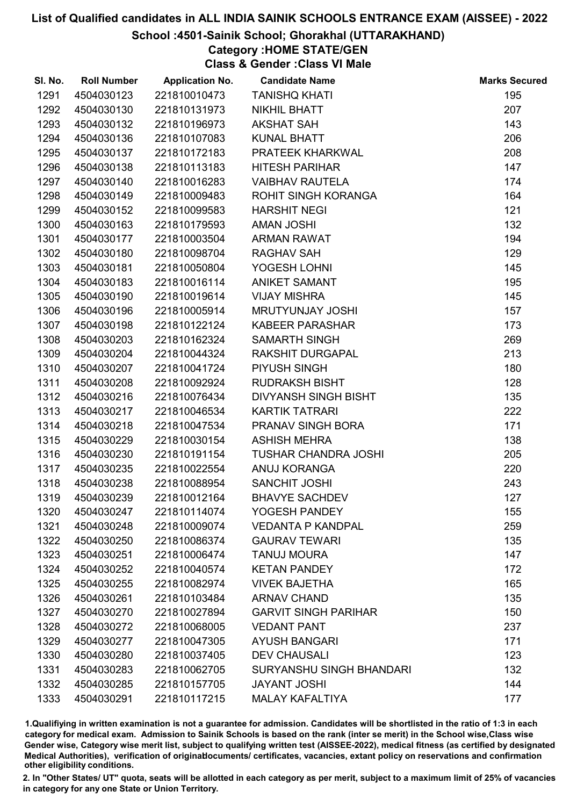#### School :4501-Sainik School; Ghorakhal (UTTARAKHAND)

## Category :HOME STATE/GEN

Class & Gender :Class VI Male

| SI. No. | <b>Roll Number</b> | <b>Application No.</b> | <b>Candidate Name</b>           | <b>Marks Secured</b> |
|---------|--------------------|------------------------|---------------------------------|----------------------|
| 1291    | 4504030123         | 221810010473           | <b>TANISHQ KHATI</b>            | 195                  |
| 1292    | 4504030130         | 221810131973           | NIKHIL BHATT                    | 207                  |
| 1293    | 4504030132         | 221810196973           | <b>AKSHAT SAH</b>               | 143                  |
| 1294    | 4504030136         | 221810107083           | <b>KUNAL BHATT</b>              | 206                  |
| 1295    | 4504030137         | 221810172183           | PRATEEK KHARKWAL                | 208                  |
| 1296    | 4504030138         | 221810113183           | <b>HITESH PARIHAR</b>           | 147                  |
| 1297    | 4504030140         | 221810016283           | <b>VAIBHAV RAUTELA</b>          | 174                  |
| 1298    | 4504030149         | 221810009483           | ROHIT SINGH KORANGA             | 164                  |
| 1299    | 4504030152         | 221810099583           | <b>HARSHIT NEGI</b>             | 121                  |
| 1300    | 4504030163         | 221810179593           | <b>AMAN JOSHI</b>               | 132                  |
| 1301    | 4504030177         | 221810003504           | <b>ARMAN RAWAT</b>              | 194                  |
| 1302    | 4504030180         | 221810098704           | <b>RAGHAV SAH</b>               | 129                  |
| 1303    | 4504030181         | 221810050804           | YOGESH LOHNI                    | 145                  |
| 1304    | 4504030183         | 221810016114           | <b>ANIKET SAMANT</b>            | 195                  |
| 1305    | 4504030190         | 221810019614           | <b>VIJAY MISHRA</b>             | 145                  |
| 1306    | 4504030196         | 221810005914           | MRUTYUNJAY JOSHI                | 157                  |
| 1307    | 4504030198         | 221810122124           | <b>KABEER PARASHAR</b>          | 173                  |
| 1308    | 4504030203         | 221810162324           | <b>SAMARTH SINGH</b>            | 269                  |
| 1309    | 4504030204         | 221810044324           | <b>RAKSHIT DURGAPAL</b>         | 213                  |
| 1310    | 4504030207         | 221810041724           | PIYUSH SINGH                    | 180                  |
| 1311    | 4504030208         | 221810092924           | <b>RUDRAKSH BISHT</b>           | 128                  |
| 1312    | 4504030216         | 221810076434           | <b>DIVYANSH SINGH BISHT</b>     | 135                  |
| 1313    | 4504030217         | 221810046534           | <b>KARTIK TATRARI</b>           | 222                  |
| 1314    | 4504030218         | 221810047534           | PRANAV SINGH BORA               | 171                  |
| 1315    | 4504030229         | 221810030154           | <b>ASHISH MEHRA</b>             | 138                  |
| 1316    | 4504030230         | 221810191154           | <b>TUSHAR CHANDRA JOSHI</b>     | 205                  |
| 1317    | 4504030235         | 221810022554           | ANUJ KORANGA                    | 220                  |
| 1318    | 4504030238         | 221810088954           | <b>SANCHIT JOSHI</b>            | 243                  |
| 1319    | 4504030239         | 221810012164           | <b>BHAVYE SACHDEV</b>           | 127                  |
| 1320    | 4504030247         | 221810114074           | YOGESH PANDEY                   | 155                  |
| 1321    | 4504030248         | 221810009074           | <b>VEDANTA P KANDPAL</b>        | 259                  |
| 1322    | 4504030250         | 221810086374           | <b>GAURAV TEWARI</b>            | 135                  |
| 1323    | 4504030251         | 221810006474           | <b>TANUJ MOURA</b>              | 147                  |
| 1324    | 4504030252         | 221810040574           | <b>KETAN PANDEY</b>             | 172                  |
| 1325    | 4504030255         | 221810082974           | <b>VIVEK BAJETHA</b>            | 165                  |
| 1326    | 4504030261         | 221810103484           | <b>ARNAV CHAND</b>              | 135                  |
| 1327    | 4504030270         | 221810027894           | <b>GARVIT SINGH PARIHAR</b>     | 150                  |
| 1328    | 4504030272         | 221810068005           | <b>VEDANT PANT</b>              | 237                  |
| 1329    | 4504030277         | 221810047305           | <b>AYUSH BANGARI</b>            | 171                  |
| 1330    | 4504030280         | 221810037405           | <b>DEV CHAUSALI</b>             | 123                  |
| 1331    | 4504030283         | 221810062705           | <b>SURYANSHU SINGH BHANDARI</b> | 132                  |
| 1332    | 4504030285         | 221810157705           | <b>JAYANT JOSHI</b>             | 144                  |
| 1333    | 4504030291         | 221810117215           | <b>MALAY KAFALTIYA</b>          | 177                  |

1.Qualifiying in written examination is not a guarantee for admission. Candidates will be shortlisted in the ratio of 1:3 in each category for medical exam. Admission to Sainik Schools is based on the rank (inter se merit) in the School wise,Class wise Gender wise, Category wise merit list, subject to qualifying written test (AISSEE-2022), medical fitness (as certified by designated Medical Authorities), verification of originablocuments/ certificates, vacancies, extant policy on reservations and confirmation other eligibility conditions.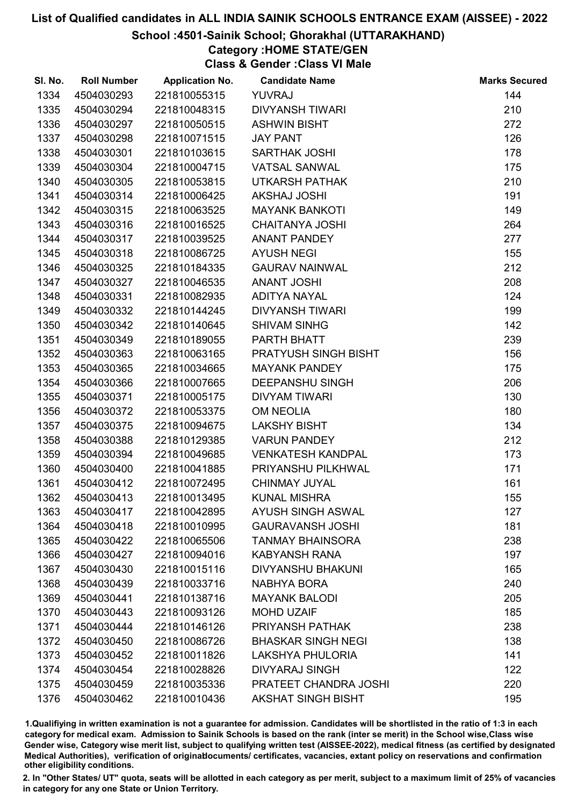#### School :4501-Sainik School; Ghorakhal (UTTARAKHAND)

## Category :HOME STATE/GEN

Class & Gender :Class VI Male

| SI. No. | <b>Roll Number</b> | <b>Application No.</b> | <b>Candidate Name</b>     | <b>Marks Secured</b> |
|---------|--------------------|------------------------|---------------------------|----------------------|
| 1334    | 4504030293         | 221810055315           | <b>YUVRAJ</b>             | 144                  |
| 1335    | 4504030294         | 221810048315           | <b>DIVYANSH TIWARI</b>    | 210                  |
| 1336    | 4504030297         | 221810050515           | <b>ASHWIN BISHT</b>       | 272                  |
| 1337    | 4504030298         | 221810071515           | <b>JAY PANT</b>           | 126                  |
| 1338    | 4504030301         | 221810103615           | <b>SARTHAK JOSHI</b>      | 178                  |
| 1339    | 4504030304         | 221810004715           | <b>VATSAL SANWAL</b>      | 175                  |
| 1340    | 4504030305         | 221810053815           | <b>UTKARSH PATHAK</b>     | 210                  |
| 1341    | 4504030314         | 221810006425           | <b>AKSHAJ JOSHI</b>       | 191                  |
| 1342    | 4504030315         | 221810063525           | <b>MAYANK BANKOTI</b>     | 149                  |
| 1343    | 4504030316         | 221810016525           | <b>CHAITANYA JOSHI</b>    | 264                  |
| 1344    | 4504030317         | 221810039525           | <b>ANANT PANDEY</b>       | 277                  |
| 1345    | 4504030318         | 221810086725           | <b>AYUSH NEGI</b>         | 155                  |
| 1346    | 4504030325         | 221810184335           | <b>GAURAV NAINWAL</b>     | 212                  |
| 1347    | 4504030327         | 221810046535           | <b>ANANT JOSHI</b>        | 208                  |
| 1348    | 4504030331         | 221810082935           | <b>ADITYA NAYAL</b>       | 124                  |
| 1349    | 4504030332         | 221810144245           | <b>DIVYANSH TIWARI</b>    | 199                  |
| 1350    | 4504030342         | 221810140645           | <b>SHIVAM SINHG</b>       | 142                  |
| 1351    | 4504030349         | 221810189055           | PARTH BHATT               | 239                  |
| 1352    | 4504030363         | 221810063165           | PRATYUSH SINGH BISHT      | 156                  |
| 1353    | 4504030365         | 221810034665           | <b>MAYANK PANDEY</b>      | 175                  |
| 1354    | 4504030366         | 221810007665           | <b>DEEPANSHU SINGH</b>    | 206                  |
| 1355    | 4504030371         | 221810005175           | <b>DIVYAM TIWARI</b>      | 130                  |
| 1356    | 4504030372         | 221810053375           | <b>OM NEOLIA</b>          | 180                  |
| 1357    | 4504030375         | 221810094675           | <b>LAKSHY BISHT</b>       | 134                  |
| 1358    | 4504030388         | 221810129385           | <b>VARUN PANDEY</b>       | 212                  |
| 1359    | 4504030394         | 221810049685           | <b>VENKATESH KANDPAL</b>  | 173                  |
| 1360    | 4504030400         | 221810041885           | PRIYANSHU PILKHWAL        | 171                  |
| 1361    | 4504030412         | 221810072495           | <b>CHINMAY JUYAL</b>      | 161                  |
| 1362    | 4504030413         | 221810013495           | <b>KUNAL MISHRA</b>       | 155                  |
| 1363    | 4504030417         | 221810042895           | <b>AYUSH SINGH ASWAL</b>  | 127                  |
| 1364    | 4504030418         | 221810010995           | <b>GAURAVANSH JOSHI</b>   | 181                  |
| 1365    | 4504030422         | 221810065506           | <b>TANMAY BHAINSORA</b>   | 238                  |
| 1366    | 4504030427         | 221810094016           | <b>KABYANSH RANA</b>      | 197                  |
| 1367    | 4504030430         | 221810015116           | <b>DIVYANSHU BHAKUNI</b>  | 165                  |
| 1368    | 4504030439         | 221810033716           | NABHYA BORA               | 240                  |
| 1369    | 4504030441         | 221810138716           | <b>MAYANK BALODI</b>      | 205                  |
| 1370    | 4504030443         | 221810093126           | <b>MOHD UZAIF</b>         | 185                  |
| 1371    | 4504030444         | 221810146126           | PRIYANSH PATHAK           | 238                  |
| 1372    | 4504030450         | 221810086726           | <b>BHASKAR SINGH NEGI</b> | 138                  |
| 1373    | 4504030452         | 221810011826           | <b>LAKSHYA PHULORIA</b>   | 141                  |
| 1374    | 4504030454         | 221810028826           | <b>DIVYARAJ SINGH</b>     | 122                  |
| 1375    | 4504030459         | 221810035336           | PRATEET CHANDRA JOSHI     | 220                  |
| 1376    | 4504030462         | 221810010436           | <b>AKSHAT SINGH BISHT</b> | 195                  |

1.Qualifiying in written examination is not a guarantee for admission. Candidates will be shortlisted in the ratio of 1:3 in each category for medical exam. Admission to Sainik Schools is based on the rank (inter se merit) in the School wise,Class wise Gender wise, Category wise merit list, subject to qualifying written test (AISSEE-2022), medical fitness (as certified by designated Medical Authorities), verification of originablocuments/ certificates, vacancies, extant policy on reservations and confirmation other eligibility conditions.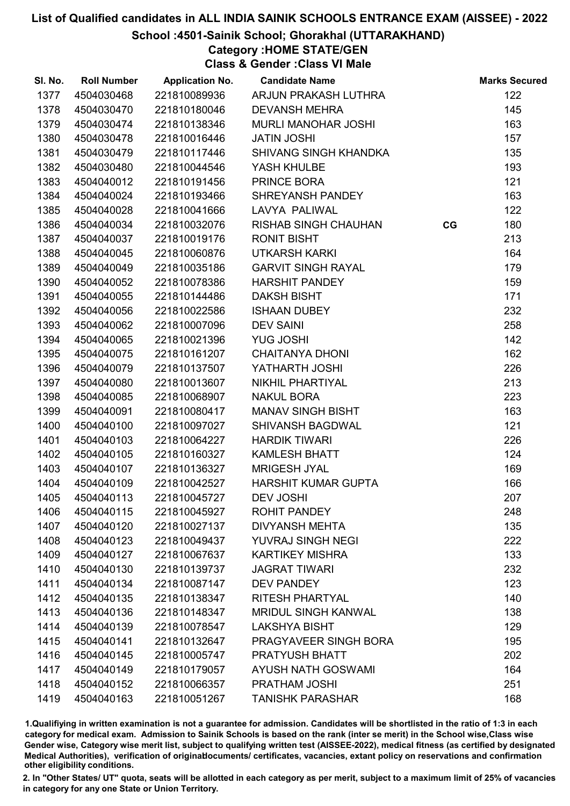#### School :4501-Sainik School; Ghorakhal (UTTARAKHAND)

### Category :HOME STATE/GEN

Class & Gender :Class VI Male

| SI. No. | <b>Roll Number</b> | <b>Application No.</b> | <b>Candidate Name</b>       |    | <b>Marks Secured</b> |
|---------|--------------------|------------------------|-----------------------------|----|----------------------|
| 1377    | 4504030468         | 221810089936           | ARJUN PRAKASH LUTHRA        |    | 122                  |
| 1378    | 4504030470         | 221810180046           | <b>DEVANSH MEHRA</b>        |    | 145                  |
| 1379    | 4504030474         | 221810138346           | MURLI MANOHAR JOSHI         |    | 163                  |
| 1380    | 4504030478         | 221810016446           | <b>JATIN JOSHI</b>          |    | 157                  |
| 1381    | 4504030479         | 221810117446           | SHIVANG SINGH KHANDKA       |    | 135                  |
| 1382    | 4504030480         | 221810044546           | YASH KHULBE                 |    | 193                  |
| 1383    | 4504040012         | 221810191456           | PRINCE BORA                 |    | 121                  |
| 1384    | 4504040024         | 221810193466           | SHREYANSH PANDEY            |    | 163                  |
| 1385    | 4504040028         | 221810041666           | LAVYA PALIWAL               |    | 122                  |
| 1386    | 4504040034         | 221810032076           | <b>RISHAB SINGH CHAUHAN</b> | CG | 180                  |
| 1387    | 4504040037         | 221810019176           | <b>RONIT BISHT</b>          |    | 213                  |
| 1388    | 4504040045         | 221810060876           | <b>UTKARSH KARKI</b>        |    | 164                  |
| 1389    | 4504040049         | 221810035186           | <b>GARVIT SINGH RAYAL</b>   |    | 179                  |
| 1390    | 4504040052         | 221810078386           | <b>HARSHIT PANDEY</b>       |    | 159                  |
| 1391    | 4504040055         | 221810144486           | <b>DAKSH BISHT</b>          |    | 171                  |
| 1392    | 4504040056         | 221810022586           | ISHAAN DUBEY                |    | 232                  |
| 1393    | 4504040062         | 221810007096           | <b>DEV SAINI</b>            |    | 258                  |
| 1394    | 4504040065         | 221810021396           | <b>YUG JOSHI</b>            |    | 142                  |
| 1395    | 4504040075         | 221810161207           | <b>CHAITANYA DHONI</b>      |    | 162                  |
| 1396    | 4504040079         | 221810137507           | YATHARTH JOSHI              |    | 226                  |
| 1397    | 4504040080         | 221810013607           | NIKHIL PHARTIYAL            |    | 213                  |
| 1398    | 4504040085         | 221810068907           | <b>NAKUL BORA</b>           |    | 223                  |
| 1399    | 4504040091         | 221810080417           | <b>MANAV SINGH BISHT</b>    |    | 163                  |
| 1400    | 4504040100         | 221810097027           | <b>SHIVANSH BAGDWAL</b>     |    | 121                  |
| 1401    | 4504040103         | 221810064227           | <b>HARDIK TIWARI</b>        |    | 226                  |
| 1402    | 4504040105         | 221810160327           | <b>KAMLESH BHATT</b>        |    | 124                  |
| 1403    | 4504040107         | 221810136327           | <b>MRIGESH JYAL</b>         |    | 169                  |
| 1404    | 4504040109         | 221810042527           | HARSHIT KUMAR GUPTA         |    | 166                  |
| 1405    | 4504040113         | 221810045727           | <b>DEV JOSHI</b>            |    | 207                  |
| 1406    | 4504040115         | 221810045927           | <b>ROHIT PANDEY</b>         |    | 248                  |
| 1407    | 4504040120         | 221810027137           | <b>DIVYANSH MEHTA</b>       |    | 135                  |
| 1408    | 4504040123         | 221810049437           | YUVRAJ SINGH NEGI           |    | 222                  |
| 1409    | 4504040127         | 221810067637           | <b>KARTIKEY MISHRA</b>      |    | 133                  |
| 1410    | 4504040130         | 221810139737           | <b>JAGRAT TIWARI</b>        |    | 232                  |
| 1411    | 4504040134         | 221810087147           | <b>DEV PANDEY</b>           |    | 123                  |
| 1412    | 4504040135         | 221810138347           | <b>RITESH PHARTYAL</b>      |    | 140                  |
| 1413    | 4504040136         | 221810148347           | <b>MRIDUL SINGH KANWAL</b>  |    | 138                  |
| 1414    | 4504040139         | 221810078547           | <b>LAKSHYA BISHT</b>        |    | 129                  |
| 1415    | 4504040141         | 221810132647           | PRAGYAVEER SINGH BORA       |    | 195                  |
| 1416    | 4504040145         | 221810005747           | <b>PRATYUSH BHATT</b>       |    | 202                  |
| 1417    | 4504040149         | 221810179057           | <b>AYUSH NATH GOSWAMI</b>   |    | 164                  |
| 1418    | 4504040152         | 221810066357           | PRATHAM JOSHI               |    | 251                  |
| 1419    | 4504040163         | 221810051267           | <b>TANISHK PARASHAR</b>     |    | 168                  |

1.Qualifiying in written examination is not a guarantee for admission. Candidates will be shortlisted in the ratio of 1:3 in each category for medical exam. Admission to Sainik Schools is based on the rank (inter se merit) in the School wise,Class wise Gender wise, Category wise merit list, subject to qualifying written test (AISSEE-2022), medical fitness (as certified by designated Medical Authorities), verification of originablocuments/ certificates, vacancies, extant policy on reservations and confirmation other eligibility conditions.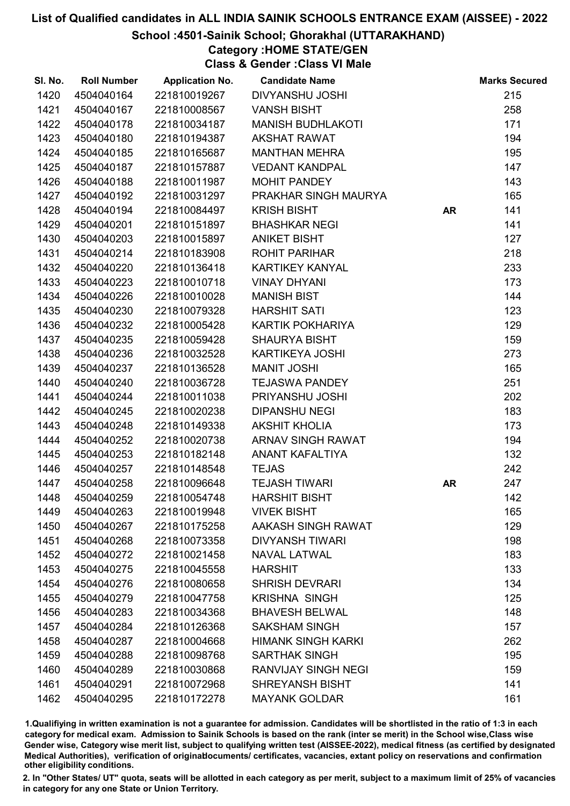#### School :4501-Sainik School; Ghorakhal (UTTARAKHAND)

Category :HOME STATE/GEN

Class & Gender :Class VI Male

| SI. No. | <b>Roll Number</b> | <b>Application No.</b> | <b>Candidate Name</b>      |           | <b>Marks Secured</b> |
|---------|--------------------|------------------------|----------------------------|-----------|----------------------|
| 1420    | 4504040164         | 221810019267           | <b>DIVYANSHU JOSHI</b>     |           | 215                  |
| 1421    | 4504040167         | 221810008567           | <b>VANSH BISHT</b>         |           | 258                  |
| 1422    | 4504040178         | 221810034187           | <b>MANISH BUDHLAKOTI</b>   |           | 171                  |
| 1423    | 4504040180         | 221810194387           | <b>AKSHAT RAWAT</b>        |           | 194                  |
| 1424    | 4504040185         | 221810165687           | <b>MANTHAN MEHRA</b>       |           | 195                  |
| 1425    | 4504040187         | 221810157887           | <b>VEDANT KANDPAL</b>      |           | 147                  |
| 1426    | 4504040188         | 221810011987           | <b>MOHIT PANDEY</b>        |           | 143                  |
| 1427    | 4504040192         | 221810031297           | PRAKHAR SINGH MAURYA       |           | 165                  |
| 1428    | 4504040194         | 221810084497           | <b>KRISH BISHT</b>         | <b>AR</b> | 141                  |
| 1429    | 4504040201         | 221810151897           | <b>BHASHKAR NEGI</b>       |           | 141                  |
| 1430    | 4504040203         | 221810015897           | <b>ANIKET BISHT</b>        |           | 127                  |
| 1431    | 4504040214         | 221810183908           | <b>ROHIT PARIHAR</b>       |           | 218                  |
| 1432    | 4504040220         | 221810136418           | <b>KARTIKEY KANYAL</b>     |           | 233                  |
| 1433    | 4504040223         | 221810010718           | <b>VINAY DHYANI</b>        |           | 173                  |
| 1434    | 4504040226         | 221810010028           | <b>MANISH BIST</b>         |           | 144                  |
| 1435    | 4504040230         | 221810079328           | <b>HARSHIT SATI</b>        |           | 123                  |
| 1436    | 4504040232         | 221810005428           | KARTIK POKHARIYA           |           | 129                  |
| 1437    | 4504040235         | 221810059428           | <b>SHAURYA BISHT</b>       |           | 159                  |
| 1438    | 4504040236         | 221810032528           | <b>KARTIKEYA JOSHI</b>     |           | 273                  |
| 1439    | 4504040237         | 221810136528           | <b>MANIT JOSHI</b>         |           | 165                  |
| 1440    | 4504040240         | 221810036728           | <b>TEJASWA PANDEY</b>      |           | 251                  |
| 1441    | 4504040244         | 221810011038           | PRIYANSHU JOSHI            |           | 202                  |
| 1442    | 4504040245         | 221810020238           | <b>DIPANSHU NEGI</b>       |           | 183                  |
| 1443    | 4504040248         | 221810149338           | <b>AKSHIT KHOLIA</b>       |           | 173                  |
| 1444    | 4504040252         | 221810020738           | ARNAV SINGH RAWAT          |           | 194                  |
| 1445    | 4504040253         | 221810182148           | ANANT KAFALTIYA            |           | 132                  |
| 1446    | 4504040257         | 221810148548           | <b>TEJAS</b>               |           | 242                  |
| 1447    | 4504040258         | 221810096648           | <b>TEJASH TIWARI</b>       | <b>AR</b> | 247                  |
| 1448    | 4504040259         | 221810054748           | <b>HARSHIT BISHT</b>       |           | 142                  |
| 1449    | 4504040263         | 221810019948           | <b>VIVEK BISHT</b>         |           | 165                  |
| 1450    | 4504040267         | 221810175258           | AAKASH SINGH RAWAT         |           | 129                  |
| 1451    | 4504040268         | 221810073358           | <b>DIVYANSH TIWARI</b>     |           | 198                  |
| 1452    | 4504040272         | 221810021458           | <b>NAVAL LATWAL</b>        |           | 183                  |
| 1453    | 4504040275         | 221810045558           | <b>HARSHIT</b>             |           | 133                  |
| 1454    | 4504040276         | 221810080658           | <b>SHRISH DEVRARI</b>      |           | 134                  |
| 1455    | 4504040279         | 221810047758           | <b>KRISHNA SINGH</b>       |           | 125                  |
| 1456    | 4504040283         | 221810034368           | <b>BHAVESH BELWAL</b>      |           | 148                  |
| 1457    | 4504040284         | 221810126368           | <b>SAKSHAM SINGH</b>       |           | 157                  |
| 1458    | 4504040287         | 221810004668           | <b>HIMANK SINGH KARKI</b>  |           | 262                  |
| 1459    | 4504040288         | 221810098768           | <b>SARTHAK SINGH</b>       |           | 195                  |
| 1460    | 4504040289         | 221810030868           | <b>RANVIJAY SINGH NEGI</b> |           | 159                  |
| 1461    | 4504040291         | 221810072968           | <b>SHREYANSH BISHT</b>     |           | 141                  |
| 1462    | 4504040295         | 221810172278           | <b>MAYANK GOLDAR</b>       |           | 161                  |

1.Qualifiying in written examination is not a guarantee for admission. Candidates will be shortlisted in the ratio of 1:3 in each category for medical exam. Admission to Sainik Schools is based on the rank (inter se merit) in the School wise,Class wise Gender wise, Category wise merit list, subject to qualifying written test (AISSEE-2022), medical fitness (as certified by designated Medical Authorities), verification of originablocuments/ certificates, vacancies, extant policy on reservations and confirmation other eligibility conditions.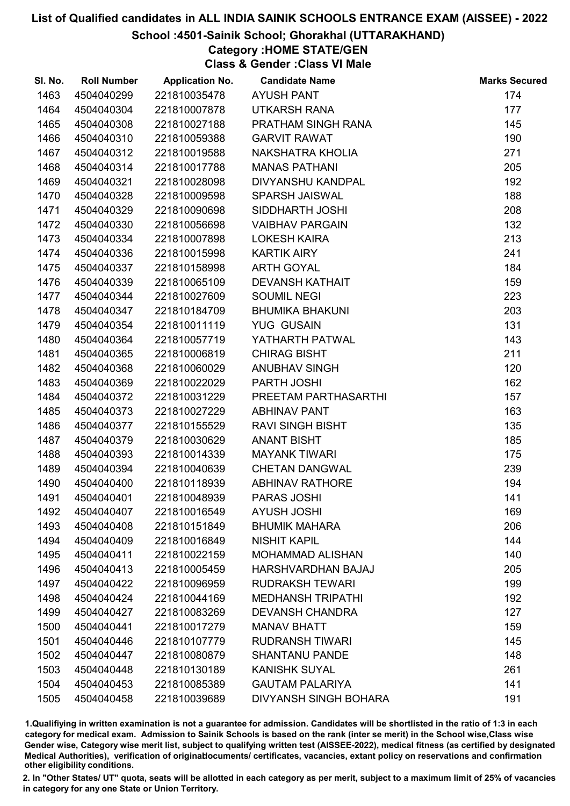### School :4501-Sainik School; Ghorakhal (UTTARAKHAND)

# Category :HOME STATE/GEN

Class & Gender :Class VI Male

| SI. No. | <b>Roll Number</b> | <b>Application No.</b> | <b>Candidate Name</b>        | <b>Marks Secured</b> |
|---------|--------------------|------------------------|------------------------------|----------------------|
| 1463    | 4504040299         | 221810035478           | <b>AYUSH PANT</b>            | 174                  |
| 1464    | 4504040304         | 221810007878           | <b>UTKARSH RANA</b>          | 177                  |
| 1465    | 4504040308         | 221810027188           | PRATHAM SINGH RANA           | 145                  |
| 1466    | 4504040310         | 221810059388           | <b>GARVIT RAWAT</b>          | 190                  |
| 1467    | 4504040312         | 221810019588           | NAKSHATRA KHOLIA             | 271                  |
| 1468    | 4504040314         | 221810017788           | <b>MANAS PATHANI</b>         | 205                  |
| 1469    | 4504040321         | 221810028098           | DIVYANSHU KANDPAL            | 192                  |
| 1470    | 4504040328         | 221810009598           | <b>SPARSH JAISWAL</b>        | 188                  |
| 1471    | 4504040329         | 221810090698           | SIDDHARTH JOSHI              | 208                  |
| 1472    | 4504040330         | 221810056698           | <b>VAIBHAV PARGAIN</b>       | 132                  |
| 1473    | 4504040334         | 221810007898           | <b>LOKESH KAIRA</b>          | 213                  |
| 1474    | 4504040336         | 221810015998           | <b>KARTIK AIRY</b>           | 241                  |
| 1475    | 4504040337         | 221810158998           | <b>ARTH GOYAL</b>            | 184                  |
| 1476    | 4504040339         | 221810065109           | <b>DEVANSH KATHAIT</b>       | 159                  |
| 1477    | 4504040344         | 221810027609           | <b>SOUMIL NEGI</b>           | 223                  |
| 1478    | 4504040347         | 221810184709           | <b>BHUMIKA BHAKUNI</b>       | 203                  |
| 1479    | 4504040354         | 221810011119           | <b>YUG GUSAIN</b>            | 131                  |
| 1480    | 4504040364         | 221810057719           | YATHARTH PATWAL              | 143                  |
| 1481    | 4504040365         | 221810006819           | <b>CHIRAG BISHT</b>          | 211                  |
| 1482    | 4504040368         | 221810060029           | <b>ANUBHAV SINGH</b>         | 120                  |
| 1483    | 4504040369         | 221810022029           | PARTH JOSHI                  | 162                  |
| 1484    | 4504040372         | 221810031229           | PREETAM PARTHASARTHI         | 157                  |
| 1485    | 4504040373         | 221810027229           | <b>ABHINAV PANT</b>          | 163                  |
| 1486    | 4504040377         | 221810155529           | <b>RAVI SINGH BISHT</b>      | 135                  |
| 1487    | 4504040379         | 221810030629           | <b>ANANT BISHT</b>           | 185                  |
| 1488    | 4504040393         | 221810014339           | <b>MAYANK TIWARI</b>         | 175                  |
| 1489    | 4504040394         | 221810040639           | <b>CHETAN DANGWAL</b>        | 239                  |
| 1490    | 4504040400         | 221810118939           | <b>ABHINAV RATHORE</b>       | 194                  |
| 1491    | 4504040401         | 221810048939           | PARAS JOSHI                  | 141                  |
| 1492    | 4504040407         | 221810016549           | <b>AYUSH JOSHI</b>           | 169                  |
| 1493    | 4504040408         | 221810151849           | <b>BHUMIK MAHARA</b>         | 206                  |
| 1494    | 4504040409         | 221810016849           | <b>NISHIT KAPIL</b>          | 144                  |
| 1495    | 4504040411         | 221810022159           | <b>MOHAMMAD ALISHAN</b>      | 140                  |
| 1496    | 4504040413         | 221810005459           | HARSHVARDHAN BAJAJ           | 205                  |
| 1497    | 4504040422         | 221810096959           | <b>RUDRAKSH TEWARI</b>       | 199                  |
| 1498    | 4504040424         | 221810044169           | <b>MEDHANSH TRIPATHI</b>     | 192                  |
| 1499    | 4504040427         | 221810083269           | <b>DEVANSH CHANDRA</b>       | 127                  |
| 1500    | 4504040441         | 221810017279           | <b>MANAV BHATT</b>           | 159                  |
| 1501    | 4504040446         | 221810107779           | <b>RUDRANSH TIWARI</b>       | 145                  |
| 1502    | 4504040447         | 221810080879           | <b>SHANTANU PANDE</b>        | 148                  |
| 1503    | 4504040448         | 221810130189           | <b>KANISHK SUYAL</b>         | 261                  |
| 1504    | 4504040453         | 221810085389           | <b>GAUTAM PALARIYA</b>       | 141                  |
| 1505    | 4504040458         | 221810039689           | <b>DIVYANSH SINGH BOHARA</b> | 191                  |

1.Qualifiying in written examination is not a guarantee for admission. Candidates will be shortlisted in the ratio of 1:3 in each category for medical exam. Admission to Sainik Schools is based on the rank (inter se merit) in the School wise,Class wise Gender wise, Category wise merit list, subject to qualifying written test (AISSEE-2022), medical fitness (as certified by designated Medical Authorities), verification of originablocuments/ certificates, vacancies, extant policy on reservations and confirmation other eligibility conditions.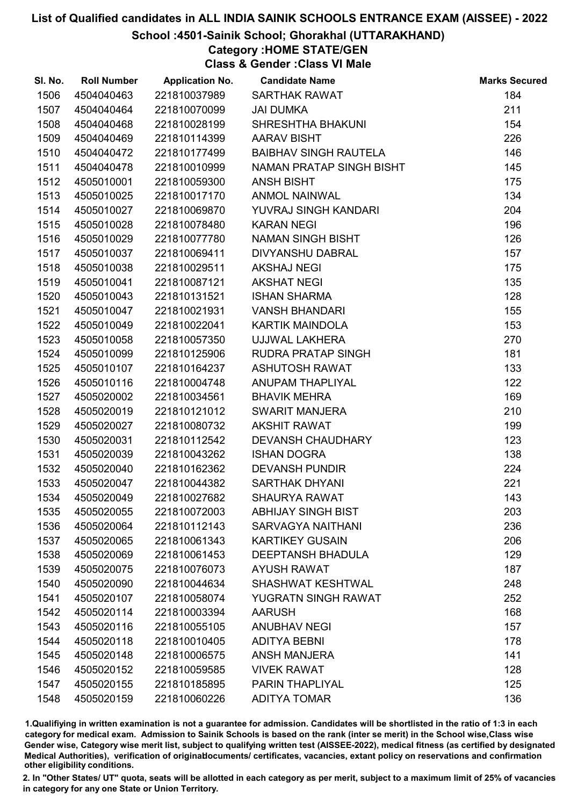### School :4501-Sainik School; Ghorakhal (UTTARAKHAND)

# Category :HOME STATE/GEN

Class & Gender :Class VI Male

| SI. No. | <b>Roll Number</b> | <b>Application No.</b> | <b>Candidate Name</b>        | <b>Marks Secured</b> |
|---------|--------------------|------------------------|------------------------------|----------------------|
| 1506    | 4504040463         | 221810037989           | <b>SARTHAK RAWAT</b>         | 184                  |
| 1507    | 4504040464         | 221810070099           | <b>JAI DUMKA</b>             | 211                  |
| 1508    | 4504040468         | 221810028199           | SHRESHTHA BHAKUNI            | 154                  |
| 1509    | 4504040469         | 221810114399           | <b>AARAV BISHT</b>           | 226                  |
| 1510    | 4504040472         | 221810177499           | <b>BAIBHAV SINGH RAUTELA</b> | 146                  |
| 1511    | 4504040478         | 221810010999           | NAMAN PRATAP SINGH BISHT     | 145                  |
| 1512    | 4505010001         | 221810059300           | <b>ANSH BISHT</b>            | 175                  |
| 1513    | 4505010025         | 221810017170           | <b>ANMOL NAINWAL</b>         | 134                  |
| 1514    | 4505010027         | 221810069870           | YUVRAJ SINGH KANDARI         | 204                  |
| 1515    | 4505010028         | 221810078480           | <b>KARAN NEGI</b>            | 196                  |
| 1516    | 4505010029         | 221810077780           | <b>NAMAN SINGH BISHT</b>     | 126                  |
| 1517    | 4505010037         | 221810069411           | DIVYANSHU DABRAL             | 157                  |
| 1518    | 4505010038         | 221810029511           | <b>AKSHAJ NEGI</b>           | 175                  |
| 1519    | 4505010041         | 221810087121           | <b>AKSHAT NEGI</b>           | 135                  |
| 1520    | 4505010043         | 221810131521           | <b>ISHAN SHARMA</b>          | 128                  |
| 1521    | 4505010047         | 221810021931           | <b>VANSH BHANDARI</b>        | 155                  |
| 1522    | 4505010049         | 221810022041           | <b>KARTIK MAINDOLA</b>       | 153                  |
| 1523    | 4505010058         | 221810057350           | UJJWAL LAKHERA               | 270                  |
| 1524    | 4505010099         | 221810125906           | RUDRA PRATAP SINGH           | 181                  |
| 1525    | 4505010107         | 221810164237           | <b>ASHUTOSH RAWAT</b>        | 133                  |
| 1526    | 4505010116         | 221810004748           | ANUPAM THAPLIYAL             | 122                  |
| 1527    | 4505020002         | 221810034561           | <b>BHAVIK MEHRA</b>          | 169                  |
| 1528    | 4505020019         | 221810121012           | <b>SWARIT MANJERA</b>        | 210                  |
| 1529    | 4505020027         | 221810080732           | <b>AKSHIT RAWAT</b>          | 199                  |
| 1530    | 4505020031         | 221810112542           | <b>DEVANSH CHAUDHARY</b>     | 123                  |
| 1531    | 4505020039         | 221810043262           | <b>ISHAN DOGRA</b>           | 138                  |
| 1532    | 4505020040         | 221810162362           | <b>DEVANSH PUNDIR</b>        | 224                  |
| 1533    | 4505020047         | 221810044382           | <b>SARTHAK DHYANI</b>        | 221                  |
| 1534    | 4505020049         | 221810027682           | <b>SHAURYA RAWAT</b>         | 143                  |
| 1535    | 4505020055         | 221810072003           | <b>ABHIJAY SINGH BIST</b>    | 203                  |
| 1536    | 4505020064         | 221810112143           | <b>SARVAGYA NAITHANI</b>     | 236                  |
| 1537    | 4505020065         | 221810061343           | <b>KARTIKEY GUSAIN</b>       | 206                  |
| 1538    | 4505020069         | 221810061453           | <b>DEEPTANSH BHADULA</b>     | 129                  |
| 1539    | 4505020075         | 221810076073           | <b>AYUSH RAWAT</b>           | 187                  |
| 1540    | 4505020090         | 221810044634           | <b>SHASHWAT KESHTWAL</b>     | 248                  |
| 1541    | 4505020107         | 221810058074           | YUGRATN SINGH RAWAT          | 252                  |
| 1542    | 4505020114         | 221810003394           | <b>AARUSH</b>                | 168                  |
| 1543    | 4505020116         | 221810055105           | <b>ANUBHAV NEGI</b>          | 157                  |
| 1544    | 4505020118         | 221810010405           | <b>ADITYA BEBNI</b>          | 178                  |
| 1545    | 4505020148         | 221810006575           | <b>ANSH MANJERA</b>          | 141                  |
| 1546    | 4505020152         | 221810059585           | <b>VIVEK RAWAT</b>           | 128                  |
| 1547    | 4505020155         | 221810185895           | PARIN THAPLIYAL              | 125                  |
| 1548    | 4505020159         | 221810060226           | <b>ADITYA TOMAR</b>          | 136                  |

1.Qualifiying in written examination is not a guarantee for admission. Candidates will be shortlisted in the ratio of 1:3 in each category for medical exam. Admission to Sainik Schools is based on the rank (inter se merit) in the School wise,Class wise Gender wise, Category wise merit list, subject to qualifying written test (AISSEE-2022), medical fitness (as certified by designated Medical Authorities), verification of originablocuments/ certificates, vacancies, extant policy on reservations and confirmation other eligibility conditions.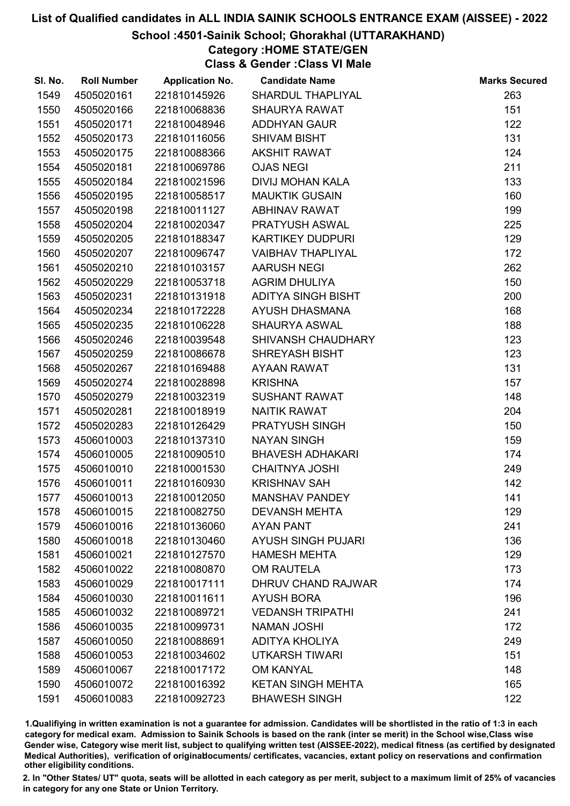### School :4501-Sainik School; Ghorakhal (UTTARAKHAND)

# Category :HOME STATE/GEN

Class & Gender :Class VI Male

| SI. No. | <b>Roll Number</b> | <b>Application No.</b> | <b>Candidate Name</b>     | <b>Marks Secured</b> |
|---------|--------------------|------------------------|---------------------------|----------------------|
| 1549    | 4505020161         | 221810145926           | SHARDUL THAPLIYAL         | 263                  |
| 1550    | 4505020166         | 221810068836           | <b>SHAURYA RAWAT</b>      | 151                  |
| 1551    | 4505020171         | 221810048946           | <b>ADDHYAN GAUR</b>       | 122                  |
| 1552    | 4505020173         | 221810116056           | <b>SHIVAM BISHT</b>       | 131                  |
| 1553    | 4505020175         | 221810088366           | <b>AKSHIT RAWAT</b>       | 124                  |
| 1554    | 4505020181         | 221810069786           | <b>OJAS NEGI</b>          | 211                  |
| 1555    | 4505020184         | 221810021596           | <b>DIVIJ MOHAN KALA</b>   | 133                  |
| 1556    | 4505020195         | 221810058517           | <b>MAUKTIK GUSAIN</b>     | 160                  |
| 1557    | 4505020198         | 221810011127           | <b>ABHINAV RAWAT</b>      | 199                  |
| 1558    | 4505020204         | 221810020347           | PRATYUSH ASWAL            | 225                  |
| 1559    | 4505020205         | 221810188347           | <b>KARTIKEY DUDPURI</b>   | 129                  |
| 1560    | 4505020207         | 221810096747           | <b>VAIBHAV THAPLIYAL</b>  | 172                  |
| 1561    | 4505020210         | 221810103157           | <b>AARUSH NEGI</b>        | 262                  |
| 1562    | 4505020229         | 221810053718           | <b>AGRIM DHULIYA</b>      | 150                  |
| 1563    | 4505020231         | 221810131918           | <b>ADITYA SINGH BISHT</b> | 200                  |
| 1564    | 4505020234         | 221810172228           | <b>AYUSH DHASMANA</b>     | 168                  |
| 1565    | 4505020235         | 221810106228           | <b>SHAURYA ASWAL</b>      | 188                  |
| 1566    | 4505020246         | 221810039548           | SHIVANSH CHAUDHARY        | 123                  |
| 1567    | 4505020259         | 221810086678           | <b>SHREYASH BISHT</b>     | 123                  |
| 1568    | 4505020267         | 221810169488           | <b>AYAAN RAWAT</b>        | 131                  |
| 1569    | 4505020274         | 221810028898           | <b>KRISHNA</b>            | 157                  |
| 1570    | 4505020279         | 221810032319           | <b>SUSHANT RAWAT</b>      | 148                  |
| 1571    | 4505020281         | 221810018919           | <b>NAITIK RAWAT</b>       | 204                  |
| 1572    | 4505020283         | 221810126429           | PRATYUSH SINGH            | 150                  |
| 1573    | 4506010003         | 221810137310           | <b>NAYAN SINGH</b>        | 159                  |
| 1574    | 4506010005         | 221810090510           | <b>BHAVESH ADHAKARI</b>   | 174                  |
| 1575    | 4506010010         | 221810001530           | <b>CHAITNYA JOSHI</b>     | 249                  |
| 1576    | 4506010011         | 221810160930           | <b>KRISHNAV SAH</b>       | 142                  |
| 1577    | 4506010013         | 221810012050           | <b>MANSHAV PANDEY</b>     | 141                  |
| 1578    | 4506010015         | 221810082750           | <b>DEVANSH MEHTA</b>      | 129                  |
| 1579    | 4506010016         | 221810136060           | <b>AYAN PANT</b>          | 241                  |
| 1580    | 4506010018         | 221810130460           | <b>AYUSH SINGH PUJARI</b> | 136                  |
| 1581    | 4506010021         | 221810127570           | <b>HAMESH MEHTA</b>       | 129                  |
| 1582    | 4506010022         | 221810080870           | <b>OM RAUTELA</b>         | 173                  |
| 1583    | 4506010029         | 221810017111           | <b>DHRUV CHAND RAJWAR</b> | 174                  |
| 1584    | 4506010030         | 221810011611           | <b>AYUSH BORA</b>         | 196                  |
| 1585    | 4506010032         | 221810089721           | <b>VEDANSH TRIPATHI</b>   | 241                  |
| 1586    | 4506010035         | 221810099731           | <b>NAMAN JOSHI</b>        | 172                  |
| 1587    | 4506010050         | 221810088691           | <b>ADITYA KHOLIYA</b>     | 249                  |
| 1588    | 4506010053         | 221810034602           | <b>UTKARSH TIWARI</b>     | 151                  |
| 1589    | 4506010067         | 221810017172           | <b>OM KANYAL</b>          | 148                  |
| 1590    | 4506010072         | 221810016392           | <b>KETAN SINGH MEHTA</b>  | 165                  |
| 1591    | 4506010083         | 221810092723           | <b>BHAWESH SINGH</b>      | 122                  |

1.Qualifiying in written examination is not a guarantee for admission. Candidates will be shortlisted in the ratio of 1:3 in each category for medical exam. Admission to Sainik Schools is based on the rank (inter se merit) in the School wise,Class wise Gender wise, Category wise merit list, subject to qualifying written test (AISSEE-2022), medical fitness (as certified by designated Medical Authorities), verification of originablocuments/ certificates, vacancies, extant policy on reservations and confirmation other eligibility conditions.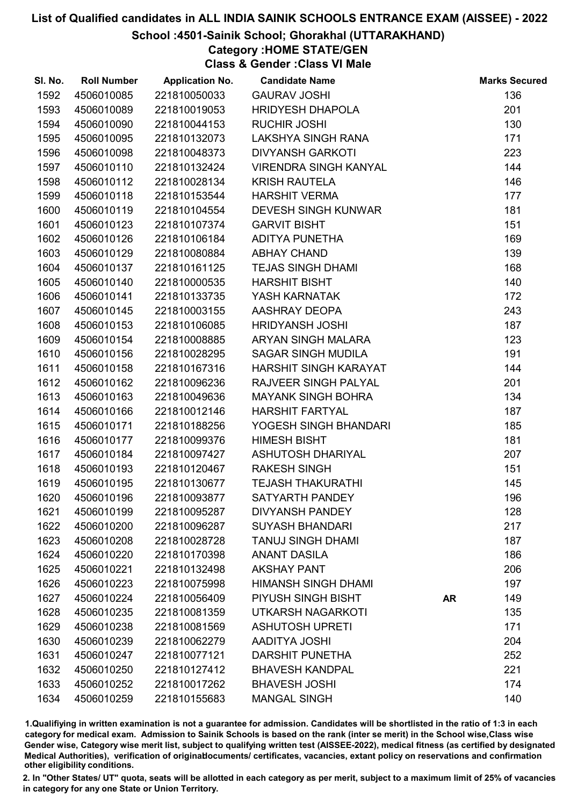### School :4501-Sainik School; Ghorakhal (UTTARAKHAND)

Category :HOME STATE/GEN

Class & Gender :Class VI Male

| SI. No. | <b>Roll Number</b> | <b>Application No.</b> | <b>Candidate Name</b>        |           | <b>Marks Secured</b> |
|---------|--------------------|------------------------|------------------------------|-----------|----------------------|
| 1592    | 4506010085         | 221810050033           | <b>GAURAV JOSHI</b>          |           | 136                  |
| 1593    | 4506010089         | 221810019053           | <b>HRIDYESH DHAPOLA</b>      |           | 201                  |
| 1594    | 4506010090         | 221810044153           | <b>RUCHIR JOSHI</b>          |           | 130                  |
| 1595    | 4506010095         | 221810132073           | LAKSHYA SINGH RANA           |           | 171                  |
| 1596    | 4506010098         | 221810048373           | <b>DIVYANSH GARKOTI</b>      |           | 223                  |
| 1597    | 4506010110         | 221810132424           | <b>VIRENDRA SINGH KANYAL</b> |           | 144                  |
| 1598    | 4506010112         | 221810028134           | <b>KRISH RAUTELA</b>         |           | 146                  |
| 1599    | 4506010118         | 221810153544           | <b>HARSHIT VERMA</b>         |           | 177                  |
| 1600    | 4506010119         | 221810104554           | <b>DEVESH SINGH KUNWAR</b>   |           | 181                  |
| 1601    | 4506010123         | 221810107374           | <b>GARVIT BISHT</b>          |           | 151                  |
| 1602    | 4506010126         | 221810106184           | <b>ADITYA PUNETHA</b>        |           | 169                  |
| 1603    | 4506010129         | 221810080884           | <b>ABHAY CHAND</b>           |           | 139                  |
| 1604    | 4506010137         | 221810161125           | <b>TEJAS SINGH DHAMI</b>     |           | 168                  |
| 1605    | 4506010140         | 221810000535           | <b>HARSHIT BISHT</b>         |           | 140                  |
| 1606    | 4506010141         | 221810133735           | YASH KARNATAK                |           | 172                  |
| 1607    | 4506010145         | 221810003155           | AASHRAY DEOPA                |           | 243                  |
| 1608    | 4506010153         | 221810106085           | HRIDYANSH JOSHI              |           | 187                  |
| 1609    | 4506010154         | 221810008885           | ARYAN SINGH MALARA           |           | 123                  |
| 1610    | 4506010156         | 221810028295           | <b>SAGAR SINGH MUDILA</b>    |           | 191                  |
| 1611    | 4506010158         | 221810167316           | HARSHIT SINGH KARAYAT        |           | 144                  |
| 1612    | 4506010162         | 221810096236           | RAJVEER SINGH PALYAL         |           | 201                  |
| 1613    | 4506010163         | 221810049636           | <b>MAYANK SINGH BOHRA</b>    |           | 134                  |
| 1614    | 4506010166         | 221810012146           | <b>HARSHIT FARTYAL</b>       |           | 187                  |
| 1615    | 4506010171         | 221810188256           | YOGESH SINGH BHANDARI        |           | 185                  |
| 1616    | 4506010177         | 221810099376           | <b>HIMESH BISHT</b>          |           | 181                  |
| 1617    | 4506010184         | 221810097427           | ASHUTOSH DHARIYAL            |           | 207                  |
| 1618    | 4506010193         | 221810120467           | <b>RAKESH SINGH</b>          |           | 151                  |
| 1619    | 4506010195         | 221810130677           | <b>TEJASH THAKURATHI</b>     |           | 145                  |
| 1620    | 4506010196         | 221810093877           | SATYARTH PANDEY              |           | 196                  |
| 1621    | 4506010199         | 221810095287           | <b>DIVYANSH PANDEY</b>       |           | 128                  |
| 1622    | 4506010200         | 221810096287           | <b>SUYASH BHANDARI</b>       |           | 217                  |
| 1623    | 4506010208         | 221810028728           | <b>TANUJ SINGH DHAMI</b>     |           | 187                  |
| 1624    | 4506010220         | 221810170398           | <b>ANANT DASILA</b>          |           | 186                  |
| 1625    | 4506010221         | 221810132498           | <b>AKSHAY PANT</b>           |           | 206                  |
| 1626    | 4506010223         | 221810075998           | <b>HIMANSH SINGH DHAMI</b>   |           | 197                  |
| 1627    | 4506010224         | 221810056409           | PIYUSH SINGH BISHT           | <b>AR</b> | 149                  |
| 1628    | 4506010235         | 221810081359           | <b>UTKARSH NAGARKOTI</b>     |           | 135                  |
| 1629    | 4506010238         | 221810081569           | <b>ASHUTOSH UPRETI</b>       |           | 171                  |
| 1630    | 4506010239         | 221810062279           | <b>AADITYA JOSHI</b>         |           | 204                  |
| 1631    | 4506010247         | 221810077121           | <b>DARSHIT PUNETHA</b>       |           | 252                  |
| 1632    | 4506010250         | 221810127412           | <b>BHAVESH KANDPAL</b>       |           | 221                  |
| 1633    | 4506010252         | 221810017262           | <b>BHAVESH JOSHI</b>         |           | 174                  |
| 1634    | 4506010259         | 221810155683           | <b>MANGAL SINGH</b>          |           | 140                  |

1.Qualifiying in written examination is not a guarantee for admission. Candidates will be shortlisted in the ratio of 1:3 in each category for medical exam. Admission to Sainik Schools is based on the rank (inter se merit) in the School wise,Class wise Gender wise, Category wise merit list, subject to qualifying written test (AISSEE-2022), medical fitness (as certified by designated Medical Authorities), verification of originablocuments/ certificates, vacancies, extant policy on reservations and confirmation other eligibility conditions.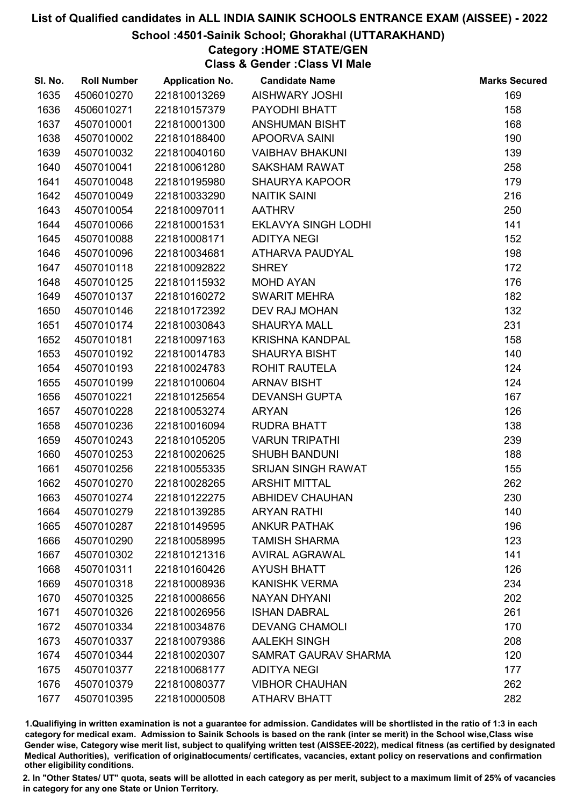### School :4501-Sainik School; Ghorakhal (UTTARAKHAND)

# Category :HOME STATE/GEN

Class & Gender :Class VI Male

| SI. No. | <b>Roll Number</b> | <b>Application No.</b> | <b>Candidate Name</b>       | <b>Marks Secured</b> |
|---------|--------------------|------------------------|-----------------------------|----------------------|
| 1635    | 4506010270         | 221810013269           | <b>AISHWARY JOSHI</b>       | 169                  |
| 1636    | 4506010271         | 221810157379           | PAYODHI BHATT               | 158                  |
| 1637    | 4507010001         | 221810001300           | <b>ANSHUMAN BISHT</b>       | 168                  |
| 1638    | 4507010002         | 221810188400           | APOORVA SAINI               | 190                  |
| 1639    | 4507010032         | 221810040160           | <b>VAIBHAV BHAKUNI</b>      | 139                  |
| 1640    | 4507010041         | 221810061280           | <b>SAKSHAM RAWAT</b>        | 258                  |
| 1641    | 4507010048         | 221810195980           | <b>SHAURYA KAPOOR</b>       | 179                  |
| 1642    | 4507010049         | 221810033290           | <b>NAITIK SAINI</b>         | 216                  |
| 1643    | 4507010054         | 221810097011           | <b>AATHRV</b>               | 250                  |
| 1644    | 4507010066         | 221810001531           | <b>EKLAVYA SINGH LODHI</b>  | 141                  |
| 1645    | 4507010088         | 221810008171           | <b>ADITYA NEGI</b>          | 152                  |
| 1646    | 4507010096         | 221810034681           | ATHARVA PAUDYAL             | 198                  |
| 1647    | 4507010118         | 221810092822           | <b>SHREY</b>                | 172                  |
| 1648    | 4507010125         | 221810115932           | <b>MOHD AYAN</b>            | 176                  |
| 1649    | 4507010137         | 221810160272           | <b>SWARIT MEHRA</b>         | 182                  |
| 1650    | 4507010146         | 221810172392           | DEV RAJ MOHAN               | 132                  |
| 1651    | 4507010174         | 221810030843           | <b>SHAURYA MALL</b>         | 231                  |
| 1652    | 4507010181         | 221810097163           | <b>KRISHNA KANDPAL</b>      | 158                  |
| 1653    | 4507010192         | 221810014783           | <b>SHAURYA BISHT</b>        | 140                  |
| 1654    | 4507010193         | 221810024783           | <b>ROHIT RAUTELA</b>        | 124                  |
| 1655    | 4507010199         | 221810100604           | <b>ARNAV BISHT</b>          | 124                  |
| 1656    | 4507010221         | 221810125654           | <b>DEVANSH GUPTA</b>        | 167                  |
| 1657    | 4507010228         | 221810053274           | <b>ARYAN</b>                | 126                  |
| 1658    | 4507010236         | 221810016094           | <b>RUDRA BHATT</b>          | 138                  |
| 1659    | 4507010243         | 221810105205           | <b>VARUN TRIPATHI</b>       | 239                  |
| 1660    | 4507010253         | 221810020625           | <b>SHUBH BANDUNI</b>        | 188                  |
| 1661    | 4507010256         | 221810055335           | SRIJAN SINGH RAWAT          | 155                  |
| 1662    | 4507010270         | 221810028265           | <b>ARSHIT MITTAL</b>        | 262                  |
| 1663    | 4507010274         | 221810122275           | <b>ABHIDEV CHAUHAN</b>      | 230                  |
| 1664    | 4507010279         | 221810139285           | <b>ARYAN RATHI</b>          | 140                  |
| 1665    | 4507010287         | 221810149595           | <b>ANKUR PATHAK</b>         | 196                  |
| 1666    | 4507010290         | 221810058995           | <b>TAMISH SHARMA</b>        | 123                  |
| 1667    | 4507010302         | 221810121316           | <b>AVIRAL AGRAWAL</b>       | 141                  |
| 1668    | 4507010311         | 221810160426           | <b>AYUSH BHATT</b>          | 126                  |
| 1669    | 4507010318         | 221810008936           | <b>KANISHK VERMA</b>        | 234                  |
| 1670    | 4507010325         | 221810008656           | <b>NAYAN DHYANI</b>         | 202                  |
| 1671    | 4507010326         | 221810026956           | <b>ISHAN DABRAL</b>         | 261                  |
| 1672    | 4507010334         | 221810034876           | <b>DEVANG CHAMOLI</b>       | 170                  |
| 1673    | 4507010337         | 221810079386           | <b>AALEKH SINGH</b>         | 208                  |
| 1674    | 4507010344         | 221810020307           | <b>SAMRAT GAURAV SHARMA</b> | 120                  |
| 1675    | 4507010377         | 221810068177           | <b>ADITYA NEGI</b>          | 177                  |
| 1676    | 4507010379         | 221810080377           | <b>VIBHOR CHAUHAN</b>       | 262                  |
| 1677    | 4507010395         | 221810000508           | <b>ATHARV BHATT</b>         | 282                  |

1.Qualifiying in written examination is not a guarantee for admission. Candidates will be shortlisted in the ratio of 1:3 in each category for medical exam. Admission to Sainik Schools is based on the rank (inter se merit) in the School wise,Class wise Gender wise, Category wise merit list, subject to qualifying written test (AISSEE-2022), medical fitness (as certified by designated Medical Authorities), verification of originablocuments/ certificates, vacancies, extant policy on reservations and confirmation other eligibility conditions.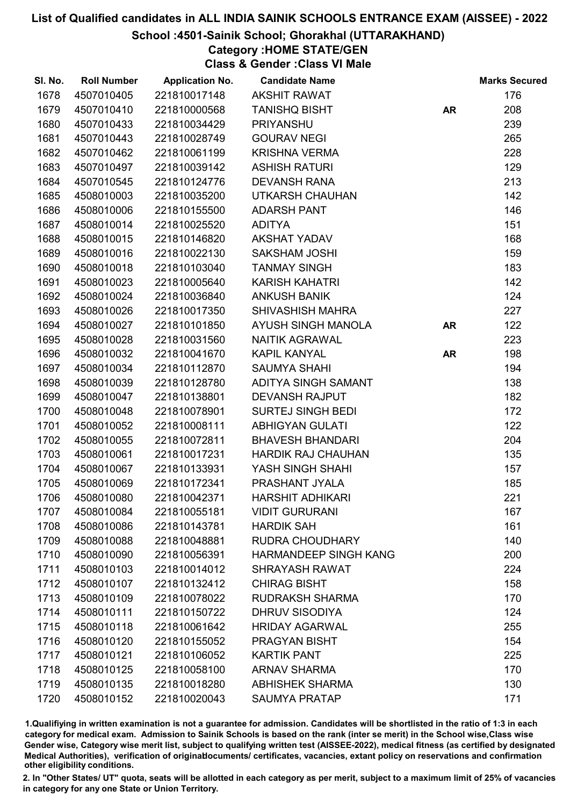### School :4501-Sainik School; Ghorakhal (UTTARAKHAND)

# Category :HOME STATE/GEN

Class & Gender :Class VI Male

| SI. No. | <b>Roll Number</b> | <b>Application No.</b> | <b>Candidate Name</b>     |           | <b>Marks Secured</b> |
|---------|--------------------|------------------------|---------------------------|-----------|----------------------|
| 1678    | 4507010405         | 221810017148           | <b>AKSHIT RAWAT</b>       |           | 176                  |
| 1679    | 4507010410         | 221810000568           | <b>TANISHQ BISHT</b>      | <b>AR</b> | 208                  |
| 1680    | 4507010433         | 221810034429           | <b>PRIYANSHU</b>          |           | 239                  |
| 1681    | 4507010443         | 221810028749           | <b>GOURAV NEGI</b>        |           | 265                  |
| 1682    | 4507010462         | 221810061199           | <b>KRISHNA VERMA</b>      |           | 228                  |
| 1683    | 4507010497         | 221810039142           | <b>ASHISH RATURI</b>      |           | 129                  |
| 1684    | 4507010545         | 221810124776           | <b>DEVANSH RANA</b>       |           | 213                  |
| 1685    | 4508010003         | 221810035200           | <b>UTKARSH CHAUHAN</b>    |           | 142                  |
| 1686    | 4508010006         | 221810155500           | <b>ADARSH PANT</b>        |           | 146                  |
| 1687    | 4508010014         | 221810025520           | <b>ADITYA</b>             |           | 151                  |
| 1688    | 4508010015         | 221810146820           | <b>AKSHAT YADAV</b>       |           | 168                  |
| 1689    | 4508010016         | 221810022130           | <b>SAKSHAM JOSHI</b>      |           | 159                  |
| 1690    | 4508010018         | 221810103040           | <b>TANMAY SINGH</b>       |           | 183                  |
| 1691    | 4508010023         | 221810005640           | <b>KARISH KAHATRI</b>     |           | 142                  |
| 1692    | 4508010024         | 221810036840           | <b>ANKUSH BANIK</b>       |           | 124                  |
| 1693    | 4508010026         | 221810017350           | <b>SHIVASHISH MAHRA</b>   |           | 227                  |
| 1694    | 4508010027         | 221810101850           | AYUSH SINGH MANOLA        | <b>AR</b> | 122                  |
| 1695    | 4508010028         | 221810031560           | <b>NAITIK AGRAWAL</b>     |           | 223                  |
| 1696    | 4508010032         | 221810041670           | <b>KAPIL KANYAL</b>       | <b>AR</b> | 198                  |
| 1697    | 4508010034         | 221810112870           | <b>SAUMYA SHAHI</b>       |           | 194                  |
| 1698    | 4508010039         | 221810128780           | ADITYA SINGH SAMANT       |           | 138                  |
| 1699    | 4508010047         | 221810138801           | <b>DEVANSH RAJPUT</b>     |           | 182                  |
| 1700    | 4508010048         | 221810078901           | <b>SURTEJ SINGH BEDI</b>  |           | 172                  |
| 1701    | 4508010052         | 221810008111           | <b>ABHIGYAN GULATI</b>    |           | 122                  |
| 1702    | 4508010055         | 221810072811           | <b>BHAVESH BHANDARI</b>   |           | 204                  |
| 1703    | 4508010061         | 221810017231           | <b>HARDIK RAJ CHAUHAN</b> |           | 135                  |
| 1704    | 4508010067         | 221810133931           | YASH SINGH SHAHI          |           | 157                  |
| 1705    | 4508010069         | 221810172341           | PRASHANT JYALA            |           | 185                  |
| 1706    | 4508010080         | 221810042371           | <b>HARSHIT ADHIKARI</b>   |           | 221                  |
| 1707    | 4508010084         | 221810055181           | <b>VIDIT GURURANI</b>     |           | 167                  |
| 1708    | 4508010086         | 221810143781           | <b>HARDIK SAH</b>         |           | 161                  |
| 1709    | 4508010088         | 221810048881           | <b>RUDRA CHOUDHARY</b>    |           | 140                  |
| 1710    | 4508010090         | 221810056391           | HARMANDEEP SINGH KANG     |           | 200                  |
| 1711    | 4508010103         | 221810014012           | <b>SHRAYASH RAWAT</b>     |           | 224                  |
| 1712    | 4508010107         | 221810132412           | <b>CHIRAG BISHT</b>       |           | 158                  |
| 1713    | 4508010109         | 221810078022           | <b>RUDRAKSH SHARMA</b>    |           | 170                  |
| 1714    | 4508010111         | 221810150722           | <b>DHRUV SISODIYA</b>     |           | 124                  |
| 1715    | 4508010118         | 221810061642           | <b>HRIDAY AGARWAL</b>     |           | 255                  |
| 1716    | 4508010120         | 221810155052           | <b>PRAGYAN BISHT</b>      |           | 154                  |
| 1717    | 4508010121         | 221810106052           | <b>KARTIK PANT</b>        |           | 225                  |
| 1718    | 4508010125         | 221810058100           | <b>ARNAV SHARMA</b>       |           | 170                  |
| 1719    | 4508010135         | 221810018280           | <b>ABHISHEK SHARMA</b>    |           | 130                  |
| 1720    | 4508010152         | 221810020043           | <b>SAUMYA PRATAP</b>      |           | 171                  |

1.Qualifiying in written examination is not a guarantee for admission. Candidates will be shortlisted in the ratio of 1:3 in each category for medical exam. Admission to Sainik Schools is based on the rank (inter se merit) in the School wise,Class wise Gender wise, Category wise merit list, subject to qualifying written test (AISSEE-2022), medical fitness (as certified by designated Medical Authorities), verification of originablocuments/ certificates, vacancies, extant policy on reservations and confirmation other eligibility conditions.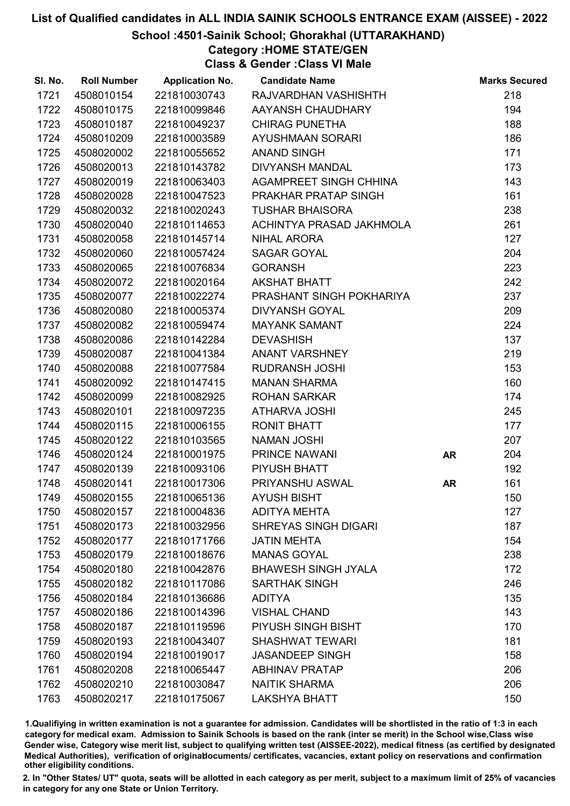### School :4501-Sainik School; Ghorakhal (UTTARAKHAND)

# Category :HOME STATE/GEN

Class & Gender :Class VI Male

| SI. No. | <b>Roll Number</b> | <b>Application No.</b> | <b>Candidate Name</b>         |           | <b>Marks Secured</b> |
|---------|--------------------|------------------------|-------------------------------|-----------|----------------------|
| 1721    | 4508010154         | 221810030743           | RAJVARDHAN VASHISHTH          |           | 218                  |
| 1722    | 4508010175         | 221810099846           | AAYANSH CHAUDHARY             |           | 194                  |
| 1723    | 4508010187         | 221810049237           | <b>CHIRAG PUNETHA</b>         |           | 188                  |
| 1724    | 4508010209         | 221810003589           | AYUSHMAAN SORARI              |           | 186                  |
| 1725    | 4508020002         | 221810055652           | <b>ANAND SINGH</b>            |           | 171                  |
| 1726    | 4508020013         | 221810143782           | <b>DIVYANSH MANDAL</b>        |           | 173                  |
| 1727    | 4508020019         | 221810063403           | <b>AGAMPREET SINGH CHHINA</b> |           | 143                  |
| 1728    | 4508020028         | 221810047523           | PRAKHAR PRATAP SINGH          |           | 161                  |
| 1729    | 4508020032         | 221810020243           | <b>TUSHAR BHAISORA</b>        |           | 238                  |
| 1730    | 4508020040         | 221810114653           | ACHINTYA PRASAD JAKHMOLA      |           | 261                  |
| 1731    | 4508020058         | 221810145714           | <b>NIHAL ARORA</b>            |           | 127                  |
| 1732    | 4508020060         | 221810057424           | <b>SAGAR GOYAL</b>            |           | 204                  |
| 1733    | 4508020065         | 221810076834           | <b>GORANSH</b>                |           | 223                  |
| 1734    | 4508020072         | 221810020164           | <b>AKSHAT BHATT</b>           |           | 242                  |
| 1735    | 4508020077         | 221810022274           | PRASHANT SINGH POKHARIYA      |           | 237                  |
| 1736    | 4508020080         | 221810005374           | <b>DIVYANSH GOYAL</b>         |           | 209                  |
| 1737    | 4508020082         | 221810059474           | <b>MAYANK SAMANT</b>          |           | 224                  |
| 1738    | 4508020086         | 221810142284           | <b>DEVASHISH</b>              |           | 137                  |
| 1739    | 4508020087         | 221810041384           | <b>ANANT VARSHNEY</b>         |           | 219                  |
| 1740    | 4508020088         | 221810077584           | <b>RUDRANSH JOSHI</b>         |           | 153                  |
| 1741    | 4508020092         | 221810147415           | <b>MANAN SHARMA</b>           |           | 160                  |
| 1742    | 4508020099         | 221810082925           | <b>ROHAN SARKAR</b>           |           | 174                  |
| 1743    | 4508020101         | 221810097235           | <b>ATHARVA JOSHI</b>          |           | 245                  |
| 1744    | 4508020115         | 221810006155           | <b>RONIT BHATT</b>            |           | 177                  |
| 1745    | 4508020122         | 221810103565           | <b>NAMAN JOSHI</b>            |           | 207                  |
| 1746    | 4508020124         | 221810001975           | PRINCE NAWANI                 | <b>AR</b> | 204                  |
| 1747    | 4508020139         | 221810093106           | PIYUSH BHATT                  |           | 192                  |
| 1748    | 4508020141         | 221810017306           | PRIYANSHU ASWAL               | <b>AR</b> | 161                  |
| 1749    | 4508020155         | 221810065136           | <b>AYUSH BISHT</b>            |           | 150                  |
| 1750    | 4508020157         | 221810004836           | <b>ADITYA MEHTA</b>           |           | 127                  |
| 1751    | 4508020173         | 221810032956           | <b>SHREYAS SINGH DIGARI</b>   |           | 187                  |
| 1752    | 4508020177         | 221810171766           | <b>JATIN MEHTA</b>            |           | 154                  |
| 1753    | 4508020179         | 221810018676           | <b>MANAS GOYAL</b>            |           | 238                  |
| 1754    | 4508020180         | 221810042876           | <b>BHAWESH SINGH JYALA</b>    |           | 172                  |
| 1755    | 4508020182         | 221810117086           | <b>SARTHAK SINGH</b>          |           | 246                  |
| 1756    | 4508020184         | 221810136686           | <b>ADITYA</b>                 |           | 135                  |
| 1757    | 4508020186         | 221810014396           | <b>VISHAL CHAND</b>           |           | 143                  |
| 1758    | 4508020187         | 221810119596           | <b>PIYUSH SINGH BISHT</b>     |           | 170                  |
| 1759    | 4508020193         | 221810043407           | <b>SHASHWAT TEWARI</b>        |           | 181                  |
| 1760    | 4508020194         | 221810019017           | <b>JASANDEEP SINGH</b>        |           | 158                  |
| 1761    | 4508020208         | 221810065447           | <b>ABHINAV PRATAP</b>         |           | 206                  |
| 1762    | 4508020210         | 221810030847           | <b>NAITIK SHARMA</b>          |           | 206                  |
| 1763    | 4508020217         | 221810175067           | <b>LAKSHYA BHATT</b>          |           | 150                  |

1.Qualifiying in written examination is not a guarantee for admission. Candidates will be shortlisted in the ratio of 1:3 in each category for medical exam. Admission to Sainik Schools is based on the rank (inter se merit) in the School wise,Class wise Gender wise, Category wise merit list, subject to qualifying written test (AISSEE-2022), medical fitness (as certified by designated Medical Authorities), verification of originablocuments/ certificates, vacancies, extant policy on reservations and confirmation other eligibility conditions.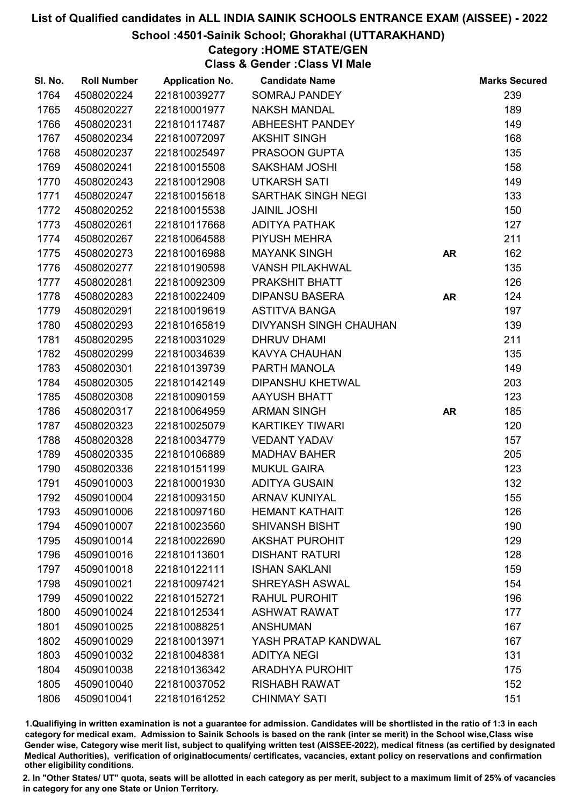### School :4501-Sainik School; Ghorakhal (UTTARAKHAND)

# Category :HOME STATE/GEN

Class & Gender :Class VI Male

| SI. No. | <b>Roll Number</b> | <b>Application No.</b> | <b>Candidate Name</b>         |           | <b>Marks Secured</b> |
|---------|--------------------|------------------------|-------------------------------|-----------|----------------------|
| 1764    | 4508020224         | 221810039277           | <b>SOMRAJ PANDEY</b>          |           | 239                  |
| 1765    | 4508020227         | 221810001977           | <b>NAKSH MANDAL</b>           |           | 189                  |
| 1766    | 4508020231         | 221810117487           | ABHEESHT PANDEY               |           | 149                  |
| 1767    | 4508020234         | 221810072097           | <b>AKSHIT SINGH</b>           |           | 168                  |
| 1768    | 4508020237         | 221810025497           | PRASOON GUPTA                 |           | 135                  |
| 1769    | 4508020241         | 221810015508           | <b>SAKSHAM JOSHI</b>          |           | 158                  |
| 1770    | 4508020243         | 221810012908           | <b>UTKARSH SATI</b>           |           | 149                  |
| 1771    | 4508020247         | 221810015618           | <b>SARTHAK SINGH NEGI</b>     |           | 133                  |
| 1772    | 4508020252         | 221810015538           | <b>JAINIL JOSHI</b>           |           | 150                  |
| 1773    | 4508020261         | 221810117668           | <b>ADITYA PATHAK</b>          |           | 127                  |
| 1774    | 4508020267         | 221810064588           | PIYUSH MEHRA                  |           | 211                  |
| 1775    | 4508020273         | 221810016988           | <b>MAYANK SINGH</b>           | <b>AR</b> | 162                  |
| 1776    | 4508020277         | 221810190598           | <b>VANSH PILAKHWAL</b>        |           | 135                  |
| 1777    | 4508020281         | 221810092309           | PRAKSHIT BHATT                |           | 126                  |
| 1778    | 4508020283         | 221810022409           | <b>DIPANSU BASERA</b>         | <b>AR</b> | 124                  |
| 1779    | 4508020291         | 221810019619           | <b>ASTITVA BANGA</b>          |           | 197                  |
| 1780    | 4508020293         | 221810165819           | <b>DIVYANSH SINGH CHAUHAN</b> |           | 139                  |
| 1781    | 4508020295         | 221810031029           | <b>DHRUV DHAMI</b>            |           | 211                  |
| 1782    | 4508020299         | 221810034639           | <b>KAVYA CHAUHAN</b>          |           | 135                  |
| 1783    | 4508020301         | 221810139739           | PARTH MANOLA                  |           | 149                  |
| 1784    | 4508020305         | 221810142149           | <b>DIPANSHU KHETWAL</b>       |           | 203                  |
| 1785    | 4508020308         | 221810090159           | <b>AAYUSH BHATT</b>           |           | 123                  |
| 1786    | 4508020317         | 221810064959           | <b>ARMAN SINGH</b>            | <b>AR</b> | 185                  |
| 1787    | 4508020323         | 221810025079           | <b>KARTIKEY TIWARI</b>        |           | 120                  |
| 1788    | 4508020328         | 221810034779           | <b>VEDANT YADAV</b>           |           | 157                  |
| 1789    | 4508020335         | 221810106889           | <b>MADHAV BAHER</b>           |           | 205                  |
| 1790    | 4508020336         | 221810151199           | <b>MUKUL GAIRA</b>            |           | 123                  |
| 1791    | 4509010003         | 221810001930           | <b>ADITYA GUSAIN</b>          |           | 132                  |
| 1792    | 4509010004         | 221810093150           | <b>ARNAV KUNIYAL</b>          |           | 155                  |
| 1793    | 4509010006         | 221810097160           | <b>HEMANT KATHAIT</b>         |           | 126                  |
| 1794    | 4509010007         | 221810023560           | <b>SHIVANSH BISHT</b>         |           | 190                  |
| 1795    | 4509010014         | 221810022690           | <b>AKSHAT PUROHIT</b>         |           | 129                  |
| 1796    | 4509010016         | 221810113601           | <b>DISHANT RATURI</b>         |           | 128                  |
| 1797    | 4509010018         | 221810122111           | <b>ISHAN SAKLANI</b>          |           | 159                  |
| 1798    | 4509010021         | 221810097421           | <b>SHREYASH ASWAL</b>         |           | 154                  |
| 1799    | 4509010022         | 221810152721           | <b>RAHUL PUROHIT</b>          |           | 196                  |
| 1800    | 4509010024         | 221810125341           | <b>ASHWAT RAWAT</b>           |           | 177                  |
| 1801    | 4509010025         | 221810088251           | <b>ANSHUMAN</b>               |           | 167                  |
| 1802    | 4509010029         | 221810013971           | YASH PRATAP KANDWAL           |           | 167                  |
| 1803    | 4509010032         | 221810048381           | <b>ADITYA NEGI</b>            |           | 131                  |
| 1804    | 4509010038         | 221810136342           | <b>ARADHYA PUROHIT</b>        |           | 175                  |
| 1805    | 4509010040         | 221810037052           | <b>RISHABH RAWAT</b>          |           | 152                  |
| 1806    | 4509010041         | 221810161252           | <b>CHINMAY SATI</b>           |           | 151                  |

1.Qualifiying in written examination is not a guarantee for admission. Candidates will be shortlisted in the ratio of 1:3 in each category for medical exam. Admission to Sainik Schools is based on the rank (inter se merit) in the School wise,Class wise Gender wise, Category wise merit list, subject to qualifying written test (AISSEE-2022), medical fitness (as certified by designated Medical Authorities), verification of originablocuments/ certificates, vacancies, extant policy on reservations and confirmation other eligibility conditions.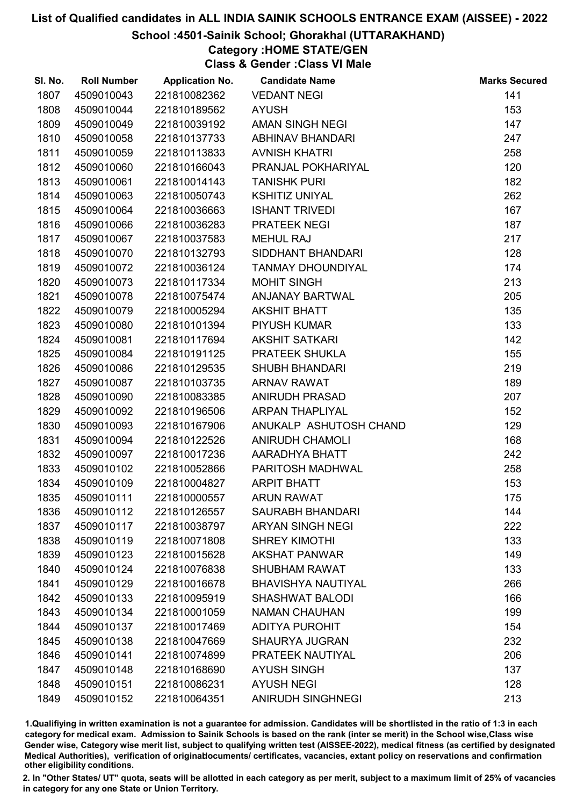### School :4501-Sainik School; Ghorakhal (UTTARAKHAND)

# Category :HOME STATE/GEN

Class & Gender :Class VI Male

| SI. No. | <b>Roll Number</b> | <b>Application No.</b> | <b>Candidate Name</b>     | <b>Marks Secured</b> |
|---------|--------------------|------------------------|---------------------------|----------------------|
| 1807    | 4509010043         | 221810082362           | <b>VEDANT NEGI</b>        | 141                  |
| 1808    | 4509010044         | 221810189562           | <b>AYUSH</b>              | 153                  |
| 1809    | 4509010049         | 221810039192           | <b>AMAN SINGH NEGI</b>    | 147                  |
| 1810    | 4509010058         | 221810137733           | <b>ABHINAV BHANDARI</b>   | 247                  |
| 1811    | 4509010059         | 221810113833           | <b>AVNISH KHATRI</b>      | 258                  |
| 1812    | 4509010060         | 221810166043           | PRANJAL POKHARIYAL        | 120                  |
| 1813    | 4509010061         | 221810014143           | <b>TANISHK PURI</b>       | 182                  |
| 1814    | 4509010063         | 221810050743           | <b>KSHITIZ UNIYAL</b>     | 262                  |
| 1815    | 4509010064         | 221810036663           | <b>ISHANT TRIVEDI</b>     | 167                  |
| 1816    | 4509010066         | 221810036283           | <b>PRATEEK NEGI</b>       | 187                  |
| 1817    | 4509010067         | 221810037583           | <b>MEHUL RAJ</b>          | 217                  |
| 1818    | 4509010070         | 221810132793           | SIDDHANT BHANDARI         | 128                  |
| 1819    | 4509010072         | 221810036124           | <b>TANMAY DHOUNDIYAL</b>  | 174                  |
| 1820    | 4509010073         | 221810117334           | <b>MOHIT SINGH</b>        | 213                  |
| 1821    | 4509010078         | 221810075474           | ANJANAY BARTWAL           | 205                  |
| 1822    | 4509010079         | 221810005294           | <b>AKSHIT BHATT</b>       | 135                  |
| 1823    | 4509010080         | 221810101394           | <b>PIYUSH KUMAR</b>       | 133                  |
| 1824    | 4509010081         | 221810117694           | <b>AKSHIT SATKARI</b>     | 142                  |
| 1825    | 4509010084         | 221810191125           | PRATEEK SHUKLA            | 155                  |
| 1826    | 4509010086         | 221810129535           | <b>SHUBH BHANDARI</b>     | 219                  |
| 1827    | 4509010087         | 221810103735           | <b>ARNAV RAWAT</b>        | 189                  |
| 1828    | 4509010090         | 221810083385           | <b>ANIRUDH PRASAD</b>     | 207                  |
| 1829    | 4509010092         | 221810196506           | <b>ARPAN THAPLIYAL</b>    | 152                  |
| 1830    | 4509010093         | 221810167906           | ANUKALP ASHUTOSH CHAND    | 129                  |
| 1831    | 4509010094         | 221810122526           | <b>ANIRUDH CHAMOLI</b>    | 168                  |
| 1832    | 4509010097         | 221810017236           | AARADHYA BHATT            | 242                  |
| 1833    | 4509010102         | 221810052866           | PARITOSH MADHWAL          | 258                  |
| 1834    | 4509010109         | 221810004827           | <b>ARPIT BHATT</b>        | 153                  |
| 1835    | 4509010111         | 221810000557           | <b>ARUN RAWAT</b>         | 175                  |
| 1836    | 4509010112         | 221810126557           | <b>SAURABH BHANDARI</b>   | 144                  |
| 1837    | 4509010117         | 221810038797           | <b>ARYAN SINGH NEGI</b>   | 222                  |
| 1838    | 4509010119         | 221810071808           | <b>SHREY KIMOTHI</b>      | 133                  |
| 1839    | 4509010123         | 221810015628           | <b>AKSHAT PANWAR</b>      | 149                  |
| 1840    | 4509010124         | 221810076838           | <b>SHUBHAM RAWAT</b>      | 133                  |
| 1841    | 4509010129         | 221810016678           | <b>BHAVISHYA NAUTIYAL</b> | 266                  |
| 1842    | 4509010133         | 221810095919           | <b>SHASHWAT BALODI</b>    | 166                  |
| 1843    | 4509010134         | 221810001059           | <b>NAMAN CHAUHAN</b>      | 199                  |
| 1844    | 4509010137         | 221810017469           | <b>ADITYA PUROHIT</b>     | 154                  |
| 1845    | 4509010138         | 221810047669           | <b>SHAURYA JUGRAN</b>     | 232                  |
| 1846    | 4509010141         | 221810074899           | PRATEEK NAUTIYAL          | 206                  |
| 1847    | 4509010148         | 221810168690           | <b>AYUSH SINGH</b>        | 137                  |
| 1848    | 4509010151         | 221810086231           | <b>AYUSH NEGI</b>         | 128                  |
| 1849    | 4509010152         | 221810064351           | <b>ANIRUDH SINGHNEGI</b>  | 213                  |

1.Qualifiying in written examination is not a guarantee for admission. Candidates will be shortlisted in the ratio of 1:3 in each category for medical exam. Admission to Sainik Schools is based on the rank (inter se merit) in the School wise,Class wise Gender wise, Category wise merit list, subject to qualifying written test (AISSEE-2022), medical fitness (as certified by designated Medical Authorities), verification of originablocuments/ certificates, vacancies, extant policy on reservations and confirmation other eligibility conditions.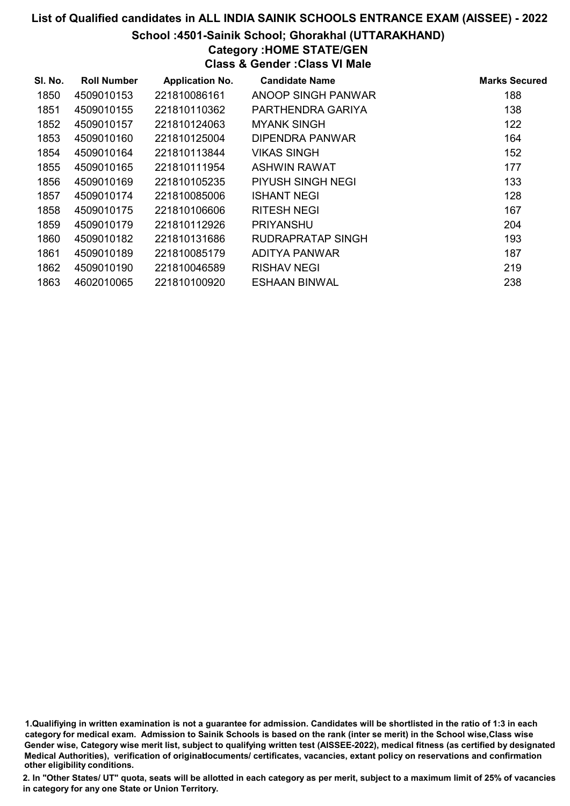#### School :4501-Sainik School; Ghorakhal (UTTARAKHAND)

# Category :HOME STATE/GEN

Class & Gender :Class VI Male

| SI. No. | <b>Roll Number</b> | <b>Application No.</b> | <b>Candidate Name</b>    | <b>Marks Secured</b> |
|---------|--------------------|------------------------|--------------------------|----------------------|
| 1850    | 4509010153         | 221810086161           | ANOOP SINGH PANWAR       | 188                  |
| 1851    | 4509010155         | 221810110362           | PARTHENDRA GARIYA        | 138                  |
| 1852    | 4509010157         | 221810124063           | <b>MYANK SINGH</b>       | 122                  |
| 1853    | 4509010160         | 221810125004           | <b>DIPENDRA PANWAR</b>   | 164                  |
| 1854    | 4509010164         | 221810113844           | <b>VIKAS SINGH</b>       | 152                  |
| 1855    | 4509010165         | 221810111954           | ASHWIN RAWAT             | 177                  |
| 1856    | 4509010169         | 221810105235           | PIYUSH SINGH NEGI        | 133                  |
| 1857    | 4509010174         | 221810085006           | <b>ISHANT NEGI</b>       | 128                  |
| 1858    | 4509010175         | 221810106606           | <b>RITESH NEGI</b>       | 167                  |
| 1859    | 4509010179         | 221810112926           | <b>PRIYANSHU</b>         | 204                  |
| 1860    | 4509010182         | 221810131686           | <b>RUDRAPRATAP SINGH</b> | 193                  |
| 1861    | 4509010189         | 221810085179           | <b>ADITYA PANWAR</b>     | 187                  |
| 1862    | 4509010190         | 221810046589           | <b>RISHAV NEGI</b>       | 219                  |
| 1863    | 4602010065         | 221810100920           | <b>ESHAAN BINWAL</b>     | 238                  |

1.Qualifiying in written examination is not a guarantee for admission. Candidates will be shortlisted in the ratio of 1:3 in each category for medical exam. Admission to Sainik Schools is based on the rank (inter se merit) in the School wise,Class wise Gender wise, Category wise merit list, subject to qualifying written test (AISSEE-2022), medical fitness (as certified by designated Medical Authorities), verification of originablocuments/ certificates, vacancies, extant policy on reservations and confirmation other eligibility conditions.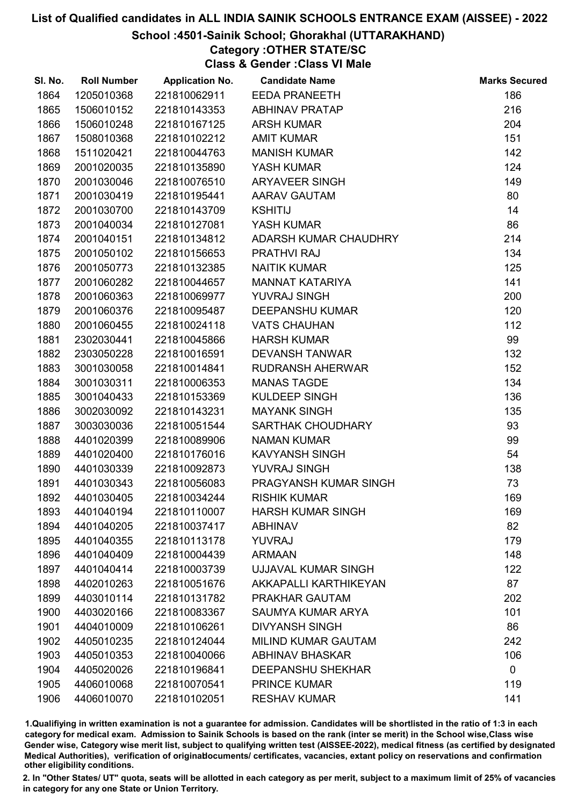# School :4501-Sainik School; Ghorakhal (UTTARAKHAND)

# Category :OTHER STATE/SC

Class & Gender :Class VI Male

| SI. No. | <b>Roll Number</b> | <b>Application No.</b> | <b>Candidate Name</b>      | <b>Marks Secured</b> |
|---------|--------------------|------------------------|----------------------------|----------------------|
| 1864    | 1205010368         | 221810062911           | <b>EEDA PRANEETH</b>       | 186                  |
| 1865    | 1506010152         | 221810143353           | <b>ABHINAV PRATAP</b>      | 216                  |
| 1866    | 1506010248         | 221810167125           | <b>ARSH KUMAR</b>          | 204                  |
| 1867    | 1508010368         | 221810102212           | <b>AMIT KUMAR</b>          | 151                  |
| 1868    | 1511020421         | 221810044763           | <b>MANISH KUMAR</b>        | 142                  |
| 1869    | 2001020035         | 221810135890           | YASH KUMAR                 | 124                  |
| 1870    | 2001030046         | 221810076510           | <b>ARYAVEER SINGH</b>      | 149                  |
| 1871    | 2001030419         | 221810195441           | AARAV GAUTAM               | 80                   |
| 1872    | 2001030700         | 221810143709           | <b>KSHITIJ</b>             | 14                   |
| 1873    | 2001040034         | 221810127081           | YASH KUMAR                 | 86                   |
| 1874    | 2001040151         | 221810134812           | ADARSH KUMAR CHAUDHRY      | 214                  |
| 1875    | 2001050102         | 221810156653           | <b>PRATHVI RAJ</b>         | 134                  |
| 1876    | 2001050773         | 221810132385           | <b>NAITIK KUMAR</b>        | 125                  |
| 1877    | 2001060282         | 221810044657           | <b>MANNAT KATARIYA</b>     | 141                  |
| 1878    | 2001060363         | 221810069977           | <b>YUVRAJ SINGH</b>        | 200                  |
| 1879    | 2001060376         | 221810095487           | <b>DEEPANSHU KUMAR</b>     | 120                  |
| 1880    | 2001060455         | 221810024118           | <b>VATS CHAUHAN</b>        | 112                  |
| 1881    | 2302030441         | 221810045866           | <b>HARSH KUMAR</b>         | 99                   |
| 1882    | 2303050228         | 221810016591           | <b>DEVANSH TANWAR</b>      | 132                  |
| 1883    | 3001030058         | 221810014841           | <b>RUDRANSH AHERWAR</b>    | 152                  |
| 1884    | 3001030311         | 221810006353           | <b>MANAS TAGDE</b>         | 134                  |
| 1885    | 3001040433         | 221810153369           | <b>KULDEEP SINGH</b>       | 136                  |
| 1886    | 3002030092         | 221810143231           | <b>MAYANK SINGH</b>        | 135                  |
| 1887    | 3003030036         | 221810051544           | SARTHAK CHOUDHARY          | 93                   |
| 1888    | 4401020399         | 221810089906           | <b>NAMAN KUMAR</b>         | 99                   |
| 1889    | 4401020400         | 221810176016           | <b>KAVYANSH SINGH</b>      | 54                   |
| 1890    | 4401030339         | 221810092873           | YUVRAJ SINGH               | 138                  |
| 1891    | 4401030343         | 221810056083           | PRAGYANSH KUMAR SINGH      | 73                   |
| 1892    | 4401030405         | 221810034244           | <b>RISHIK KUMAR</b>        | 169                  |
| 1893    | 4401040194         | 221810110007           | <b>HARSH KUMAR SINGH</b>   | 169                  |
| 1894    | 4401040205         | 221810037417           | <b>ABHINAV</b>             | 82                   |
| 1895    | 4401040355         | 221810113178           | <b>YUVRAJ</b>              | 179                  |
| 1896    | 4401040409         | 221810004439           | <b>ARMAAN</b>              | 148                  |
| 1897    | 4401040414         | 221810003739           | <b>UJJAVAL KUMAR SINGH</b> | 122                  |
| 1898    | 4402010263         | 221810051676           | AKKAPALLI KARTHIKEYAN      | 87                   |
| 1899    | 4403010114         | 221810131782           | PRAKHAR GAUTAM             | 202                  |
| 1900    | 4403020166         | 221810083367           | <b>SAUMYA KUMAR ARYA</b>   | 101                  |
| 1901    | 4404010009         | 221810106261           | <b>DIVYANSH SINGH</b>      | 86                   |
| 1902    | 4405010235         | 221810124044           | <b>MILIND KUMAR GAUTAM</b> | 242                  |
| 1903    | 4405010353         | 221810040066           | <b>ABHINAV BHASKAR</b>     | 106                  |
| 1904    | 4405020026         | 221810196841           | <b>DEEPANSHU SHEKHAR</b>   | $\mathbf 0$          |
| 1905    | 4406010068         | 221810070541           | <b>PRINCE KUMAR</b>        | 119                  |
| 1906    | 4406010070         | 221810102051           | <b>RESHAV KUMAR</b>        | 141                  |

1.Qualifiying in written examination is not a guarantee for admission. Candidates will be shortlisted in the ratio of 1:3 in each category for medical exam. Admission to Sainik Schools is based on the rank (inter se merit) in the School wise,Class wise Gender wise, Category wise merit list, subject to qualifying written test (AISSEE-2022), medical fitness (as certified by designated Medical Authorities), verification of originablocuments/ certificates, vacancies, extant policy on reservations and confirmation other eligibility conditions.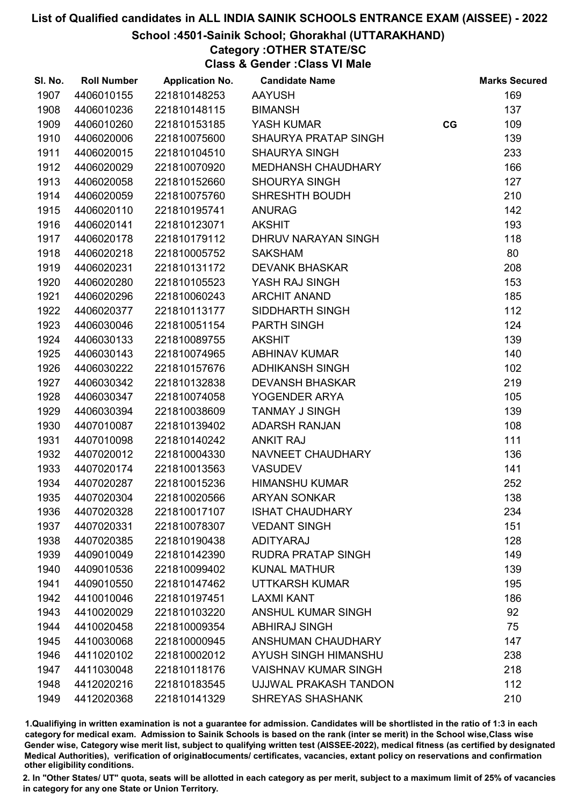# School :4501-Sainik School; Ghorakhal (UTTARAKHAND)

# Category :OTHER STATE/SC

Class & Gender :Class VI Male

| SI. No. | <b>Roll Number</b> | <b>Application No.</b> | <b>Candidate Name</b>       |    | <b>Marks Secured</b> |
|---------|--------------------|------------------------|-----------------------------|----|----------------------|
| 1907    | 4406010155         | 221810148253           | <b>AAYUSH</b>               |    | 169                  |
| 1908    | 4406010236         | 221810148115           | <b>BIMANSH</b>              |    | 137                  |
| 1909    | 4406010260         | 221810153185           | YASH KUMAR                  | CG | 109                  |
| 1910    | 4406020006         | 221810075600           | <b>SHAURYA PRATAP SINGH</b> |    | 139                  |
| 1911    | 4406020015         | 221810104510           | <b>SHAURYA SINGH</b>        |    | 233                  |
| 1912    | 4406020029         | 221810070920           | MEDHANSH CHAUDHARY          |    | 166                  |
| 1913    | 4406020058         | 221810152660           | <b>SHOURYA SINGH</b>        |    | 127                  |
| 1914    | 4406020059         | 221810075760           | <b>SHRESHTH BOUDH</b>       |    | 210                  |
| 1915    | 4406020110         | 221810195741           | <b>ANURAG</b>               |    | 142                  |
| 1916    | 4406020141         | 221810123071           | <b>AKSHIT</b>               |    | 193                  |
| 1917    | 4406020178         | 221810179112           | DHRUV NARAYAN SINGH         |    | 118                  |
| 1918    | 4406020218         | 221810005752           | <b>SAKSHAM</b>              |    | 80                   |
| 1919    | 4406020231         | 221810131172           | <b>DEVANK BHASKAR</b>       |    | 208                  |
| 1920    | 4406020280         | 221810105523           | YASH RAJ SINGH              |    | 153                  |
| 1921    | 4406020296         | 221810060243           | <b>ARCHIT ANAND</b>         |    | 185                  |
| 1922    | 4406020377         | 221810113177           | SIDDHARTH SINGH             |    | 112                  |
| 1923    | 4406030046         | 221810051154           | <b>PARTH SINGH</b>          |    | 124                  |
| 1924    | 4406030133         | 221810089755           | <b>AKSHIT</b>               |    | 139                  |
| 1925    | 4406030143         | 221810074965           | <b>ABHINAV KUMAR</b>        |    | 140                  |
| 1926    | 4406030222         | 221810157676           | <b>ADHIKANSH SINGH</b>      |    | 102                  |
| 1927    | 4406030342         | 221810132838           | <b>DEVANSH BHASKAR</b>      |    | 219                  |
| 1928    | 4406030347         | 221810074058           | YOGENDER ARYA               |    | 105                  |
| 1929    | 4406030394         | 221810038609           | <b>TANMAY J SINGH</b>       |    | 139                  |
| 1930    | 4407010087         | 221810139402           | <b>ADARSH RANJAN</b>        |    | 108                  |
| 1931    | 4407010098         | 221810140242           | <b>ANKIT RAJ</b>            |    | 111                  |
| 1932    | 4407020012         | 221810004330           | NAVNEET CHAUDHARY           |    | 136                  |
| 1933    | 4407020174         | 221810013563           | <b>VASUDEV</b>              |    | 141                  |
| 1934    | 4407020287         | 221810015236           | <b>HIMANSHU KUMAR</b>       |    | 252                  |
| 1935    | 4407020304         | 221810020566           | <b>ARYAN SONKAR</b>         |    | 138                  |
| 1936    | 4407020328         | 221810017107           | <b>ISHAT CHAUDHARY</b>      |    | 234                  |
| 1937    | 4407020331         | 221810078307           | <b>VEDANT SINGH</b>         |    | 151                  |
| 1938    | 4407020385         | 221810190438           | <b>ADITYARAJ</b>            |    | 128                  |
| 1939    | 4409010049         | 221810142390           | <b>RUDRA PRATAP SINGH</b>   |    | 149                  |
| 1940    | 4409010536         | 221810099402           | <b>KUNAL MATHUR</b>         |    | 139                  |
| 1941    | 4409010550         | 221810147462           | UTTKARSH KUMAR              |    | 195                  |
| 1942    | 4410010046         | 221810197451           | <b>LAXMI KANT</b>           |    | 186                  |
| 1943    | 4410020029         | 221810103220           | <b>ANSHUL KUMAR SINGH</b>   |    | 92                   |
| 1944    | 4410020458         | 221810009354           | <b>ABHIRAJ SINGH</b>        |    | 75                   |
| 1945    | 4410030068         | 221810000945           | ANSHUMAN CHAUDHARY          |    | 147                  |
| 1946    | 4411020102         | 221810002012           | AYUSH SINGH HIMANSHU        |    | 238                  |
| 1947    | 4411030048         | 221810118176           | <b>VAISHNAV KUMAR SINGH</b> |    | 218                  |
| 1948    | 4412020216         | 221810183545           | UJJWAL PRAKASH TANDON       |    | 112                  |
| 1949    | 4412020368         | 221810141329           | SHREYAS SHASHANK            |    | 210                  |

1.Qualifiying in written examination is not a guarantee for admission. Candidates will be shortlisted in the ratio of 1:3 in each category for medical exam. Admission to Sainik Schools is based on the rank (inter se merit) in the School wise,Class wise Gender wise, Category wise merit list, subject to qualifying written test (AISSEE-2022), medical fitness (as certified by designated Medical Authorities), verification of originablocuments/ certificates, vacancies, extant policy on reservations and confirmation other eligibility conditions.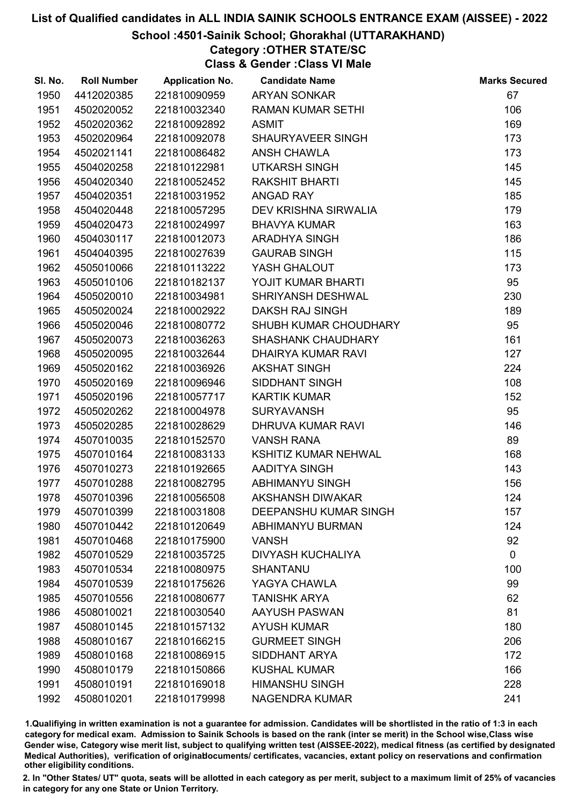# School :4501-Sainik School; Ghorakhal (UTTARAKHAND)

# Category :OTHER STATE/SC

Class & Gender :Class VI Male

| SI. No. | <b>Roll Number</b> | <b>Application No.</b> | <b>Candidate Name</b>        | <b>Marks Secured</b> |
|---------|--------------------|------------------------|------------------------------|----------------------|
| 1950    | 4412020385         | 221810090959           | <b>ARYAN SONKAR</b>          | 67                   |
| 1951    | 4502020052         | 221810032340           | <b>RAMAN KUMAR SETHI</b>     | 106                  |
| 1952    | 4502020362         | 221810092892           | <b>ASMIT</b>                 | 169                  |
| 1953    | 4502020964         | 221810092078           | SHAURYAVEER SINGH            | 173                  |
| 1954    | 4502021141         | 221810086482           | ANSH CHAWLA                  | 173                  |
| 1955    | 4504020258         | 221810122981           | <b>UTKARSH SINGH</b>         | 145                  |
| 1956    | 4504020340         | 221810052452           | <b>RAKSHIT BHARTI</b>        | 145                  |
| 1957    | 4504020351         | 221810031952           | <b>ANGAD RAY</b>             | 185                  |
| 1958    | 4504020448         | 221810057295           | DEV KRISHNA SIRWALIA         | 179                  |
| 1959    | 4504020473         | 221810024997           | <b>BHAVYA KUMAR</b>          | 163                  |
| 1960    | 4504030117         | 221810012073           | <b>ARADHYA SINGH</b>         | 186                  |
| 1961    | 4504040395         | 221810027639           | <b>GAURAB SINGH</b>          | 115                  |
| 1962    | 4505010066         | 221810113222           | YASH GHALOUT                 | 173                  |
| 1963    | 4505010106         | 221810182137           | YOJIT KUMAR BHARTI           | 95                   |
| 1964    | 4505020010         | 221810034981           | <b>SHRIYANSH DESHWAL</b>     | 230                  |
| 1965    | 4505020024         | 221810002922           | <b>DAKSH RAJ SINGH</b>       | 189                  |
| 1966    | 4505020046         | 221810080772           | SHUBH KUMAR CHOUDHARY        | 95                   |
| 1967    | 4505020073         | 221810036263           | <b>SHASHANK CHAUDHARY</b>    | 161                  |
| 1968    | 4505020095         | 221810032644           | <b>DHAIRYA KUMAR RAVI</b>    | 127                  |
| 1969    | 4505020162         | 221810036926           | <b>AKSHAT SINGH</b>          | 224                  |
| 1970    | 4505020169         | 221810096946           | SIDDHANT SINGH               | 108                  |
| 1971    | 4505020196         | 221810057717           | <b>KARTIK KUMAR</b>          | 152                  |
| 1972    | 4505020262         | 221810004978           | <b>SURYAVANSH</b>            | 95                   |
| 1973    | 4505020285         | 221810028629           | DHRUVA KUMAR RAVI            | 146                  |
| 1974    | 4507010035         | 221810152570           | <b>VANSH RANA</b>            | 89                   |
| 1975    | 4507010164         | 221810083133           | <b>KSHITIZ KUMAR NEHWAL</b>  | 168                  |
| 1976    | 4507010273         | 221810192665           | AADITYA SINGH                | 143                  |
| 1977    | 4507010288         | 221810082795           | <b>ABHIMANYU SINGH</b>       | 156                  |
| 1978    | 4507010396         | 221810056508           | <b>AKSHANSH DIWAKAR</b>      | 124                  |
| 1979    | 4507010399         | 221810031808           | <b>DEEPANSHU KUMAR SINGH</b> | 157                  |
| 1980    | 4507010442         | 221810120649           | <b>ABHIMANYU BURMAN</b>      | 124                  |
| 1981    | 4507010468         | 221810175900           | <b>VANSH</b>                 | 92                   |
| 1982    | 4507010529         | 221810035725           | <b>DIVYASH KUCHALIYA</b>     | $\mathbf 0$          |
| 1983    | 4507010534         | 221810080975           | <b>SHANTANU</b>              | 100                  |
| 1984    | 4507010539         | 221810175626           | YAGYA CHAWLA                 | 99                   |
| 1985    | 4507010556         | 221810080677           | <b>TANISHK ARYA</b>          | 62                   |
| 1986    | 4508010021         | 221810030540           | <b>AAYUSH PASWAN</b>         | 81                   |
| 1987    | 4508010145         | 221810157132           | <b>AYUSH KUMAR</b>           | 180                  |
| 1988    | 4508010167         | 221810166215           | <b>GURMEET SINGH</b>         | 206                  |
| 1989    | 4508010168         | 221810086915           | <b>SIDDHANT ARYA</b>         | 172                  |
| 1990    | 4508010179         | 221810150866           | <b>KUSHAL KUMAR</b>          | 166                  |
| 1991    | 4508010191         | 221810169018           | <b>HIMANSHU SINGH</b>        | 228                  |
| 1992    | 4508010201         | 221810179998           | <b>NAGENDRA KUMAR</b>        | 241                  |

1.Qualifiying in written examination is not a guarantee for admission. Candidates will be shortlisted in the ratio of 1:3 in each category for medical exam. Admission to Sainik Schools is based on the rank (inter se merit) in the School wise,Class wise Gender wise, Category wise merit list, subject to qualifying written test (AISSEE-2022), medical fitness (as certified by designated Medical Authorities), verification of originablocuments/ certificates, vacancies, extant policy on reservations and confirmation other eligibility conditions.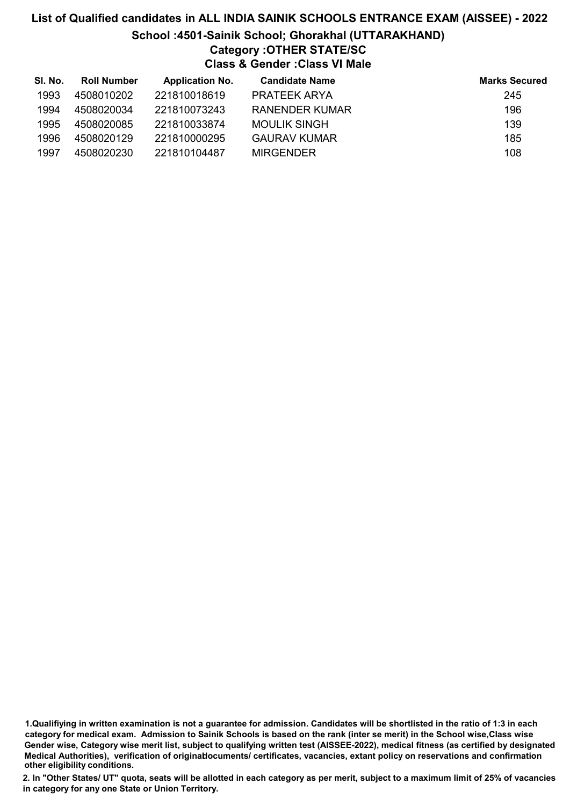# List of Qualified candidates in ALL INDIA SAINIK SCHOOLS ENTRANCE EXAM (AISSEE) - 2022 School :4501-Sainik School; Ghorakhal (UTTARAKHAND) Category :OTHER STATE/SC Class & Gender :Class VI Male

| SI. No. | <b>Roll Number</b> | <b>Application No.</b> | <b>Candidate Name</b> | <b>Marks Secured</b> |
|---------|--------------------|------------------------|-----------------------|----------------------|
| 1993    | 4508010202         | 221810018619           | PRATEEK ARYA          | 245                  |
| 1994    | 4508020034         | 221810073243           | RANENDER KUMAR        | 196                  |
| 1995    | 4508020085         | 221810033874           | <b>MOULIK SINGH</b>   | 139                  |
| 1996    | 4508020129         | 221810000295           | <b>GAURAV KUMAR</b>   | 185                  |
| 1997    | 4508020230         | 221810104487           | <b>MIRGENDER</b>      | 108                  |

<sup>1.</sup>Qualifiying in written examination is not a guarantee for admission. Candidates will be shortlisted in the ratio of 1:3 in each category for medical exam. Admission to Sainik Schools is based on the rank (inter se merit) in the School wise,Class wise Gender wise, Category wise merit list, subject to qualifying written test (AISSEE-2022), medical fitness (as certified by designated Medical Authorities), verification of originablocuments/ certificates, vacancies, extant policy on reservations and confirmation other eligibility conditions.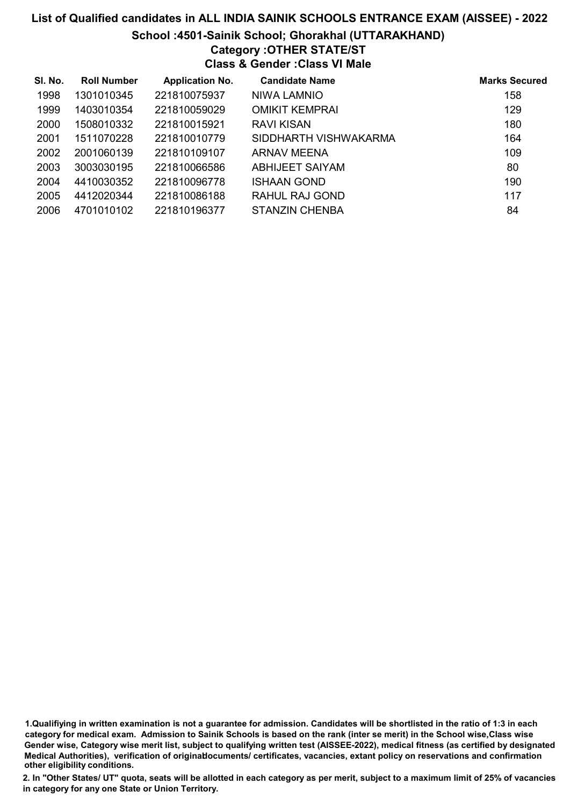# List of Qualified candidates in ALL INDIA SAINIK SCHOOLS ENTRANCE EXAM (AISSEE) - 2022 School :4501-Sainik School; Ghorakhal (UTTARAKHAND) Category :OTHER STATE/ST Class & Gender :Class VI Male

| SI. No. | <b>Roll Number</b> | <b>Application No.</b> | <b>Candidate Name</b>  | <b>Marks Secured</b> |
|---------|--------------------|------------------------|------------------------|----------------------|
| 1998    | 1301010345         | 221810075937           | NIWA LAMNIO            | 158                  |
| 1999    | 1403010354         | 221810059029           | <b>OMIKIT KEMPRAI</b>  | 129                  |
| 2000    | 1508010332         | 221810015921           | RAVI KISAN             | 180                  |
| 2001    | 1511070228         | 221810010779           | SIDDHARTH VISHWAKARMA  | 164                  |
| 2002    | 2001060139         | 221810109107           | ARNAV MEENA            | 109                  |
| 2003    | 3003030195         | 221810066586           | <b>ABHIJEET SAIYAM</b> | 80                   |
| 2004    | 4410030352         | 221810096778           | <b>ISHAAN GOND</b>     | 190                  |
| 2005    | 4412020344         | 221810086188           | RAHUL RAJ GOND         | 117                  |
| 2006    | 4701010102         | 221810196377           | <b>STANZIN CHENBA</b>  | 84                   |

1.Qualifiying in written examination is not a guarantee for admission. Candidates will be shortlisted in the ratio of 1:3 in each category for medical exam. Admission to Sainik Schools is based on the rank (inter se merit) in the School wise,Class wise Gender wise, Category wise merit list, subject to qualifying written test (AISSEE-2022), medical fitness (as certified by designated Medical Authorities), verification of originablocuments/ certificates, vacancies, extant policy on reservations and confirmation other eligibility conditions.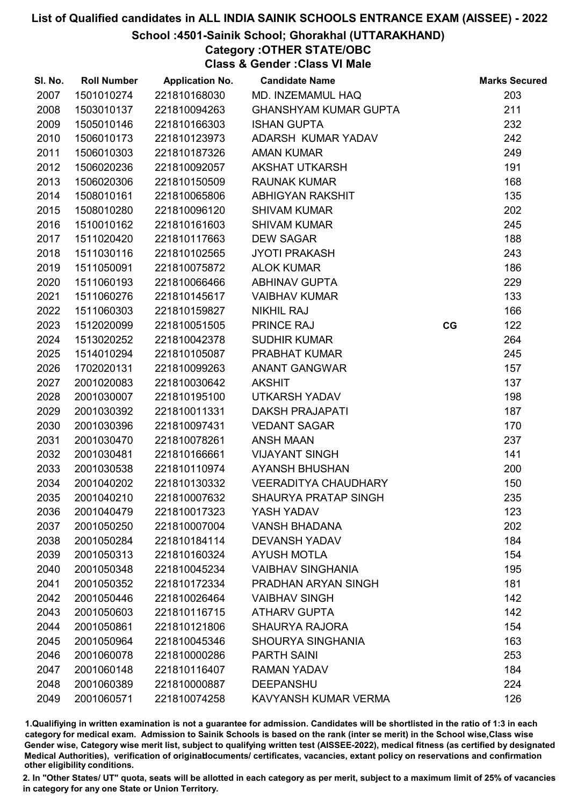# School :4501-Sainik School; Ghorakhal (UTTARAKHAND)

# Category :OTHER STATE/OBC

Class & Gender :Class VI Male

| SI. No. | <b>Roll Number</b> | <b>Application No.</b> | <b>Candidate Name</b>        |    | <b>Marks Secured</b> |
|---------|--------------------|------------------------|------------------------------|----|----------------------|
| 2007    | 1501010274         | 221810168030           | MD. INZEMAMUL HAQ            |    | 203                  |
| 2008    | 1503010137         | 221810094263           | <b>GHANSHYAM KUMAR GUPTA</b> |    | 211                  |
| 2009    | 1505010146         | 221810166303           | <b>ISHAN GUPTA</b>           |    | 232                  |
| 2010    | 1506010173         | 221810123973           | ADARSH KUMAR YADAV           |    | 242                  |
| 2011    | 1506010303         | 221810187326           | <b>AMAN KUMAR</b>            |    | 249                  |
| 2012    | 1506020236         | 221810092057           | <b>AKSHAT UTKARSH</b>        |    | 191                  |
| 2013    | 1506020306         | 221810150509           | <b>RAUNAK KUMAR</b>          |    | 168                  |
| 2014    | 1508010161         | 221810065806           | ABHIGYAN RAKSHIT             |    | 135                  |
| 2015    | 1508010280         | 221810096120           | <b>SHIVAM KUMAR</b>          |    | 202                  |
| 2016    | 1510010162         | 221810161603           | <b>SHIVAM KUMAR</b>          |    | 245                  |
| 2017    | 1511020420         | 221810117663           | <b>DEW SAGAR</b>             |    | 188                  |
| 2018    | 1511030116         | 221810102565           | <b>JYOTI PRAKASH</b>         |    | 243                  |
| 2019    | 1511050091         | 221810075872           | <b>ALOK KUMAR</b>            |    | 186                  |
| 2020    | 1511060193         | 221810066466           | <b>ABHINAV GUPTA</b>         |    | 229                  |
| 2021    | 1511060276         | 221810145617           | <b>VAIBHAV KUMAR</b>         |    | 133                  |
| 2022    | 1511060303         | 221810159827           | <b>NIKHIL RAJ</b>            |    | 166                  |
| 2023    | 1512020099         | 221810051505           | PRINCE RAJ                   | CG | 122                  |
| 2024    | 1513020252         | 221810042378           | <b>SUDHIR KUMAR</b>          |    | 264                  |
| 2025    | 1514010294         | 221810105087           | PRABHAT KUMAR                |    | 245                  |
| 2026    | 1702020131         | 221810099263           | <b>ANANT GANGWAR</b>         |    | 157                  |
| 2027    | 2001020083         | 221810030642           | <b>AKSHIT</b>                |    | 137                  |
| 2028    | 2001030007         | 221810195100           | UTKARSH YADAV                |    | 198                  |
| 2029    | 2001030392         | 221810011331           | <b>DAKSH PRAJAPATI</b>       |    | 187                  |
| 2030    | 2001030396         | 221810097431           | <b>VEDANT SAGAR</b>          |    | 170                  |
| 2031    | 2001030470         | 221810078261           | <b>ANSH MAAN</b>             |    | 237                  |
| 2032    | 2001030481         | 221810166661           | <b>VIJAYANT SINGH</b>        |    | 141                  |
| 2033    | 2001030538         | 221810110974           | <b>AYANSH BHUSHAN</b>        |    | 200                  |
| 2034    | 2001040202         | 221810130332           | <b>VEERADITYA CHAUDHARY</b>  |    | 150                  |
| 2035    | 2001040210         | 221810007632           | <b>SHAURYA PRATAP SINGH</b>  |    | 235                  |
| 2036    | 2001040479         | 221810017323           | YASH YADAV                   |    | 123                  |
| 2037    | 2001050250         | 221810007004           | <b>VANSH BHADANA</b>         |    | 202                  |
| 2038    | 2001050284         | 221810184114           | <b>DEVANSH YADAV</b>         |    | 184                  |
| 2039    | 2001050313         | 221810160324           | <b>AYUSH MOTLA</b>           |    | 154                  |
| 2040    | 2001050348         | 221810045234           | <b>VAIBHAV SINGHANIA</b>     |    | 195                  |
| 2041    | 2001050352         | 221810172334           | PRADHAN ARYAN SINGH          |    | 181                  |
| 2042    | 2001050446         | 221810026464           | <b>VAIBHAV SINGH</b>         |    | 142                  |
| 2043    | 2001050603         | 221810116715           | <b>ATHARV GUPTA</b>          |    | 142                  |
| 2044    | 2001050861         | 221810121806           | <b>SHAURYA RAJORA</b>        |    | 154                  |
| 2045    | 2001050964         | 221810045346           | <b>SHOURYA SINGHANIA</b>     |    | 163                  |
| 2046    | 2001060078         | 221810000286           | <b>PARTH SAINI</b>           |    | 253                  |
| 2047    | 2001060148         | 221810116407           | <b>RAMAN YADAV</b>           |    | 184                  |
| 2048    | 2001060389         | 221810000887           | <b>DEEPANSHU</b>             |    | 224                  |
| 2049    | 2001060571         | 221810074258           | KAVYANSH KUMAR VERMA         |    | 126                  |

1.Qualifiying in written examination is not a guarantee for admission. Candidates will be shortlisted in the ratio of 1:3 in each category for medical exam. Admission to Sainik Schools is based on the rank (inter se merit) in the School wise,Class wise Gender wise, Category wise merit list, subject to qualifying written test (AISSEE-2022), medical fitness (as certified by designated Medical Authorities), verification of originablocuments/ certificates, vacancies, extant policy on reservations and confirmation other eligibility conditions.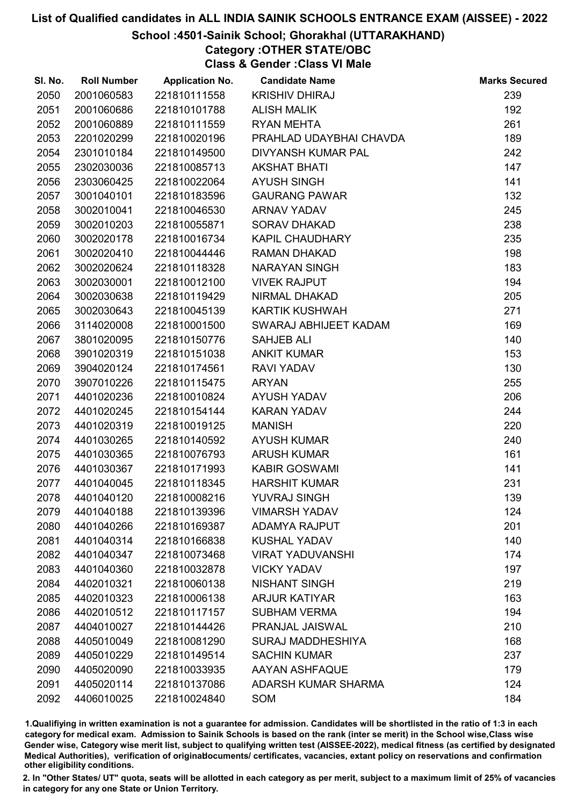# School :4501-Sainik School; Ghorakhal (UTTARAKHAND)

# Category :OTHER STATE/OBC

Class & Gender :Class VI Male

| SI. No. | <b>Roll Number</b> | <b>Application No.</b> | <b>Candidate Name</b>      | <b>Marks Secured</b> |
|---------|--------------------|------------------------|----------------------------|----------------------|
| 2050    | 2001060583         | 221810111558           | <b>KRISHIV DHIRAJ</b>      | 239                  |
| 2051    | 2001060686         | 221810101788           | <b>ALISH MALIK</b>         | 192                  |
| 2052    | 2001060889         | 221810111559           | <b>RYAN MEHTA</b>          | 261                  |
| 2053    | 2201020299         | 221810020196           | PRAHLAD UDAYBHAI CHAVDA    | 189                  |
| 2054    | 2301010184         | 221810149500           | <b>DIVYANSH KUMAR PAL</b>  | 242                  |
| 2055    | 2302030036         | 221810085713           | <b>AKSHAT BHATI</b>        | 147                  |
| 2056    | 2303060425         | 221810022064           | <b>AYUSH SINGH</b>         | 141                  |
| 2057    | 3001040101         | 221810183596           | <b>GAURANG PAWAR</b>       | 132                  |
| 2058    | 3002010041         | 221810046530           | <b>ARNAV YADAV</b>         | 245                  |
| 2059    | 3002010203         | 221810055871           | <b>SORAV DHAKAD</b>        | 238                  |
| 2060    | 3002020178         | 221810016734           | <b>KAPIL CHAUDHARY</b>     | 235                  |
| 2061    | 3002020410         | 221810044446           | <b>RAMAN DHAKAD</b>        | 198                  |
| 2062    | 3002020624         | 221810118328           | <b>NARAYAN SINGH</b>       | 183                  |
| 2063    | 3002030001         | 221810012100           | <b>VIVEK RAJPUT</b>        | 194                  |
| 2064    | 3002030638         | 221810119429           | NIRMAL DHAKAD              | 205                  |
| 2065    | 3002030643         | 221810045139           | KARTIK KUSHWAH             | 271                  |
| 2066    | 3114020008         | 221810001500           | SWARAJ ABHIJEET KADAM      | 169                  |
| 2067    | 3801020095         | 221810150776           | <b>SAHJEB ALI</b>          | 140                  |
| 2068    | 3901020319         | 221810151038           | <b>ANKIT KUMAR</b>         | 153                  |
| 2069    | 3904020124         | 221810174561           | <b>RAVI YADAV</b>          | 130                  |
| 2070    | 3907010226         | 221810115475           | <b>ARYAN</b>               | 255                  |
| 2071    | 4401020236         | 221810010824           | <b>AYUSH YADAV</b>         | 206                  |
| 2072    | 4401020245         | 221810154144           | <b>KARAN YADAV</b>         | 244                  |
| 2073    | 4401020319         | 221810019125           | <b>MANISH</b>              | 220                  |
| 2074    | 4401030265         | 221810140592           | <b>AYUSH KUMAR</b>         | 240                  |
| 2075    | 4401030365         | 221810076793           | <b>ARUSH KUMAR</b>         | 161                  |
| 2076    | 4401030367         | 221810171993           | <b>KABIR GOSWAMI</b>       | 141                  |
| 2077    | 4401040045         | 221810118345           | <b>HARSHIT KUMAR</b>       | 231                  |
| 2078    | 4401040120         | 221810008216           | <b>YUVRAJ SINGH</b>        | 139                  |
| 2079    | 4401040188         | 221810139396           | <b>VIMARSH YADAV</b>       | 124                  |
| 2080    | 4401040266         | 221810169387           | <b>ADAMYA RAJPUT</b>       | 201                  |
| 2081    | 4401040314         | 221810166838           | <b>KUSHAL YADAV</b>        | 140                  |
| 2082    | 4401040347         | 221810073468           | <b>VIRAT YADUVANSHI</b>    | 174                  |
| 2083    | 4401040360         | 221810032878           | <b>VICKY YADAV</b>         | 197                  |
| 2084    | 4402010321         | 221810060138           | <b>NISHANT SINGH</b>       | 219                  |
| 2085    | 4402010323         | 221810006138           | <b>ARJUR KATIYAR</b>       | 163                  |
| 2086    | 4402010512         | 221810117157           | <b>SUBHAM VERMA</b>        | 194                  |
| 2087    | 4404010027         | 221810144426           | <b>PRANJAL JAISWAL</b>     | 210                  |
| 2088    | 4405010049         | 221810081290           | <b>SURAJ MADDHESHIYA</b>   | 168                  |
| 2089    | 4405010229         | 221810149514           | <b>SACHIN KUMAR</b>        | 237                  |
| 2090    | 4405020090         | 221810033935           | AAYAN ASHFAQUE             | 179                  |
| 2091    | 4405020114         | 221810137086           | <b>ADARSH KUMAR SHARMA</b> | 124                  |
| 2092    | 4406010025         | 221810024840           | SOM                        | 184                  |

1.Qualifiying in written examination is not a guarantee for admission. Candidates will be shortlisted in the ratio of 1:3 in each category for medical exam. Admission to Sainik Schools is based on the rank (inter se merit) in the School wise,Class wise Gender wise, Category wise merit list, subject to qualifying written test (AISSEE-2022), medical fitness (as certified by designated Medical Authorities), verification of originablocuments/ certificates, vacancies, extant policy on reservations and confirmation other eligibility conditions.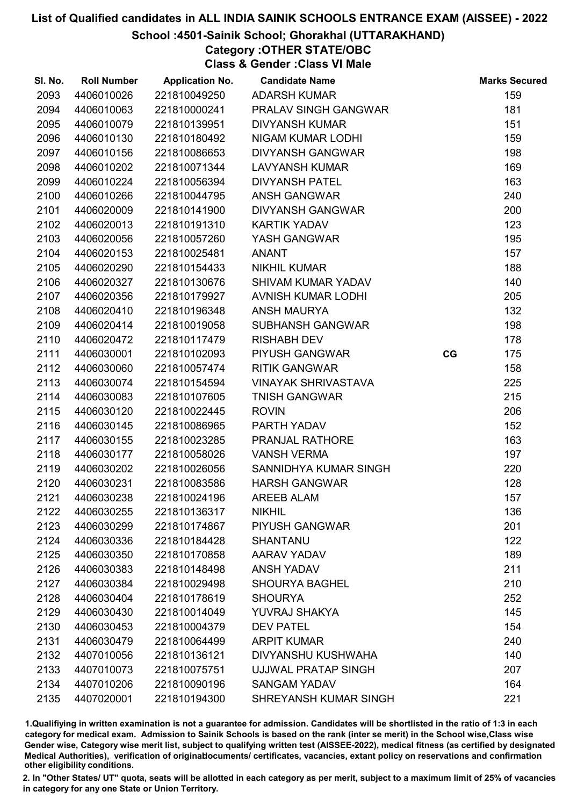# School :4501-Sainik School; Ghorakhal (UTTARAKHAND)

Category :OTHER STATE/OBC

Class & Gender :Class VI Male

| SI. No. | <b>Roll Number</b> | <b>Application No.</b> | <b>Candidate Name</b>      |    | <b>Marks Secured</b> |
|---------|--------------------|------------------------|----------------------------|----|----------------------|
| 2093    | 4406010026         | 221810049250           | <b>ADARSH KUMAR</b>        |    | 159                  |
| 2094    | 4406010063         | 221810000241           | PRALAV SINGH GANGWAR       |    | 181                  |
| 2095    | 4406010079         | 221810139951           | <b>DIVYANSH KUMAR</b>      |    | 151                  |
| 2096    | 4406010130         | 221810180492           | NIGAM KUMAR LODHI          |    | 159                  |
| 2097    | 4406010156         | 221810086653           | <b>DIVYANSH GANGWAR</b>    |    | 198                  |
| 2098    | 4406010202         | 221810071344           | <b>LAVYANSH KUMAR</b>      |    | 169                  |
| 2099    | 4406010224         | 221810056394           | <b>DIVYANSH PATEL</b>      |    | 163                  |
| 2100    | 4406010266         | 221810044795           | <b>ANSH GANGWAR</b>        |    | 240                  |
| 2101    | 4406020009         | 221810141900           | <b>DIVYANSH GANGWAR</b>    |    | 200                  |
| 2102    | 4406020013         | 221810191310           | <b>KARTIK YADAV</b>        |    | 123                  |
| 2103    | 4406020056         | 221810057260           | YASH GANGWAR               |    | 195                  |
| 2104    | 4406020153         | 221810025481           | <b>ANANT</b>               |    | 157                  |
| 2105    | 4406020290         | 221810154433           | <b>NIKHIL KUMAR</b>        |    | 188                  |
| 2106    | 4406020327         | 221810130676           | <b>SHIVAM KUMAR YADAV</b>  |    | 140                  |
| 2107    | 4406020356         | 221810179927           | AVNISH KUMAR LODHI         |    | 205                  |
| 2108    | 4406020410         | 221810196348           | <b>ANSH MAURYA</b>         |    | 132                  |
| 2109    | 4406020414         | 221810019058           | <b>SUBHANSH GANGWAR</b>    |    | 198                  |
| 2110    | 4406020472         | 221810117479           | <b>RISHABH DEV</b>         |    | 178                  |
| 2111    | 4406030001         | 221810102093           | PIYUSH GANGWAR             | CG | 175                  |
| 2112    | 4406030060         | 221810057474           | <b>RITIK GANGWAR</b>       |    | 158                  |
| 2113    | 4406030074         | 221810154594           | <b>VINAYAK SHRIVASTAVA</b> |    | 225                  |
| 2114    | 4406030083         | 221810107605           | <b>TNISH GANGWAR</b>       |    | 215                  |
| 2115    | 4406030120         | 221810022445           | <b>ROVIN</b>               |    | 206                  |
| 2116    | 4406030145         | 221810086965           | PARTH YADAV                |    | 152                  |
| 2117    | 4406030155         | 221810023285           | PRANJAL RATHORE            |    | 163                  |
| 2118    | 4406030177         | 221810058026           | <b>VANSH VERMA</b>         |    | 197                  |
| 2119    | 4406030202         | 221810026056           | SANNIDHYA KUMAR SINGH      |    | 220                  |
| 2120    | 4406030231         | 221810083586           | <b>HARSH GANGWAR</b>       |    | 128                  |
| 2121    | 4406030238         | 221810024196           | <b>AREEB ALAM</b>          |    | 157                  |
| 2122    | 4406030255         | 221810136317           | <b>NIKHIL</b>              |    | 136                  |
| 2123    | 4406030299         | 221810174867           | <b>PIYUSH GANGWAR</b>      |    | 201                  |
| 2124    | 4406030336         | 221810184428           | <b>SHANTANU</b>            |    | 122                  |
| 2125    | 4406030350         | 221810170858           | <b>AARAV YADAV</b>         |    | 189                  |
| 2126    | 4406030383         | 221810148498           | <b>ANSH YADAV</b>          |    | 211                  |
| 2127    | 4406030384         | 221810029498           | <b>SHOURYA BAGHEL</b>      |    | 210                  |
| 2128    | 4406030404         | 221810178619           | <b>SHOURYA</b>             |    | 252                  |
| 2129    | 4406030430         | 221810014049           | YUVRAJ SHAKYA              |    | 145                  |
| 2130    | 4406030453         | 221810004379           | <b>DEV PATEL</b>           |    | 154                  |
| 2131    | 4406030479         | 221810064499           | <b>ARPIT KUMAR</b>         |    | 240                  |
| 2132    | 4407010056         | 221810136121           | <b>DIVYANSHU KUSHWAHA</b>  |    | 140                  |
| 2133    | 4407010073         | 221810075751           | UJJWAL PRATAP SINGH        |    | 207                  |
| 2134    | 4407010206         | 221810090196           | <b>SANGAM YADAV</b>        |    | 164                  |
| 2135    | 4407020001         | 221810194300           | SHREYANSH KUMAR SINGH      |    | 221                  |

1.Qualifiying in written examination is not a guarantee for admission. Candidates will be shortlisted in the ratio of 1:3 in each category for medical exam. Admission to Sainik Schools is based on the rank (inter se merit) in the School wise,Class wise Gender wise, Category wise merit list, subject to qualifying written test (AISSEE-2022), medical fitness (as certified by designated Medical Authorities), verification of originablocuments/ certificates, vacancies, extant policy on reservations and confirmation other eligibility conditions.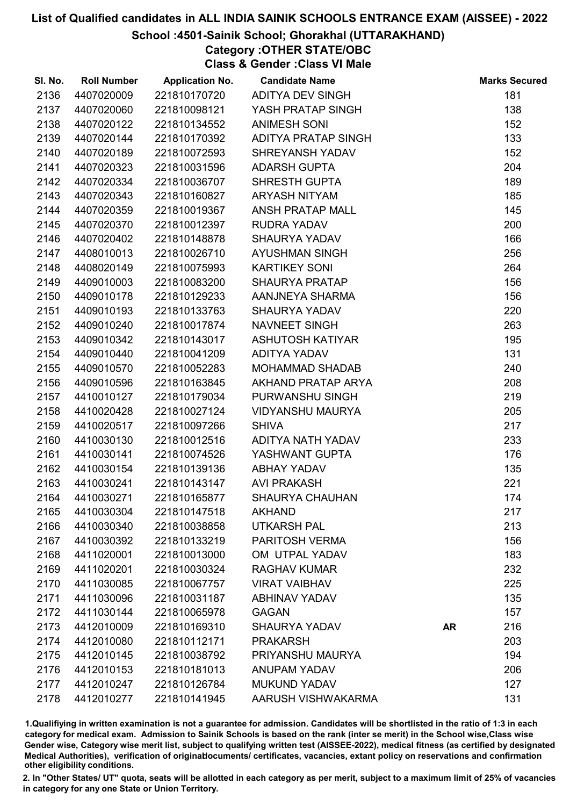### School :4501-Sainik School; Ghorakhal (UTTARAKHAND)

Category :OTHER STATE/OBC Class & Gender :Class VI Male

SI. No. Roll Number Application No. Candidate Name Marks Secured 4407020009 221810170720 ADITYA DEV SINGH 181 4407020060 221810098121 YASH PRATAP SINGH 138 2138 4407020122 221810134552 ANIMESH SONI 152 4407020144 221810170392 ADITYA PRATAP SINGH 133 4407020189 221810072593 SHREYANSH YADAV 152

| 2141 | 4407020323 | 221810031596 | <b>ADARSH GUPTA</b>     |           | 204 |
|------|------------|--------------|-------------------------|-----------|-----|
| 2142 | 4407020334 | 221810036707 | SHRESTH GUPTA           |           | 189 |
| 2143 | 4407020343 | 221810160827 | ARYASH NITYAM           |           | 185 |
| 2144 | 4407020359 | 221810019367 | ANSH PRATAP MALL        |           | 145 |
| 2145 | 4407020370 | 221810012397 | <b>RUDRA YADAV</b>      |           | 200 |
| 2146 | 4407020402 | 221810148878 | SHAURYA YADAV           |           | 166 |
| 2147 | 4408010013 | 221810026710 | AYUSHMAN SINGH          |           | 256 |
| 2148 | 4408020149 | 221810075993 | <b>KARTIKEY SONI</b>    |           | 264 |
| 2149 | 4409010003 | 221810083200 | <b>SHAURYA PRATAP</b>   |           | 156 |
| 2150 | 4409010178 | 221810129233 | AANJNEYA SHARMA         |           | 156 |
| 2151 | 4409010193 | 221810133763 | <b>SHAURYA YADAV</b>    |           | 220 |
| 2152 | 4409010240 | 221810017874 | NAVNEET SINGH           |           | 263 |
| 2153 | 4409010342 | 221810143017 | ASHUTOSH KATIYAR        |           | 195 |
| 2154 | 4409010440 | 221810041209 | ADITYA YADAV            |           | 131 |
| 2155 | 4409010570 | 221810052283 | <b>MOHAMMAD SHADAB</b>  |           | 240 |
| 2156 | 4409010596 | 221810163845 | AKHAND PRATAP ARYA      |           | 208 |
| 2157 | 4410010127 | 221810179034 | PURWANSHU SINGH         |           | 219 |
| 2158 | 4410020428 | 221810027124 | <b>VIDYANSHU MAURYA</b> |           | 205 |
| 2159 | 4410020517 | 221810097266 | <b>SHIVA</b>            |           | 217 |
| 2160 | 4410030130 | 221810012516 | ADITYA NATH YADAV       |           | 233 |
| 2161 | 4410030141 | 221810074526 | YASHWANT GUPTA          |           | 176 |
| 2162 | 4410030154 | 221810139136 | ABHAY YADAV             |           | 135 |
| 2163 | 4410030241 | 221810143147 | <b>AVI PRAKASH</b>      |           | 221 |
| 2164 | 4410030271 | 221810165877 | <b>SHAURYA CHAUHAN</b>  |           | 174 |
| 2165 | 4410030304 | 221810147518 | <b>AKHAND</b>           |           | 217 |
| 2166 | 4410030340 | 221810038858 | UTKARSH PAL             |           | 213 |
| 2167 | 4410030392 | 221810133219 | PARITOSH VERMA          |           | 156 |
| 2168 | 4411020001 | 221810013000 | OM UTPAL YADAV          |           | 183 |
| 2169 | 4411020201 | 221810030324 | <b>RAGHAV KUMAR</b>     |           | 232 |
| 2170 | 4411030085 | 221810067757 | <b>VIRAT VAIBHAV</b>    |           | 225 |
| 2171 | 4411030096 | 221810031187 | <b>ABHINAV YADAV</b>    |           | 135 |
| 2172 | 4411030144 | 221810065978 | <b>GAGAN</b>            |           | 157 |
| 2173 | 4412010009 | 221810169310 | <b>SHAURYA YADAV</b>    | <b>AR</b> | 216 |
| 2174 | 4412010080 | 221810112171 | <b>PRAKARSH</b>         |           | 203 |
| 2175 | 4412010145 | 221810038792 | PRIYANSHU MAURYA        |           | 194 |
| 2176 | 4412010153 | 221810181013 | <b>ANUPAM YADAV</b>     |           | 206 |
| 2177 | 4412010247 | 221810126784 | <b>MUKUND YADAV</b>     |           | 127 |
| 2178 | 4412010277 | 221810141945 | AARUSH VISHWAKARMA      |           | 131 |
|      |            |              |                         |           |     |

1.Qualifiying in written examination is not a guarantee for admission. Candidates will be shortlisted in the ratio of 1:3 in each category for medical exam. Admission to Sainik Schools is based on the rank (inter se merit) in the School wise,Class wise Gender wise, Category wise merit list, subject to qualifying written test (AISSEE-2022), medical fitness (as certified by designated Medical Authorities), verification of originablocuments/ certificates, vacancies, extant policy on reservations and confirmation other eligibility conditions.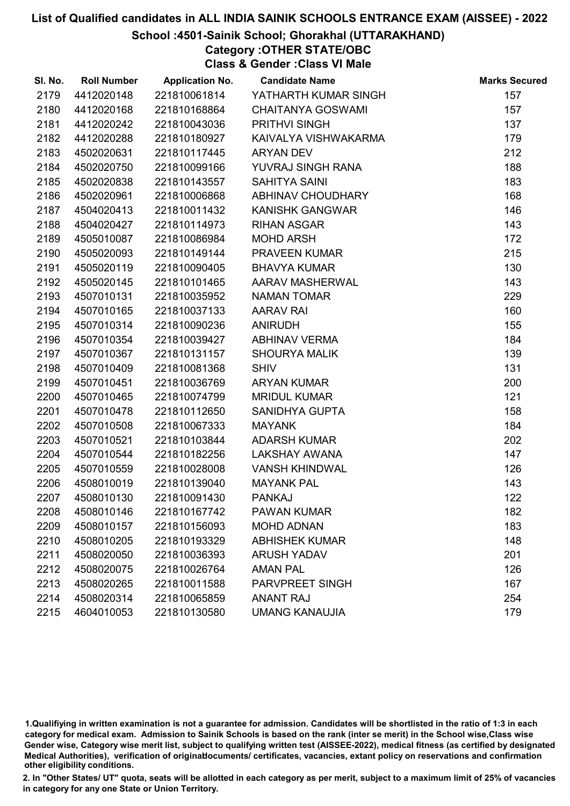# School :4501-Sainik School; Ghorakhal (UTTARAKHAND)

# Category :OTHER STATE/OBC

Class & Gender :Class VI Male

| SI. No. | <b>Roll Number</b> | <b>Application No.</b> | <b>Candidate Name</b>    | <b>Marks Secured</b> |
|---------|--------------------|------------------------|--------------------------|----------------------|
| 2179    | 4412020148         | 221810061814           | YATHARTH KUMAR SINGH     | 157                  |
| 2180    | 4412020168         | 221810168864           | <b>CHAITANYA GOSWAMI</b> | 157                  |
| 2181    | 4412020242         | 221810043036           | PRITHVI SINGH            | 137                  |
| 2182    | 4412020288         | 221810180927           | KAIVALYA VISHWAKARMA     | 179                  |
| 2183    | 4502020631         | 221810117445           | <b>ARYAN DEV</b>         | 212                  |
| 2184    | 4502020750         | 221810099166           | YUVRAJ SINGH RANA        | 188                  |
| 2185    | 4502020838         | 221810143557           | <b>SAHITYA SAINI</b>     | 183                  |
| 2186    | 4502020961         | 221810006868           | ABHINAV CHOUDHARY        | 168                  |
| 2187    | 4504020413         | 221810011432           | <b>KANISHK GANGWAR</b>   | 146                  |
| 2188    | 4504020427         | 221810114973           | <b>RIHAN ASGAR</b>       | 143                  |
| 2189    | 4505010087         | 221810086984           | <b>MOHD ARSH</b>         | 172                  |
| 2190    | 4505020093         | 221810149144           | PRAVEEN KUMAR            | 215                  |
| 2191    | 4505020119         | 221810090405           | <b>BHAVYA KUMAR</b>      | 130                  |
| 2192    | 4505020145         | 221810101465           | AARAV MASHERWAL          | 143                  |
| 2193    | 4507010131         | 221810035952           | <b>NAMAN TOMAR</b>       | 229                  |
| 2194    | 4507010165         | 221810037133           | <b>AARAV RAI</b>         | 160                  |
| 2195    | 4507010314         | 221810090236           | <b>ANIRUDH</b>           | 155                  |
| 2196    | 4507010354         | 221810039427           | <b>ABHINAV VERMA</b>     | 184                  |
| 2197    | 4507010367         | 221810131157           | <b>SHOURYA MALIK</b>     | 139                  |
| 2198    | 4507010409         | 221810081368           | <b>SHIV</b>              | 131                  |
| 2199    | 4507010451         | 221810036769           | <b>ARYAN KUMAR</b>       | 200                  |
| 2200    | 4507010465         | 221810074799           | <b>MRIDUL KUMAR</b>      | 121                  |
| 2201    | 4507010478         | 221810112650           | SANIDHYA GUPTA           | 158                  |
| 2202    | 4507010508         | 221810067333           | <b>MAYANK</b>            | 184                  |
| 2203    | 4507010521         | 221810103844           | <b>ADARSH KUMAR</b>      | 202                  |
| 2204    | 4507010544         | 221810182256           | LAKSHAY AWANA            | 147                  |
| 2205    | 4507010559         | 221810028008           | <b>VANSH KHINDWAL</b>    | 126                  |
| 2206    | 4508010019         | 221810139040           | <b>MAYANK PAL</b>        | 143                  |
| 2207    | 4508010130         | 221810091430           | <b>PANKAJ</b>            | 122                  |
| 2208    | 4508010146         | 221810167742           | <b>PAWAN KUMAR</b>       | 182                  |
| 2209    | 4508010157         | 221810156093           | <b>MOHD ADNAN</b>        | 183                  |
| 2210    | 4508010205         | 221810193329           | <b>ABHISHEK KUMAR</b>    | 148                  |
| 2211    | 4508020050         | 221810036393           | <b>ARUSH YADAV</b>       | 201                  |
| 2212    | 4508020075         | 221810026764           | <b>AMAN PAL</b>          | 126                  |
| 2213    | 4508020265         | 221810011588           | <b>PARVPREET SINGH</b>   | 167                  |
| 2214    | 4508020314         | 221810065859           | <b>ANANT RAJ</b>         | 254                  |
| 2215    | 4604010053         | 221810130580           | <b>UMANG KANAUJIA</b>    | 179                  |

1.Qualifiying in written examination is not a guarantee for admission. Candidates will be shortlisted in the ratio of 1:3 in each category for medical exam. Admission to Sainik Schools is based on the rank (inter se merit) in the School wise,Class wise Gender wise, Category wise merit list, subject to qualifying written test (AISSEE-2022), medical fitness (as certified by designated Medical Authorities), verification of originablocuments/ certificates, vacancies, extant policy on reservations and confirmation other eligibility conditions.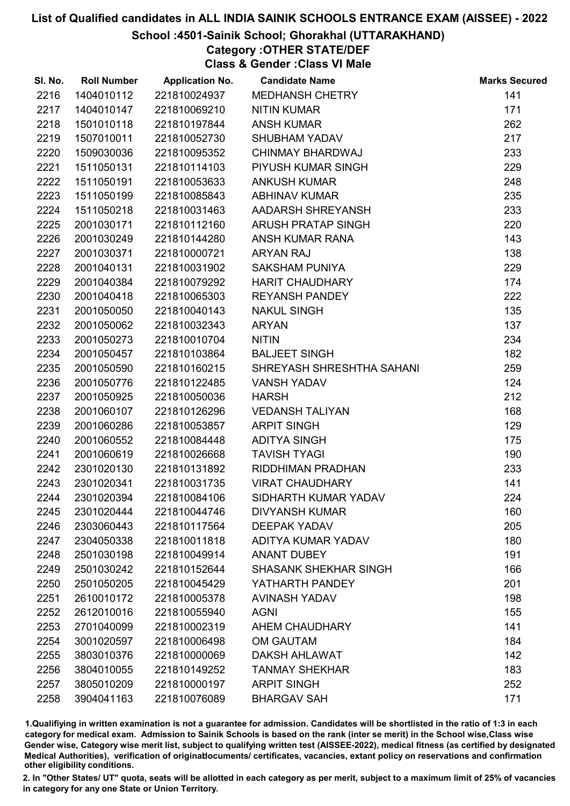# School :4501-Sainik School; Ghorakhal (UTTARAKHAND)

# Category :OTHER STATE/DEF

Class & Gender :Class VI Male

| SI. No. | <b>Roll Number</b> | <b>Application No.</b> | <b>Candidate Name</b>        | <b>Marks Secured</b> |
|---------|--------------------|------------------------|------------------------------|----------------------|
| 2216    | 1404010112         | 221810024937           | MEDHANSH CHETRY              | 141                  |
| 2217    | 1404010147         | 221810069210           | <b>NITIN KUMAR</b>           | 171                  |
| 2218    | 1501010118         | 221810197844           | <b>ANSH KUMAR</b>            | 262                  |
| 2219    | 1507010011         | 221810052730           | <b>SHUBHAM YADAV</b>         | 217                  |
| 2220    | 1509030036         | 221810095352           | CHINMAY BHARDWAJ             | 233                  |
| 2221    | 1511050131         | 221810114103           | PIYUSH KUMAR SINGH           | 229                  |
| 2222    | 1511050191         | 221810053633           | <b>ANKUSH KUMAR</b>          | 248                  |
| 2223    | 1511050199         | 221810085843           | <b>ABHINAV KUMAR</b>         | 235                  |
| 2224    | 1511050218         | 221810031463           | AADARSH SHREYANSH            | 233                  |
| 2225    | 2001030171         | 221810112160           | <b>ARUSH PRATAP SINGH</b>    | 220                  |
| 2226    | 2001030249         | 221810144280           | ANSH KUMAR RANA              | 143                  |
| 2227    | 2001030371         | 221810000721           | <b>ARYAN RAJ</b>             | 138                  |
| 2228    | 2001040131         | 221810031902           | <b>SAKSHAM PUNIYA</b>        | 229                  |
| 2229    | 2001040384         | 221810079292           | <b>HARIT CHAUDHARY</b>       | 174                  |
| 2230    | 2001040418         | 221810065303           | <b>REYANSH PANDEY</b>        | 222                  |
| 2231    | 2001050050         | 221810040143           | <b>NAKUL SINGH</b>           | 135                  |
| 2232    | 2001050062         | 221810032343           | <b>ARYAN</b>                 | 137                  |
| 2233    | 2001050273         | 221810010704           | <b>NITIN</b>                 | 234                  |
| 2234    | 2001050457         | 221810103864           | <b>BALJEET SINGH</b>         | 182                  |
| 2235    | 2001050590         | 221810160215           | SHREYASH SHRESHTHA SAHANI    | 259                  |
| 2236    | 2001050776         | 221810122485           | <b>VANSH YADAV</b>           | 124                  |
| 2237    | 2001050925         | 221810050036           | <b>HARSH</b>                 | 212                  |
| 2238    | 2001060107         | 221810126296           | <b>VEDANSH TALIYAN</b>       | 168                  |
| 2239    | 2001060286         | 221810053857           | <b>ARPIT SINGH</b>           | 129                  |
| 2240    | 2001060552         | 221810084448           | <b>ADITYA SINGH</b>          | 175                  |
| 2241    | 2001060619         | 221810026668           | <b>TAVISH TYAGI</b>          | 190                  |
| 2242    | 2301020130         | 221810131892           | RIDDHIMAN PRADHAN            | 233                  |
| 2243    | 2301020341         | 221810031735           | <b>VIRAT CHAUDHARY</b>       | 141                  |
| 2244    | 2301020394         | 221810084106           | SIDHARTH KUMAR YADAV         | 224                  |
| 2245    | 2301020444         | 221810044746           | <b>DIVYANSH KUMAR</b>        | 160                  |
| 2246    | 2303060443         | 221810117564           | <b>DEEPAK YADAV</b>          | 205                  |
| 2247    | 2304050338         | 221810011818           | ADITYA KUMAR YADAV           | 180                  |
| 2248    | 2501030198         | 221810049914           | <b>ANANT DUBEY</b>           | 191                  |
| 2249    | 2501030242         | 221810152644           | <b>SHASANK SHEKHAR SINGH</b> | 166                  |
| 2250    | 2501050205         | 221810045429           | YATHARTH PANDEY              | 201                  |
| 2251    | 2610010172         | 221810005378           | <b>AVINASH YADAV</b>         | 198                  |
| 2252    | 2612010016         | 221810055940           | <b>AGNI</b>                  | 155                  |
| 2253    | 2701040099         | 221810002319           | AHEM CHAUDHARY               | 141                  |
| 2254    | 3001020597         | 221810006498           | <b>OM GAUTAM</b>             | 184                  |
| 2255    | 3803010376         | 221810000069           | <b>DAKSH AHLAWAT</b>         | 142                  |
| 2256    | 3804010055         | 221810149252           | <b>TANMAY SHEKHAR</b>        | 183                  |
| 2257    | 3805010209         | 221810000197           | <b>ARPIT SINGH</b>           | 252                  |
| 2258    | 3904041163         | 221810076089           | <b>BHARGAV SAH</b>           | 171                  |

1.Qualifiying in written examination is not a guarantee for admission. Candidates will be shortlisted in the ratio of 1:3 in each category for medical exam. Admission to Sainik Schools is based on the rank (inter se merit) in the School wise,Class wise Gender wise, Category wise merit list, subject to qualifying written test (AISSEE-2022), medical fitness (as certified by designated Medical Authorities), verification of originablocuments/ certificates, vacancies, extant policy on reservations and confirmation other eligibility conditions.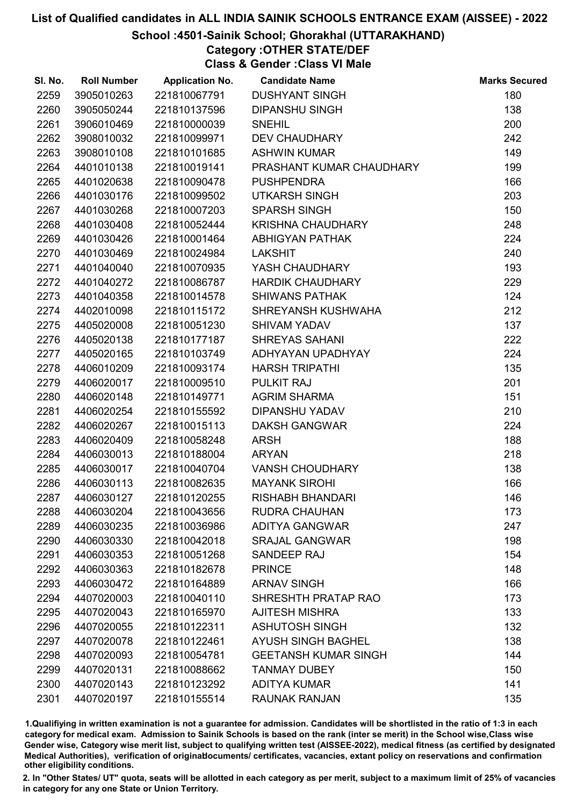# School :4501-Sainik School; Ghorakhal (UTTARAKHAND)

# Category :OTHER STATE/DEF

Class & Gender :Class VI Male

| SI. No. | <b>Roll Number</b> | <b>Application No.</b> | <b>Candidate Name</b>       | <b>Marks Secured</b> |
|---------|--------------------|------------------------|-----------------------------|----------------------|
| 2259    | 3905010263         | 221810067791           | <b>DUSHYANT SINGH</b>       | 180                  |
| 2260    | 3905050244         | 221810137596           | <b>DIPANSHU SINGH</b>       | 138                  |
| 2261    | 3906010469         | 221810000039           | <b>SNEHIL</b>               | 200                  |
| 2262    | 3908010032         | 221810099971           | <b>DEV CHAUDHARY</b>        | 242                  |
| 2263    | 3908010108         | 221810101685           | <b>ASHWIN KUMAR</b>         | 149                  |
| 2264    | 4401010138         | 221810019141           | PRASHANT KUMAR CHAUDHARY    | 199                  |
| 2265    | 4401020638         | 221810090478           | <b>PUSHPENDRA</b>           | 166                  |
| 2266    | 4401030176         | 221810099502           | <b>UTKARSH SINGH</b>        | 203                  |
| 2267    | 4401030268         | 221810007203           | <b>SPARSH SINGH</b>         | 150                  |
| 2268    | 4401030408         | 221810052444           | KRISHNA CHAUDHARY           | 248                  |
| 2269    | 4401030426         | 221810001464           | <b>ABHIGYAN PATHAK</b>      | 224                  |
| 2270    | 4401030469         | 221810024984           | <b>LAKSHIT</b>              | 240                  |
| 2271    | 4401040040         | 221810070935           | YASH CHAUDHARY              | 193                  |
| 2272    | 4401040272         | 221810086787           | <b>HARDIK CHAUDHARY</b>     | 229                  |
| 2273    | 4401040358         | 221810014578           | <b>SHIWANS PATHAK</b>       | 124                  |
| 2274    | 4402010098         | 221810115172           | SHREYANSH KUSHWAHA          | 212                  |
| 2275    | 4405020008         | 221810051230           | <b>SHIVAM YADAV</b>         | 137                  |
| 2276    | 4405020138         | 221810177187           | <b>SHREYAS SAHANI</b>       | 222                  |
| 2277    | 4405020165         | 221810103749           | ADHYAYAN UPADHYAY           | 224                  |
| 2278    | 4406010209         | 221810093174           | <b>HARSH TRIPATHI</b>       | 135                  |
| 2279    | 4406020017         | 221810009510           | PULKIT RAJ                  | 201                  |
| 2280    | 4406020148         | 221810149771           | <b>AGRIM SHARMA</b>         | 151                  |
| 2281    | 4406020254         | 221810155592           | DIPANSHU YADAV              | 210                  |
| 2282    | 4406020267         | 221810015113           | <b>DAKSH GANGWAR</b>        | 224                  |
| 2283    | 4406020409         | 221810058248           | <b>ARSH</b>                 | 188                  |
| 2284    | 4406030013         | 221810188004           | <b>ARYAN</b>                | 218                  |
| 2285    | 4406030017         | 221810040704           | <b>VANSH CHOUDHARY</b>      | 138                  |
| 2286    | 4406030113         | 221810082635           | <b>MAYANK SIROHI</b>        | 166                  |
| 2287    | 4406030127         | 221810120255           | <b>RISHABH BHANDARI</b>     | 146                  |
| 2288    | 4406030204         | 221810043656           | <b>RUDRA CHAUHAN</b>        | 173                  |
| 2289    | 4406030235         | 221810036986           | <b>ADITYA GANGWAR</b>       | 247                  |
| 2290    | 4406030330         | 221810042018           | <b>SRAJAL GANGWAR</b>       | 198                  |
| 2291    | 4406030353         | 221810051268           | SANDEEP RAJ                 | 154                  |
| 2292    | 4406030363         | 221810182678           | <b>PRINCE</b>               | 148                  |
| 2293    | 4406030472         | 221810164889           | <b>ARNAV SINGH</b>          | 166                  |
| 2294    | 4407020003         | 221810040110           | SHRESHTH PRATAP RAO         | 173                  |
| 2295    | 4407020043         | 221810165970           | <b>AJITESH MISHRA</b>       | 133                  |
| 2296    | 4407020055         | 221810122311           | <b>ASHUTOSH SINGH</b>       | 132                  |
| 2297    | 4407020078         | 221810122461           | <b>AYUSH SINGH BAGHEL</b>   | 138                  |
| 2298    | 4407020093         | 221810054781           | <b>GEETANSH KUMAR SINGH</b> | 144                  |
| 2299    | 4407020131         | 221810088662           | <b>TANMAY DUBEY</b>         | 150                  |
| 2300    | 4407020143         | 221810123292           | <b>ADITYA KUMAR</b>         | 141                  |
| 2301    | 4407020197         | 221810155514           | <b>RAUNAK RANJAN</b>        | 135                  |

1.Qualifiying in written examination is not a guarantee for admission. Candidates will be shortlisted in the ratio of 1:3 in each category for medical exam. Admission to Sainik Schools is based on the rank (inter se merit) in the School wise,Class wise Gender wise, Category wise merit list, subject to qualifying written test (AISSEE-2022), medical fitness (as certified by designated Medical Authorities), verification of originablocuments/ certificates, vacancies, extant policy on reservations and confirmation other eligibility conditions.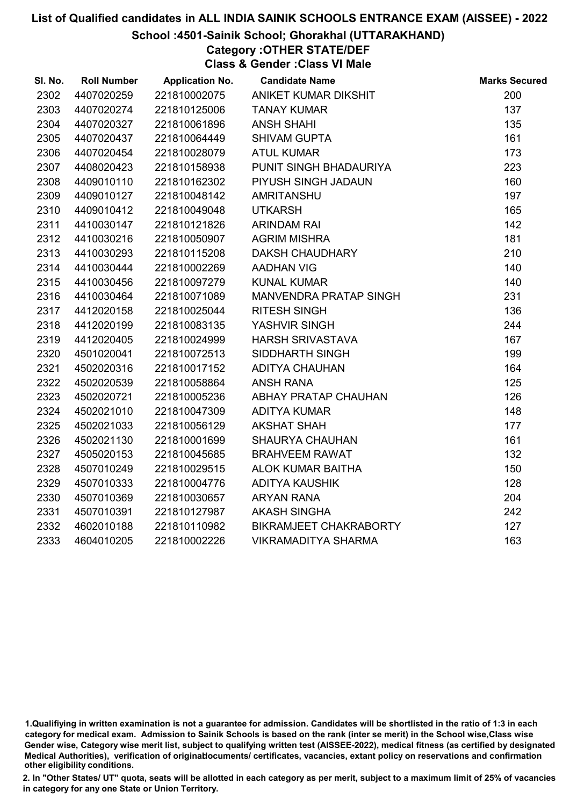# School :4501-Sainik School; Ghorakhal (UTTARAKHAND)

# Category :OTHER STATE/DEF

Class & Gender :Class VI Male

| SI. No. | <b>Roll Number</b> | <b>Application No.</b> | <b>Candidate Name</b>      | <b>Marks Secured</b> |
|---------|--------------------|------------------------|----------------------------|----------------------|
| 2302    | 4407020259         | 221810002075           | ANIKET KUMAR DIKSHIT       | 200                  |
| 2303    | 4407020274         | 221810125006           | <b>TANAY KUMAR</b>         | 137                  |
| 2304    | 4407020327         | 221810061896           | <b>ANSH SHAHI</b>          | 135                  |
| 2305    | 4407020437         | 221810064449           | <b>SHIVAM GUPTA</b>        | 161                  |
| 2306    | 4407020454         | 221810028079           | <b>ATUL KUMAR</b>          | 173                  |
| 2307    | 4408020423         | 221810158938           | PUNIT SINGH BHADAURIYA     | 223                  |
| 2308    | 4409010110         | 221810162302           | PIYUSH SINGH JADAUN        | 160                  |
| 2309    | 4409010127         | 221810048142           | <b>AMRITANSHU</b>          | 197                  |
| 2310    | 4409010412         | 221810049048           | <b>UTKARSH</b>             | 165                  |
| 2311    | 4410030147         | 221810121826           | <b>ARINDAM RAI</b>         | 142                  |
| 2312    | 4410030216         | 221810050907           | <b>AGRIM MISHRA</b>        | 181                  |
| 2313    | 4410030293         | 221810115208           | <b>DAKSH CHAUDHARY</b>     | 210                  |
| 2314    | 4410030444         | 221810002269           | <b>AADHAN VIG</b>          | 140                  |
| 2315    | 4410030456         | 221810097279           | <b>KUNAL KUMAR</b>         | 140                  |
| 2316    | 4410030464         | 221810071089           | MANVENDRA PRATAP SINGH     | 231                  |
| 2317    | 4412020158         | 221810025044           | <b>RITESH SINGH</b>        | 136                  |
| 2318    | 4412020199         | 221810083135           | YASHVIR SINGH              | 244                  |
| 2319    | 4412020405         | 221810024999           | <b>HARSH SRIVASTAVA</b>    | 167                  |
| 2320    | 4501020041         | 221810072513           | SIDDHARTH SINGH            | 199                  |
| 2321    | 4502020316         | 221810017152           | <b>ADITYA CHAUHAN</b>      | 164                  |
| 2322    | 4502020539         | 221810058864           | <b>ANSH RANA</b>           | 125                  |
| 2323    | 4502020721         | 221810005236           | ABHAY PRATAP CHAUHAN       | 126                  |
| 2324    | 4502021010         | 221810047309           | <b>ADITYA KUMAR</b>        | 148                  |
| 2325    | 4502021033         | 221810056129           | <b>AKSHAT SHAH</b>         | 177                  |
| 2326    | 4502021130         | 221810001699           | <b>SHAURYA CHAUHAN</b>     | 161                  |
| 2327    | 4505020153         | 221810045685           | <b>BRAHVEEM RAWAT</b>      | 132                  |
| 2328    | 4507010249         | 221810029515           | <b>ALOK KUMAR BAITHA</b>   | 150                  |
| 2329    | 4507010333         | 221810004776           | <b>ADITYA KAUSHIK</b>      | 128                  |
| 2330    | 4507010369         | 221810030657           | <b>ARYAN RANA</b>          | 204                  |
| 2331    | 4507010391         | 221810127987           | <b>AKASH SINGHA</b>        | 242                  |
| 2332    | 4602010188         | 221810110982           | BIKRAMJEET CHAKRABORTY     | 127                  |
| 2333    | 4604010205         | 221810002226           | <b>VIKRAMADITYA SHARMA</b> | 163                  |
|         |                    |                        |                            |                      |

<sup>1.</sup>Qualifiying in written examination is not a guarantee for admission. Candidates will be shortlisted in the ratio of 1:3 in each category for medical exam. Admission to Sainik Schools is based on the rank (inter se merit) in the School wise,Class wise Gender wise, Category wise merit list, subject to qualifying written test (AISSEE-2022), medical fitness (as certified by designated Medical Authorities), verification of originablocuments/ certificates, vacancies, extant policy on reservations and confirmation other eligibility conditions.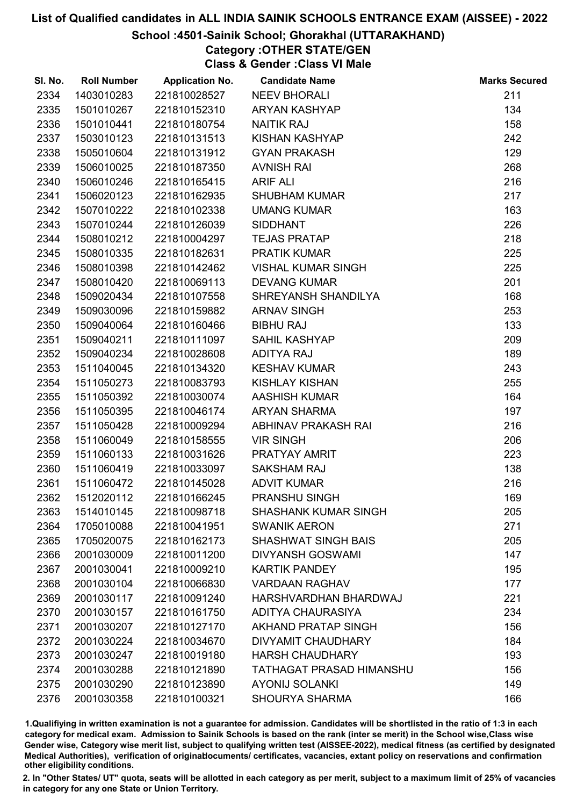# School :4501-Sainik School; Ghorakhal (UTTARAKHAND)

# Category :OTHER STATE/GEN

Class & Gender :Class VI Male

| SI. No. | <b>Roll Number</b> | <b>Application No.</b> | <b>Candidate Name</b>       | <b>Marks Secured</b> |
|---------|--------------------|------------------------|-----------------------------|----------------------|
| 2334    | 1403010283         | 221810028527           | <b>NEEV BHORALI</b>         | 211                  |
| 2335    | 1501010267         | 221810152310           | ARYAN KASHYAP               | 134                  |
| 2336    | 1501010441         | 221810180754           | <b>NAITIK RAJ</b>           | 158                  |
| 2337    | 1503010123         | 221810131513           | KISHAN KASHYAP              | 242                  |
| 2338    | 1505010604         | 221810131912           | <b>GYAN PRAKASH</b>         | 129                  |
| 2339    | 1506010025         | 221810187350           | <b>AVNISH RAI</b>           | 268                  |
| 2340    | 1506010246         | 221810165415           | <b>ARIF ALI</b>             | 216                  |
| 2341    | 1506020123         | 221810162935           | <b>SHUBHAM KUMAR</b>        | 217                  |
| 2342    | 1507010222         | 221810102338           | <b>UMANG KUMAR</b>          | 163                  |
| 2343    | 1507010244         | 221810126039           | <b>SIDDHANT</b>             | 226                  |
| 2344    | 1508010212         | 221810004297           | <b>TEJAS PRATAP</b>         | 218                  |
| 2345    | 1508010335         | 221810182631           | <b>PRATIK KUMAR</b>         | 225                  |
| 2346    | 1508010398         | 221810142462           | <b>VISHAL KUMAR SINGH</b>   | 225                  |
| 2347    | 1508010420         | 221810069113           | <b>DEVANG KUMAR</b>         | 201                  |
| 2348    | 1509020434         | 221810107558           | SHREYANSH SHANDILYA         | 168                  |
| 2349    | 1509030096         | 221810159882           | <b>ARNAV SINGH</b>          | 253                  |
| 2350    | 1509040064         | 221810160466           | <b>BIBHU RAJ</b>            | 133                  |
| 2351    | 1509040211         | 221810111097           | <b>SAHIL KASHYAP</b>        | 209                  |
| 2352    | 1509040234         | 221810028608           | <b>ADITYA RAJ</b>           | 189                  |
| 2353    | 1511040045         | 221810134320           | <b>KESHAV KUMAR</b>         | 243                  |
| 2354    | 1511050273         | 221810083793           | <b>KISHLAY KISHAN</b>       | 255                  |
| 2355    | 1511050392         | 221810030074           | <b>AASHISH KUMAR</b>        | 164                  |
| 2356    | 1511050395         | 221810046174           | <b>ARYAN SHARMA</b>         | 197                  |
| 2357    | 1511050428         | 221810009294           | ABHINAV PRAKASH RAI         | 216                  |
| 2358    | 1511060049         | 221810158555           | <b>VIR SINGH</b>            | 206                  |
| 2359    | 1511060133         | 221810031626           | PRATYAY AMRIT               | 223                  |
| 2360    | 1511060419         | 221810033097           | <b>SAKSHAM RAJ</b>          | 138                  |
| 2361    | 1511060472         | 221810145028           | <b>ADVIT KUMAR</b>          | 216                  |
| 2362    | 1512020112         | 221810166245           | PRANSHU SINGH               | 169                  |
| 2363    | 1514010145         | 221810098718           | <b>SHASHANK KUMAR SINGH</b> | 205                  |
| 2364    | 1705010088         | 221810041951           | <b>SWANIK AERON</b>         | 271                  |
| 2365    | 1705020075         | 221810162173           | <b>SHASHWAT SINGH BAIS</b>  | 205                  |
| 2366    | 2001030009         | 221810011200           | <b>DIVYANSH GOSWAMI</b>     | 147                  |
| 2367    | 2001030041         | 221810009210           | <b>KARTIK PANDEY</b>        | 195                  |
| 2368    | 2001030104         | 221810066830           | <b>VARDAAN RAGHAV</b>       | 177                  |
| 2369    | 2001030117         | 221810091240           | HARSHVARDHAN BHARDWAJ       | 221                  |
| 2370    | 2001030157         | 221810161750           | ADITYA CHAURASIYA           | 234                  |
| 2371    | 2001030207         | 221810127170           | AKHAND PRATAP SINGH         | 156                  |
| 2372    | 2001030224         | 221810034670           | DIVYAMIT CHAUDHARY          | 184                  |
| 2373    | 2001030247         | 221810019180           | <b>HARSH CHAUDHARY</b>      | 193                  |
| 2374    | 2001030288         | 221810121890           | TATHAGAT PRASAD HIMANSHU    | 156                  |
| 2375    | 2001030290         | 221810123890           | <b>AYONIJ SOLANKI</b>       | 149                  |
| 2376    | 2001030358         | 221810100321           | <b>SHOURYA SHARMA</b>       | 166                  |

1.Qualifiying in written examination is not a guarantee for admission. Candidates will be shortlisted in the ratio of 1:3 in each category for medical exam. Admission to Sainik Schools is based on the rank (inter se merit) in the School wise,Class wise Gender wise, Category wise merit list, subject to qualifying written test (AISSEE-2022), medical fitness (as certified by designated Medical Authorities), verification of originablocuments/ certificates, vacancies, extant policy on reservations and confirmation other eligibility conditions.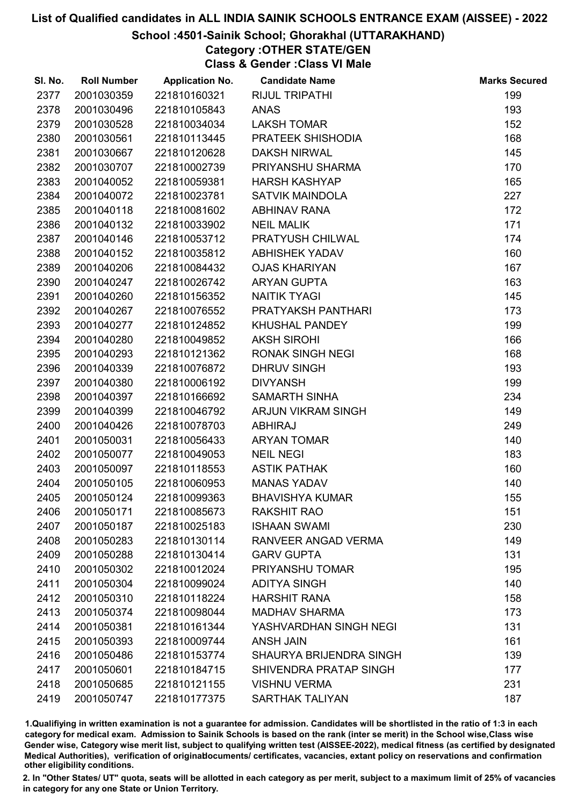# School :4501-Sainik School; Ghorakhal (UTTARAKHAND)

# Category :OTHER STATE/GEN

Class & Gender :Class VI Male

| SI. No. | <b>Roll Number</b> | <b>Application No.</b> | <b>Candidate Name</b>   | <b>Marks Secured</b> |
|---------|--------------------|------------------------|-------------------------|----------------------|
| 2377    | 2001030359         | 221810160321           | <b>RIJUL TRIPATHI</b>   | 199                  |
| 2378    | 2001030496         | 221810105843           | <b>ANAS</b>             | 193                  |
| 2379    | 2001030528         | 221810034034           | <b>LAKSH TOMAR</b>      | 152                  |
| 2380    | 2001030561         | 221810113445           | PRATEEK SHISHODIA       | 168                  |
| 2381    | 2001030667         | 221810120628           | <b>DAKSH NIRWAL</b>     | 145                  |
| 2382    | 2001030707         | 221810002739           | PRIYANSHU SHARMA        | 170                  |
| 2383    | 2001040052         | 221810059381           | <b>HARSH KASHYAP</b>    | 165                  |
| 2384    | 2001040072         | 221810023781           | <b>SATVIK MAINDOLA</b>  | 227                  |
| 2385    | 2001040118         | 221810081602           | <b>ABHINAV RANA</b>     | 172                  |
| 2386    | 2001040132         | 221810033902           | <b>NEIL MALIK</b>       | 171                  |
| 2387    | 2001040146         | 221810053712           | PRATYUSH CHILWAL        | 174                  |
| 2388    | 2001040152         | 221810035812           | <b>ABHISHEK YADAV</b>   | 160                  |
| 2389    | 2001040206         | 221810084432           | <b>OJAS KHARIYAN</b>    | 167                  |
| 2390    | 2001040247         | 221810026742           | <b>ARYAN GUPTA</b>      | 163                  |
| 2391    | 2001040260         | 221810156352           | <b>NAITIK TYAGI</b>     | 145                  |
| 2392    | 2001040267         | 221810076552           | PRATYAKSH PANTHARI      | 173                  |
| 2393    | 2001040277         | 221810124852           | <b>KHUSHAL PANDEY</b>   | 199                  |
| 2394    | 2001040280         | 221810049852           | <b>AKSH SIROHI</b>      | 166                  |
| 2395    | 2001040293         | 221810121362           | <b>RONAK SINGH NEGI</b> | 168                  |
| 2396    | 2001040339         | 221810076872           | <b>DHRUV SINGH</b>      | 193                  |
| 2397    | 2001040380         | 221810006192           | <b>DIVYANSH</b>         | 199                  |
| 2398    | 2001040397         | 221810166692           | <b>SAMARTH SINHA</b>    | 234                  |
| 2399    | 2001040399         | 221810046792           | ARJUN VIKRAM SINGH      | 149                  |
| 2400    | 2001040426         | 221810078703           | <b>ABHIRAJ</b>          | 249                  |
| 2401    | 2001050031         | 221810056433           | <b>ARYAN TOMAR</b>      | 140                  |
| 2402    | 2001050077         | 221810049053           | <b>NEIL NEGI</b>        | 183                  |
| 2403    | 2001050097         | 221810118553           | <b>ASTIK PATHAK</b>     | 160                  |
| 2404    | 2001050105         | 221810060953           | <b>MANAS YADAV</b>      | 140                  |
| 2405    | 2001050124         | 221810099363           | <b>BHAVISHYA KUMAR</b>  | 155                  |
| 2406    | 2001050171         | 221810085673           | <b>RAKSHIT RAO</b>      | 151                  |
| 2407    | 2001050187         | 221810025183           | <b>ISHAAN SWAMI</b>     | 230                  |
| 2408    | 2001050283         | 221810130114           | RANVEER ANGAD VERMA     | 149                  |
| 2409    | 2001050288         | 221810130414           | <b>GARV GUPTA</b>       | 131                  |
| 2410    | 2001050302         | 221810012024           | PRIYANSHU TOMAR         | 195                  |
| 2411    | 2001050304         | 221810099024           | <b>ADITYA SINGH</b>     | 140                  |
| 2412    | 2001050310         | 221810118224           | <b>HARSHIT RANA</b>     | 158                  |
| 2413    | 2001050374         | 221810098044           | <b>MADHAV SHARMA</b>    | 173                  |
| 2414    | 2001050381         | 221810161344           | YASHVARDHAN SINGH NEGI  | 131                  |
| 2415    | 2001050393         | 221810009744           | <b>ANSH JAIN</b>        | 161                  |
| 2416    | 2001050486         | 221810153774           | SHAURYA BRIJENDRA SINGH | 139                  |
| 2417    | 2001050601         | 221810184715           | SHIVENDRA PRATAP SINGH  | 177                  |
| 2418    | 2001050685         | 221810121155           | <b>VISHNU VERMA</b>     | 231                  |
| 2419    | 2001050747         | 221810177375           | SARTHAK TALIYAN         | 187                  |

1.Qualifiying in written examination is not a guarantee for admission. Candidates will be shortlisted in the ratio of 1:3 in each category for medical exam. Admission to Sainik Schools is based on the rank (inter se merit) in the School wise,Class wise Gender wise, Category wise merit list, subject to qualifying written test (AISSEE-2022), medical fitness (as certified by designated Medical Authorities), verification of originablocuments/ certificates, vacancies, extant policy on reservations and confirmation other eligibility conditions.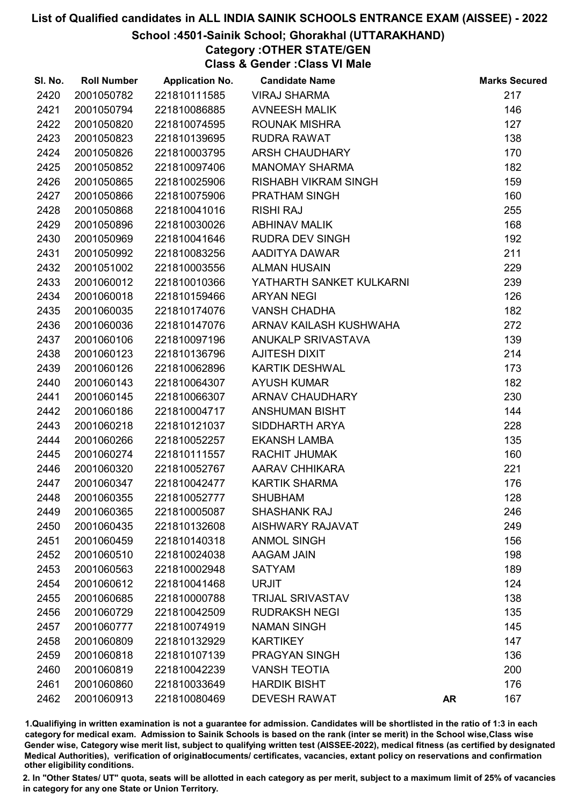# School :4501-Sainik School; Ghorakhal (UTTARAKHAND)

# Category :OTHER STATE/GEN

Class & Gender :Class VI Male

| SI. No. | <b>Roll Number</b> | <b>Application No.</b> | <b>Candidate Name</b>       |           | <b>Marks Secured</b> |
|---------|--------------------|------------------------|-----------------------------|-----------|----------------------|
| 2420    | 2001050782         | 221810111585           | <b>VIRAJ SHARMA</b>         |           | 217                  |
| 2421    | 2001050794         | 221810086885           | <b>AVNEESH MALIK</b>        |           | 146                  |
| 2422    | 2001050820         | 221810074595           | <b>ROUNAK MISHRA</b>        |           | 127                  |
| 2423    | 2001050823         | 221810139695           | <b>RUDRA RAWAT</b>          |           | 138                  |
| 2424    | 2001050826         | 221810003795           | <b>ARSH CHAUDHARY</b>       |           | 170                  |
| 2425    | 2001050852         | 221810097406           | <b>MANOMAY SHARMA</b>       |           | 182                  |
| 2426    | 2001050865         | 221810025906           | <b>RISHABH VIKRAM SINGH</b> |           | 159                  |
| 2427    | 2001050866         | 221810075906           | <b>PRATHAM SINGH</b>        |           | 160                  |
| 2428    | 2001050868         | 221810041016           | <b>RISHI RAJ</b>            |           | 255                  |
| 2429    | 2001050896         | 221810030026           | <b>ABHINAV MALIK</b>        |           | 168                  |
| 2430    | 2001050969         | 221810041646           | <b>RUDRA DEV SINGH</b>      |           | 192                  |
| 2431    | 2001050992         | 221810083256           | AADITYA DAWAR               |           | 211                  |
| 2432    | 2001051002         | 221810003556           | <b>ALMAN HUSAIN</b>         |           | 229                  |
| 2433    | 2001060012         | 221810010366           | YATHARTH SANKET KULKARNI    |           | 239                  |
| 2434    | 2001060018         | 221810159466           | <b>ARYAN NEGI</b>           |           | 126                  |
| 2435    | 2001060035         | 221810174076           | <b>VANSH CHADHA</b>         |           | 182                  |
| 2436    | 2001060036         | 221810147076           | ARNAV KAILASH KUSHWAHA      |           | 272                  |
| 2437    | 2001060106         | 221810097196           | ANUKALP SRIVASTAVA          |           | 139                  |
| 2438    | 2001060123         | 221810136796           | AJITESH DIXIT               |           | 214                  |
| 2439    | 2001060126         | 221810062896           | <b>KARTIK DESHWAL</b>       |           | 173                  |
| 2440    | 2001060143         | 221810064307           | <b>AYUSH KUMAR</b>          |           | 182                  |
| 2441    | 2001060145         | 221810066307           | <b>ARNAV CHAUDHARY</b>      |           | 230                  |
| 2442    | 2001060186         | 221810004717           | <b>ANSHUMAN BISHT</b>       |           | 144                  |
| 2443    | 2001060218         | 221810121037           | SIDDHARTH ARYA              |           | 228                  |
| 2444    | 2001060266         | 221810052257           | <b>EKANSH LAMBA</b>         |           | 135                  |
| 2445    | 2001060274         | 221810111557           | RACHIT JHUMAK               |           | 160                  |
| 2446    | 2001060320         | 221810052767           | AARAV CHHIKARA              |           | 221                  |
| 2447    | 2001060347         | 221810042477           | <b>KARTIK SHARMA</b>        |           | 176                  |
| 2448    | 2001060355         | 221810052777           | <b>SHUBHAM</b>              |           | 128                  |
| 2449    | 2001060365         | 221810005087           | <b>SHASHANK RAJ</b>         |           | 246                  |
| 2450    | 2001060435         | 221810132608           | <b>AISHWARY RAJAVAT</b>     |           | 249                  |
| 2451    | 2001060459         | 221810140318           | <b>ANMOL SINGH</b>          |           | 156                  |
| 2452    | 2001060510         | 221810024038           | AAGAM JAIN                  |           | 198                  |
| 2453    | 2001060563         | 221810002948           | <b>SATYAM</b>               |           | 189                  |
| 2454    | 2001060612         | 221810041468           | <b>URJIT</b>                |           | 124                  |
| 2455    | 2001060685         | 221810000788           | <b>TRIJAL SRIVASTAV</b>     |           | 138                  |
| 2456    | 2001060729         | 221810042509           | <b>RUDRAKSH NEGI</b>        |           | 135                  |
| 2457    | 2001060777         | 221810074919           | <b>NAMAN SINGH</b>          |           | 145                  |
| 2458    | 2001060809         | 221810132929           | <b>KARTIKEY</b>             |           | 147                  |
| 2459    | 2001060818         | 221810107139           | PRAGYAN SINGH               |           | 136                  |
| 2460    | 2001060819         | 221810042239           | <b>VANSH TEOTIA</b>         |           | 200                  |
| 2461    | 2001060860         | 221810033649           | <b>HARDIK BISHT</b>         |           | 176                  |
| 2462    | 2001060913         | 221810080469           | <b>DEVESH RAWAT</b>         | <b>AR</b> | 167                  |

1.Qualifiying in written examination is not a guarantee for admission. Candidates will be shortlisted in the ratio of 1:3 in each category for medical exam. Admission to Sainik Schools is based on the rank (inter se merit) in the School wise,Class wise Gender wise, Category wise merit list, subject to qualifying written test (AISSEE-2022), medical fitness (as certified by designated Medical Authorities), verification of originablocuments/ certificates, vacancies, extant policy on reservations and confirmation other eligibility conditions.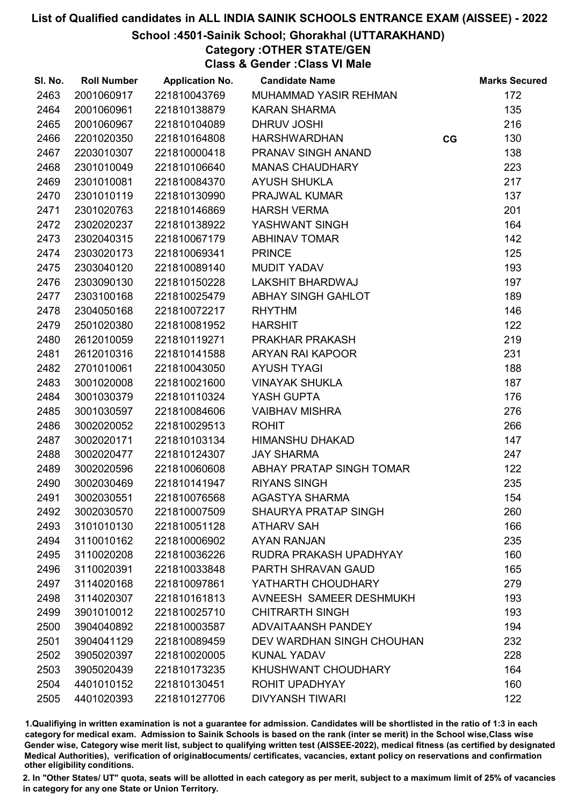# School :4501-Sainik School; Ghorakhal (UTTARAKHAND)

Category :OTHER STATE/GEN

Class & Gender :Class VI Male

| SI. No. | <b>Roll Number</b> | <b>Application No.</b> | <b>Candidate Name</b>       |    | <b>Marks Secured</b> |
|---------|--------------------|------------------------|-----------------------------|----|----------------------|
| 2463    | 2001060917         | 221810043769           | MUHAMMAD YASIR REHMAN       |    | 172                  |
| 2464    | 2001060961         | 221810138879           | <b>KARAN SHARMA</b>         |    | 135                  |
| 2465    | 2001060967         | 221810104089           | DHRUV JOSHI                 |    | 216                  |
| 2466    | 2201020350         | 221810164808           | <b>HARSHWARDHAN</b>         | CG | 130                  |
| 2467    | 2203010307         | 221810000418           | PRANAV SINGH ANAND          |    | 138                  |
| 2468    | 2301010049         | 221810106640           | <b>MANAS CHAUDHARY</b>      |    | 223                  |
| 2469    | 2301010081         | 221810084370           | <b>AYUSH SHUKLA</b>         |    | 217                  |
| 2470    | 2301010119         | 221810130990           | PRAJWAL KUMAR               |    | 137                  |
| 2471    | 2301020763         | 221810146869           | <b>HARSH VERMA</b>          |    | 201                  |
| 2472    | 2302020237         | 221810138922           | YASHWANT SINGH              |    | 164                  |
| 2473    | 2302040315         | 221810067179           | <b>ABHINAV TOMAR</b>        |    | 142                  |
| 2474    | 2303020173         | 221810069341           | <b>PRINCE</b>               |    | 125                  |
| 2475    | 2303040120         | 221810089140           | <b>MUDIT YADAV</b>          |    | 193                  |
| 2476    | 2303090130         | 221810150228           | <b>LAKSHIT BHARDWAJ</b>     |    | 197                  |
| 2477    | 2303100168         | 221810025479           | ABHAY SINGH GAHLOT          |    | 189                  |
| 2478    | 2304050168         | 221810072217           | <b>RHYTHM</b>               |    | 146                  |
| 2479    | 2501020380         | 221810081952           | <b>HARSHIT</b>              |    | 122                  |
| 2480    | 2612010059         | 221810119271           | PRAKHAR PRAKASH             |    | 219                  |
| 2481    | 2612010316         | 221810141588           | ARYAN RAI KAPOOR            |    | 231                  |
| 2482    | 2701010061         | 221810043050           | <b>AYUSH TYAGI</b>          |    | 188                  |
| 2483    | 3001020008         | 221810021600           | <b>VINAYAK SHUKLA</b>       |    | 187                  |
| 2484    | 3001030379         | 221810110324           | YASH GUPTA                  |    | 176                  |
| 2485    | 3001030597         | 221810084606           | <b>VAIBHAV MISHRA</b>       |    | 276                  |
| 2486    | 3002020052         | 221810029513           | <b>ROHIT</b>                |    | 266                  |
| 2487    | 3002020171         | 221810103134           | <b>HIMANSHU DHAKAD</b>      |    | 147                  |
| 2488    | 3002020477         | 221810124307           | <b>JAY SHARMA</b>           |    | 247                  |
| 2489    | 3002020596         | 221810060608           | ABHAY PRATAP SINGH TOMAR    |    | 122                  |
| 2490    | 3002030469         | 221810141947           | <b>RIYANS SINGH</b>         |    | 235                  |
| 2491    | 3002030551         | 221810076568           | <b>AGASTYA SHARMA</b>       |    | 154                  |
| 2492    | 3002030570         | 221810007509           | <b>SHAURYA PRATAP SINGH</b> |    | 260                  |
| 2493    | 3101010130         | 221810051128           | <b>ATHARV SAH</b>           |    | 166                  |
| 2494    | 3110010162         | 221810006902           | <b>AYAN RANJAN</b>          |    | 235                  |
| 2495    | 3110020208         | 221810036226           | RUDRA PRAKASH UPADHYAY      |    | 160                  |
| 2496    | 3110020391         | 221810033848           | PARTH SHRAVAN GAUD          |    | 165                  |
| 2497    | 3114020168         | 221810097861           | YATHARTH CHOUDHARY          |    | 279                  |
| 2498    | 3114020307         | 221810161813           | AVNEESH SAMEER DESHMUKH     |    | 193                  |
| 2499    | 3901010012         | 221810025710           | <b>CHITRARTH SINGH</b>      |    | 193                  |
| 2500    | 3904040892         | 221810003587           | <b>ADVAITAANSH PANDEY</b>   |    | 194                  |
| 2501    | 3904041129         | 221810089459           | DEV WARDHAN SINGH CHOUHAN   |    | 232                  |
| 2502    | 3905020397         | 221810020005           | <b>KUNAL YADAV</b>          |    | 228                  |
| 2503    | 3905020439         | 221810173235           | KHUSHWANT CHOUDHARY         |    | 164                  |
| 2504    | 4401010152         | 221810130451           | ROHIT UPADHYAY              |    | 160                  |
| 2505    | 4401020393         | 221810127706           | <b>DIVYANSH TIWARI</b>      |    | 122                  |

1.Qualifiying in written examination is not a guarantee for admission. Candidates will be shortlisted in the ratio of 1:3 in each category for medical exam. Admission to Sainik Schools is based on the rank (inter se merit) in the School wise,Class wise Gender wise, Category wise merit list, subject to qualifying written test (AISSEE-2022), medical fitness (as certified by designated Medical Authorities), verification of originablocuments/ certificates, vacancies, extant policy on reservations and confirmation other eligibility conditions.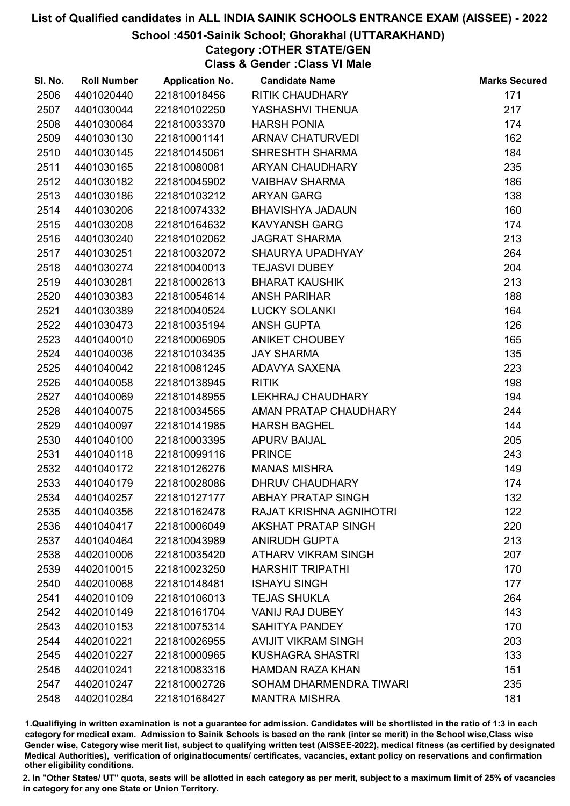# School :4501-Sainik School; Ghorakhal (UTTARAKHAND)

Category :OTHER STATE/GEN Class & Gender :Class VI Male

| SI. No. | <b>Roll Number</b> | <b>Application No.</b> | <b>Candidate Name</b>      | <b>Marks Secured</b> |
|---------|--------------------|------------------------|----------------------------|----------------------|
| 2506    | 4401020440         | 221810018456           | <b>RITIK CHAUDHARY</b>     | 171                  |
| 2507    | 4401030044         | 221810102250           | YASHASHVI THENUA           | 217                  |
| 2508    | 4401030064         | 221810033370           | <b>HARSH PONIA</b>         | 174                  |
| 2509    | 4401030130         | 221810001141           | <b>ARNAV CHATURVEDI</b>    | 162                  |
| 2510    | 4401030145         | 221810145061           | <b>SHRESHTH SHARMA</b>     | 184                  |
| 2511    | 4401030165         | 221810080081           | ARYAN CHAUDHARY            | 235                  |
| 2512    | 4401030182         | 221810045902           | <b>VAIBHAV SHARMA</b>      | 186                  |
| 2513    | 4401030186         | 221810103212           | <b>ARYAN GARG</b>          | 138                  |
| 2514    | 4401030206         | 221810074332           | <b>BHAVISHYA JADAUN</b>    | 160                  |
| 2515    | 4401030208         | 221810164632           | <b>KAVYANSH GARG</b>       | 174                  |
| 2516    | 4401030240         | 221810102062           | <b>JAGRAT SHARMA</b>       | 213                  |
| 2517    | 4401030251         | 221810032072           | SHAURYA UPADHYAY           | 264                  |
| 2518    | 4401030274         | 221810040013           | <b>TEJASVI DUBEY</b>       | 204                  |
| 2519    | 4401030281         | 221810002613           | <b>BHARAT KAUSHIK</b>      | 213                  |
| 2520    | 4401030383         | 221810054614           | <b>ANSH PARIHAR</b>        | 188                  |
| 2521    | 4401030389         | 221810040524           | <b>LUCKY SOLANKI</b>       | 164                  |
| 2522    | 4401030473         | 221810035194           | <b>ANSH GUPTA</b>          | 126                  |
| 2523    | 4401040010         | 221810006905           | <b>ANIKET CHOUBEY</b>      | 165                  |
| 2524    | 4401040036         | 221810103435           | <b>JAY SHARMA</b>          | 135                  |
| 2525    | 4401040042         | 221810081245           | ADAVYA SAXENA              | 223                  |
| 2526    | 4401040058         | 221810138945           | <b>RITIK</b>               | 198                  |
| 2527    | 4401040069         | 221810148955           | LEKHRAJ CHAUDHARY          | 194                  |
| 2528    | 4401040075         | 221810034565           | AMAN PRATAP CHAUDHARY      | 244                  |
| 2529    | 4401040097         | 221810141985           | <b>HARSH BAGHEL</b>        | 144                  |
| 2530    | 4401040100         | 221810003395           | <b>APURV BAIJAL</b>        | 205                  |
| 2531    | 4401040118         | 221810099116           | <b>PRINCE</b>              | 243                  |
| 2532    | 4401040172         | 221810126276           | <b>MANAS MISHRA</b>        | 149                  |
| 2533    | 4401040179         | 221810028086           | DHRUV CHAUDHARY            | 174                  |
| 2534    | 4401040257         | 221810127177           | <b>ABHAY PRATAP SINGH</b>  | 132                  |
| 2535    | 4401040356         | 221810162478           | RAJAT KRISHNA AGNIHOTRI    | 122                  |
| 2536    | 4401040417         | 221810006049           | <b>AKSHAT PRATAP SINGH</b> | 220                  |
| 2537    | 4401040464         | 221810043989           | <b>ANIRUDH GUPTA</b>       | 213                  |
| 2538    | 4402010006         | 221810035420           | <b>ATHARV VIKRAM SINGH</b> | 207                  |
| 2539    | 4402010015         | 221810023250           | <b>HARSHIT TRIPATHI</b>    | 170                  |
| 2540    | 4402010068         | 221810148481           | <b>ISHAYU SINGH</b>        | 177                  |
| 2541    | 4402010109         | 221810106013           | <b>TEJAS SHUKLA</b>        | 264                  |
| 2542    | 4402010149         | 221810161704           | <b>VANIJ RAJ DUBEY</b>     | 143                  |
| 2543    | 4402010153         | 221810075314           | <b>SAHITYA PANDEY</b>      | 170                  |
| 2544    | 4402010221         | 221810026955           | <b>AVIJIT VIKRAM SINGH</b> | 203                  |
| 2545    | 4402010227         | 221810000965           | <b>KUSHAGRA SHASTRI</b>    | 133                  |
| 2546    | 4402010241         | 221810083316           | <b>HAMDAN RAZA KHAN</b>    | 151                  |
| 2547    | 4402010247         | 221810002726           | SOHAM DHARMENDRA TIWARI    | 235                  |
| 2548    | 4402010284         | 221810168427           | <b>MANTRA MISHRA</b>       | 181                  |
|         |                    |                        |                            |                      |

1.Qualifiying in written examination is not a guarantee for admission. Candidates will be shortlisted in the ratio of 1:3 in each category for medical exam. Admission to Sainik Schools is based on the rank (inter se merit) in the School wise,Class wise Gender wise, Category wise merit list, subject to qualifying written test (AISSEE-2022), medical fitness (as certified by designated Medical Authorities), verification of originablocuments/ certificates, vacancies, extant policy on reservations and confirmation other eligibility conditions.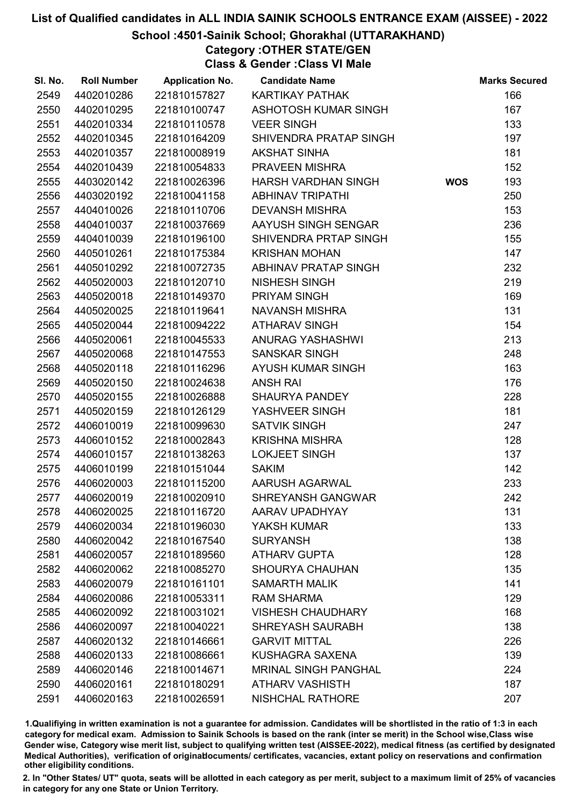# School :4501-Sainik School; Ghorakhal (UTTARAKHAND)

# Category :OTHER STATE/GEN

Class & Gender :Class VI Male

| SI. No. | <b>Roll Number</b> | <b>Application No.</b> | <b>Candidate Name</b>       |            | <b>Marks Secured</b> |
|---------|--------------------|------------------------|-----------------------------|------------|----------------------|
| 2549    | 4402010286         | 221810157827           | KARTIKAY PATHAK             |            | 166                  |
| 2550    | 4402010295         | 221810100747           | ASHOTOSH KUMAR SINGH        |            | 167                  |
| 2551    | 4402010334         | 221810110578           | <b>VEER SINGH</b>           |            | 133                  |
| 2552    | 4402010345         | 221810164209           | SHIVENDRA PRATAP SINGH      |            | 197                  |
| 2553    | 4402010357         | 221810008919           | <b>AKSHAT SINHA</b>         |            | 181                  |
| 2554    | 4402010439         | 221810054833           | PRAVEEN MISHRA              |            | 152                  |
| 2555    | 4403020142         | 221810026396           | <b>HARSH VARDHAN SINGH</b>  | <b>WOS</b> | 193                  |
| 2556    | 4403020192         | 221810041158           | <b>ABHINAV TRIPATHI</b>     |            | 250                  |
| 2557    | 4404010026         | 221810110706           | <b>DEVANSH MISHRA</b>       |            | 153                  |
| 2558    | 4404010037         | 221810037669           | AAYUSH SINGH SENGAR         |            | 236                  |
| 2559    | 4404010039         | 221810196100           | SHIVENDRA PRTAP SINGH       |            | 155                  |
| 2560    | 4405010261         | 221810175384           | <b>KRISHAN MOHAN</b>        |            | 147                  |
| 2561    | 4405010292         | 221810072735           | ABHINAV PRATAP SINGH        |            | 232                  |
| 2562    | 4405020003         | 221810120710           | <b>NISHESH SINGH</b>        |            | 219                  |
| 2563    | 4405020018         | 221810149370           | <b>PRIYAM SINGH</b>         |            | 169                  |
| 2564    | 4405020025         | 221810119641           | NAVANSH MISHRA              |            | 131                  |
| 2565    | 4405020044         | 221810094222           | <b>ATHARAV SINGH</b>        |            | 154                  |
| 2566    | 4405020061         | 221810045533           | ANURAG YASHASHWI            |            | 213                  |
| 2567    | 4405020068         | 221810147553           | <b>SANSKAR SINGH</b>        |            | 248                  |
| 2568    | 4405020118         | 221810116296           | AYUSH KUMAR SINGH           |            | 163                  |
| 2569    | 4405020150         | 221810024638           | <b>ANSH RAI</b>             |            | 176                  |
| 2570    | 4405020155         | 221810026888           | <b>SHAURYA PANDEY</b>       |            | 228                  |
| 2571    | 4405020159         | 221810126129           | YASHVEER SINGH              |            | 181                  |
| 2572    | 4406010019         | 221810099630           | <b>SATVIK SINGH</b>         |            | 247                  |
| 2573    | 4406010152         | 221810002843           | <b>KRISHNA MISHRA</b>       |            | 128                  |
| 2574    | 4406010157         | 221810138263           | LOKJEET SINGH               |            | 137                  |
| 2575    | 4406010199         | 221810151044           | <b>SAKIM</b>                |            | 142                  |
| 2576    | 4406020003         | 221810115200           | AARUSH AGARWAL              |            | 233                  |
| 2577    | 4406020019         | 221810020910           | <b>SHREYANSH GANGWAR</b>    |            | 242                  |
| 2578    | 4406020025         | 221810116720           | AARAV UPADHYAY              |            | 131                  |
| 2579    | 4406020034         | 221810196030           | YAKSH KUMAR                 |            | 133                  |
| 2580    | 4406020042         | 221810167540           | <b>SURYANSH</b>             |            | 138                  |
| 2581    | 4406020057         | 221810189560           | <b>ATHARV GUPTA</b>         |            | 128                  |
| 2582    | 4406020062         | 221810085270           | <b>SHOURYA CHAUHAN</b>      |            | 135                  |
| 2583    | 4406020079         | 221810161101           | <b>SAMARTH MALIK</b>        |            | 141                  |
| 2584    | 4406020086         | 221810053311           | <b>RAM SHARMA</b>           |            | 129                  |
| 2585    | 4406020092         | 221810031021           | <b>VISHESH CHAUDHARY</b>    |            | 168                  |
| 2586    | 4406020097         | 221810040221           | <b>SHREYASH SAURABH</b>     |            | 138                  |
| 2587    | 4406020132         | 221810146661           | <b>GARVIT MITTAL</b>        |            | 226                  |
| 2588    | 4406020133         | 221810086661           | KUSHAGRA SAXENA             |            | 139                  |
| 2589    | 4406020146         | 221810014671           | <b>MRINAL SINGH PANGHAL</b> |            | 224                  |
| 2590    | 4406020161         | 221810180291           | <b>ATHARV VASHISTH</b>      |            | 187                  |
| 2591    | 4406020163         | 221810026591           | <b>NISHCHAL RATHORE</b>     |            | 207                  |

1.Qualifiying in written examination is not a guarantee for admission. Candidates will be shortlisted in the ratio of 1:3 in each category for medical exam. Admission to Sainik Schools is based on the rank (inter se merit) in the School wise,Class wise Gender wise, Category wise merit list, subject to qualifying written test (AISSEE-2022), medical fitness (as certified by designated Medical Authorities), verification of originablocuments/ certificates, vacancies, extant policy on reservations and confirmation other eligibility conditions.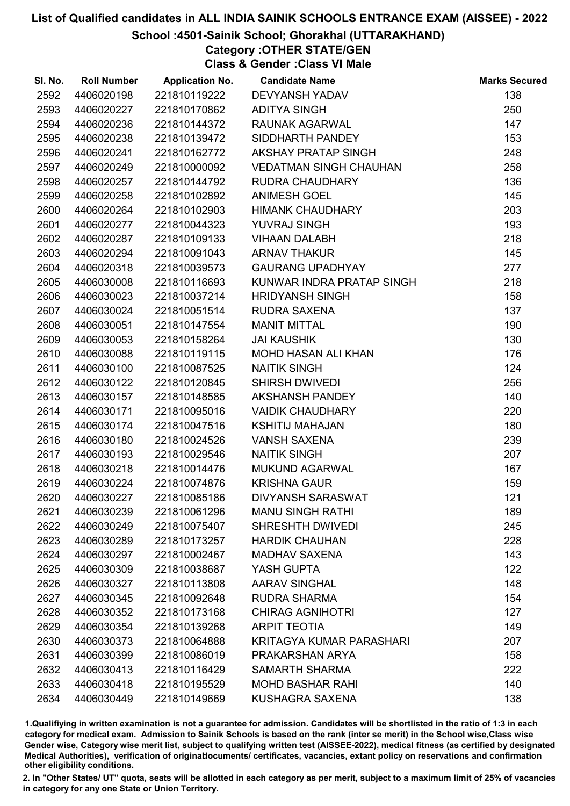# School :4501-Sainik School; Ghorakhal (UTTARAKHAND)

Category :OTHER STATE/GEN Class & Gender :Class VI Male

| SI. No. | <b>Roll Number</b> | <b>Application No.</b> | <b>Candidate Name</b>           | <b>Marks Secured</b> |
|---------|--------------------|------------------------|---------------------------------|----------------------|
| 2592    | 4406020198         | 221810119222           | <b>DEVYANSH YADAV</b>           | 138                  |
| 2593    | 4406020227         | 221810170862           | <b>ADITYA SINGH</b>             | 250                  |
| 2594    | 4406020236         | 221810144372           | RAUNAK AGARWAL                  | 147                  |
| 2595    | 4406020238         | 221810139472           | SIDDHARTH PANDEY                | 153                  |
| 2596    | 4406020241         | 221810162772           | AKSHAY PRATAP SINGH             | 248                  |
| 2597    | 4406020249         | 221810000092           | <b>VEDATMAN SINGH CHAUHAN</b>   | 258                  |
| 2598    | 4406020257         | 221810144792           | RUDRA CHAUDHARY                 | 136                  |
| 2599    | 4406020258         | 221810102892           | <b>ANIMESH GOEL</b>             | 145                  |
| 2600    | 4406020264         | 221810102903           | <b>HIMANK CHAUDHARY</b>         | 203                  |
| 2601    | 4406020277         | 221810044323           | YUVRAJ SINGH                    | 193                  |
| 2602    | 4406020287         | 221810109133           | <b>VIHAAN DALABH</b>            | 218                  |
| 2603    | 4406020294         | 221810091043           | <b>ARNAV THAKUR</b>             | 145                  |
| 2604    | 4406020318         | 221810039573           | <b>GAURANG UPADHYAY</b>         | 277                  |
| 2605    | 4406030008         | 221810116693           | KUNWAR INDRA PRATAP SINGH       | 218                  |
| 2606    | 4406030023         | 221810037214           | <b>HRIDYANSH SINGH</b>          | 158                  |
| 2607    | 4406030024         | 221810051514           | <b>RUDRA SAXENA</b>             | 137                  |
| 2608    | 4406030051         | 221810147554           | <b>MANIT MITTAL</b>             | 190                  |
| 2609    | 4406030053         | 221810158264           | <b>JAI KAUSHIK</b>              | 130                  |
| 2610    | 4406030088         | 221810119115           | <b>MOHD HASAN ALI KHAN</b>      | 176                  |
| 2611    | 4406030100         | 221810087525           | <b>NAITIK SINGH</b>             | 124                  |
| 2612    | 4406030122         | 221810120845           | <b>SHIRSH DWIVEDI</b>           | 256                  |
| 2613    | 4406030157         | 221810148585           | <b>AKSHANSH PANDEY</b>          | 140                  |
| 2614    | 4406030171         | 221810095016           | <b>VAIDIK CHAUDHARY</b>         | 220                  |
| 2615    | 4406030174         | 221810047516           | <b>KSHITIJ MAHAJAN</b>          | 180                  |
| 2616    | 4406030180         | 221810024526           | <b>VANSH SAXENA</b>             | 239                  |
| 2617    | 4406030193         | 221810029546           | <b>NAITIK SINGH</b>             | 207                  |
| 2618    | 4406030218         | 221810014476           | <b>MUKUND AGARWAL</b>           | 167                  |
| 2619    | 4406030224         | 221810074876           | <b>KRISHNA GAUR</b>             | 159                  |
| 2620    | 4406030227         | 221810085186           | <b>DIVYANSH SARASWAT</b>        | 121                  |
| 2621    | 4406030239         | 221810061296           | <b>MANU SINGH RATHI</b>         | 189                  |
| 2622    | 4406030249         | 221810075407           | <b>SHRESHTH DWIVEDI</b>         | 245                  |
| 2623    | 4406030289         | 221810173257           | <b>HARDIK CHAUHAN</b>           | 228                  |
| 2624    | 4406030297         | 221810002467           | <b>MADHAV SAXENA</b>            | 143                  |
| 2625    | 4406030309         | 221810038687           | YASH GUPTA                      | 122                  |
| 2626    | 4406030327         | 221810113808           | <b>AARAV SINGHAL</b>            | 148                  |
| 2627    | 4406030345         | 221810092648           | <b>RUDRA SHARMA</b>             | 154                  |
| 2628    | 4406030352         | 221810173168           | <b>CHIRAG AGNIHOTRI</b>         | 127                  |
| 2629    | 4406030354         | 221810139268           | <b>ARPIT TEOTIA</b>             | 149                  |
| 2630    | 4406030373         | 221810064888           | <b>KRITAGYA KUMAR PARASHARI</b> | 207                  |
| 2631    | 4406030399         | 221810086019           | PRAKARSHAN ARYA                 | 158                  |
| 2632    | 4406030413         | 221810116429           | <b>SAMARTH SHARMA</b>           | 222                  |
| 2633    | 4406030418         | 221810195529           | <b>MOHD BASHAR RAHI</b>         | 140                  |
| 2634    | 4406030449         | 221810149669           | KUSHAGRA SAXENA                 | 138                  |

1.Qualifiying in written examination is not a guarantee for admission. Candidates will be shortlisted in the ratio of 1:3 in each category for medical exam. Admission to Sainik Schools is based on the rank (inter se merit) in the School wise,Class wise Gender wise, Category wise merit list, subject to qualifying written test (AISSEE-2022), medical fitness (as certified by designated Medical Authorities), verification of originablocuments/ certificates, vacancies, extant policy on reservations and confirmation other eligibility conditions.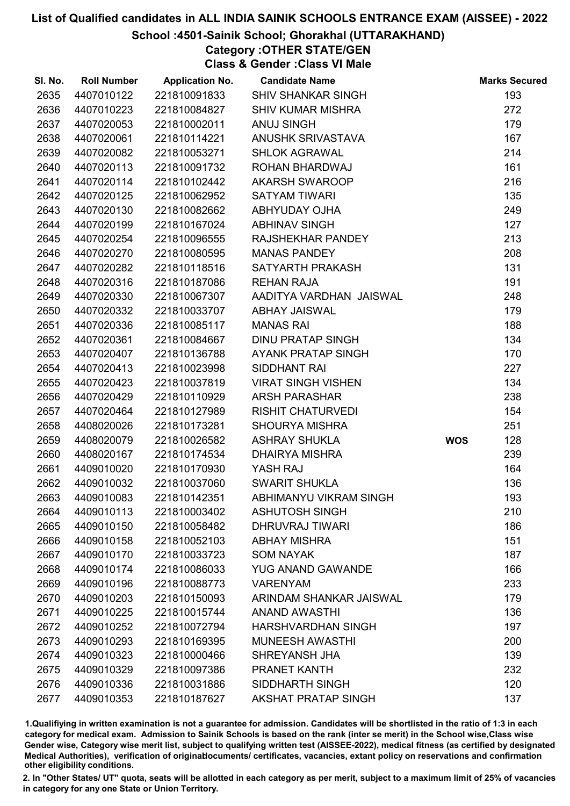# School :4501-Sainik School; Ghorakhal (UTTARAKHAND)

Category :OTHER STATE/GEN Class & Gender :Class VI Male

| SI. No. | <b>Roll Number</b> | <b>Application No.</b> | <b>Candidate Name</b>      |            | <b>Marks Secured</b> |
|---------|--------------------|------------------------|----------------------------|------------|----------------------|
| 2635    | 4407010122         | 221810091833           | <b>SHIV SHANKAR SINGH</b>  |            | 193                  |
| 2636    | 4407010223         | 221810084827           | <b>SHIV KUMAR MISHRA</b>   |            | 272                  |
| 2637    | 4407020053         | 221810002011           | <b>ANUJ SINGH</b>          |            | 179                  |
| 2638    | 4407020061         | 221810114221           | <b>ANUSHK SRIVASTAVA</b>   |            | 167                  |
| 2639    | 4407020082         | 221810053271           | <b>SHLOK AGRAWAL</b>       |            | 214                  |
| 2640    | 4407020113         | 221810091732           | ROHAN BHARDWAJ             |            | 161                  |
| 2641    | 4407020114         | 221810102442           | <b>AKARSH SWAROOP</b>      |            | 216                  |
| 2642    | 4407020125         | 221810062952           | <b>SATYAM TIWARI</b>       |            | 135                  |
| 2643    | 4407020130         | 221810082662           | <b>ABHYUDAY OJHA</b>       |            | 249                  |
| 2644    | 4407020199         | 221810167024           | <b>ABHINAV SINGH</b>       |            | 127                  |
| 2645    | 4407020254         | 221810096555           | RAJSHEKHAR PANDEY          |            | 213                  |
| 2646    | 4407020270         | 221810080595           | <b>MANAS PANDEY</b>        |            | 208                  |
| 2647    | 4407020282         | 221810118516           | SATYARTH PRAKASH           |            | 131                  |
| 2648    | 4407020316         | 221810187086           | <b>REHAN RAJA</b>          |            | 191                  |
| 2649    | 4407020330         | 221810067307           | AADITYA VARDHAN JAISWAL    |            | 248                  |
| 2650    | 4407020332         | 221810033707           | <b>ABHAY JAISWAL</b>       |            | 179                  |
| 2651    | 4407020336         | 221810085117           | <b>MANAS RAI</b>           |            | 188                  |
| 2652    | 4407020361         | 221810084667           | <b>DINU PRATAP SINGH</b>   |            | 134                  |
| 2653    | 4407020407         | 221810136788           | AYANK PRATAP SINGH         |            | 170                  |
| 2654    | 4407020413         | 221810023998           | SIDDHANT RAI               |            | 227                  |
| 2655    | 4407020423         | 221810037819           | <b>VIRAT SINGH VISHEN</b>  |            | 134                  |
| 2656    | 4407020429         | 221810110929           | <b>ARSH PARASHAR</b>       |            | 238                  |
| 2657    | 4407020464         | 221810127989           | <b>RISHIT CHATURVEDI</b>   |            | 154                  |
| 2658    | 4408020026         | 221810173281           | <b>SHOURYA MISHRA</b>      |            | 251                  |
| 2659    | 4408020079         | 221810026582           | <b>ASHRAY SHUKLA</b>       | <b>WOS</b> | 128                  |
| 2660    | 4408020167         | 221810174534           | <b>DHAIRYA MISHRA</b>      |            | 239                  |
| 2661    | 4409010020         | 221810170930           | YASH RAJ                   |            | 164                  |
| 2662    | 4409010032         | 221810037060           | <b>SWARIT SHUKLA</b>       |            | 136                  |
| 2663    | 4409010083         | 221810142351           | ABHIMANYU VIKRAM SINGH     |            | 193                  |
| 2664    | 4409010113         | 221810003402           | <b>ASHUTOSH SINGH</b>      |            | 210                  |
| 2665    | 4409010150         | 221810058482           | DHRUVRAJ TIWARI            |            | 186                  |
| 2666    | 4409010158         | 221810052103           | <b>ABHAY MISHRA</b>        |            | 151                  |
| 2667    | 4409010170         | 221810033723           | <b>SOM NAYAK</b>           |            | 187                  |
| 2668    | 4409010174         | 221810086033           | <b>YUG ANAND GAWANDE</b>   |            | 166                  |
| 2669    | 4409010196         | 221810088773           | <b>VARENYAM</b>            |            | 233                  |
| 2670    | 4409010203         | 221810150093           | ARINDAM SHANKAR JAISWAL    |            | 179                  |
| 2671    | 4409010225         | 221810015744           | <b>ANAND AWASTHI</b>       |            | 136                  |
| 2672    | 4409010252         | 221810072794           | <b>HARSHVARDHAN SINGH</b>  |            | 197                  |
| 2673    | 4409010293         | 221810169395           | <b>MUNEESH AWASTHI</b>     |            | 200                  |
| 2674    | 4409010323         | 221810000466           | SHREYANSH JHA              |            | 139                  |
| 2675    | 4409010329         | 221810097386           | PRANET KANTH               |            | 232                  |
| 2676    | 4409010336         | 221810031886           | SIDDHARTH SINGH            |            | 120                  |
| 2677    | 4409010353         | 221810187627           | <b>AKSHAT PRATAP SINGH</b> |            | 137                  |

1.Qualifiying in written examination is not a guarantee for admission. Candidates will be shortlisted in the ratio of 1:3 in each category for medical exam. Admission to Sainik Schools is based on the rank (inter se merit) in the School wise,Class wise Gender wise, Category wise merit list, subject to qualifying written test (AISSEE-2022), medical fitness (as certified by designated Medical Authorities), verification of originablocuments/ certificates, vacancies, extant policy on reservations and confirmation other eligibility conditions.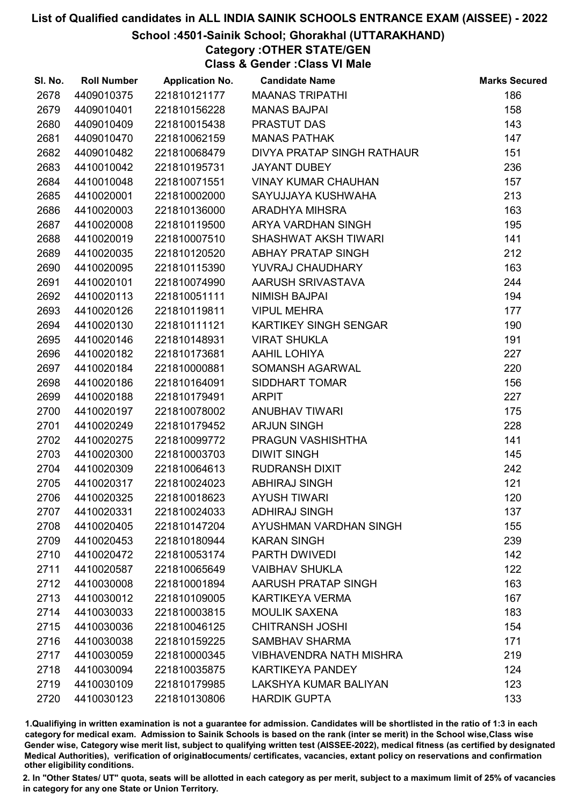# School :4501-Sainik School; Ghorakhal (UTTARAKHAND)

# Category :OTHER STATE/GEN

Class & Gender :Class VI Male

| SI. No. | <b>Roll Number</b> | <b>Application No.</b> | <b>Candidate Name</b>          | <b>Marks Secured</b> |
|---------|--------------------|------------------------|--------------------------------|----------------------|
| 2678    | 4409010375         | 221810121177           | <b>MAANAS TRIPATHI</b>         | 186                  |
| 2679    | 4409010401         | 221810156228           | <b>MANAS BAJPAI</b>            | 158                  |
| 2680    | 4409010409         | 221810015438           | PRASTUT DAS                    | 143                  |
| 2681    | 4409010470         | 221810062159           | <b>MANAS PATHAK</b>            | 147                  |
| 2682    | 4409010482         | 221810068479           | DIVYA PRATAP SINGH RATHAUR     | 151                  |
| 2683    | 4410010042         | 221810195731           | <b>JAYANT DUBEY</b>            | 236                  |
| 2684    | 4410010048         | 221810071551           | <b>VINAY KUMAR CHAUHAN</b>     | 157                  |
| 2685    | 4410020001         | 221810002000           | SAYUJJAYA KUSHWAHA             | 213                  |
| 2686    | 4410020003         | 221810136000           | <b>ARADHYA MIHSRA</b>          | 163                  |
| 2687    | 4410020008         | 221810119500           | ARYA VARDHAN SINGH             | 195                  |
| 2688    | 4410020019         | 221810007510           | <b>SHASHWAT AKSH TIWARI</b>    | 141                  |
| 2689    | 4410020035         | 221810120520           | <b>ABHAY PRATAP SINGH</b>      | 212                  |
| 2690    | 4410020095         | 221810115390           | YUVRAJ CHAUDHARY               | 163                  |
| 2691    | 4410020101         | 221810074990           | AARUSH SRIVASTAVA              | 244                  |
| 2692    | 4410020113         | 221810051111           | <b>NIMISH BAJPAI</b>           | 194                  |
| 2693    | 4410020126         | 221810119811           | <b>VIPUL MEHRA</b>             | 177                  |
| 2694    | 4410020130         | 221810111121           | KARTIKEY SINGH SENGAR          | 190                  |
| 2695    | 4410020146         | 221810148931           | <b>VIRAT SHUKLA</b>            | 191                  |
| 2696    | 4410020182         | 221810173681           | AAHIL LOHIYA                   | 227                  |
| 2697    | 4410020184         | 221810000881           | SOMANSH AGARWAL                | 220                  |
| 2698    | 4410020186         | 221810164091           | <b>SIDDHART TOMAR</b>          | 156                  |
| 2699    | 4410020188         | 221810179491           | <b>ARPIT</b>                   | 227                  |
| 2700    | 4410020197         | 221810078002           | <b>ANUBHAV TIWARI</b>          | 175                  |
| 2701    | 4410020249         | 221810179452           | <b>ARJUN SINGH</b>             | 228                  |
| 2702    | 4410020275         | 221810099772           | PRAGUN VASHISHTHA              | 141                  |
| 2703    | 4410020300         | 221810003703           | <b>DIWIT SINGH</b>             | 145                  |
| 2704    | 4410020309         | 221810064613           | <b>RUDRANSH DIXIT</b>          | 242                  |
| 2705    | 4410020317         | 221810024023           | <b>ABHIRAJ SINGH</b>           | 121                  |
| 2706    | 4410020325         | 221810018623           | <b>AYUSH TIWARI</b>            | 120                  |
| 2707    | 4410020331         | 221810024033           | <b>ADHIRAJ SINGH</b>           | 137                  |
| 2708    | 4410020405         | 221810147204           | AYUSHMAN VARDHAN SINGH         | 155                  |
| 2709    | 4410020453         | 221810180944           | <b>KARAN SINGH</b>             | 239                  |
| 2710    | 4410020472         | 221810053174           | PARTH DWIVEDI                  | 142                  |
| 2711    | 4410020587         | 221810065649           | <b>VAIBHAV SHUKLA</b>          | 122                  |
| 2712    | 4410030008         | 221810001894           | AARUSH PRATAP SINGH            | 163                  |
| 2713    | 4410030012         | 221810109005           | <b>KARTIKEYA VERMA</b>         | 167                  |
| 2714    | 4410030033         | 221810003815           | <b>MOULIK SAXENA</b>           | 183                  |
| 2715    | 4410030036         | 221810046125           | <b>CHITRANSH JOSHI</b>         | 154                  |
| 2716    | 4410030038         | 221810159225           | <b>SAMBHAV SHARMA</b>          | 171                  |
| 2717    | 4410030059         | 221810000345           | <b>VIBHAVENDRA NATH MISHRA</b> | 219                  |
| 2718    | 4410030094         | 221810035875           | <b>KARTIKEYA PANDEY</b>        | 124                  |
| 2719    | 4410030109         | 221810179985           | <b>LAKSHYA KUMAR BALIYAN</b>   | 123                  |
| 2720    | 4410030123         | 221810130806           | <b>HARDIK GUPTA</b>            | 133                  |

1.Qualifiying in written examination is not a guarantee for admission. Candidates will be shortlisted in the ratio of 1:3 in each category for medical exam. Admission to Sainik Schools is based on the rank (inter se merit) in the School wise,Class wise Gender wise, Category wise merit list, subject to qualifying written test (AISSEE-2022), medical fitness (as certified by designated Medical Authorities), verification of originablocuments/ certificates, vacancies, extant policy on reservations and confirmation other eligibility conditions.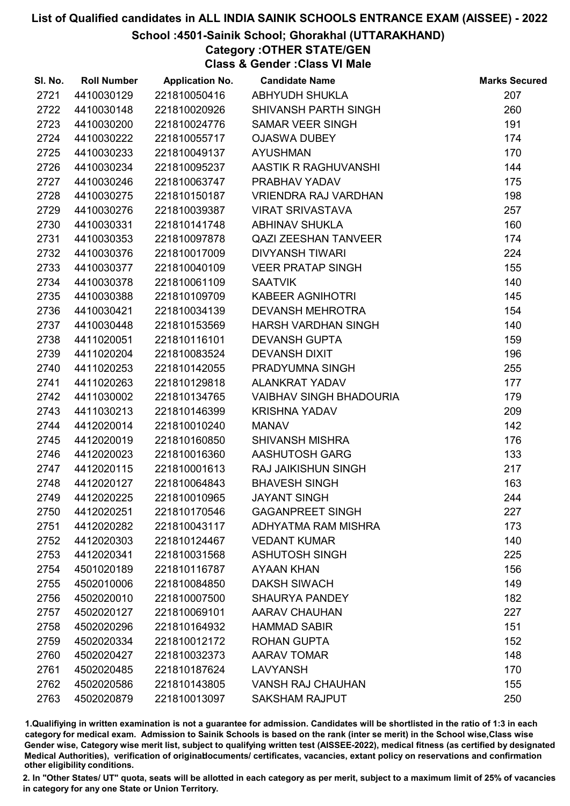# School :4501-Sainik School; Ghorakhal (UTTARAKHAND)

Category :OTHER STATE/GEN Class & Gender :Class VI Male

| SI. No. | <b>Roll Number</b> | <b>Application No.</b> | <b>Candidate Name</b>          | <b>Marks Secured</b> |
|---------|--------------------|------------------------|--------------------------------|----------------------|
| 2721    | 4410030129         | 221810050416           | ABHYUDH SHUKLA                 | 207                  |
| 2722    | 4410030148         | 221810020926           | SHIVANSH PARTH SINGH           | 260                  |
| 2723    | 4410030200         | 221810024776           | <b>SAMAR VEER SINGH</b>        | 191                  |
| 2724    | 4410030222         | 221810055717           | <b>OJASWA DUBEY</b>            | 174                  |
| 2725    | 4410030233         | 221810049137           | <b>AYUSHMAN</b>                | 170                  |
| 2726    | 4410030234         | 221810095237           | AASTIK R RAGHUVANSHI           | 144                  |
| 2727    | 4410030246         | 221810063747           | PRABHAV YADAV                  | 175                  |
| 2728    | 4410030275         | 221810150187           | VRIENDRA RAJ VARDHAN           | 198                  |
| 2729    | 4410030276         | 221810039387           | <b>VIRAT SRIVASTAVA</b>        | 257                  |
| 2730    | 4410030331         | 221810141748           | <b>ABHINAV SHUKLA</b>          | 160                  |
| 2731    | 4410030353         | 221810097878           | QAZI ZEESHAN TANVEER           | 174                  |
| 2732    | 4410030376         | 221810017009           | <b>DIVYANSH TIWARI</b>         | 224                  |
| 2733    | 4410030377         | 221810040109           | <b>VEER PRATAP SINGH</b>       | 155                  |
| 2734    | 4410030378         | 221810061109           | <b>SAATVIK</b>                 | 140                  |
| 2735    | 4410030388         | 221810109709           | <b>KABEER AGNIHOTRI</b>        | 145                  |
| 2736    | 4410030421         | 221810034139           | <b>DEVANSH MEHROTRA</b>        | 154                  |
| 2737    | 4410030448         | 221810153569           | HARSH VARDHAN SINGH            | 140                  |
| 2738    | 4411020051         | 221810116101           | <b>DEVANSH GUPTA</b>           | 159                  |
| 2739    | 4411020204         | 221810083524           | <b>DEVANSH DIXIT</b>           | 196                  |
| 2740    | 4411020253         | 221810142055           | PRADYUMNA SINGH                | 255                  |
| 2741    | 4411020263         | 221810129818           | <b>ALANKRAT YADAV</b>          | 177                  |
| 2742    | 4411030002         | 221810134765           | <b>VAIBHAV SINGH BHADOURIA</b> | 179                  |
| 2743    | 4411030213         | 221810146399           | <b>KRISHNA YADAV</b>           | 209                  |
| 2744    | 4412020014         | 221810010240           | <b>MANAV</b>                   | 142                  |
| 2745    | 4412020019         | 221810160850           | <b>SHIVANSH MISHRA</b>         | 176                  |
| 2746    | 4412020023         | 221810016360           | AASHUTOSH GARG                 | 133                  |
| 2747    | 4412020115         | 221810001613           | <b>RAJ JAIKISHUN SINGH</b>     | 217                  |
| 2748    | 4412020127         | 221810064843           | <b>BHAVESH SINGH</b>           | 163                  |
| 2749    | 4412020225         | 221810010965           | <b>JAYANT SINGH</b>            | 244                  |
| 2750    | 4412020251         | 221810170546           | <b>GAGANPREET SINGH</b>        | 227                  |
| 2751    | 4412020282         | 221810043117           | ADHYATMA RAM MISHRA            | 173                  |
| 2752    | 4412020303         | 221810124467           | <b>VEDANT KUMAR</b>            | 140                  |
| 2753    | 4412020341         | 221810031568           | <b>ASHUTOSH SINGH</b>          | 225                  |
| 2754    | 4501020189         | 221810116787           | <b>AYAAN KHAN</b>              | 156                  |
| 2755    | 4502010006         | 221810084850           | <b>DAKSH SIWACH</b>            | 149                  |
| 2756    | 4502020010         | 221810007500           | <b>SHAURYA PANDEY</b>          | 182                  |
| 2757    | 4502020127         | 221810069101           | <b>AARAV CHAUHAN</b>           | 227                  |
| 2758    | 4502020296         | 221810164932           | <b>HAMMAD SABIR</b>            | 151                  |
| 2759    | 4502020334         | 221810012172           | <b>ROHAN GUPTA</b>             | 152                  |
| 2760    | 4502020427         | 221810032373           | <b>AARAV TOMAR</b>             | 148                  |
| 2761    | 4502020485         | 221810187624           | <b>LAVYANSH</b>                | 170                  |
| 2762    | 4502020586         | 221810143805           | <b>VANSH RAJ CHAUHAN</b>       | 155                  |
| 2763    | 4502020879         | 221810013097           | <b>SAKSHAM RAJPUT</b>          | 250                  |

1.Qualifiying in written examination is not a guarantee for admission. Candidates will be shortlisted in the ratio of 1:3 in each category for medical exam. Admission to Sainik Schools is based on the rank (inter se merit) in the School wise,Class wise Gender wise, Category wise merit list, subject to qualifying written test (AISSEE-2022), medical fitness (as certified by designated Medical Authorities), verification of originablocuments/ certificates, vacancies, extant policy on reservations and confirmation other eligibility conditions.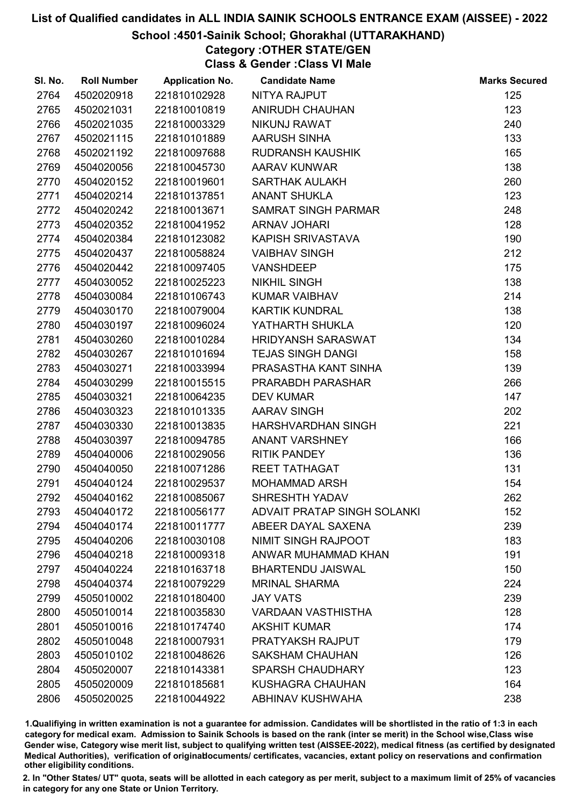# School :4501-Sainik School; Ghorakhal (UTTARAKHAND)

# Category :OTHER STATE/GEN

Class & Gender :Class VI Male

| SI. No. | <b>Roll Number</b> | <b>Application No.</b> | <b>Candidate Name</b>              | <b>Marks Secured</b> |
|---------|--------------------|------------------------|------------------------------------|----------------------|
| 2764    | 4502020918         | 221810102928           | <b>NITYA RAJPUT</b>                | 125                  |
| 2765    | 4502021031         | 221810010819           | <b>ANIRUDH CHAUHAN</b>             | 123                  |
| 2766    | 4502021035         | 221810003329           | NIKUNJ RAWAT                       | 240                  |
| 2767    | 4502021115         | 221810101889           | <b>AARUSH SINHA</b>                | 133                  |
| 2768    | 4502021192         | 221810097688           | <b>RUDRANSH KAUSHIK</b>            | 165                  |
| 2769    | 4504020056         | 221810045730           | <b>AARAV KUNWAR</b>                | 138                  |
| 2770    | 4504020152         | 221810019601           | <b>SARTHAK AULAKH</b>              | 260                  |
| 2771    | 4504020214         | 221810137851           | <b>ANANT SHUKLA</b>                | 123                  |
| 2772    | 4504020242         | 221810013671           | <b>SAMRAT SINGH PARMAR</b>         | 248                  |
| 2773    | 4504020352         | 221810041952           | <b>ARNAV JOHARI</b>                | 128                  |
| 2774    | 4504020384         | 221810123082           | KAPISH SRIVASTAVA                  | 190                  |
| 2775    | 4504020437         | 221810058824           | <b>VAIBHAV SINGH</b>               | 212                  |
| 2776    | 4504020442         | 221810097405           | <b>VANSHDEEP</b>                   | 175                  |
| 2777    | 4504030052         | 221810025223           | <b>NIKHIL SINGH</b>                | 138                  |
| 2778    | 4504030084         | 221810106743           | <b>KUMAR VAIBHAV</b>               | 214                  |
| 2779    | 4504030170         | 221810079004           | <b>KARTIK KUNDRAL</b>              | 138                  |
| 2780    | 4504030197         | 221810096024           | YATHARTH SHUKLA                    | 120                  |
| 2781    | 4504030260         | 221810010284           | <b>HRIDYANSH SARASWAT</b>          | 134                  |
| 2782    | 4504030267         | 221810101694           | <b>TEJAS SINGH DANGI</b>           | 158                  |
| 2783    | 4504030271         | 221810033994           | PRASASTHA KANT SINHA               | 139                  |
| 2784    | 4504030299         | 221810015515           | PRARABDH PARASHAR                  | 266                  |
| 2785    | 4504030321         | 221810064235           | <b>DEV KUMAR</b>                   | 147                  |
| 2786    | 4504030323         | 221810101335           | <b>AARAV SINGH</b>                 | 202                  |
| 2787    | 4504030330         | 221810013835           | HARSHVARDHAN SINGH                 | 221                  |
| 2788    | 4504030397         | 221810094785           | <b>ANANT VARSHNEY</b>              | 166                  |
| 2789    | 4504040006         | 221810029056           | <b>RITIK PANDEY</b>                | 136                  |
| 2790    | 4504040050         | 221810071286           | <b>REET TATHAGAT</b>               | 131                  |
| 2791    | 4504040124         | 221810029537           | <b>MOHAMMAD ARSH</b>               | 154                  |
| 2792    | 4504040162         | 221810085067           | <b>SHRESHTH YADAV</b>              | 262                  |
| 2793    | 4504040172         | 221810056177           | <b>ADVAIT PRATAP SINGH SOLANKI</b> | 152                  |
| 2794    | 4504040174         | 221810011777           | ABEER DAYAL SAXENA                 | 239                  |
| 2795    | 4504040206         | 221810030108           | <b>NIMIT SINGH RAJPOOT</b>         | 183                  |
| 2796    | 4504040218         | 221810009318           | ANWAR MUHAMMAD KHAN                | 191                  |
| 2797    | 4504040224         | 221810163718           | <b>BHARTENDU JAISWAL</b>           | 150                  |
| 2798    | 4504040374         | 221810079229           | <b>MRINAL SHARMA</b>               | 224                  |
| 2799    | 4505010002         | 221810180400           | <b>JAY VATS</b>                    | 239                  |
| 2800    | 4505010014         | 221810035830           | <b>VARDAAN VASTHISTHA</b>          | 128                  |
| 2801    | 4505010016         | 221810174740           | <b>AKSHIT KUMAR</b>                | 174                  |
| 2802    | 4505010048         | 221810007931           | PRATYAKSH RAJPUT                   | 179                  |
| 2803    | 4505010102         | 221810048626           | <b>SAKSHAM CHAUHAN</b>             | 126                  |
| 2804    | 4505020007         | 221810143381           | <b>SPARSH CHAUDHARY</b>            | 123                  |
| 2805    | 4505020009         | 221810185681           | <b>KUSHAGRA CHAUHAN</b>            | 164                  |
| 2806    | 4505020025         | 221810044922           | <b>ABHINAV KUSHWAHA</b>            | 238                  |

1.Qualifiying in written examination is not a guarantee for admission. Candidates will be shortlisted in the ratio of 1:3 in each category for medical exam. Admission to Sainik Schools is based on the rank (inter se merit) in the School wise,Class wise Gender wise, Category wise merit list, subject to qualifying written test (AISSEE-2022), medical fitness (as certified by designated Medical Authorities), verification of originablocuments/ certificates, vacancies, extant policy on reservations and confirmation other eligibility conditions.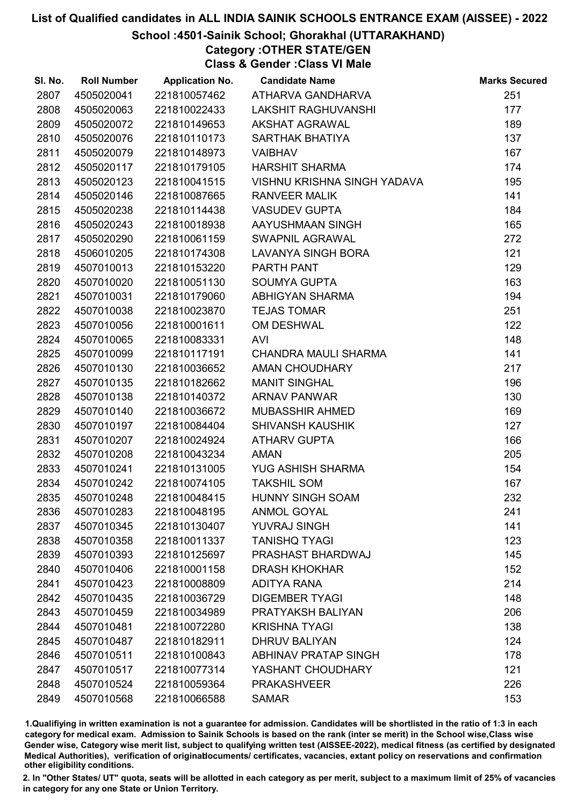# School :4501-Sainik School; Ghorakhal (UTTARAKHAND)

Category :OTHER STATE/GEN Class & Gender :Class VI Male

| SI. No. | <b>Roll Number</b> | <b>Application No.</b> | <b>Candidate Name</b>       | <b>Marks Secured</b> |
|---------|--------------------|------------------------|-----------------------------|----------------------|
| 2807    | 4505020041         | 221810057462           | ATHARVA GANDHARVA           | 251                  |
| 2808    | 4505020063         | 221810022433           | <b>LAKSHIT RAGHUVANSHI</b>  | 177                  |
| 2809    | 4505020072         | 221810149653           | <b>AKSHAT AGRAWAL</b>       | 189                  |
| 2810    | 4505020076         | 221810110173           | SARTHAK BHATIYA             | 137                  |
| 2811    | 4505020079         | 221810148973           | <b>VAIBHAV</b>              | 167                  |
| 2812    | 4505020117         | 221810179105           | <b>HARSHIT SHARMA</b>       | 174                  |
| 2813    | 4505020123         | 221810041515           | VISHNU KRISHNA SINGH YADAVA | 195                  |
| 2814    | 4505020146         | 221810087665           | <b>RANVEER MALIK</b>        | 141                  |
| 2815    | 4505020238         | 221810114438           | <b>VASUDEV GUPTA</b>        | 184                  |
| 2816    | 4505020243         | 221810018938           | AAYUSHMAAN SINGH            | 165                  |
| 2817    | 4505020290         | 221810061159           | SWAPNIL AGRAWAL             | 272                  |
| 2818    | 4506010205         | 221810174308           | LAVANYA SINGH BORA          | 121                  |
| 2819    | 4507010013         | 221810153220           | PARTH PANT                  | 129                  |
| 2820    | 4507010020         | 221810051130           | <b>SOUMYA GUPTA</b>         | 163                  |
| 2821    | 4507010031         | 221810179060           | ABHIGYAN SHARMA             | 194                  |
| 2822    | 4507010038         | 221810023870           | <b>TEJAS TOMAR</b>          | 251                  |
| 2823    | 4507010056         | 221810001611           | OM DESHWAL                  | 122                  |
| 2824    | 4507010065         | 221810083331           | <b>AVI</b>                  | 148                  |
| 2825    | 4507010099         | 221810117191           | <b>CHANDRA MAULI SHARMA</b> | 141                  |
| 2826    | 4507010130         | 221810036652           | AMAN CHOUDHARY              | 217                  |
| 2827    | 4507010135         | 221810182662           | <b>MANIT SINGHAL</b>        | 196                  |
| 2828    | 4507010138         | 221810140372           | <b>ARNAV PANWAR</b>         | 130                  |
| 2829    | 4507010140         | 221810036672           | <b>MUBASSHIR AHMED</b>      | 169                  |
| 2830    | 4507010197         | 221810084404           | <b>SHIVANSH KAUSHIK</b>     | 127                  |
| 2831    | 4507010207         | 221810024924           | <b>ATHARV GUPTA</b>         | 166                  |
| 2832    | 4507010208         | 221810043234           | <b>AMAN</b>                 | 205                  |
| 2833    | 4507010241         | 221810131005           | <b>YUG ASHISH SHARMA</b>    | 154                  |
| 2834    | 4507010242         | 221810074105           | <b>TAKSHIL SOM</b>          | 167                  |
| 2835    | 4507010248         | 221810048415           | HUNNY SINGH SOAM            | 232                  |
| 2836    | 4507010283         | 221810048195           | <b>ANMOL GOYAL</b>          | 241                  |
| 2837    | 4507010345         | 221810130407           | YUVRAJ SINGH                | 141                  |
| 2838    | 4507010358         | 221810011337           | <b>TANISHQ TYAGI</b>        | 123                  |
| 2839    | 4507010393         | 221810125697           | PRASHAST BHARDWAJ           | 145                  |
| 2840    | 4507010406         | 221810001158           | <b>DRASH KHOKHAR</b>        | 152                  |
| 2841    | 4507010423         | 221810008809           | <b>ADITYA RANA</b>          | 214                  |
| 2842    | 4507010435         | 221810036729           | <b>DIGEMBER TYAGI</b>       | 148                  |
| 2843    | 4507010459         | 221810034989           | PRATYAKSH BALIYAN           | 206                  |
| 2844    | 4507010481         | 221810072280           | <b>KRISHNA TYAGI</b>        | 138                  |
| 2845    | 4507010487         | 221810182911           | <b>DHRUV BALIYAN</b>        | 124                  |
| 2846    | 4507010511         | 221810100843           | <b>ABHINAV PRATAP SINGH</b> | 178                  |
| 2847    | 4507010517         | 221810077314           | YASHANT CHOUDHARY           | 121                  |
| 2848    | 4507010524         | 221810059364           | <b>PRAKASHVEER</b>          | 226                  |
| 2849    | 4507010568         | 221810066588           | <b>SAMAR</b>                | 153                  |

1.Qualifiying in written examination is not a guarantee for admission. Candidates will be shortlisted in the ratio of 1:3 in each category for medical exam. Admission to Sainik Schools is based on the rank (inter se merit) in the School wise,Class wise Gender wise, Category wise merit list, subject to qualifying written test (AISSEE-2022), medical fitness (as certified by designated Medical Authorities), verification of originablocuments/ certificates, vacancies, extant policy on reservations and confirmation other eligibility conditions.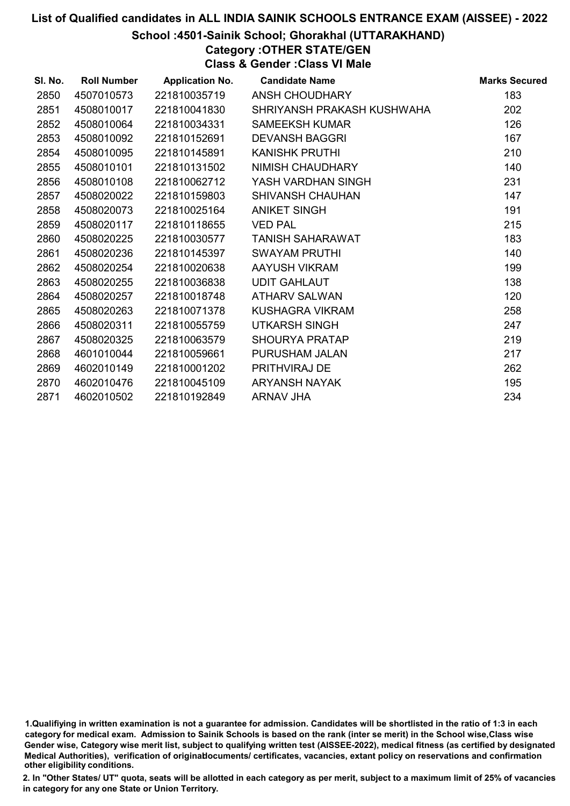# School :4501-Sainik School; Ghorakhal (UTTARAKHAND)

Category :OTHER STATE/GEN

Class & Gender :Class VI Male

| SI. No. | <b>Roll Number</b> | <b>Application No.</b> | <b>Candidate Name</b>      | <b>Marks Secured</b> |
|---------|--------------------|------------------------|----------------------------|----------------------|
| 2850    | 4507010573         | 221810035719           | ANSH CHOUDHARY             | 183                  |
| 2851    | 4508010017         | 221810041830           | SHRIYANSH PRAKASH KUSHWAHA | 202                  |
| 2852    | 4508010064         | 221810034331           | <b>SAMEEKSH KUMAR</b>      | 126                  |
| 2853    | 4508010092         | 221810152691           | <b>DEVANSH BAGGRI</b>      | 167                  |
| 2854    | 4508010095         | 221810145891           | <b>KANISHK PRUTHI</b>      | 210                  |
| 2855    | 4508010101         | 221810131502           | NIMISH CHAUDHARY           | 140                  |
| 2856    | 4508010108         | 221810062712           | YASH VARDHAN SINGH         | 231                  |
| 2857    | 4508020022         | 221810159803           | <b>SHIVANSH CHAUHAN</b>    | 147                  |
| 2858    | 4508020073         | 221810025164           | <b>ANIKET SINGH</b>        | 191                  |
| 2859    | 4508020117         | 221810118655           | <b>VED PAL</b>             | 215                  |
| 2860    | 4508020225         | 221810030577           | <b>TANISH SAHARAWAT</b>    | 183                  |
| 2861    | 4508020236         | 221810145397           | <b>SWAYAM PRUTHI</b>       | 140                  |
| 2862    | 4508020254         | 221810020638           | AAYUSH VIKRAM              | 199                  |
| 2863    | 4508020255         | 221810036838           | <b>UDIT GAHLAUT</b>        | 138                  |
| 2864    | 4508020257         | 221810018748           | <b>ATHARV SALWAN</b>       | 120                  |
| 2865    | 4508020263         | 221810071378           | KUSHAGRA VIKRAM            | 258                  |
| 2866    | 4508020311         | 221810055759           | <b>UTKARSH SINGH</b>       | 247                  |
| 2867    | 4508020325         | 221810063579           | <b>SHOURYA PRATAP</b>      | 219                  |
| 2868    | 4601010044         | 221810059661           | PURUSHAM JALAN             | 217                  |
| 2869    | 4602010149         | 221810001202           | PRITHVIRAJ DE              | 262                  |
| 2870    | 4602010476         | 221810045109           | <b>ARYANSH NAYAK</b>       | 195                  |
| 2871    | 4602010502         | 221810192849           | <b>ARNAV JHA</b>           | 234                  |
|         |                    |                        |                            |                      |

<sup>1.</sup>Qualifiying in written examination is not a guarantee for admission. Candidates will be shortlisted in the ratio of 1:3 in each category for medical exam. Admission to Sainik Schools is based on the rank (inter se merit) in the School wise,Class wise Gender wise, Category wise merit list, subject to qualifying written test (AISSEE-2022), medical fitness (as certified by designated Medical Authorities), verification of originablocuments/ certificates, vacancies, extant policy on reservations and confirmation other eligibility conditions.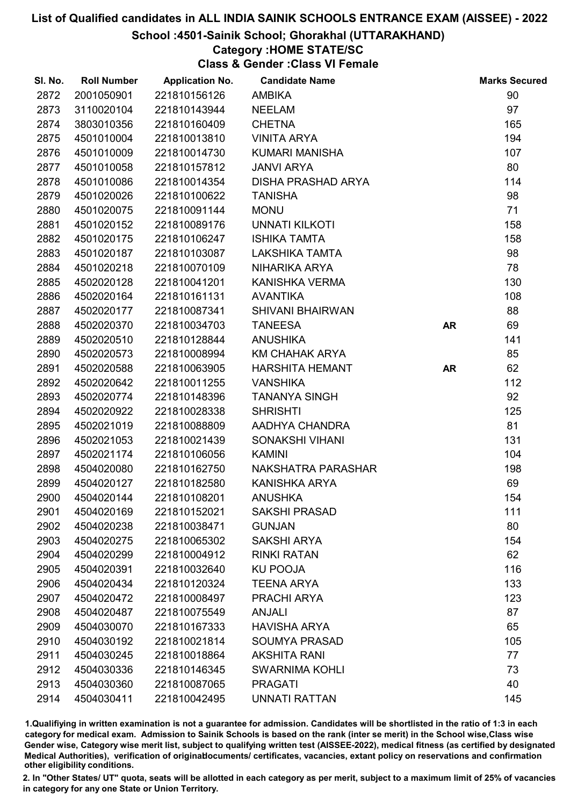#### School :4501-Sainik School; Ghorakhal (UTTARAKHAND)

## Category :HOME STATE/SC

Class & Gender :Class VI Female

| SI. No. | <b>Roll Number</b> | <b>Application No.</b> | <b>Candidate Name</b>     |           | <b>Marks Secured</b> |
|---------|--------------------|------------------------|---------------------------|-----------|----------------------|
| 2872    | 2001050901         | 221810156126           | <b>AMBIKA</b>             |           | 90                   |
| 2873    | 3110020104         | 221810143944           | <b>NEELAM</b>             |           | 97                   |
| 2874    | 3803010356         | 221810160409           | <b>CHETNA</b>             |           | 165                  |
| 2875    | 4501010004         | 221810013810           | <b>VINITA ARYA</b>        |           | 194                  |
| 2876    | 4501010009         | 221810014730           | <b>KUMARI MANISHA</b>     |           | 107                  |
| 2877    | 4501010058         | 221810157812           | <b>JANVI ARYA</b>         |           | 80                   |
| 2878    | 4501010086         | 221810014354           | <b>DISHA PRASHAD ARYA</b> |           | 114                  |
| 2879    | 4501020026         | 221810100622           | <b>TANISHA</b>            |           | 98                   |
| 2880    | 4501020075         | 221810091144           | <b>MONU</b>               |           | 71                   |
| 2881    | 4501020152         | 221810089176           | <b>UNNATI KILKOTI</b>     |           | 158                  |
| 2882    | 4501020175         | 221810106247           | <b>ISHIKA TAMTA</b>       |           | 158                  |
| 2883    | 4501020187         | 221810103087           | <b>LAKSHIKA TAMTA</b>     |           | 98                   |
| 2884    | 4501020218         | 221810070109           | NIHARIKA ARYA             |           | 78                   |
| 2885    | 4502020128         | 221810041201           | KANISHKA VERMA            |           | 130                  |
| 2886    | 4502020164         | 221810161131           | <b>AVANTIKA</b>           |           | 108                  |
| 2887    | 4502020177         | 221810087341           | <b>SHIVANI BHAIRWAN</b>   |           | 88                   |
| 2888    | 4502020370         | 221810034703           | <b>TANEESA</b>            | <b>AR</b> | 69                   |
| 2889    | 4502020510         | 221810128844           | <b>ANUSHIKA</b>           |           | 141                  |
| 2890    | 4502020573         | 221810008994           | <b>KM CHAHAK ARYA</b>     |           | 85                   |
| 2891    | 4502020588         | 221810063905           | <b>HARSHITA HEMANT</b>    | <b>AR</b> | 62                   |
| 2892    | 4502020642         | 221810011255           | <b>VANSHIKA</b>           |           | 112                  |
| 2893    | 4502020774         | 221810148396           | <b>TANANYA SINGH</b>      |           | 92                   |
| 2894    | 4502020922         | 221810028338           | <b>SHRISHTI</b>           |           | 125                  |
| 2895    | 4502021019         | 221810088809           | AADHYA CHANDRA            |           | 81                   |
| 2896    | 4502021053         | 221810021439           | SONAKSHI VIHANI           |           | 131                  |
| 2897    | 4502021174         | 221810106056           | <b>KAMINI</b>             |           | 104                  |
| 2898    | 4504020080         | 221810162750           | NAKSHATRA PARASHAR        |           | 198                  |
| 2899    | 4504020127         | 221810182580           | <b>KANISHKA ARYA</b>      |           | 69                   |
| 2900    | 4504020144         | 221810108201           | <b>ANUSHKA</b>            |           | 154                  |
| 2901    | 4504020169         | 221810152021           | <b>SAKSHI PRASAD</b>      |           | 111                  |
| 2902    | 4504020238         | 221810038471           | <b>GUNJAN</b>             |           | 80                   |
| 2903    | 4504020275         | 221810065302           | <b>SAKSHI ARYA</b>        |           | 154                  |
| 2904    | 4504020299         | 221810004912           | <b>RINKI RATAN</b>        |           | 62                   |
| 2905    | 4504020391         | 221810032640           | <b>KU POOJA</b>           |           | 116                  |
| 2906    | 4504020434         | 221810120324           | <b>TEENA ARYA</b>         |           | 133                  |
| 2907    | 4504020472         | 221810008497           | PRACHI ARYA               |           | 123                  |
| 2908    | 4504020487         | 221810075549           | <b>ANJALI</b>             |           | 87                   |
| 2909    | 4504030070         | 221810167333           | <b>HAVISHA ARYA</b>       |           | 65                   |
| 2910    | 4504030192         | 221810021814           | <b>SOUMYA PRASAD</b>      |           | 105                  |
| 2911    | 4504030245         | 221810018864           | <b>AKSHITA RANI</b>       |           | 77                   |
| 2912    | 4504030336         | 221810146345           | <b>SWARNIMA KOHLI</b>     |           | 73                   |
| 2913    | 4504030360         | 221810087065           | <b>PRAGATI</b>            |           | 40                   |
| 2914    | 4504030411         | 221810042495           | <b>UNNATI RATTAN</b>      |           | 145                  |

1.Qualifiying in written examination is not a guarantee for admission. Candidates will be shortlisted in the ratio of 1:3 in each category for medical exam. Admission to Sainik Schools is based on the rank (inter se merit) in the School wise,Class wise Gender wise, Category wise merit list, subject to qualifying written test (AISSEE-2022), medical fitness (as certified by designated Medical Authorities), verification of originablocuments/ certificates, vacancies, extant policy on reservations and confirmation other eligibility conditions.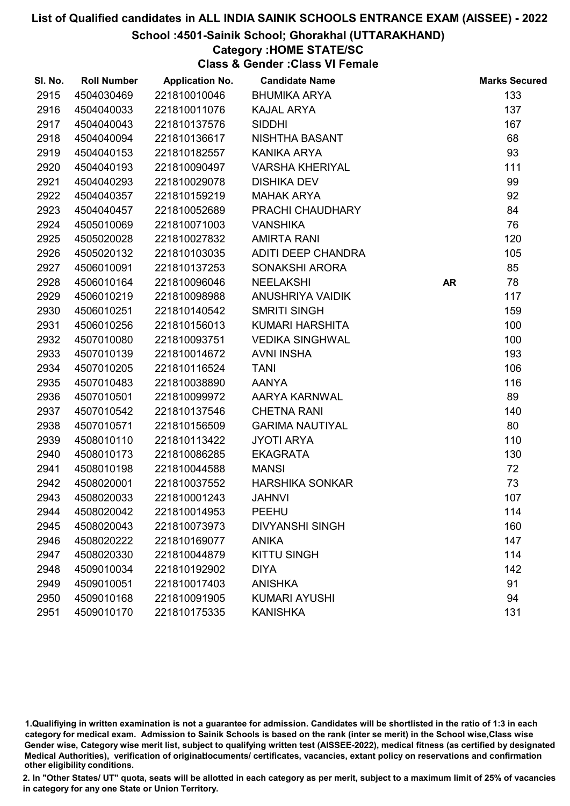#### School :4501-Sainik School; Ghorakhal (UTTARAKHAND)

### Category :HOME STATE/SC

Class & Gender :Class VI Female

| SI. No. | <b>Roll Number</b> | <b>Application No.</b> | <b>Candidate Name</b>  |           | <b>Marks Secured</b> |
|---------|--------------------|------------------------|------------------------|-----------|----------------------|
| 2915    | 4504030469         | 221810010046           | <b>BHUMIKA ARYA</b>    |           | 133                  |
| 2916    | 4504040033         | 221810011076           | <b>KAJAL ARYA</b>      |           | 137                  |
| 2917    | 4504040043         | 221810137576           | <b>SIDDHI</b>          |           | 167                  |
| 2918    | 4504040094         | 221810136617           | NISHTHA BASANT         |           | 68                   |
| 2919    | 4504040153         | 221810182557           | KANIKA ARYA            |           | 93                   |
| 2920    | 4504040193         | 221810090497           | <b>VARSHA KHERIYAL</b> |           | 111                  |
| 2921    | 4504040293         | 221810029078           | <b>DISHIKA DEV</b>     |           | 99                   |
| 2922    | 4504040357         | 221810159219           | <b>MAHAK ARYA</b>      |           | 92                   |
| 2923    | 4504040457         | 221810052689           | PRACHI CHAUDHARY       |           | 84                   |
| 2924    | 4505010069         | 221810071003           | <b>VANSHIKA</b>        |           | 76                   |
| 2925    | 4505020028         | 221810027832           | <b>AMIRTA RANI</b>     |           | 120                  |
| 2926    | 4505020132         | 221810103035           | ADITI DEEP CHANDRA     |           | 105                  |
| 2927    | 4506010091         | 221810137253           | SONAKSHI ARORA         |           | 85                   |
| 2928    | 4506010164         | 221810096046           | <b>NEELAKSHI</b>       | <b>AR</b> | 78                   |
| 2929    | 4506010219         | 221810098988           | ANUSHRIYA VAIDIK       |           | 117                  |
| 2930    | 4506010251         | 221810140542           | <b>SMRITI SINGH</b>    |           | 159                  |
| 2931    | 4506010256         | 221810156013           | KUMARI HARSHITA        |           | 100                  |
| 2932    | 4507010080         | 221810093751           | <b>VEDIKA SINGHWAL</b> |           | 100                  |
| 2933    | 4507010139         | 221810014672           | <b>AVNI INSHA</b>      |           | 193                  |
| 2934    | 4507010205         | 221810116524           | <b>TANI</b>            |           | 106                  |
| 2935    | 4507010483         | 221810038890           | <b>AANYA</b>           |           | 116                  |
| 2936    | 4507010501         | 221810099972           | AARYA KARNWAL          |           | 89                   |
| 2937    | 4507010542         | 221810137546           | <b>CHETNA RANI</b>     |           | 140                  |
| 2938    | 4507010571         | 221810156509           | <b>GARIMA NAUTIYAL</b> |           | 80                   |
| 2939    | 4508010110         | 221810113422           | <b>JYOTI ARYA</b>      |           | 110                  |
| 2940    | 4508010173         | 221810086285           | <b>EKAGRATA</b>        |           | 130                  |
| 2941    | 4508010198         | 221810044588           | <b>MANSI</b>           |           | 72                   |
| 2942    | 4508020001         | 221810037552           | <b>HARSHIKA SONKAR</b> |           | 73                   |
| 2943    | 4508020033         | 221810001243           | <b>JAHNVI</b>          |           | 107                  |
| 2944    | 4508020042         | 221810014953           | <b>PEEHU</b>           |           | 114                  |
| 2945    | 4508020043         | 221810073973           | <b>DIVYANSHI SINGH</b> |           | 160                  |
| 2946    | 4508020222         | 221810169077           | <b>ANIKA</b>           |           | 147                  |
| 2947    | 4508020330         | 221810044879           | <b>KITTU SINGH</b>     |           | 114                  |
| 2948    | 4509010034         | 221810192902           | <b>DIYA</b>            |           | 142                  |
| 2949    | 4509010051         | 221810017403           | <b>ANISHKA</b>         |           | 91                   |
| 2950    | 4509010168         | 221810091905           | <b>KUMARI AYUSHI</b>   |           | 94                   |
| 2951    | 4509010170         | 221810175335           | <b>KANISHKA</b>        |           | 131                  |

1.Qualifiying in written examination is not a guarantee for admission. Candidates will be shortlisted in the ratio of 1:3 in each category for medical exam. Admission to Sainik Schools is based on the rank (inter se merit) in the School wise,Class wise Gender wise, Category wise merit list, subject to qualifying written test (AISSEE-2022), medical fitness (as certified by designated Medical Authorities), verification of originablocuments/ certificates, vacancies, extant policy on reservations and confirmation other eligibility conditions.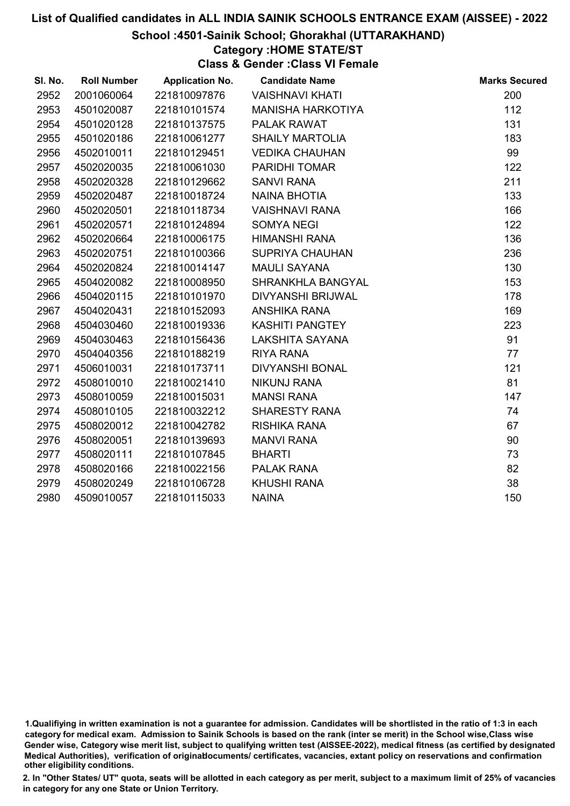#### School :4501-Sainik School; Ghorakhal (UTTARAKHAND)

# Category :HOME STATE/ST

Class & Gender :Class VI Female

| SI. No. | <b>Roll Number</b> | <b>Application No.</b> | <b>Candidate Name</b>    | <b>Marks Secured</b> |
|---------|--------------------|------------------------|--------------------------|----------------------|
| 2952    | 2001060064         | 221810097876           | <b>VAISHNAVI KHATI</b>   | 200                  |
| 2953    | 4501020087         | 221810101574           | <b>MANISHA HARKOTIYA</b> | 112                  |
| 2954    | 4501020128         | 221810137575           | PALAK RAWAT              | 131                  |
| 2955    | 4501020186         | 221810061277           | <b>SHAILY MARTOLIA</b>   | 183                  |
| 2956    | 4502010011         | 221810129451           | <b>VEDIKA CHAUHAN</b>    | 99                   |
| 2957    | 4502020035         | 221810061030           | <b>PARIDHI TOMAR</b>     | 122                  |
| 2958    | 4502020328         | 221810129662           | <b>SANVI RANA</b>        | 211                  |
| 2959    | 4502020487         | 221810018724           | <b>NAINA BHOTIA</b>      | 133                  |
| 2960    | 4502020501         | 221810118734           | <b>VAISHNAVI RANA</b>    | 166                  |
| 2961    | 4502020571         | 221810124894           | <b>SOMYA NEGI</b>        | 122                  |
| 2962    | 4502020664         | 221810006175           | <b>HIMANSHI RANA</b>     | 136                  |
| 2963    | 4502020751         | 221810100366           | <b>SUPRIYA CHAUHAN</b>   | 236                  |
| 2964    | 4502020824         | 221810014147           | <b>MAULI SAYANA</b>      | 130                  |
| 2965    | 4504020082         | 221810008950           | SHRANKHLA BANGYAL        | 153                  |
| 2966    | 4504020115         | 221810101970           | DIVYANSHI BRIJWAL        | 178                  |
| 2967    | 4504020431         | 221810152093           | <b>ANSHIKA RANA</b>      | 169                  |
| 2968    | 4504030460         | 221810019336           | <b>KASHITI PANGTEY</b>   | 223                  |
| 2969    | 4504030463         | 221810156436           | LAKSHITA SAYANA          | 91                   |
| 2970    | 4504040356         | 221810188219           | <b>RIYA RANA</b>         | 77                   |
| 2971    | 4506010031         | 221810173711           | <b>DIVYANSHI BONAL</b>   | 121                  |
| 2972    | 4508010010         | 221810021410           | <b>NIKUNJ RANA</b>       | 81                   |
| 2973    | 4508010059         | 221810015031           | <b>MANSI RANA</b>        | 147                  |
| 2974    | 4508010105         | 221810032212           | <b>SHARESTY RANA</b>     | 74                   |
| 2975    | 4508020012         | 221810042782           | <b>RISHIKA RANA</b>      | 67                   |
| 2976    | 4508020051         | 221810139693           | <b>MANVI RANA</b>        | 90                   |
| 2977    | 4508020111         | 221810107845           | <b>BHARTI</b>            | 73                   |
| 2978    | 4508020166         | 221810022156           | <b>PALAK RANA</b>        | 82                   |
| 2979    | 4508020249         | 221810106728           | <b>KHUSHI RANA</b>       | 38                   |
| 2980    | 4509010057         | 221810115033           | <b>NAINA</b>             | 150                  |

<sup>1.</sup>Qualifiying in written examination is not a guarantee for admission. Candidates will be shortlisted in the ratio of 1:3 in each category for medical exam. Admission to Sainik Schools is based on the rank (inter se merit) in the School wise,Class wise Gender wise, Category wise merit list, subject to qualifying written test (AISSEE-2022), medical fitness (as certified by designated Medical Authorities), verification of originablocuments/ certificates, vacancies, extant policy on reservations and confirmation other eligibility conditions.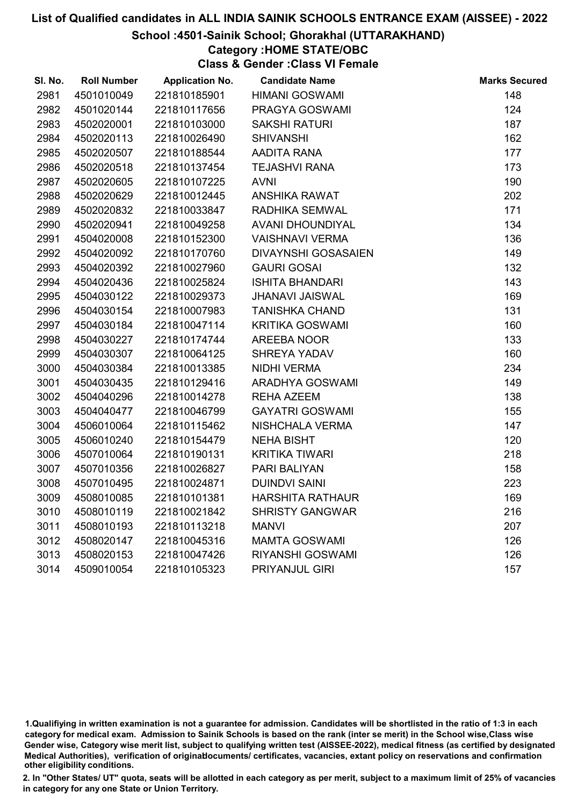#### School :4501-Sainik School; Ghorakhal (UTTARAKHAND)

# Category :HOME STATE/OBC

Class & Gender :Class VI Female

| SI. No. | <b>Roll Number</b> | <b>Application No.</b> | <b>Candidate Name</b>   | <b>Marks Secured</b> |
|---------|--------------------|------------------------|-------------------------|----------------------|
| 2981    | 4501010049         | 221810185901           | <b>HIMANI GOSWAMI</b>   | 148                  |
| 2982    | 4501020144         | 221810117656           | PRAGYA GOSWAMI          | 124                  |
| 2983    | 4502020001         | 221810103000           | <b>SAKSHI RATURI</b>    | 187                  |
| 2984    | 4502020113         | 221810026490           | <b>SHIVANSHI</b>        | 162                  |
| 2985    | 4502020507         | 221810188544           | AADITA RANA             | 177                  |
| 2986    | 4502020518         | 221810137454           | <b>TEJASHVI RANA</b>    | 173                  |
| 2987    | 4502020605         | 221810107225           | <b>AVNI</b>             | 190                  |
| 2988    | 4502020629         | 221810012445           | <b>ANSHIKA RAWAT</b>    | 202                  |
| 2989    | 4502020832         | 221810033847           | <b>RADHIKA SEMWAL</b>   | 171                  |
| 2990    | 4502020941         | 221810049258           | AVANI DHOUNDIYAL        | 134                  |
| 2991    | 4504020008         | 221810152300           | <b>VAISHNAVI VERMA</b>  | 136                  |
| 2992    | 4504020092         | 221810170760           | DIVAYNSHI GOSASAIEN     | 149                  |
| 2993    | 4504020392         | 221810027960           | <b>GAURI GOSAI</b>      | 132                  |
| 2994    | 4504020436         | 221810025824           | <b>ISHITA BHANDARI</b>  | 143                  |
| 2995    | 4504030122         | 221810029373           | <b>JHANAVI JAISWAL</b>  | 169                  |
| 2996    | 4504030154         | 221810007983           | <b>TANISHKA CHAND</b>   | 131                  |
| 2997    | 4504030184         | 221810047114           | <b>KRITIKA GOSWAMI</b>  | 160                  |
| 2998    | 4504030227         | 221810174744           | AREEBA NOOR             | 133                  |
| 2999    | 4504030307         | 221810064125           | <b>SHREYA YADAV</b>     | 160                  |
| 3000    | 4504030384         | 221810013385           | <b>NIDHI VERMA</b>      | 234                  |
| 3001    | 4504030435         | 221810129416           | ARADHYA GOSWAMI         | 149                  |
| 3002    | 4504040296         | 221810014278           | <b>REHA AZEEM</b>       | 138                  |
| 3003    | 4504040477         | 221810046799           | <b>GAYATRI GOSWAMI</b>  | 155                  |
| 3004    | 4506010064         | 221810115462           | NISHCHALA VERMA         | 147                  |
| 3005    | 4506010240         | 221810154479           | <b>NEHA BISHT</b>       | 120                  |
| 3006    | 4507010064         | 221810190131           | <b>KRITIKA TIWARI</b>   | 218                  |
| 3007    | 4507010356         | 221810026827           | <b>PARI BALIYAN</b>     | 158                  |
| 3008    | 4507010495         | 221810024871           | <b>DUINDVI SAINI</b>    | 223                  |
| 3009    | 4508010085         | 221810101381           | <b>HARSHITA RATHAUR</b> | 169                  |
| 3010    | 4508010119         | 221810021842           | <b>SHRISTY GANGWAR</b>  | 216                  |
| 3011    | 4508010193         | 221810113218           | <b>MANVI</b>            | 207                  |
| 3012    | 4508020147         | 221810045316           | <b>MAMTA GOSWAMI</b>    | 126                  |
| 3013    | 4508020153         | 221810047426           | <b>RIYANSHI GOSWAMI</b> | 126                  |
| 3014    | 4509010054         | 221810105323           | <b>PRIYANJUL GIRI</b>   | 157                  |

<sup>1.</sup>Qualifiying in written examination is not a guarantee for admission. Candidates will be shortlisted in the ratio of 1:3 in each category for medical exam. Admission to Sainik Schools is based on the rank (inter se merit) in the School wise,Class wise Gender wise, Category wise merit list, subject to qualifying written test (AISSEE-2022), medical fitness (as certified by designated Medical Authorities), verification of originablocuments/ certificates, vacancies, extant policy on reservations and confirmation other eligibility conditions.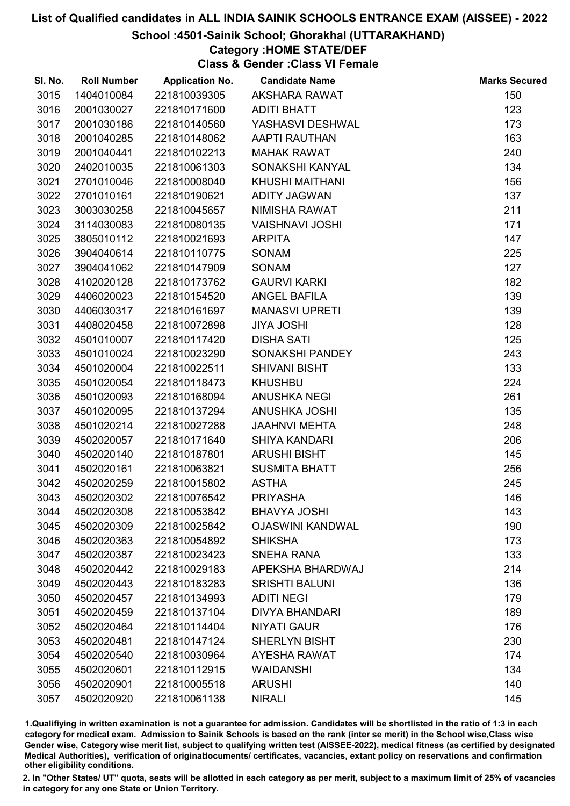#### School :4501-Sainik School; Ghorakhal (UTTARAKHAND)

# Category :HOME STATE/DEF

Class & Gender :Class VI Female

| SI. No. | <b>Roll Number</b> | <b>Application No.</b> | <b>Candidate Name</b>   | <b>Marks Secured</b> |
|---------|--------------------|------------------------|-------------------------|----------------------|
| 3015    | 1404010084         | 221810039305           | AKSHARA RAWAT           | 150                  |
| 3016    | 2001030027         | 221810171600           | <b>ADITI BHATT</b>      | 123                  |
| 3017    | 2001030186         | 221810140560           | YASHASVI DESHWAL        | 173                  |
| 3018    | 2001040285         | 221810148062           | <b>AAPTI RAUTHAN</b>    | 163                  |
| 3019    | 2001040441         | 221810102213           | <b>MAHAK RAWAT</b>      | 240                  |
| 3020    | 2402010035         | 221810061303           | SONAKSHI KANYAL         | 134                  |
| 3021    | 2701010046         | 221810008040           | KHUSHI MAITHANI         | 156                  |
| 3022    | 2701010161         | 221810190621           | <b>ADITY JAGWAN</b>     | 137                  |
| 3023    | 3003030258         | 221810045657           | NIMISHA RAWAT           | 211                  |
| 3024    | 3114030083         | 221810080135           | <b>VAISHNAVI JOSHI</b>  | 171                  |
| 3025    | 3805010112         | 221810021693           | <b>ARPITA</b>           | 147                  |
| 3026    | 3904040614         | 221810110775           | <b>SONAM</b>            | 225                  |
| 3027    | 3904041062         | 221810147909           | <b>SONAM</b>            | 127                  |
| 3028    | 4102020128         | 221810173762           | <b>GAURVI KARKI</b>     | 182                  |
| 3029    | 4406020023         | 221810154520           | <b>ANGEL BAFILA</b>     | 139                  |
| 3030    | 4406030317         | 221810161697           | <b>MANASVI UPRETI</b>   | 139                  |
| 3031    | 4408020458         | 221810072898           | <b>JIYA JOSHI</b>       | 128                  |
| 3032    | 4501010007         | 221810117420           | <b>DISHA SATI</b>       | 125                  |
| 3033    | 4501010024         | 221810023290           | SONAKSHI PANDEY         | 243                  |
| 3034    | 4501020004         | 221810022511           | <b>SHIVANI BISHT</b>    | 133                  |
| 3035    | 4501020054         | 221810118473           | <b>KHUSHBU</b>          | 224                  |
| 3036    | 4501020093         | 221810168094           | <b>ANUSHKA NEGI</b>     | 261                  |
| 3037    | 4501020095         | 221810137294           | <b>ANUSHKA JOSHI</b>    | 135                  |
| 3038    | 4501020214         | 221810027288           | <b>JAAHNVI MEHTA</b>    | 248                  |
| 3039    | 4502020057         | 221810171640           | <b>SHIYA KANDARI</b>    | 206                  |
| 3040    | 4502020140         | 221810187801           | <b>ARUSHI BISHT</b>     | 145                  |
| 3041    | 4502020161         | 221810063821           | <b>SUSMITA BHATT</b>    | 256                  |
| 3042    | 4502020259         | 221810015802           | <b>ASTHA</b>            | 245                  |
| 3043    | 4502020302         | 221810076542           | <b>PRIYASHA</b>         | 146                  |
| 3044    | 4502020308         | 221810053842           | <b>BHAVYA JOSHI</b>     | 143                  |
| 3045    | 4502020309         | 221810025842           | <b>OJASWINI KANDWAL</b> | 190                  |
| 3046    | 4502020363         | 221810054892           | <b>SHIKSHA</b>          | 173                  |
| 3047    | 4502020387         | 221810023423           | <b>SNEHA RANA</b>       | 133                  |
| 3048    | 4502020442         | 221810029183           | APEKSHA BHARDWAJ        | 214                  |
| 3049    | 4502020443         | 221810183283           | <b>SRISHTI BALUNI</b>   | 136                  |
| 3050    | 4502020457         | 221810134993           | <b>ADITI NEGI</b>       | 179                  |
| 3051    | 4502020459         | 221810137104           | <b>DIVYA BHANDARI</b>   | 189                  |
| 3052    | 4502020464         | 221810114404           | <b>NIYATI GAUR</b>      | 176                  |
| 3053    | 4502020481         | 221810147124           | <b>SHERLYN BISHT</b>    | 230                  |
| 3054    | 4502020540         | 221810030964           | <b>AYESHA RAWAT</b>     | 174                  |
| 3055    | 4502020601         | 221810112915           | <b>WAIDANSHI</b>        | 134                  |
| 3056    | 4502020901         | 221810005518           | <b>ARUSHI</b>           | 140                  |
| 3057    | 4502020920         | 221810061138           | <b>NIRALI</b>           | 145                  |

1.Qualifiying in written examination is not a guarantee for admission. Candidates will be shortlisted in the ratio of 1:3 in each category for medical exam. Admission to Sainik Schools is based on the rank (inter se merit) in the School wise,Class wise Gender wise, Category wise merit list, subject to qualifying written test (AISSEE-2022), medical fitness (as certified by designated Medical Authorities), verification of originablocuments/ certificates, vacancies, extant policy on reservations and confirmation other eligibility conditions.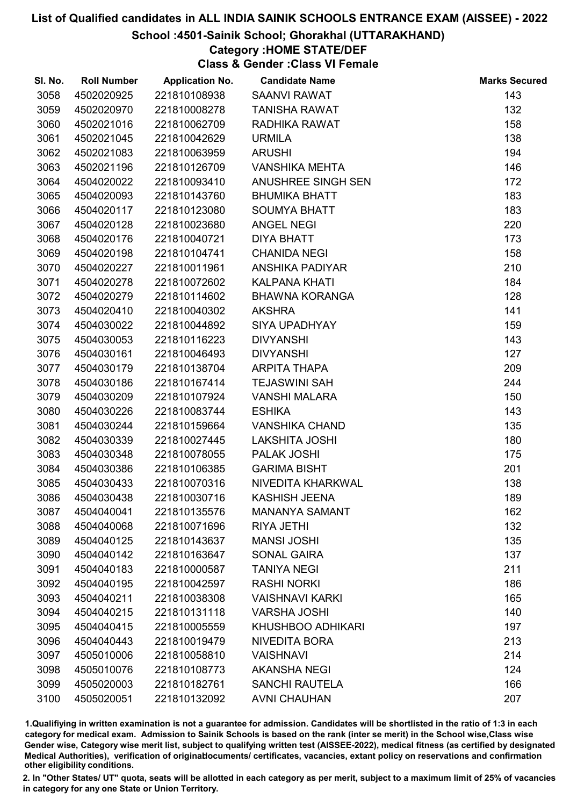#### School :4501-Sainik School; Ghorakhal (UTTARAKHAND)

# Category :HOME STATE/DEF

Class & Gender :Class VI Female

| SI. No. | <b>Roll Number</b> | <b>Application No.</b> | <b>Candidate Name</b>  | <b>Marks Secured</b> |
|---------|--------------------|------------------------|------------------------|----------------------|
| 3058    | 4502020925         | 221810108938           | <b>SAANVI RAWAT</b>    | 143                  |
| 3059    | 4502020970         | 221810008278           | <b>TANISHA RAWAT</b>   | 132                  |
| 3060    | 4502021016         | 221810062709           | RADHIKA RAWAT          | 158                  |
| 3061    | 4502021045         | 221810042629           | <b>URMILA</b>          | 138                  |
| 3062    | 4502021083         | 221810063959           | <b>ARUSHI</b>          | 194                  |
| 3063    | 4502021196         | 221810126709           | <b>VANSHIKA MEHTA</b>  | 146                  |
| 3064    | 4504020022         | 221810093410           | ANUSHREE SINGH SEN     | 172                  |
| 3065    | 4504020093         | 221810143760           | <b>BHUMIKA BHATT</b>   | 183                  |
| 3066    | 4504020117         | 221810123080           | <b>SOUMYA BHATT</b>    | 183                  |
| 3067    | 4504020128         | 221810023680           | <b>ANGEL NEGI</b>      | 220                  |
| 3068    | 4504020176         | 221810040721           | <b>DIYA BHATT</b>      | 173                  |
| 3069    | 4504020198         | 221810104741           | <b>CHANIDA NEGI</b>    | 158                  |
| 3070    | 4504020227         | 221810011961           | ANSHIKA PADIYAR        | 210                  |
| 3071    | 4504020278         | 221810072602           | <b>KALPANA KHATI</b>   | 184                  |
| 3072    | 4504020279         | 221810114602           | <b>BHAWNA KORANGA</b>  | 128                  |
| 3073    | 4504020410         | 221810040302           | <b>AKSHRA</b>          | 141                  |
| 3074    | 4504030022         | 221810044892           | <b>SIYA UPADHYAY</b>   | 159                  |
| 3075    | 4504030053         | 221810116223           | <b>DIVYANSHI</b>       | 143                  |
| 3076    | 4504030161         | 221810046493           | <b>DIVYANSHI</b>       | 127                  |
| 3077    | 4504030179         | 221810138704           | <b>ARPITA THAPA</b>    | 209                  |
| 3078    | 4504030186         | 221810167414           | <b>TEJASWINI SAH</b>   | 244                  |
| 3079    | 4504030209         | 221810107924           | <b>VANSHI MALARA</b>   | 150                  |
| 3080    | 4504030226         | 221810083744           | <b>ESHIKA</b>          | 143                  |
| 3081    | 4504030244         | 221810159664           | <b>VANSHIKA CHAND</b>  | 135                  |
| 3082    | 4504030339         | 221810027445           | <b>LAKSHITA JOSHI</b>  | 180                  |
| 3083    | 4504030348         | 221810078055           | PALAK JOSHI            | 175                  |
| 3084    | 4504030386         | 221810106385           | <b>GARIMA BISHT</b>    | 201                  |
| 3085    | 4504030433         | 221810070316           | NIVEDITA KHARKWAL      | 138                  |
| 3086    | 4504030438         | 221810030716           | <b>KASHISH JEENA</b>   | 189                  |
| 3087    | 4504040041         | 221810135576           | <b>MANANYA SAMANT</b>  | 162                  |
| 3088    | 4504040068         | 221810071696           | <b>RIYA JETHI</b>      | 132                  |
| 3089    | 4504040125         | 221810143637           | <b>MANSI JOSHI</b>     | 135                  |
| 3090    | 4504040142         | 221810163647           | <b>SONAL GAIRA</b>     | 137                  |
| 3091    | 4504040183         | 221810000587           | <b>TANIYA NEGI</b>     | 211                  |
| 3092    | 4504040195         | 221810042597           | <b>RASHI NORKI</b>     | 186                  |
| 3093    | 4504040211         | 221810038308           | <b>VAISHNAVI KARKI</b> | 165                  |
| 3094    | 4504040215         | 221810131118           | <b>VARSHA JOSHI</b>    | 140                  |
| 3095    | 4504040415         | 221810005559           | KHUSHBOO ADHIKARI      | 197                  |
| 3096    | 4504040443         | 221810019479           | NIVEDITA BORA          | 213                  |
| 3097    | 4505010006         | 221810058810           | <b>VAISHNAVI</b>       | 214                  |
| 3098    | 4505010076         | 221810108773           | <b>AKANSHA NEGI</b>    | 124                  |
| 3099    | 4505020003         | 221810182761           | <b>SANCHI RAUTELA</b>  | 166                  |
| 3100    | 4505020051         | 221810132092           | <b>AVNI CHAUHAN</b>    | 207                  |

1.Qualifiying in written examination is not a guarantee for admission. Candidates will be shortlisted in the ratio of 1:3 in each category for medical exam. Admission to Sainik Schools is based on the rank (inter se merit) in the School wise,Class wise Gender wise, Category wise merit list, subject to qualifying written test (AISSEE-2022), medical fitness (as certified by designated Medical Authorities), verification of originablocuments/ certificates, vacancies, extant policy on reservations and confirmation other eligibility conditions.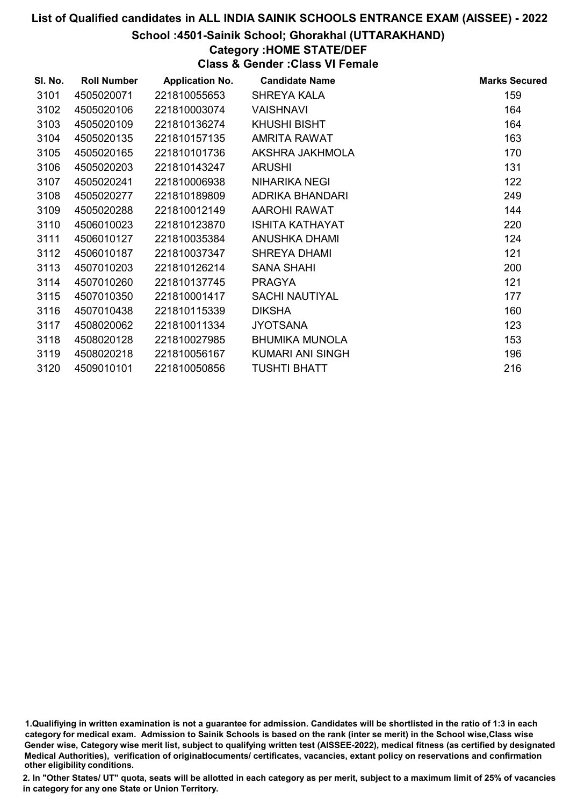#### School :4501-Sainik School; Ghorakhal (UTTARAKHAND)

# Category :HOME STATE/DEF

Class & Gender :Class VI Female

| SI. No. | <b>Roll Number</b> | <b>Application No.</b> | <b>Candidate Name</b>   | <b>Marks Secured</b> |
|---------|--------------------|------------------------|-------------------------|----------------------|
| 3101    | 4505020071         | 221810055653           | <b>SHREYA KALA</b>      | 159                  |
| 3102    | 4505020106         | 221810003074           | <b>VAISHNAVI</b>        | 164                  |
| 3103    | 4505020109         | 221810136274           | KHUSHI BISHT            | 164                  |
| 3104    | 4505020135         | 221810157135           | AMRITA RAWAT            | 163                  |
| 3105    | 4505020165         | 221810101736           | AKSHRA JAKHMOLA         | 170                  |
| 3106    | 4505020203         | 221810143247           | <b>ARUSHI</b>           | 131                  |
| 3107    | 4505020241         | 221810006938           | <b>NIHARIKA NEGI</b>    | 122                  |
| 3108    | 4505020277         | 221810189809           | ADRIKA BHANDARI         | 249                  |
| 3109    | 4505020288         | 221810012149           | AAROHI RAWAT            | 144                  |
| 3110    | 4506010023         | 221810123870           | <b>ISHITA KATHAYAT</b>  | 220                  |
| 3111    | 4506010127         | 221810035384           | ANUSHKA DHAMI           | 124                  |
| 3112    | 4506010187         | 221810037347           | <b>SHREYA DHAMI</b>     | 121                  |
| 3113    | 4507010203         | 221810126214           | <b>SANA SHAHI</b>       | 200                  |
| 3114    | 4507010260         | 221810137745           | <b>PRAGYA</b>           | 121                  |
| 3115    | 4507010350         | 221810001417           | <b>SACHI NAUTIYAL</b>   | 177                  |
| 3116    | 4507010438         | 221810115339           | <b>DIKSHA</b>           | 160                  |
| 3117    | 4508020062         | 221810011334           | <b>JYOTSANA</b>         | 123                  |
| 3118    | 4508020128         | 221810027985           | <b>BHUMIKA MUNOLA</b>   | 153                  |
| 3119    | 4508020218         | 221810056167           | <b>KUMARI ANI SINGH</b> | 196                  |
| 3120    | 4509010101         | 221810050856           | <b>TUSHTI BHATT</b>     | 216                  |

1.Qualifiying in written examination is not a guarantee for admission. Candidates will be shortlisted in the ratio of 1:3 in each category for medical exam. Admission to Sainik Schools is based on the rank (inter se merit) in the School wise,Class wise Gender wise, Category wise merit list, subject to qualifying written test (AISSEE-2022), medical fitness (as certified by designated Medical Authorities), verification of originablocuments/ certificates, vacancies, extant policy on reservations and confirmation other eligibility conditions.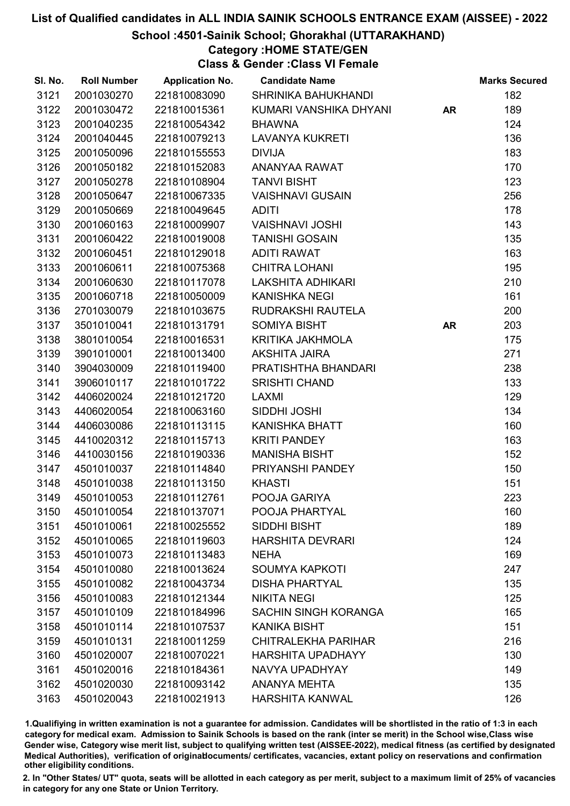### School :4501-Sainik School; Ghorakhal (UTTARAKHAND)

### Category :HOME STATE/GEN

Class & Gender :Class VI Female

| SI. No. | <b>Roll Number</b> | <b>Application No.</b> | <b>Candidate Name</b>       |           | <b>Marks Secured</b> |
|---------|--------------------|------------------------|-----------------------------|-----------|----------------------|
| 3121    | 2001030270         | 221810083090           | SHRINIKA BAHUKHANDI         |           | 182                  |
| 3122    | 2001030472         | 221810015361           | KUMARI VANSHIKA DHYANI      | <b>AR</b> | 189                  |
| 3123    | 2001040235         | 221810054342           | <b>BHAWNA</b>               |           | 124                  |
| 3124    | 2001040445         | 221810079213           | <b>LAVANYA KUKRETI</b>      |           | 136                  |
| 3125    | 2001050096         | 221810155553           | <b>DIVIJA</b>               |           | 183                  |
| 3126    | 2001050182         | 221810152083           | ANANYAA RAWAT               |           | 170                  |
| 3127    | 2001050278         | 221810108904           | <b>TANVI BISHT</b>          |           | 123                  |
| 3128    | 2001050647         | 221810067335           | <b>VAISHNAVI GUSAIN</b>     |           | 256                  |
| 3129    | 2001050669         | 221810049645           | <b>ADITI</b>                |           | 178                  |
| 3130    | 2001060163         | 221810009907           | <b>VAISHNAVI JOSHI</b>      |           | 143                  |
| 3131    | 2001060422         | 221810019008           | <b>TANISHI GOSAIN</b>       |           | 135                  |
| 3132    | 2001060451         | 221810129018           | <b>ADITI RAWAT</b>          |           | 163                  |
| 3133    | 2001060611         | 221810075368           | <b>CHITRA LOHANI</b>        |           | 195                  |
| 3134    | 2001060630         | 221810117078           | LAKSHITA ADHIKARI           |           | 210                  |
| 3135    | 2001060718         | 221810050009           | <b>KANISHKA NEGI</b>        |           | 161                  |
| 3136    | 2701030079         | 221810103675           | RUDRAKSHI RAUTELA           |           | 200                  |
| 3137    | 3501010041         | 221810131791           | <b>SOMIYA BISHT</b>         | <b>AR</b> | 203                  |
| 3138    | 3801010054         | 221810016531           | KRITIKA JAKHMOLA            |           | 175                  |
| 3139    | 3901010001         | 221810013400           | <b>AKSHITA JAIRA</b>        |           | 271                  |
| 3140    | 3904030009         | 221810119400           | PRATISHTHA BHANDARI         |           | 238                  |
| 3141    | 3906010117         | 221810101722           | <b>SRISHTI CHAND</b>        |           | 133                  |
| 3142    | 4406020024         | 221810121720           | LAXMI                       |           | 129                  |
| 3143    | 4406020054         | 221810063160           | SIDDHI JOSHI                |           | 134                  |
| 3144    | 4406030086         | 221810113115           | <b>KANISHKA BHATT</b>       |           | 160                  |
| 3145    | 4410020312         | 221810115713           | <b>KRITI PANDEY</b>         |           | 163                  |
| 3146    | 4410030156         | 221810190336           | <b>MANISHA BISHT</b>        |           | 152                  |
| 3147    | 4501010037         | 221810114840           | PRIYANSHI PANDEY            |           | 150                  |
| 3148    | 4501010038         | 221810113150           | <b>KHASTI</b>               |           | 151                  |
| 3149    | 4501010053         | 221810112761           | POOJA GARIYA                |           | 223                  |
| 3150    | 4501010054         | 221810137071           | POOJA PHARTYAL              |           | 160                  |
| 3151    | 4501010061         | 221810025552           | SIDDHI BISHT                |           | 189                  |
| 3152    | 4501010065         | 221810119603           | <b>HARSHITA DEVRARI</b>     |           | 124                  |
| 3153    | 4501010073         | 221810113483           | <b>NEHA</b>                 |           | 169                  |
| 3154    | 4501010080         | 221810013624           | <b>SOUMYA KAPKOTI</b>       |           | 247                  |
| 3155    | 4501010082         | 221810043734           | <b>DISHA PHARTYAL</b>       |           | 135                  |
| 3156    | 4501010083         | 221810121344           | <b>NIKITA NEGI</b>          |           | 125                  |
| 3157    | 4501010109         | 221810184996           | <b>SACHIN SINGH KORANGA</b> |           | 165                  |
| 3158    | 4501010114         | 221810107537           | <b>KANIKA BISHT</b>         |           | 151                  |
| 3159    | 4501010131         | 221810011259           | <b>CHITRALEKHA PARIHAR</b>  |           | 216                  |
| 3160    | 4501020007         | 221810070221           | <b>HARSHITA UPADHAYY</b>    |           | 130                  |
| 3161    | 4501020016         | 221810184361           | NAVYA UPADHYAY              |           | 149                  |
| 3162    | 4501020030         | 221810093142           | <b>ANANYA MEHTA</b>         |           | 135                  |
| 3163    | 4501020043         | 221810021913           | <b>HARSHITA KANWAL</b>      |           | 126                  |

1.Qualifiying in written examination is not a guarantee for admission. Candidates will be shortlisted in the ratio of 1:3 in each category for medical exam. Admission to Sainik Schools is based on the rank (inter se merit) in the School wise,Class wise Gender wise, Category wise merit list, subject to qualifying written test (AISSEE-2022), medical fitness (as certified by designated Medical Authorities), verification of originablocuments/ certificates, vacancies, extant policy on reservations and confirmation other eligibility conditions.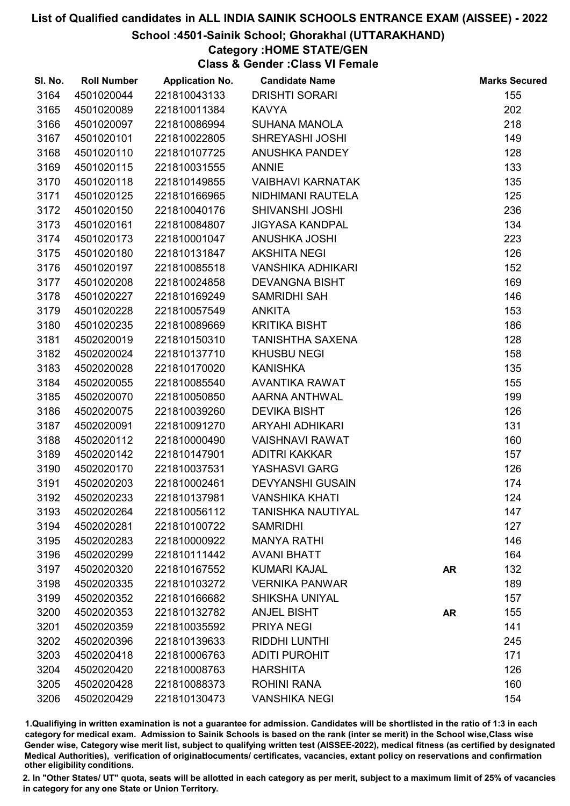#### School :4501-Sainik School; Ghorakhal (UTTARAKHAND)

## Category :HOME STATE/GEN

Class & Gender :Class VI Female

| SI. No. | <b>Roll Number</b> | <b>Application No.</b> | <b>Candidate Name</b>    |           | <b>Marks Secured</b> |
|---------|--------------------|------------------------|--------------------------|-----------|----------------------|
| 3164    | 4501020044         | 221810043133           | <b>DRISHTI SORARI</b>    |           | 155                  |
| 3165    | 4501020089         | 221810011384           | <b>KAVYA</b>             |           | 202                  |
| 3166    | 4501020097         | 221810086994           | <b>SUHANA MANOLA</b>     |           | 218                  |
| 3167    | 4501020101         | 221810022805           | <b>SHREYASHI JOSHI</b>   |           | 149                  |
| 3168    | 4501020110         | 221810107725           | ANUSHKA PANDEY           |           | 128                  |
| 3169    | 4501020115         | 221810031555           | <b>ANNIE</b>             |           | 133                  |
| 3170    | 4501020118         | 221810149855           | <b>VAIBHAVI KARNATAK</b> |           | 135                  |
| 3171    | 4501020125         | 221810166965           | NIDHIMANI RAUTELA        |           | 125                  |
| 3172    | 4501020150         | 221810040176           | <b>SHIVANSHI JOSHI</b>   |           | 236                  |
| 3173    | 4501020161         | 221810084807           | <b>JIGYASA KANDPAL</b>   |           | 134                  |
| 3174    | 4501020173         | 221810001047           | <b>ANUSHKA JOSHI</b>     |           | 223                  |
| 3175    | 4501020180         | 221810131847           | <b>AKSHITA NEGI</b>      |           | 126                  |
| 3176    | 4501020197         | 221810085518           | <b>VANSHIKA ADHIKARI</b> |           | 152                  |
| 3177    | 4501020208         | 221810024858           | <b>DEVANGNA BISHT</b>    |           | 169                  |
| 3178    | 4501020227         | 221810169249           | SAMRIDHI SAH             |           | 146                  |
| 3179    | 4501020228         | 221810057549           | <b>ANKITA</b>            |           | 153                  |
| 3180    | 4501020235         | 221810089669           | <b>KRITIKA BISHT</b>     |           | 186                  |
| 3181    | 4502020019         | 221810150310           | <b>TANISHTHA SAXENA</b>  |           | 128                  |
| 3182    | 4502020024         | 221810137710           | <b>KHUSBU NEGI</b>       |           | 158                  |
| 3183    | 4502020028         | 221810170020           | <b>KANISHKA</b>          |           | 135                  |
| 3184    | 4502020055         | 221810085540           | <b>AVANTIKA RAWAT</b>    |           | 155                  |
| 3185    | 4502020070         | 221810050850           | <b>AARNA ANTHWAL</b>     |           | 199                  |
| 3186    | 4502020075         | 221810039260           | <b>DEVIKA BISHT</b>      |           | 126                  |
| 3187    | 4502020091         | 221810091270           | <b>ARYAHI ADHIKARI</b>   |           | 131                  |
| 3188    | 4502020112         | 221810000490           | <b>VAISHNAVI RAWAT</b>   |           | 160                  |
| 3189    | 4502020142         | 221810147901           | <b>ADITRI KAKKAR</b>     |           | 157                  |
| 3190    | 4502020170         | 221810037531           | YASHASVI GARG            |           | 126                  |
| 3191    | 4502020203         | 221810002461           | <b>DEVYANSHI GUSAIN</b>  |           | 174                  |
| 3192    | 4502020233         | 221810137981           | <b>VANSHIKA KHATI</b>    |           | 124                  |
| 3193    | 4502020264         | 221810056112           | <b>TANISHKA NAUTIYAL</b> |           | 147                  |
| 3194    | 4502020281         | 221810100722           | <b>SAMRIDHI</b>          |           | 127                  |
| 3195    | 4502020283         | 221810000922           | <b>MANYA RATHI</b>       |           | 146                  |
| 3196    | 4502020299         | 221810111442           | <b>AVANI BHATT</b>       |           | 164                  |
| 3197    | 4502020320         | 221810167552           | <b>KUMARI KAJAL</b>      | <b>AR</b> | 132                  |
| 3198    | 4502020335         | 221810103272           | <b>VERNIKA PANWAR</b>    |           | 189                  |
| 3199    | 4502020352         | 221810166682           | <b>SHIKSHA UNIYAL</b>    |           | 157                  |
| 3200    | 4502020353         | 221810132782           | <b>ANJEL BISHT</b>       | <b>AR</b> | 155                  |
| 3201    | 4502020359         | 221810035592           | <b>PRIYA NEGI</b>        |           | 141                  |
| 3202    | 4502020396         | 221810139633           | <b>RIDDHI LUNTHI</b>     |           | 245                  |
| 3203    | 4502020418         | 221810006763           | <b>ADITI PUROHIT</b>     |           | 171                  |
| 3204    | 4502020420         | 221810008763           | <b>HARSHITA</b>          |           | 126                  |
| 3205    | 4502020428         | 221810088373           | <b>ROHINI RANA</b>       |           | 160                  |
| 3206    | 4502020429         | 221810130473           | <b>VANSHIKA NEGI</b>     |           | 154                  |

1.Qualifiying in written examination is not a guarantee for admission. Candidates will be shortlisted in the ratio of 1:3 in each category for medical exam. Admission to Sainik Schools is based on the rank (inter se merit) in the School wise,Class wise Gender wise, Category wise merit list, subject to qualifying written test (AISSEE-2022), medical fitness (as certified by designated Medical Authorities), verification of originablocuments/ certificates, vacancies, extant policy on reservations and confirmation other eligibility conditions.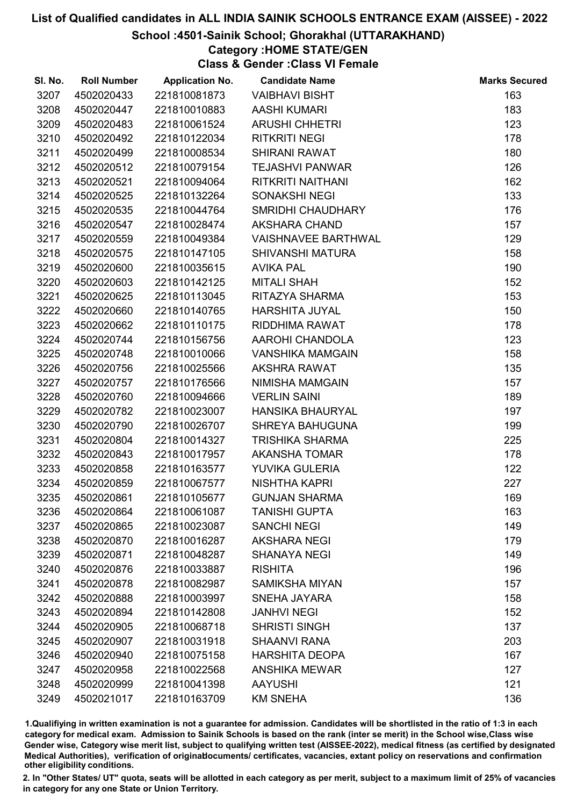#### School :4501-Sainik School; Ghorakhal (UTTARAKHAND)

# Category :HOME STATE/GEN

Class & Gender :Class VI Female

| SI. No. | <b>Roll Number</b> | <b>Application No.</b> | <b>Candidate Name</b>      | <b>Marks Secured</b> |
|---------|--------------------|------------------------|----------------------------|----------------------|
| 3207    | 4502020433         | 221810081873           | <b>VAIBHAVI BISHT</b>      | 163                  |
| 3208    | 4502020447         | 221810010883           | <b>AASHI KUMARI</b>        | 183                  |
| 3209    | 4502020483         | 221810061524           | <b>ARUSHI CHHETRI</b>      | 123                  |
| 3210    | 4502020492         | 221810122034           | <b>RITKRITI NEGI</b>       | 178                  |
| 3211    | 4502020499         | 221810008534           | <b>SHIRANI RAWAT</b>       | 180                  |
| 3212    | 4502020512         | 221810079154           | <b>TEJASHVI PANWAR</b>     | 126                  |
| 3213    | 4502020521         | 221810094064           | RITKRITI NAITHANI          | 162                  |
| 3214    | 4502020525         | 221810132264           | <b>SONAKSHI NEGI</b>       | 133                  |
| 3215    | 4502020535         | 221810044764           | SMRIDHI CHAUDHARY          | 176                  |
| 3216    | 4502020547         | 221810028474           | <b>AKSHARA CHAND</b>       | 157                  |
| 3217    | 4502020559         | 221810049384           | <b>VAISHNAVEE BARTHWAL</b> | 129                  |
| 3218    | 4502020575         | 221810147105           | <b>SHIVANSHI MATURA</b>    | 158                  |
| 3219    | 4502020600         | 221810035615           | <b>AVIKA PAL</b>           | 190                  |
| 3220    | 4502020603         | 221810142125           | <b>MITALI SHAH</b>         | 152                  |
| 3221    | 4502020625         | 221810113045           | RITAZYA SHARMA             | 153                  |
| 3222    | 4502020660         | 221810140765           | <b>HARSHITA JUYAL</b>      | 150                  |
| 3223    | 4502020662         | 221810110175           | RIDDHIMA RAWAT             | 178                  |
| 3224    | 4502020744         | 221810156756           | AAROHI CHANDOLA            | 123                  |
| 3225    | 4502020748         | 221810010066           | <b>VANSHIKA MAMGAIN</b>    | 158                  |
| 3226    | 4502020756         | 221810025566           | <b>AKSHRA RAWAT</b>        | 135                  |
| 3227    | 4502020757         | 221810176566           | NIMISHA MAMGAIN            | 157                  |
| 3228    | 4502020760         | 221810094666           | <b>VERLIN SAINI</b>        | 189                  |
| 3229    | 4502020782         | 221810023007           | <b>HANSIKA BHAURYAL</b>    | 197                  |
| 3230    | 4502020790         | 221810026707           | <b>SHREYA BAHUGUNA</b>     | 199                  |
| 3231    | 4502020804         | 221810014327           | <b>TRISHIKA SHARMA</b>     | 225                  |
| 3232    | 4502020843         | 221810017957           | <b>AKANSHA TOMAR</b>       | 178                  |
| 3233    | 4502020858         | 221810163577           | YUVIKA GULERIA             | 122                  |
| 3234    | 4502020859         | 221810067577           | <b>NISHTHA KAPRI</b>       | 227                  |
| 3235    | 4502020861         | 221810105677           | <b>GUNJAN SHARMA</b>       | 169                  |
| 3236    | 4502020864         | 221810061087           | <b>TANISHI GUPTA</b>       | 163                  |
| 3237    | 4502020865         | 221810023087           | <b>SANCHI NEGI</b>         | 149                  |
| 3238    | 4502020870         | 221810016287           | <b>AKSHARA NEGI</b>        | 179                  |
| 3239    | 4502020871         | 221810048287           | <b>SHANAYA NEGI</b>        | 149                  |
| 3240    | 4502020876         | 221810033887           | <b>RISHITA</b>             | 196                  |
| 3241    | 4502020878         | 221810082987           | <b>SAMIKSHA MIYAN</b>      | 157                  |
| 3242    | 4502020888         | 221810003997           | <b>SNEHA JAYARA</b>        | 158                  |
| 3243    | 4502020894         | 221810142808           | <b>JANHVI NEGI</b>         | 152                  |
| 3244    | 4502020905         | 221810068718           | <b>SHRISTI SINGH</b>       | 137                  |
| 3245    | 4502020907         | 221810031918           | <b>SHAANVI RANA</b>        | 203                  |
| 3246    | 4502020940         | 221810075158           | <b>HARSHITA DEOPA</b>      | 167                  |
| 3247    | 4502020958         | 221810022568           | <b>ANSHIKA MEWAR</b>       | 127                  |
| 3248    | 4502020999         | 221810041398           | <b>AAYUSHI</b>             | 121                  |
| 3249    | 4502021017         | 221810163709           | <b>KM SNEHA</b>            | 136                  |

1.Qualifiying in written examination is not a guarantee for admission. Candidates will be shortlisted in the ratio of 1:3 in each category for medical exam. Admission to Sainik Schools is based on the rank (inter se merit) in the School wise,Class wise Gender wise, Category wise merit list, subject to qualifying written test (AISSEE-2022), medical fitness (as certified by designated Medical Authorities), verification of originablocuments/ certificates, vacancies, extant policy on reservations and confirmation other eligibility conditions.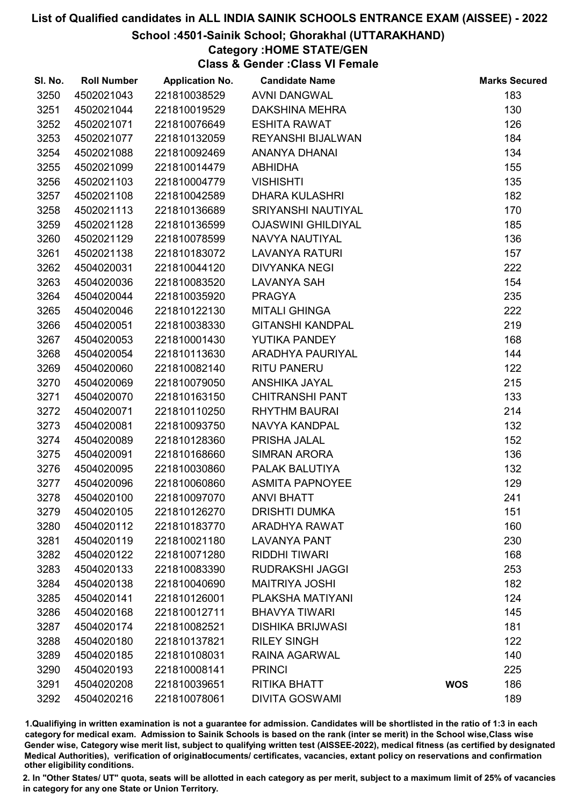### School :4501-Sainik School; Ghorakhal (UTTARAKHAND)

# Category :HOME STATE/GEN

Class & Gender :Class VI Female

| SI. No. | <b>Roll Number</b> | <b>Application No.</b> | <b>Candidate Name</b>     |            | <b>Marks Secured</b> |
|---------|--------------------|------------------------|---------------------------|------------|----------------------|
| 3250    | 4502021043         | 221810038529           | <b>AVNI DANGWAL</b>       |            | 183                  |
| 3251    | 4502021044         | 221810019529           | <b>DAKSHINA MEHRA</b>     |            | 130                  |
| 3252    | 4502021071         | 221810076649           | <b>ESHITA RAWAT</b>       |            | 126                  |
| 3253    | 4502021077         | 221810132059           | <b>REYANSHI BIJALWAN</b>  |            | 184                  |
| 3254    | 4502021088         | 221810092469           | ANANYA DHANAI             |            | 134                  |
| 3255    | 4502021099         | 221810014479           | <b>ABHIDHA</b>            |            | 155                  |
| 3256    | 4502021103         | 221810004779           | <b>VISHISHTI</b>          |            | 135                  |
| 3257    | 4502021108         | 221810042589           | <b>DHARA KULASHRI</b>     |            | 182                  |
| 3258    | 4502021113         | 221810136689           | SRIYANSHI NAUTIYAL        |            | 170                  |
| 3259    | 4502021128         | 221810136599           | <b>OJASWINI GHILDIYAL</b> |            | 185                  |
| 3260    | 4502021129         | 221810078599           | NAVYA NAUTIYAL            |            | 136                  |
| 3261    | 4502021138         | 221810183072           | <b>LAVANYA RATURI</b>     |            | 157                  |
| 3262    | 4504020031         | 221810044120           | <b>DIVYANKA NEGI</b>      |            | 222                  |
| 3263    | 4504020036         | 221810083520           | <b>LAVANYA SAH</b>        |            | 154                  |
| 3264    | 4504020044         | 221810035920           | <b>PRAGYA</b>             |            | 235                  |
| 3265    | 4504020046         | 221810122130           | <b>MITALI GHINGA</b>      |            | 222                  |
| 3266    | 4504020051         | 221810038330           | <b>GITANSHI KANDPAL</b>   |            | 219                  |
| 3267    | 4504020053         | 221810001430           | YUTIKA PANDEY             |            | 168                  |
| 3268    | 4504020054         | 221810113630           | ARADHYA PAURIYAL          |            | 144                  |
| 3269    | 4504020060         | 221810082140           | <b>RITU PANERU</b>        |            | 122                  |
| 3270    | 4504020069         | 221810079050           | ANSHIKA JAYAL             |            | 215                  |
| 3271    | 4504020070         | 221810163150           | <b>CHITRANSHI PANT</b>    |            | 133                  |
| 3272    | 4504020071         | 221810110250           | <b>RHYTHM BAURAI</b>      |            | 214                  |
| 3273    | 4504020081         | 221810093750           | NAVYA KANDPAL             |            | 132                  |
| 3274    | 4504020089         | 221810128360           | PRISHA JALAL              |            | 152                  |
| 3275    | 4504020091         | 221810168660           | SIMRAN ARORA              |            | 136                  |
| 3276    | 4504020095         | 221810030860           | PALAK BALUTIYA            |            | 132                  |
| 3277    | 4504020096         | 221810060860           | <b>ASMITA PAPNOYEE</b>    |            | 129                  |
| 3278    | 4504020100         | 221810097070           | <b>ANVI BHATT</b>         |            | 241                  |
| 3279    | 4504020105         | 221810126270           | <b>DRISHTI DUMKA</b>      |            | 151                  |
| 3280    | 4504020112         | 221810183770           | <b>ARADHYA RAWAT</b>      |            | 160                  |
| 3281    | 4504020119         | 221810021180           | <b>LAVANYA PANT</b>       |            | 230                  |
| 3282    | 4504020122         | 221810071280           | <b>RIDDHI TIWARI</b>      |            | 168                  |
| 3283    | 4504020133         | 221810083390           | <b>RUDRAKSHI JAGGI</b>    |            | 253                  |
| 3284    | 4504020138         | 221810040690           | <b>MAITRIYA JOSHI</b>     |            | 182                  |
| 3285    | 4504020141         | 221810126001           | PLAKSHA MATIYANI          |            | 124                  |
| 3286    | 4504020168         | 221810012711           | <b>BHAVYA TIWARI</b>      |            | 145                  |
| 3287    | 4504020174         | 221810082521           | <b>DISHIKA BRIJWASI</b>   |            | 181                  |
| 3288    | 4504020180         | 221810137821           | <b>RILEY SINGH</b>        |            | 122                  |
| 3289    | 4504020185         | 221810108031           | <b>RAINA AGARWAL</b>      |            | 140                  |
| 3290    | 4504020193         | 221810008141           | <b>PRINCI</b>             |            | 225                  |
| 3291    | 4504020208         | 221810039651           | <b>RITIKA BHATT</b>       | <b>WOS</b> | 186                  |
| 3292    | 4504020216         | 221810078061           | <b>DIVITA GOSWAMI</b>     |            | 189                  |

1.Qualifiying in written examination is not a guarantee for admission. Candidates will be shortlisted in the ratio of 1:3 in each category for medical exam. Admission to Sainik Schools is based on the rank (inter se merit) in the School wise,Class wise Gender wise, Category wise merit list, subject to qualifying written test (AISSEE-2022), medical fitness (as certified by designated Medical Authorities), verification of originablocuments/ certificates, vacancies, extant policy on reservations and confirmation other eligibility conditions.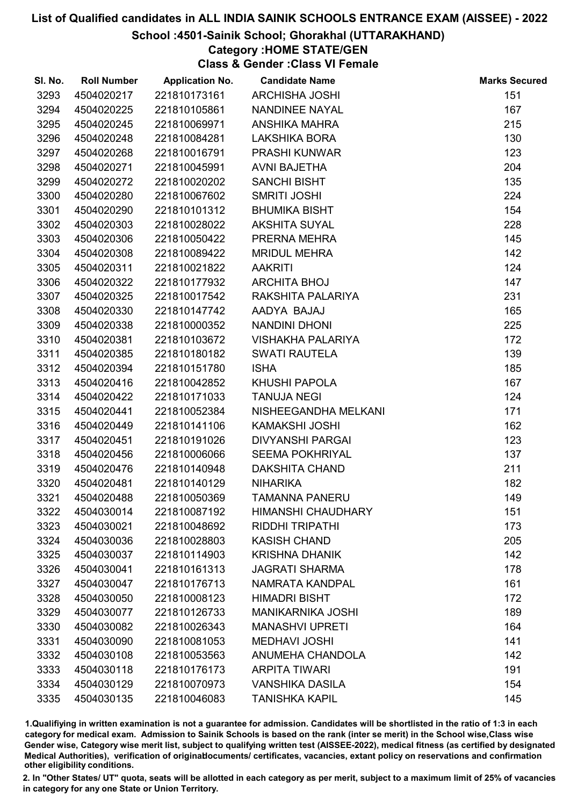#### School :4501-Sainik School; Ghorakhal (UTTARAKHAND)

### Category :HOME STATE/GEN

Class & Gender :Class VI Female

| SI. No. | <b>Roll Number</b> | <b>Application No.</b> | <b>Candidate Name</b>     | <b>Marks Secured</b> |
|---------|--------------------|------------------------|---------------------------|----------------------|
| 3293    | 4504020217         | 221810173161           | <b>ARCHISHA JOSHI</b>     | 151                  |
| 3294    | 4504020225         | 221810105861           | <b>NANDINEE NAYAL</b>     | 167                  |
| 3295    | 4504020245         | 221810069971           | <b>ANSHIKA MAHRA</b>      | 215                  |
| 3296    | 4504020248         | 221810084281           | <b>LAKSHIKA BORA</b>      | 130                  |
| 3297    | 4504020268         | 221810016791           | <b>PRASHI KUNWAR</b>      | 123                  |
| 3298    | 4504020271         | 221810045991           | <b>AVNI BAJETHA</b>       | 204                  |
| 3299    | 4504020272         | 221810020202           | <b>SANCHI BISHT</b>       | 135                  |
| 3300    | 4504020280         | 221810067602           | <b>SMRITI JOSHI</b>       | 224                  |
| 3301    | 4504020290         | 221810101312           | <b>BHUMIKA BISHT</b>      | 154                  |
| 3302    | 4504020303         | 221810028022           | <b>AKSHITA SUYAL</b>      | 228                  |
| 3303    | 4504020306         | 221810050422           | PRERNA MEHRA              | 145                  |
| 3304    | 4504020308         | 221810089422           | <b>MRIDUL MEHRA</b>       | 142                  |
| 3305    | 4504020311         | 221810021822           | <b>AAKRITI</b>            | 124                  |
| 3306    | 4504020322         | 221810177932           | <b>ARCHITA BHOJ</b>       | 147                  |
| 3307    | 4504020325         | 221810017542           | RAKSHITA PALARIYA         | 231                  |
| 3308    | 4504020330         | 221810147742           | AADYA BAJAJ               | 165                  |
| 3309    | 4504020338         | 221810000352           | <b>NANDINI DHONI</b>      | 225                  |
| 3310    | 4504020381         | 221810103672           | <b>VISHAKHA PALARIYA</b>  | 172                  |
| 3311    | 4504020385         | 221810180182           | <b>SWATI RAUTELA</b>      | 139                  |
| 3312    | 4504020394         | 221810151780           | <b>ISHA</b>               | 185                  |
| 3313    | 4504020416         | 221810042852           | <b>KHUSHI PAPOLA</b>      | 167                  |
| 3314    | 4504020422         | 221810171033           | <b>TANUJA NEGI</b>        | 124                  |
| 3315    | 4504020441         | 221810052384           | NISHEEGANDHA MELKANI      | 171                  |
| 3316    | 4504020449         | 221810141106           | <b>KAMAKSHI JOSHI</b>     | 162                  |
| 3317    | 4504020451         | 221810191026           | <b>DIVYANSHI PARGAI</b>   | 123                  |
| 3318    | 4504020456         | 221810006066           | <b>SEEMA POKHRIYAL</b>    | 137                  |
| 3319    | 4504020476         | 221810140948           | <b>DAKSHITA CHAND</b>     | 211                  |
| 3320    | 4504020481         | 221810140129           | <b>NIHARIKA</b>           | 182                  |
| 3321    | 4504020488         | 221810050369           | <b>TAMANNA PANERU</b>     | 149                  |
| 3322    | 4504030014         | 221810087192           | <b>HIMANSHI CHAUDHARY</b> | 151                  |
| 3323    | 4504030021         | 221810048692           | <b>RIDDHI TRIPATHI</b>    | 173                  |
| 3324    | 4504030036         | 221810028803           | <b>KASISH CHAND</b>       | 205                  |
| 3325    | 4504030037         | 221810114903           | <b>KRISHNA DHANIK</b>     | 142                  |
| 3326    | 4504030041         | 221810161313           | <b>JAGRATI SHARMA</b>     | 178                  |
| 3327    | 4504030047         | 221810176713           | NAMRATA KANDPAL           | 161                  |
| 3328    | 4504030050         | 221810008123           | <b>HIMADRI BISHT</b>      | 172                  |
| 3329    | 4504030077         | 221810126733           | <b>MANIKARNIKA JOSHI</b>  | 189                  |
| 3330    | 4504030082         | 221810026343           | <b>MANASHVI UPRETI</b>    | 164                  |
| 3331    | 4504030090         | 221810081053           | <b>MEDHAVI JOSHI</b>      | 141                  |
| 3332    | 4504030108         | 221810053563           | <b>ANUMEHA CHANDOLA</b>   | 142                  |
| 3333    | 4504030118         | 221810176173           | <b>ARPITA TIWARI</b>      | 191                  |
| 3334    | 4504030129         | 221810070973           | <b>VANSHIKA DASILA</b>    | 154                  |
| 3335    | 4504030135         | 221810046083           | <b>TANISHKA KAPIL</b>     | 145                  |

1.Qualifiying in written examination is not a guarantee for admission. Candidates will be shortlisted in the ratio of 1:3 in each category for medical exam. Admission to Sainik Schools is based on the rank (inter se merit) in the School wise,Class wise Gender wise, Category wise merit list, subject to qualifying written test (AISSEE-2022), medical fitness (as certified by designated Medical Authorities), verification of originablocuments/ certificates, vacancies, extant policy on reservations and confirmation other eligibility conditions.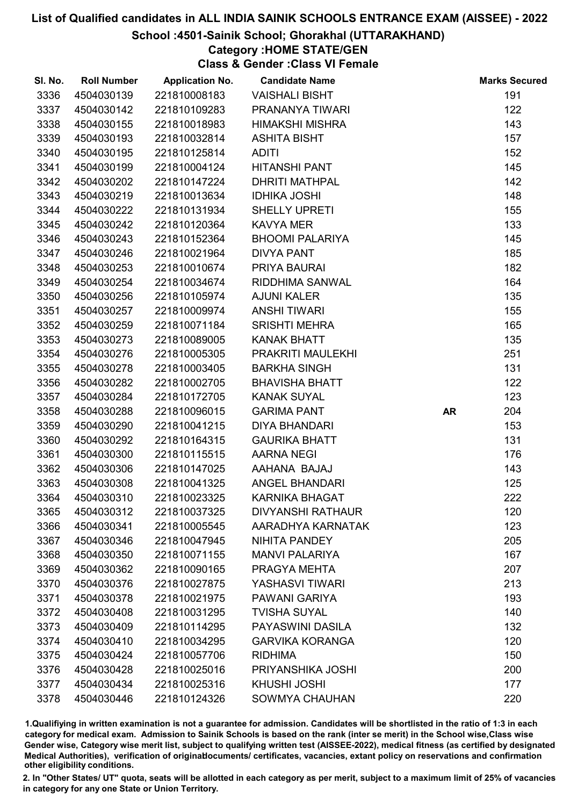#### School :4501-Sainik School; Ghorakhal (UTTARAKHAND)

# Category :HOME STATE/GEN

Class & Gender :Class VI Female

| SI. No. | <b>Roll Number</b> | <b>Application No.</b> | <b>Candidate Name</b>    |           | <b>Marks Secured</b> |
|---------|--------------------|------------------------|--------------------------|-----------|----------------------|
| 3336    | 4504030139         | 221810008183           | <b>VAISHALI BISHT</b>    |           | 191                  |
| 3337    | 4504030142         | 221810109283           | PRANANYA TIWARI          |           | 122                  |
| 3338    | 4504030155         | 221810018983           | <b>HIMAKSHI MISHRA</b>   |           | 143                  |
| 3339    | 4504030193         | 221810032814           | <b>ASHITA BISHT</b>      |           | 157                  |
| 3340    | 4504030195         | 221810125814           | <b>ADITI</b>             |           | 152                  |
| 3341    | 4504030199         | 221810004124           | <b>HITANSHI PANT</b>     |           | 145                  |
| 3342    | 4504030202         | 221810147224           | <b>DHRITI MATHPAL</b>    |           | 142                  |
| 3343    | 4504030219         | 221810013634           | <b>IDHIKA JOSHI</b>      |           | 148                  |
| 3344    | 4504030222         | 221810131934           | <b>SHELLY UPRETI</b>     |           | 155                  |
| 3345    | 4504030242         | 221810120364           | <b>KAVYA MER</b>         |           | 133                  |
| 3346    | 4504030243         | 221810152364           | <b>BHOOMI PALARIYA</b>   |           | 145                  |
| 3347    | 4504030246         | 221810021964           | <b>DIVYA PANT</b>        |           | 185                  |
| 3348    | 4504030253         | 221810010674           | PRIYA BAURAI             |           | 182                  |
| 3349    | 4504030254         | 221810034674           | RIDDHIMA SANWAL          |           | 164                  |
| 3350    | 4504030256         | 221810105974           | <b>AJUNI KALER</b>       |           | 135                  |
| 3351    | 4504030257         | 221810009974           | <b>ANSHI TIWARI</b>      |           | 155                  |
| 3352    | 4504030259         | 221810071184           | <b>SRISHTI MEHRA</b>     |           | 165                  |
| 3353    | 4504030273         | 221810089005           | <b>KANAK BHATT</b>       |           | 135                  |
| 3354    | 4504030276         | 221810005305           | PRAKRITI MAULEKHI        |           | 251                  |
| 3355    | 4504030278         | 221810003405           | <b>BARKHA SINGH</b>      |           | 131                  |
| 3356    | 4504030282         | 221810002705           | <b>BHAVISHA BHATT</b>    |           | 122                  |
| 3357    | 4504030284         | 221810172705           | <b>KANAK SUYAL</b>       |           | 123                  |
| 3358    | 4504030288         | 221810096015           | <b>GARIMA PANT</b>       | <b>AR</b> | 204                  |
| 3359    | 4504030290         | 221810041215           | <b>DIYA BHANDARI</b>     |           | 153                  |
| 3360    | 4504030292         | 221810164315           | <b>GAURIKA BHATT</b>     |           | 131                  |
| 3361    | 4504030300         | 221810115515           | <b>AARNA NEGI</b>        |           | 176                  |
| 3362    | 4504030306         | 221810147025           | AAHANA BAJAJ             |           | 143                  |
| 3363    | 4504030308         | 221810041325           | <b>ANGEL BHANDARI</b>    |           | 125                  |
| 3364    | 4504030310         | 221810023325           | <b>KARNIKA BHAGAT</b>    |           | 222                  |
| 3365    | 4504030312         | 221810037325           | <b>DIVYANSHI RATHAUR</b> |           | 120                  |
| 3366    | 4504030341         | 221810005545           | AARADHYA KARNATAK        |           | 123                  |
| 3367    | 4504030346         | 221810047945           | NIHITA PANDEY            |           | 205                  |
| 3368    | 4504030350         | 221810071155           | <b>MANVI PALARIYA</b>    |           | 167                  |
| 3369    | 4504030362         | 221810090165           | PRAGYA MEHTA             |           | 207                  |
| 3370    | 4504030376         | 221810027875           | YASHASVI TIWARI          |           | 213                  |
| 3371    | 4504030378         | 221810021975           | <b>PAWANI GARIYA</b>     |           | 193                  |
| 3372    | 4504030408         | 221810031295           | <b>TVISHA SUYAL</b>      |           | 140                  |
| 3373    | 4504030409         | 221810114295           | PAYASWINI DASILA         |           | 132                  |
| 3374    | 4504030410         | 221810034295           | <b>GARVIKA KORANGA</b>   |           | 120                  |
| 3375    | 4504030424         | 221810057706           | <b>RIDHIMA</b>           |           | 150                  |
| 3376    | 4504030428         | 221810025016           | PRIYANSHIKA JOSHI        |           | 200                  |
| 3377    | 4504030434         | 221810025316           | <b>KHUSHI JOSHI</b>      |           | 177                  |
| 3378    | 4504030446         | 221810124326           | <b>SOWMYA CHAUHAN</b>    |           | 220                  |

1.Qualifiying in written examination is not a guarantee for admission. Candidates will be shortlisted in the ratio of 1:3 in each category for medical exam. Admission to Sainik Schools is based on the rank (inter se merit) in the School wise,Class wise Gender wise, Category wise merit list, subject to qualifying written test (AISSEE-2022), medical fitness (as certified by designated Medical Authorities), verification of originablocuments/ certificates, vacancies, extant policy on reservations and confirmation other eligibility conditions.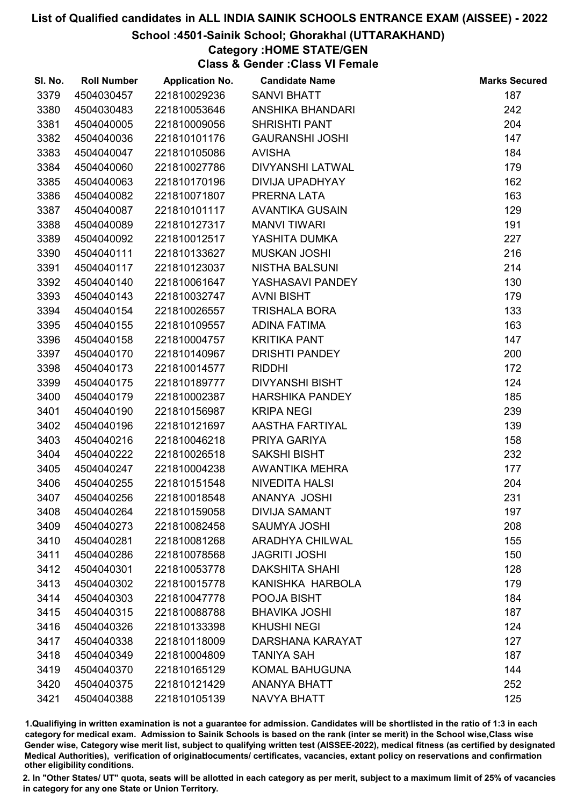#### School :4501-Sainik School; Ghorakhal (UTTARAKHAND)

# Category :HOME STATE/GEN

Class & Gender :Class VI Female

| SI. No. | <b>Roll Number</b> | <b>Application No.</b> | <b>Candidate Name</b>   | <b>Marks Secured</b> |
|---------|--------------------|------------------------|-------------------------|----------------------|
| 3379    | 4504030457         | 221810029236           | <b>SANVI BHATT</b>      | 187                  |
| 3380    | 4504030483         | 221810053646           | ANSHIKA BHANDARI        | 242                  |
| 3381    | 4504040005         | 221810009056           | <b>SHRISHTI PANT</b>    | 204                  |
| 3382    | 4504040036         | 221810101176           | <b>GAURANSHI JOSHI</b>  | 147                  |
| 3383    | 4504040047         | 221810105086           | <b>AVISHA</b>           | 184                  |
| 3384    | 4504040060         | 221810027786           | <b>DIVYANSHI LATWAL</b> | 179                  |
| 3385    | 4504040063         | 221810170196           | <b>DIVIJA UPADHYAY</b>  | 162                  |
| 3386    | 4504040082         | 221810071807           | PRERNA LATA             | 163                  |
| 3387    | 4504040087         | 221810101117           | <b>AVANTIKA GUSAIN</b>  | 129                  |
| 3388    | 4504040089         | 221810127317           | <b>MANVI TIWARI</b>     | 191                  |
| 3389    | 4504040092         | 221810012517           | YASHITA DUMKA           | 227                  |
| 3390    | 4504040111         | 221810133627           | <b>MUSKAN JOSHI</b>     | 216                  |
| 3391    | 4504040117         | 221810123037           | <b>NISTHA BALSUNI</b>   | 214                  |
| 3392    | 4504040140         | 221810061647           | YASHASAVI PANDEY        | 130                  |
| 3393    | 4504040143         | 221810032747           | <b>AVNI BISHT</b>       | 179                  |
| 3394    | 4504040154         | 221810026557           | <b>TRISHALA BORA</b>    | 133                  |
| 3395    | 4504040155         | 221810109557           | <b>ADINA FATIMA</b>     | 163                  |
| 3396    | 4504040158         | 221810004757           | <b>KRITIKA PANT</b>     | 147                  |
| 3397    | 4504040170         | 221810140967           | <b>DRISHTI PANDEY</b>   | 200                  |
| 3398    | 4504040173         | 221810014577           | <b>RIDDHI</b>           | 172                  |
| 3399    | 4504040175         | 221810189777           | <b>DIVYANSHI BISHT</b>  | 124                  |
| 3400    | 4504040179         | 221810002387           | <b>HARSHIKA PANDEY</b>  | 185                  |
| 3401    | 4504040190         | 221810156987           | <b>KRIPA NEGI</b>       | 239                  |
| 3402    | 4504040196         | 221810121697           | AASTHA FARTIYAL         | 139                  |
| 3403    | 4504040216         | 221810046218           | PRIYA GARIYA            | 158                  |
| 3404    | 4504040222         | 221810026518           | <b>SAKSHI BISHT</b>     | 232                  |
| 3405    | 4504040247         | 221810004238           | <b>AWANTIKA MEHRA</b>   | 177                  |
| 3406    | 4504040255         | 221810151548           | <b>NIVEDITA HALSI</b>   | 204                  |
| 3407    | 4504040256         | 221810018548           | ANANYA JOSHI            | 231                  |
| 3408    | 4504040264         | 221810159058           | <b>DIVIJA SAMANT</b>    | 197                  |
| 3409    | 4504040273         | 221810082458           | <b>SAUMYA JOSHI</b>     | 208                  |
| 3410    | 4504040281         | 221810081268           | <b>ARADHYA CHILWAL</b>  | 155                  |
| 3411    | 4504040286         | 221810078568           | <b>JAGRITI JOSHI</b>    | 150                  |
| 3412    | 4504040301         | 221810053778           | <b>DAKSHITA SHAHI</b>   | 128                  |
| 3413    | 4504040302         | 221810015778           | KANISHKA HARBOLA        | 179                  |
| 3414    | 4504040303         | 221810047778           | POOJA BISHT             | 184                  |
| 3415    | 4504040315         | 221810088788           | <b>BHAVIKA JOSHI</b>    | 187                  |
| 3416    | 4504040326         | 221810133398           | <b>KHUSHI NEGI</b>      | 124                  |
| 3417    | 4504040338         | 221810118009           | DARSHANA KARAYAT        | 127                  |
| 3418    | 4504040349         | 221810004809           | <b>TANIYA SAH</b>       | 187                  |
| 3419    | 4504040370         | 221810165129           | <b>KOMAL BAHUGUNA</b>   | 144                  |
| 3420    | 4504040375         | 221810121429           | <b>ANANYA BHATT</b>     | 252                  |
| 3421    | 4504040388         | 221810105139           | NAVYA BHATT             | 125                  |

1.Qualifiying in written examination is not a guarantee for admission. Candidates will be shortlisted in the ratio of 1:3 in each category for medical exam. Admission to Sainik Schools is based on the rank (inter se merit) in the School wise,Class wise Gender wise, Category wise merit list, subject to qualifying written test (AISSEE-2022), medical fitness (as certified by designated Medical Authorities), verification of originablocuments/ certificates, vacancies, extant policy on reservations and confirmation other eligibility conditions.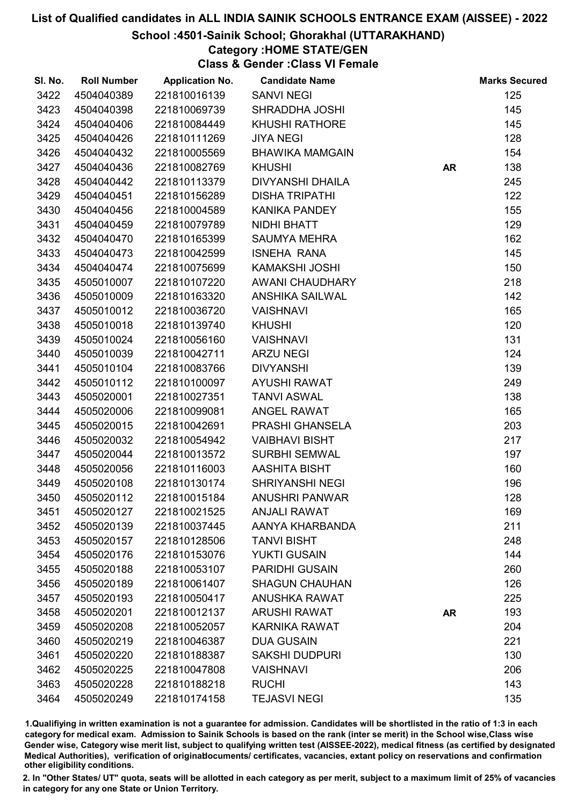#### School :4501-Sainik School; Ghorakhal (UTTARAKHAND)

# Category :HOME STATE/GEN

Class & Gender :Class VI Female

| SI. No. | <b>Roll Number</b> | <b>Application No.</b> | <b>Candidate Name</b>   |           | <b>Marks Secured</b> |
|---------|--------------------|------------------------|-------------------------|-----------|----------------------|
| 3422    | 4504040389         | 221810016139           | <b>SANVI NEGI</b>       |           | 125                  |
| 3423    | 4504040398         | 221810069739           | SHRADDHA JOSHI          |           | 145                  |
| 3424    | 4504040406         | 221810084449           | <b>KHUSHI RATHORE</b>   |           | 145                  |
| 3425    | 4504040426         | 221810111269           | <b>JIYA NEGI</b>        |           | 128                  |
| 3426    | 4504040432         | 221810005569           | <b>BHAWIKA MAMGAIN</b>  |           | 154                  |
| 3427    | 4504040436         | 221810082769           | <b>KHUSHI</b>           | <b>AR</b> | 138                  |
| 3428    | 4504040442         | 221810113379           | <b>DIVYANSHI DHAILA</b> |           | 245                  |
| 3429    | 4504040451         | 221810156289           | <b>DISHA TRIPATHI</b>   |           | 122                  |
| 3430    | 4504040456         | 221810004589           | <b>KANIKA PANDEY</b>    |           | 155                  |
| 3431    | 4504040459         | 221810079789           | <b>NIDHI BHATT</b>      |           | 129                  |
| 3432    | 4504040470         | 221810165399           | <b>SAUMYA MEHRA</b>     |           | 162                  |
| 3433    | 4504040473         | 221810042599           | <b>ISNEHA RANA</b>      |           | 145                  |
| 3434    | 4504040474         | 221810075699           | <b>KAMAKSHI JOSHI</b>   |           | 150                  |
| 3435    | 4505010007         | 221810107220           | AWANI CHAUDHARY         |           | 218                  |
| 3436    | 4505010009         | 221810163320           | <b>ANSHIKA SAILWAL</b>  |           | 142                  |
| 3437    | 4505010012         | 221810036720           | <b>VAISHNAVI</b>        |           | 165                  |
| 3438    | 4505010018         | 221810139740           | <b>KHUSHI</b>           |           | 120                  |
| 3439    | 4505010024         | 221810056160           | <b>VAISHNAVI</b>        |           | 131                  |
| 3440    | 4505010039         | 221810042711           | <b>ARZU NEGI</b>        |           | 124                  |
| 3441    | 4505010104         | 221810083766           | <b>DIVYANSHI</b>        |           | 139                  |
| 3442    | 4505010112         | 221810100097           | <b>AYUSHI RAWAT</b>     |           | 249                  |
| 3443    | 4505020001         | 221810027351           | <b>TANVI ASWAL</b>      |           | 138                  |
| 3444    | 4505020006         | 221810099081           | <b>ANGEL RAWAT</b>      |           | 165                  |
| 3445    | 4505020015         | 221810042691           | PRASHI GHANSELA         |           | 203                  |
| 3446    | 4505020032         | 221810054942           | <b>VAIBHAVI BISHT</b>   |           | 217                  |
| 3447    | 4505020044         | 221810013572           | <b>SURBHI SEMWAL</b>    |           | 197                  |
| 3448    | 4505020056         | 221810116003           | AASHITA BISHT           |           | 160                  |
| 3449    | 4505020108         | 221810130174           | <b>SHRIYANSHI NEGI</b>  |           | 196                  |
| 3450    | 4505020112         | 221810015184           | <b>ANUSHRI PANWAR</b>   |           | 128                  |
| 3451    | 4505020127         | 221810021525           | <b>ANJALI RAWAT</b>     |           | 169                  |
| 3452    | 4505020139         | 221810037445           | AANYA KHARBANDA         |           | 211                  |
| 3453    | 4505020157         | 221810128506           | <b>TANVI BISHT</b>      |           | 248                  |
| 3454    | 4505020176         | 221810153076           | <b>YUKTI GUSAIN</b>     |           | 144                  |
| 3455    | 4505020188         | 221810053107           | <b>PARIDHI GUSAIN</b>   |           | 260                  |
| 3456    | 4505020189         | 221810061407           | <b>SHAGUN CHAUHAN</b>   |           | 126                  |
| 3457    | 4505020193         | 221810050417           | <b>ANUSHKA RAWAT</b>    |           | 225                  |
| 3458    | 4505020201         | 221810012137           | <b>ARUSHI RAWAT</b>     | <b>AR</b> | 193                  |
| 3459    | 4505020208         | 221810052057           | <b>KARNIKA RAWAT</b>    |           | 204                  |
| 3460    | 4505020219         | 221810046387           | <b>DUA GUSAIN</b>       |           | 221                  |
| 3461    | 4505020220         | 221810188387           | <b>SAKSHI DUDPURI</b>   |           | 130                  |
| 3462    | 4505020225         | 221810047808           | <b>VAISHNAVI</b>        |           | 206                  |
| 3463    | 4505020228         | 221810188218           | <b>RUCHI</b>            |           | 143                  |
| 3464    | 4505020249         | 221810174158           | <b>TEJASVI NEGI</b>     |           | 135                  |

1.Qualifiying in written examination is not a guarantee for admission. Candidates will be shortlisted in the ratio of 1:3 in each category for medical exam. Admission to Sainik Schools is based on the rank (inter se merit) in the School wise,Class wise Gender wise, Category wise merit list, subject to qualifying written test (AISSEE-2022), medical fitness (as certified by designated Medical Authorities), verification of originablocuments/ certificates, vacancies, extant policy on reservations and confirmation other eligibility conditions.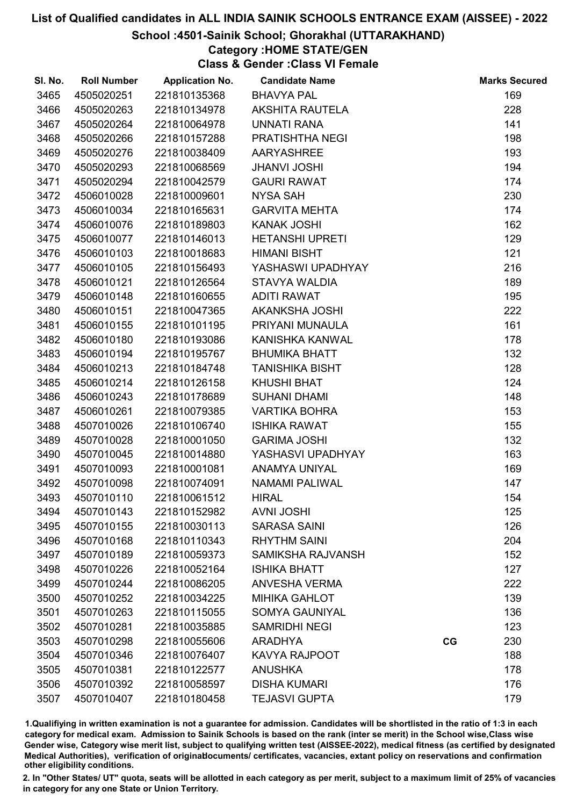#### School :4501-Sainik School; Ghorakhal (UTTARAKHAND)

# Category :HOME STATE/GEN

Class & Gender :Class VI Female

| SI. No. | <b>Roll Number</b> | <b>Application No.</b> | <b>Candidate Name</b>    |    | <b>Marks Secured</b> |
|---------|--------------------|------------------------|--------------------------|----|----------------------|
| 3465    | 4505020251         | 221810135368           | <b>BHAVYA PAL</b>        |    | 169                  |
| 3466    | 4505020263         | 221810134978           | <b>AKSHITA RAUTELA</b>   |    | 228                  |
| 3467    | 4505020264         | 221810064978           | <b>UNNATI RANA</b>       |    | 141                  |
| 3468    | 4505020266         | 221810157288           | PRATISHTHA NEGI          |    | 198                  |
| 3469    | 4505020276         | 221810038409           | AARYASHREE               |    | 193                  |
| 3470    | 4505020293         | 221810068569           | <b>JHANVI JOSHI</b>      |    | 194                  |
| 3471    | 4505020294         | 221810042579           | <b>GAURI RAWAT</b>       |    | 174                  |
| 3472    | 4506010028         | 221810009601           | <b>NYSA SAH</b>          |    | 230                  |
| 3473    | 4506010034         | 221810165631           | <b>GARVITA MEHTA</b>     |    | 174                  |
| 3474    | 4506010076         | 221810189803           | <b>KANAK JOSHI</b>       |    | 162                  |
| 3475    | 4506010077         | 221810146013           | <b>HETANSHI UPRETI</b>   |    | 129                  |
| 3476    | 4506010103         | 221810018683           | <b>HIMANI BISHT</b>      |    | 121                  |
| 3477    | 4506010105         | 221810156493           | YASHASWI UPADHYAY        |    | 216                  |
| 3478    | 4506010121         | 221810126564           | STAVYA WALDIA            |    | 189                  |
| 3479    | 4506010148         | 221810160655           | <b>ADITI RAWAT</b>       |    | 195                  |
| 3480    | 4506010151         | 221810047365           | AKANKSHA JOSHI           |    | 222                  |
| 3481    | 4506010155         | 221810101195           | PRIYANI MUNAULA          |    | 161                  |
| 3482    | 4506010180         | 221810193086           | KANISHKA KANWAL          |    | 178                  |
| 3483    | 4506010194         | 221810195767           | <b>BHUMIKA BHATT</b>     |    | 132                  |
| 3484    | 4506010213         | 221810184748           | <b>TANISHIKA BISHT</b>   |    | 128                  |
| 3485    | 4506010214         | 221810126158           | <b>KHUSHI BHAT</b>       |    | 124                  |
| 3486    | 4506010243         | 221810178689           | <b>SUHANI DHAMI</b>      |    | 148                  |
| 3487    | 4506010261         | 221810079385           | <b>VARTIKA BOHRA</b>     |    | 153                  |
| 3488    | 4507010026         | 221810106740           | <b>ISHIKA RAWAT</b>      |    | 155                  |
| 3489    | 4507010028         | 221810001050           | <b>GARIMA JOSHI</b>      |    | 132                  |
| 3490    | 4507010045         | 221810014880           | YASHASVI UPADHYAY        |    | 163                  |
| 3491    | 4507010093         | 221810001081           | ANAMYA UNIYAL            |    | 169                  |
| 3492    | 4507010098         | 221810074091           | <b>NAMAMI PALIWAL</b>    |    | 147                  |
| 3493    | 4507010110         | 221810061512           | <b>HIRAL</b>             |    | 154                  |
| 3494    | 4507010143         | 221810152982           | <b>AVNI JOSHI</b>        |    | 125                  |
| 3495    | 4507010155         | 221810030113           | <b>SARASA SAINI</b>      |    | 126                  |
| 3496    | 4507010168         | 221810110343           | <b>RHYTHM SAINI</b>      |    | 204                  |
| 3497    | 4507010189         | 221810059373           | <b>SAMIKSHA RAJVANSH</b> |    | 152                  |
| 3498    | 4507010226         | 221810052164           | <b>ISHIKA BHATT</b>      |    | 127                  |
| 3499    | 4507010244         | 221810086205           | <b>ANVESHA VERMA</b>     |    | 222                  |
| 3500    | 4507010252         | 221810034225           | <b>MIHIKA GAHLOT</b>     |    | 139                  |
| 3501    | 4507010263         | 221810115055           | <b>SOMYA GAUNIYAL</b>    |    | 136                  |
| 3502    | 4507010281         | 221810035885           | <b>SAMRIDHI NEGI</b>     |    | 123                  |
| 3503    | 4507010298         | 221810055606           | <b>ARADHYA</b>           | CG | 230                  |
| 3504    | 4507010346         | 221810076407           | <b>KAVYA RAJPOOT</b>     |    | 188                  |
| 3505    | 4507010381         | 221810122577           | <b>ANUSHKA</b>           |    | 178                  |
| 3506    | 4507010392         | 221810058597           | <b>DISHA KUMARI</b>      |    | 176                  |
| 3507    | 4507010407         | 221810180458           | <b>TEJASVI GUPTA</b>     |    | 179                  |

1.Qualifiying in written examination is not a guarantee for admission. Candidates will be shortlisted in the ratio of 1:3 in each category for medical exam. Admission to Sainik Schools is based on the rank (inter se merit) in the School wise,Class wise Gender wise, Category wise merit list, subject to qualifying written test (AISSEE-2022), medical fitness (as certified by designated Medical Authorities), verification of originablocuments/ certificates, vacancies, extant policy on reservations and confirmation other eligibility conditions.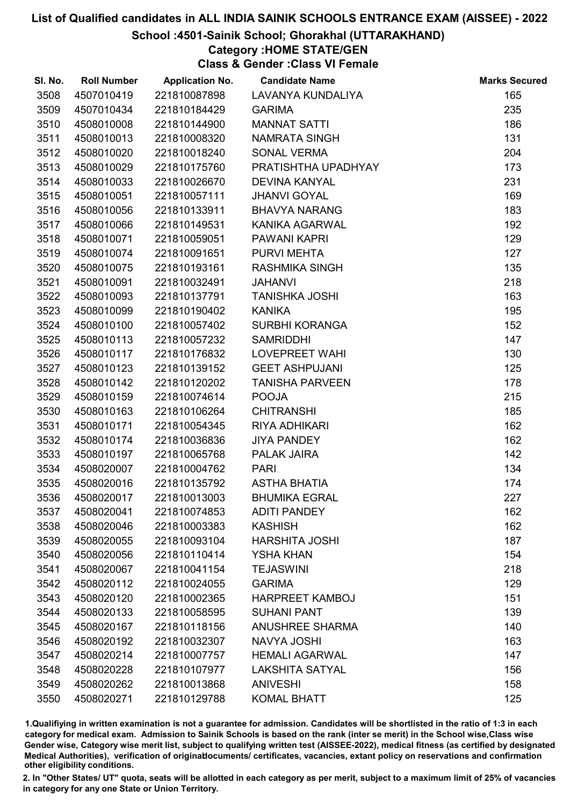#### School :4501-Sainik School; Ghorakhal (UTTARAKHAND)

## Category :HOME STATE/GEN

Class & Gender :Class VI Female

| SI. No. | <b>Roll Number</b> | <b>Application No.</b> | <b>Candidate Name</b>  | <b>Marks Secured</b> |
|---------|--------------------|------------------------|------------------------|----------------------|
| 3508    | 4507010419         | 221810087898           | LAVANYA KUNDALIYA      | 165                  |
| 3509    | 4507010434         | 221810184429           | <b>GARIMA</b>          | 235                  |
| 3510    | 4508010008         | 221810144900           | <b>MANNAT SATTI</b>    | 186                  |
| 3511    | 4508010013         | 221810008320           | NAMRATA SINGH          | 131                  |
| 3512    | 4508010020         | 221810018240           | <b>SONAL VERMA</b>     | 204                  |
| 3513    | 4508010029         | 221810175760           | PRATISHTHA UPADHYAY    | 173                  |
| 3514    | 4508010033         | 221810026670           | <b>DEVINA KANYAL</b>   | 231                  |
| 3515    | 4508010051         | 221810057111           | <b>JHANVI GOYAL</b>    | 169                  |
| 3516    | 4508010056         | 221810133911           | <b>BHAVYA NARANG</b>   | 183                  |
| 3517    | 4508010066         | 221810149531           | <b>KANIKA AGARWAL</b>  | 192                  |
| 3518    | 4508010071         | 221810059051           | PAWANI KAPRI           | 129                  |
| 3519    | 4508010074         | 221810091651           | PURVI MEHTA            | 127                  |
| 3520    | 4508010075         | 221810193161           | <b>RASHMIKA SINGH</b>  | 135                  |
| 3521    | 4508010091         | 221810032491           | <b>JAHANVI</b>         | 218                  |
| 3522    | 4508010093         | 221810137791           | <b>TANISHKA JOSHI</b>  | 163                  |
| 3523    | 4508010099         | 221810190402           | <b>KANIKA</b>          | 195                  |
| 3524    | 4508010100         | 221810057402           | <b>SURBHI KORANGA</b>  | 152                  |
| 3525    | 4508010113         | 221810057232           | <b>SAMRIDDHI</b>       | 147                  |
| 3526    | 4508010117         | 221810176832           | LOVEPREET WAHI         | 130                  |
| 3527    | 4508010123         | 221810139152           | <b>GEET ASHPUJANI</b>  | 125                  |
| 3528    | 4508010142         | 221810120202           | <b>TANISHA PARVEEN</b> | 178                  |
| 3529    | 4508010159         | 221810074614           | <b>POOJA</b>           | 215                  |
| 3530    | 4508010163         | 221810106264           | <b>CHITRANSHI</b>      | 185                  |
| 3531    | 4508010171         | 221810054345           | RIYA ADHIKARI          | 162                  |
| 3532    | 4508010174         | 221810036836           | <b>JIYA PANDEY</b>     | 162                  |
| 3533    | 4508010197         | 221810065768           | <b>PALAK JAIRA</b>     | 142                  |
| 3534    | 4508020007         | 221810004762           | <b>PARI</b>            | 134                  |
| 3535    | 4508020016         | 221810135792           | <b>ASTHA BHATIA</b>    | 174                  |
| 3536    | 4508020017         | 221810013003           | <b>BHUMIKA EGRAL</b>   | 227                  |
| 3537    | 4508020041         | 221810074853           | <b>ADITI PANDEY</b>    | 162                  |
| 3538    | 4508020046         | 221810003383           | <b>KASHISH</b>         | 162                  |
| 3539    | 4508020055         | 221810093104           | <b>HARSHITA JOSHI</b>  | 187                  |
| 3540    | 4508020056         | 221810110414           | <b>YSHA KHAN</b>       | 154                  |
| 3541    | 4508020067         | 221810041154           | <b>TEJASWINI</b>       | 218                  |
| 3542    | 4508020112         | 221810024055           | <b>GARIMA</b>          | 129                  |
| 3543    | 4508020120         | 221810002365           | <b>HARPREET KAMBOJ</b> | 151                  |
| 3544    | 4508020133         | 221810058595           | <b>SUHANI PANT</b>     | 139                  |
| 3545    | 4508020167         | 221810118156           | <b>ANUSHREE SHARMA</b> | 140                  |
| 3546    | 4508020192         | 221810032307           | NAVYA JOSHI            | 163                  |
| 3547    | 4508020214         | 221810007757           | <b>HEMALI AGARWAL</b>  | 147                  |
| 3548    | 4508020228         | 221810107977           | <b>LAKSHITA SATYAL</b> | 156                  |
| 3549    | 4508020262         | 221810013868           | <b>ANIVESHI</b>        | 158                  |
| 3550    | 4508020271         | 221810129788           | <b>KOMAL BHATT</b>     | 125                  |

1.Qualifiying in written examination is not a guarantee for admission. Candidates will be shortlisted in the ratio of 1:3 in each category for medical exam. Admission to Sainik Schools is based on the rank (inter se merit) in the School wise,Class wise Gender wise, Category wise merit list, subject to qualifying written test (AISSEE-2022), medical fitness (as certified by designated Medical Authorities), verification of originablocuments/ certificates, vacancies, extant policy on reservations and confirmation other eligibility conditions.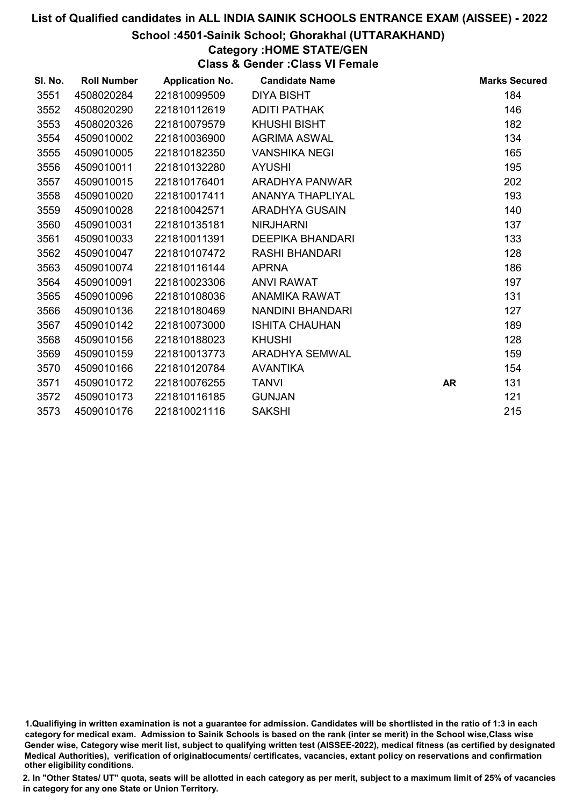#### School :4501-Sainik School; Ghorakhal (UTTARAKHAND)

# Category :HOME STATE/GEN

Class & Gender :Class VI Female

| SI. No. | <b>Roll Number</b> | <b>Application No.</b> | <b>Candidate Name</b>   |    | <b>Marks Secured</b> |
|---------|--------------------|------------------------|-------------------------|----|----------------------|
| 3551    | 4508020284         | 221810099509           | <b>DIYA BISHT</b>       |    | 184                  |
| 3552    | 4508020290         | 221810112619           | <b>ADITI PATHAK</b>     |    | 146                  |
| 3553    | 4508020326         | 221810079579           | <b>KHUSHI BISHT</b>     |    | 182                  |
| 3554    | 4509010002         | 221810036900           | <b>AGRIMA ASWAL</b>     |    | 134                  |
| 3555    | 4509010005         | 221810182350           | <b>VANSHIKA NEGI</b>    |    | 165                  |
| 3556    | 4509010011         | 221810132280           | <b>AYUSHI</b>           |    | 195                  |
| 3557    | 4509010015         | 221810176401           | ARADHYA PANWAR          |    | 202                  |
| 3558    | 4509010020         | 221810017411           | <b>ANANYA THAPLIYAL</b> |    | 193                  |
| 3559    | 4509010028         | 221810042571           | <b>ARADHYA GUSAIN</b>   |    | 140                  |
| 3560    | 4509010031         | 221810135181           | <b>NIRJHARNI</b>        |    | 137                  |
| 3561    | 4509010033         | 221810011391           | <b>DEEPIKA BHANDARI</b> |    | 133                  |
| 3562    | 4509010047         | 221810107472           | <b>RASHI BHANDARI</b>   |    | 128                  |
| 3563    | 4509010074         | 221810116144           | <b>APRNA</b>            |    | 186                  |
| 3564    | 4509010091         | 221810023306           | <b>ANVI RAWAT</b>       |    | 197                  |
| 3565    | 4509010096         | 221810108036           | ANAMIKA RAWAT           |    | 131                  |
| 3566    | 4509010136         | 221810180469           | NANDINI BHANDARI        |    | 127                  |
| 3567    | 4509010142         | 221810073000           | <b>ISHITA CHAUHAN</b>   |    | 189                  |
| 3568    | 4509010156         | 221810188023           | <b>KHUSHI</b>           |    | 128                  |
| 3569    | 4509010159         | 221810013773           | <b>ARADHYA SEMWAL</b>   |    | 159                  |
| 3570    | 4509010166         | 221810120784           | <b>AVANTIKA</b>         |    | 154                  |
| 3571    | 4509010172         | 221810076255           | <b>TANVI</b>            | AR | 131                  |
| 3572    | 4509010173         | 221810116185           | <b>GUNJAN</b>           |    | 121                  |
| 3573    | 4509010176         | 221810021116           | <b>SAKSHI</b>           |    | 215                  |

<sup>1.</sup>Qualifiying in written examination is not a guarantee for admission. Candidates will be shortlisted in the ratio of 1:3 in each category for medical exam. Admission to Sainik Schools is based on the rank (inter se merit) in the School wise,Class wise Gender wise, Category wise merit list, subject to qualifying written test (AISSEE-2022), medical fitness (as certified by designated Medical Authorities), verification of originablocuments/ certificates, vacancies, extant policy on reservations and confirmation other eligibility conditions.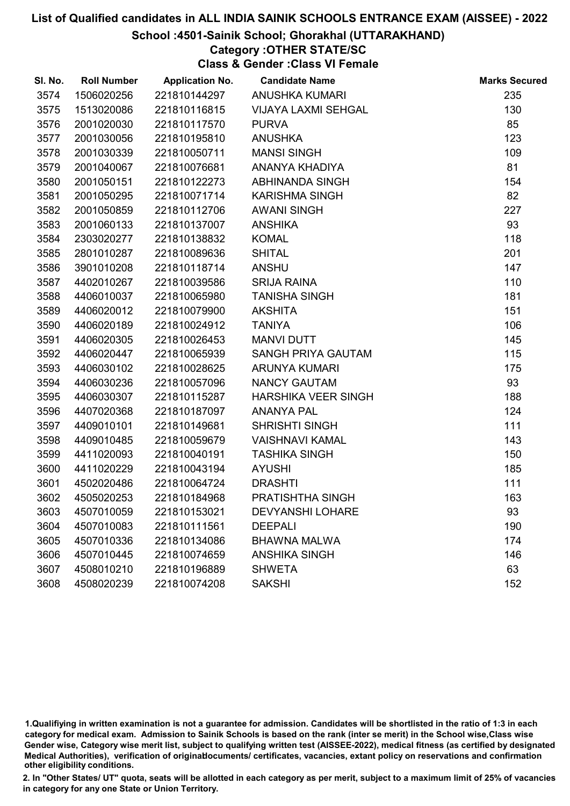### School :4501-Sainik School; Ghorakhal (UTTARAKHAND)

## Category :OTHER STATE/SC

Class & Gender :Class VI Female

| SI. No. | <b>Roll Number</b> | <b>Application No.</b> | <b>Candidate Name</b>      | <b>Marks Secured</b> |
|---------|--------------------|------------------------|----------------------------|----------------------|
| 3574    | 1506020256         | 221810144297           | <b>ANUSHKA KUMARI</b>      | 235                  |
| 3575    | 1513020086         | 221810116815           | <b>VIJAYA LAXMI SEHGAL</b> | 130                  |
| 3576    | 2001020030         | 221810117570           | <b>PURVA</b>               | 85                   |
| 3577    | 2001030056         | 221810195810           | <b>ANUSHKA</b>             | 123                  |
| 3578    | 2001030339         | 221810050711           | <b>MANSI SINGH</b>         | 109                  |
| 3579    | 2001040067         | 221810076681           | ANANYA KHADIYA             | 81                   |
| 3580    | 2001050151         | 221810122273           | <b>ABHINANDA SINGH</b>     | 154                  |
| 3581    | 2001050295         | 221810071714           | <b>KARISHMA SINGH</b>      | 82                   |
| 3582    | 2001050859         | 221810112706           | <b>AWANI SINGH</b>         | 227                  |
| 3583    | 2001060133         | 221810137007           | <b>ANSHIKA</b>             | 93                   |
| 3584    | 2303020277         | 221810138832           | <b>KOMAL</b>               | 118                  |
| 3585    | 2801010287         | 221810089636           | <b>SHITAL</b>              | 201                  |
| 3586    | 3901010208         | 221810118714           | <b>ANSHU</b>               | 147                  |
| 3587    | 4402010267         | 221810039586           | <b>SRIJA RAINA</b>         | 110                  |
| 3588    | 4406010037         | 221810065980           | <b>TANISHA SINGH</b>       | 181                  |
| 3589    | 4406020012         | 221810079900           | <b>AKSHITA</b>             | 151                  |
| 3590    | 4406020189         | 221810024912           | <b>TANIYA</b>              | 106                  |
| 3591    | 4406020305         | 221810026453           | <b>MANVI DUTT</b>          | 145                  |
| 3592    | 4406020447         | 221810065939           | SANGH PRIYA GAUTAM         | 115                  |
| 3593    | 4406030102         | 221810028625           | <b>ARUNYA KUMARI</b>       | 175                  |
| 3594    | 4406030236         | 221810057096           | NANCY GAUTAM               | 93                   |
| 3595    | 4406030307         | 221810115287           | HARSHIKA VEER SINGH        | 188                  |
| 3596    | 4407020368         | 221810187097           | <b>ANANYA PAL</b>          | 124                  |
| 3597    | 4409010101         | 221810149681           | <b>SHRISHTI SINGH</b>      | 111                  |
| 3598    | 4409010485         | 221810059679           | <b>VAISHNAVI KAMAL</b>     | 143                  |
| 3599    | 4411020093         | 221810040191           | <b>TASHIKA SINGH</b>       | 150                  |
| 3600    | 4411020229         | 221810043194           | <b>AYUSHI</b>              | 185                  |
| 3601    | 4502020486         | 221810064724           | <b>DRASHTI</b>             | 111                  |
| 3602    | 4505020253         | 221810184968           | PRATISHTHA SINGH           | 163                  |
| 3603    | 4507010059         | 221810153021           | <b>DEVYANSHI LOHARE</b>    | 93                   |
| 3604    | 4507010083         | 221810111561           | <b>DEEPALI</b>             | 190                  |
| 3605    | 4507010336         | 221810134086           | <b>BHAWNA MALWA</b>        | 174                  |
| 3606    | 4507010445         | 221810074659           | <b>ANSHIKA SINGH</b>       | 146                  |
| 3607    | 4508010210         | 221810196889           | <b>SHWETA</b>              | 63                   |
| 3608    | 4508020239         | 221810074208           | <b>SAKSHI</b>              | 152                  |

<sup>1.</sup>Qualifiying in written examination is not a guarantee for admission. Candidates will be shortlisted in the ratio of 1:3 in each category for medical exam. Admission to Sainik Schools is based on the rank (inter se merit) in the School wise,Class wise Gender wise, Category wise merit list, subject to qualifying written test (AISSEE-2022), medical fitness (as certified by designated Medical Authorities), verification of originablocuments/ certificates, vacancies, extant policy on reservations and confirmation other eligibility conditions.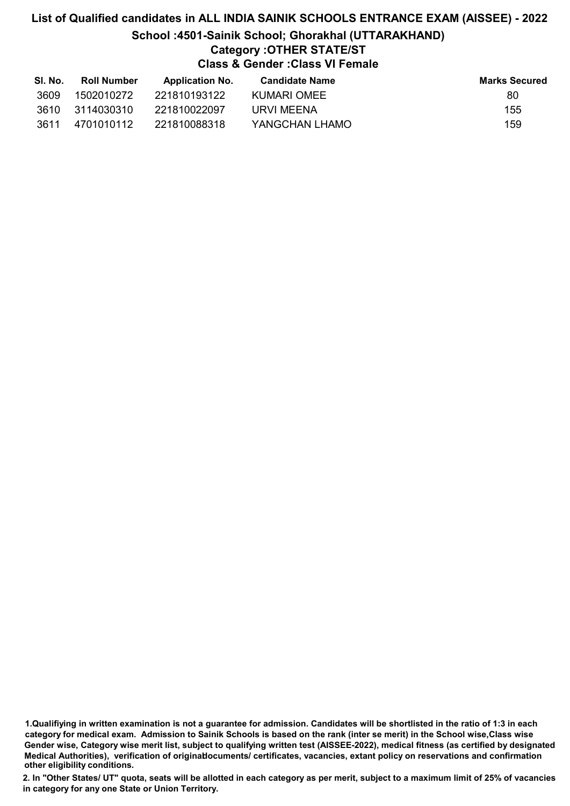## List of Qualified candidates in ALL INDIA SAINIK SCHOOLS ENTRANCE EXAM (AISSEE) - 2022 School :4501-Sainik School; Ghorakhal (UTTARAKHAND) Category :OTHER STATE/ST Class & Gender :Class VI Female

| SI. No. | <b>Roll Number</b> | <b>Application No.</b> | Candidate Name | <b>Marks Secured</b> |
|---------|--------------------|------------------------|----------------|----------------------|
| 3609    | 1502010272         | 221810193122           | KUMARI OMEE    | 80                   |
| 3610    | 3114030310         | 221810022097           | URVI MEENA     | 155                  |
| 3611    | 4701010112         | 221810088318           | YANGCHAN LHAMO | 159                  |

1.Qualifiying in written examination is not a guarantee for admission. Candidates will be shortlisted in the ratio of 1:3 in each category for medical exam. Admission to Sainik Schools is based on the rank (inter se merit) in the School wise,Class wise Gender wise, Category wise merit list, subject to qualifying written test (AISSEE-2022), medical fitness (as certified by designated Medical Authorities), verification of originablocuments/ certificates, vacancies, extant policy on reservations and confirmation other eligibility conditions.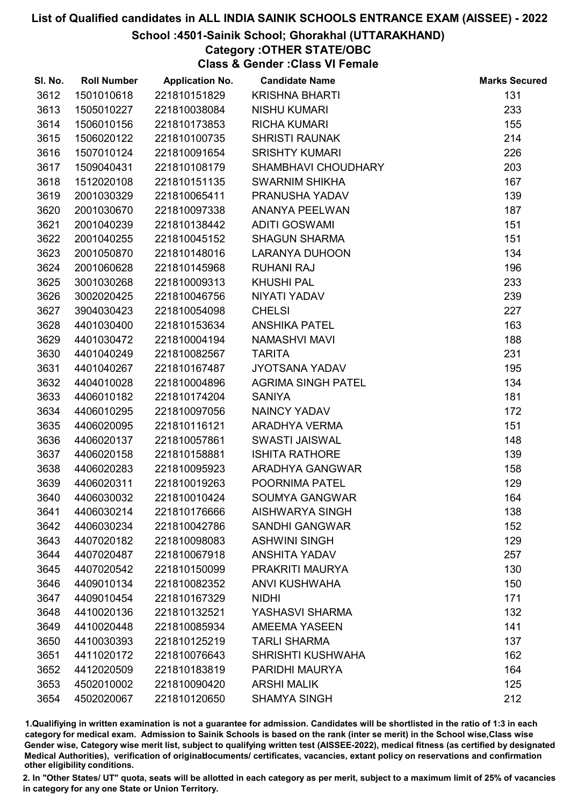### School :4501-Sainik School; Ghorakhal (UTTARAKHAND)

### Category :OTHER STATE/OBC

Class & Gender :Class VI Female

| SI. No. | <b>Roll Number</b> | <b>Application No.</b> | <b>Candidate Name</b>     | <b>Marks Secured</b> |
|---------|--------------------|------------------------|---------------------------|----------------------|
| 3612    | 1501010618         | 221810151829           | <b>KRISHNA BHARTI</b>     | 131                  |
| 3613    | 1505010227         | 221810038084           | <b>NISHU KUMARI</b>       | 233                  |
| 3614    | 1506010156         | 221810173853           | <b>RICHA KUMARI</b>       | 155                  |
| 3615    | 1506020122         | 221810100735           | <b>SHRISTI RAUNAK</b>     | 214                  |
| 3616    | 1507010124         | 221810091654           | <b>SRISHTY KUMARI</b>     | 226                  |
| 3617    | 1509040431         | 221810108179           | SHAMBHAVI CHOUDHARY       | 203                  |
| 3618    | 1512020108         | 221810151135           | <b>SWARNIM SHIKHA</b>     | 167                  |
| 3619    | 2001030329         | 221810065411           | PRANUSHA YADAV            | 139                  |
| 3620    | 2001030670         | 221810097338           | ANANYA PEELWAN            | 187                  |
| 3621    | 2001040239         | 221810138442           | <b>ADITI GOSWAMI</b>      | 151                  |
| 3622    | 2001040255         | 221810045152           | <b>SHAGUN SHARMA</b>      | 151                  |
| 3623    | 2001050870         | 221810148016           | <b>LARANYA DUHOON</b>     | 134                  |
| 3624    | 2001060628         | 221810145968           | <b>RUHANI RAJ</b>         | 196                  |
| 3625    | 3001030268         | 221810009313           | <b>KHUSHI PAL</b>         | 233                  |
| 3626    | 3002020425         | 221810046756           | NIYATI YADAV              | 239                  |
| 3627    | 3904030423         | 221810054098           | <b>CHELSI</b>             | 227                  |
| 3628    | 4401030400         | 221810153634           | <b>ANSHIKA PATEL</b>      | 163                  |
| 3629    | 4401030472         | 221810004194           | <b>NAMASHVI MAVI</b>      | 188                  |
| 3630    | 4401040249         | 221810082567           | <b>TARITA</b>             | 231                  |
| 3631    | 4401040267         | 221810167487           | <b>JYOTSANA YADAV</b>     | 195                  |
| 3632    | 4404010028         | 221810004896           | <b>AGRIMA SINGH PATEL</b> | 134                  |
| 3633    | 4406010182         | 221810174204           | <b>SANIYA</b>             | 181                  |
| 3634    | 4406010295         | 221810097056           | <b>NAINCY YADAV</b>       | 172                  |
| 3635    | 4406020095         | 221810116121           | ARADHYA VERMA             | 151                  |
| 3636    | 4406020137         | 221810057861           | SWASTI JAISWAL            | 148                  |
| 3637    | 4406020158         | 221810158881           | <b>ISHITA RATHORE</b>     | 139                  |
| 3638    | 4406020283         | 221810095923           | ARADHYA GANGWAR           | 158                  |
| 3639    | 4406020311         | 221810019263           | POORNIMA PATEL            | 129                  |
| 3640    | 4406030032         | 221810010424           | <b>SOUMYA GANGWAR</b>     | 164                  |
| 3641    | 4406030214         | 221810176666           | <b>AISHWARYA SINGH</b>    | 138                  |
| 3642    | 4406030234         | 221810042786           | <b>SANDHI GANGWAR</b>     | 152                  |
| 3643    | 4407020182         | 221810098083           | <b>ASHWINI SINGH</b>      | 129                  |
| 3644    | 4407020487         | 221810067918           | <b>ANSHITA YADAV</b>      | 257                  |
| 3645    | 4407020542         | 221810150099           | PRAKRITI MAURYA           | 130                  |
| 3646    | 4409010134         | 221810082352           | <b>ANVI KUSHWAHA</b>      | 150                  |
| 3647    | 4409010454         | 221810167329           | <b>NIDHI</b>              | 171                  |
| 3648    | 4410020136         | 221810132521           | YASHASVI SHARMA           | 132                  |
| 3649    | 4410020448         | 221810085934           | <b>AMEEMA YASEEN</b>      | 141                  |
| 3650    | 4410030393         | 221810125219           | <b>TARLI SHARMA</b>       | 137                  |
| 3651    | 4411020172         | 221810076643           | <b>SHRISHTI KUSHWAHA</b>  | 162                  |
| 3652    | 4412020509         | 221810183819           | PARIDHI MAURYA            | 164                  |
| 3653    | 4502010002         | 221810090420           | <b>ARSHI MALIK</b>        | 125                  |
| 3654    | 4502020067         | 221810120650           | <b>SHAMYA SINGH</b>       | 212                  |

1.Qualifiying in written examination is not a guarantee for admission. Candidates will be shortlisted in the ratio of 1:3 in each category for medical exam. Admission to Sainik Schools is based on the rank (inter se merit) in the School wise,Class wise Gender wise, Category wise merit list, subject to qualifying written test (AISSEE-2022), medical fitness (as certified by designated Medical Authorities), verification of originablocuments/ certificates, vacancies, extant policy on reservations and confirmation other eligibility conditions.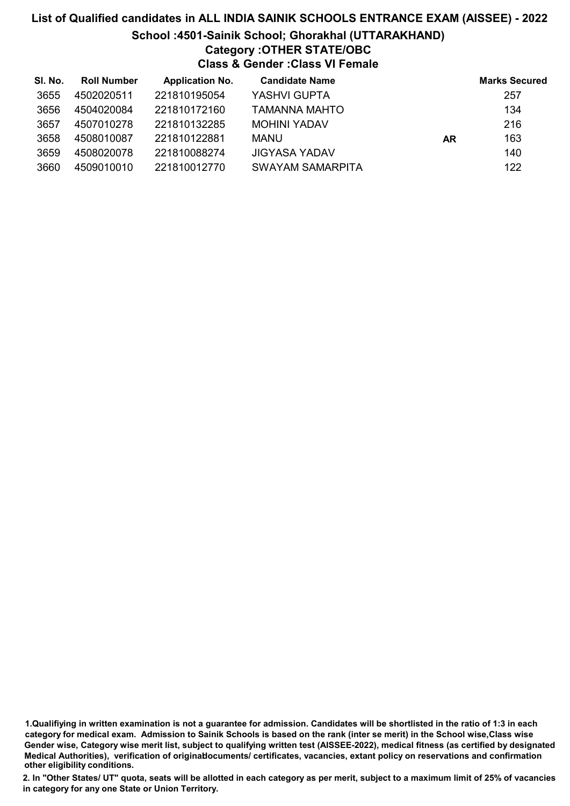## List of Qualified candidates in ALL INDIA SAINIK SCHOOLS ENTRANCE EXAM (AISSEE) - 2022 School :4501-Sainik School; Ghorakhal (UTTARAKHAND) Category :OTHER STATE/OBC Class & Gender :Class VI Female

| SI. No. | <b>Roll Number</b> | <b>Application No.</b> | <b>Candidate Name</b>   |    | <b>Marks Secured</b> |
|---------|--------------------|------------------------|-------------------------|----|----------------------|
| 3655    | 4502020511         | 221810195054           | YASHVI GUPTA            |    | 257                  |
| 3656    | 4504020084         | 221810172160           | TAMANNA MAHTO           |    | 134                  |
| 3657    | 4507010278         | 221810132285           | <b>MOHINI YADAV</b>     |    | 216                  |
| 3658    | 4508010087         | 221810122881           | MANU                    | AR | 163                  |
| 3659    | 4508020078         | 221810088274           | <b>JIGYASA YADAV</b>    |    | 140                  |
| 3660    | 4509010010         | 221810012770           | <b>SWAYAM SAMARPITA</b> |    | 122                  |

1.Qualifiying in written examination is not a guarantee for admission. Candidates will be shortlisted in the ratio of 1:3 in each category for medical exam. Admission to Sainik Schools is based on the rank (inter se merit) in the School wise,Class wise Gender wise, Category wise merit list, subject to qualifying written test (AISSEE-2022), medical fitness (as certified by designated Medical Authorities), verification of originablocuments/ certificates, vacancies, extant policy on reservations and confirmation other eligibility conditions.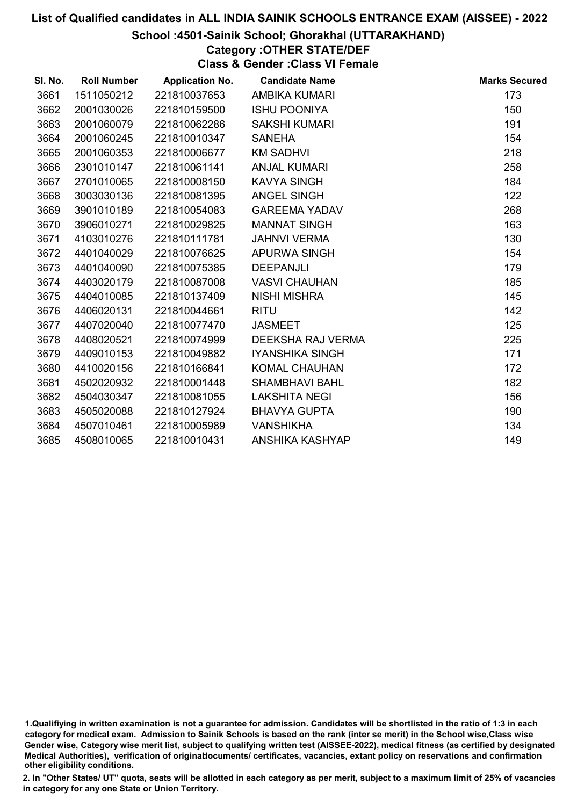### School :4501-Sainik School; Ghorakhal (UTTARAKHAND)

# Category :OTHER STATE/DEF

Class & Gender :Class VI Female

| SI. No. | <b>Roll Number</b> | <b>Application No.</b> | <b>Candidate Name</b>  | <b>Marks Secured</b> |
|---------|--------------------|------------------------|------------------------|----------------------|
| 3661    | 1511050212         | 221810037653           | AMBIKA KUMARI          | 173                  |
| 3662    | 2001030026         | 221810159500           | <b>ISHU POONIYA</b>    | 150                  |
| 3663    | 2001060079         | 221810062286           | <b>SAKSHI KUMARI</b>   | 191                  |
| 3664    | 2001060245         | 221810010347           | <b>SANEHA</b>          | 154                  |
| 3665    | 2001060353         | 221810006677           | <b>KM SADHVI</b>       | 218                  |
| 3666    | 2301010147         | 221810061141           | <b>ANJAL KUMARI</b>    | 258                  |
| 3667    | 2701010065         | 221810008150           | <b>KAVYA SINGH</b>     | 184                  |
| 3668    | 3003030136         | 221810081395           | <b>ANGEL SINGH</b>     | 122                  |
| 3669    | 3901010189         | 221810054083           | <b>GAREEMA YADAV</b>   | 268                  |
| 3670    | 3906010271         | 221810029825           | <b>MANNAT SINGH</b>    | 163                  |
| 3671    | 4103010276         | 221810111781           | <b>JAHNVI VERMA</b>    | 130                  |
| 3672    | 4401040029         | 221810076625           | APURWA SINGH           | 154                  |
| 3673    | 4401040090         | 221810075385           | <b>DEEPANJLI</b>       | 179                  |
| 3674    | 4403020179         | 221810087008           | <b>VASVI CHAUHAN</b>   | 185                  |
| 3675    | 4404010085         | 221810137409           | <b>NISHI MISHRA</b>    | 145                  |
| 3676    | 4406020131         | 221810044661           | <b>RITU</b>            | 142                  |
| 3677    | 4407020040         | 221810077470           | <b>JASMEET</b>         | 125                  |
| 3678    | 4408020521         | 221810074999           | DEEKSHA RAJ VERMA      | 225                  |
| 3679    | 4409010153         | 221810049882           | <b>IYANSHIKA SINGH</b> | 171                  |
| 3680    | 4410020156         | 221810166841           | <b>KOMAL CHAUHAN</b>   | 172                  |
| 3681    | 4502020932         | 221810001448           | <b>SHAMBHAVI BAHL</b>  | 182                  |
| 3682    | 4504030347         | 221810081055           | <b>LAKSHITA NEGI</b>   | 156                  |
| 3683    | 4505020088         | 221810127924           | <b>BHAVYA GUPTA</b>    | 190                  |
| 3684    | 4507010461         | 221810005989           | <b>VANSHIKHA</b>       | 134                  |
| 3685    | 4508010065         | 221810010431           | ANSHIKA KASHYAP        | 149                  |

<sup>1.</sup>Qualifiying in written examination is not a guarantee for admission. Candidates will be shortlisted in the ratio of 1:3 in each category for medical exam. Admission to Sainik Schools is based on the rank (inter se merit) in the School wise,Class wise Gender wise, Category wise merit list, subject to qualifying written test (AISSEE-2022), medical fitness (as certified by designated Medical Authorities), verification of originablocuments/ certificates, vacancies, extant policy on reservations and confirmation other eligibility conditions.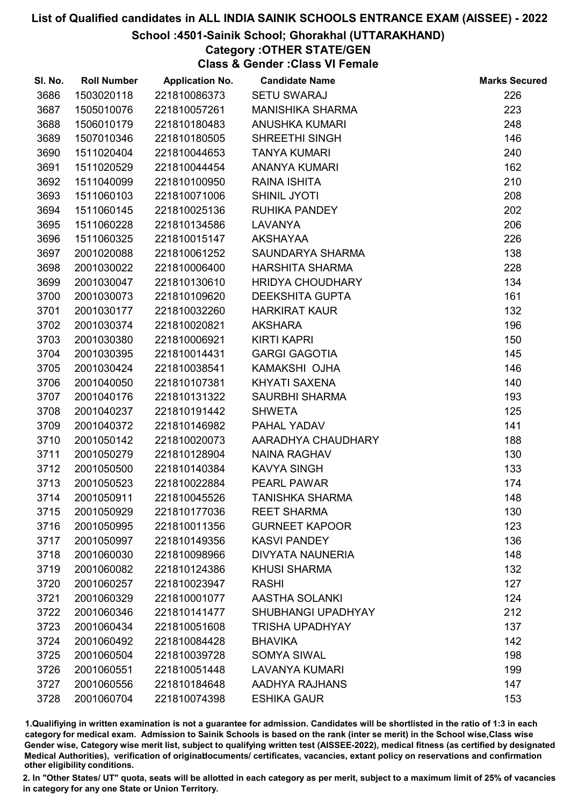### School :4501-Sainik School; Ghorakhal (UTTARAKHAND)

Category :OTHER STATE/GEN

Class & Gender :Class VI Female

| SI. No. | <b>Roll Number</b> | <b>Application No.</b> | <b>Candidate Name</b>   | <b>Marks Secured</b> |
|---------|--------------------|------------------------|-------------------------|----------------------|
| 3686    | 1503020118         | 221810086373           | <b>SETU SWARAJ</b>      | 226                  |
| 3687    | 1505010076         | 221810057261           | <b>MANISHIKA SHARMA</b> | 223                  |
| 3688    | 1506010179         | 221810180483           | <b>ANUSHKA KUMARI</b>   | 248                  |
| 3689    | 1507010346         | 221810180505           | SHREETHI SINGH          | 146                  |
| 3690    | 1511020404         | 221810044653           | <b>TANYA KUMARI</b>     | 240                  |
| 3691    | 1511020529         | 221810044454           | <b>ANANYA KUMARI</b>    | 162                  |
| 3692    | 1511040099         | 221810100950           | <b>RAINA ISHITA</b>     | 210                  |
| 3693    | 1511060103         | 221810071006           | <b>SHINIL JYOTI</b>     | 208                  |
| 3694    | 1511060145         | 221810025136           | <b>RUHIKA PANDEY</b>    | 202                  |
| 3695    | 1511060228         | 221810134586           | <b>LAVANYA</b>          | 206                  |
| 3696    | 1511060325         | 221810015147           | AKSHAYAA                | 226                  |
| 3697    | 2001020088         | 221810061252           | SAUNDARYA SHARMA        | 138                  |
| 3698    | 2001030022         | 221810006400           | <b>HARSHITA SHARMA</b>  | 228                  |
| 3699    | 2001030047         | 221810130610           | <b>HRIDYA CHOUDHARY</b> | 134                  |
| 3700    | 2001030073         | 221810109620           | <b>DEEKSHITA GUPTA</b>  | 161                  |
| 3701    | 2001030177         | 221810032260           | <b>HARKIRAT KAUR</b>    | 132                  |
| 3702    | 2001030374         | 221810020821           | <b>AKSHARA</b>          | 196                  |
| 3703    | 2001030380         | 221810006921           | <b>KIRTI KAPRI</b>      | 150                  |
| 3704    | 2001030395         | 221810014431           | <b>GARGI GAGOTIA</b>    | 145                  |
| 3705    | 2001030424         | 221810038541           | KAMAKSHI OJHA           | 146                  |
| 3706    | 2001040050         | 221810107381           | <b>KHYATI SAXENA</b>    | 140                  |
| 3707    | 2001040176         | 221810131322           | <b>SAURBHI SHARMA</b>   | 193                  |
| 3708    | 2001040237         | 221810191442           | <b>SHWETA</b>           | 125                  |
| 3709    | 2001040372         | 221810146982           | PAHAL YADAV             | 141                  |
| 3710    | 2001050142         | 221810020073           | AARADHYA CHAUDHARY      | 188                  |
| 3711    | 2001050279         | 221810128904           | <b>NAINA RAGHAV</b>     | 130                  |
| 3712    | 2001050500         | 221810140384           | <b>KAVYA SINGH</b>      | 133                  |
| 3713    | 2001050523         | 221810022884           | PEARL PAWAR             | 174                  |
| 3714    | 2001050911         | 221810045526           | <b>TANISHKA SHARMA</b>  | 148                  |
| 3715    | 2001050929         | 221810177036           | <b>REET SHARMA</b>      | 130                  |
| 3716    | 2001050995         | 221810011356           | <b>GURNEET KAPOOR</b>   | 123                  |
| 3717    | 2001050997         | 221810149356           | <b>KASVI PANDEY</b>     | 136                  |
| 3718    | 2001060030         | 221810098966           | <b>DIVYATA NAUNERIA</b> | 148                  |
| 3719    | 2001060082         | 221810124386           | <b>KHUSI SHARMA</b>     | 132                  |
| 3720    | 2001060257         | 221810023947           | <b>RASHI</b>            | 127                  |
| 3721    | 2001060329         | 221810001077           | AASTHA SOLANKI          | 124                  |
| 3722    | 2001060346         | 221810141477           | SHUBHANGI UPADHYAY      | 212                  |
| 3723    | 2001060434         | 221810051608           | <b>TRISHA UPADHYAY</b>  | 137                  |
| 3724    | 2001060492         | 221810084428           | <b>BHAVIKA</b>          | 142                  |
| 3725    | 2001060504         | 221810039728           | <b>SOMYA SIWAL</b>      | 198                  |
| 3726    | 2001060551         | 221810051448           | <b>LAVANYA KUMARI</b>   | 199                  |
| 3727    | 2001060556         | 221810184648           | AADHYA RAJHANS          | 147                  |
| 3728    | 2001060704         | 221810074398           | <b>ESHIKA GAUR</b>      | 153                  |

1.Qualifiying in written examination is not a guarantee for admission. Candidates will be shortlisted in the ratio of 1:3 in each category for medical exam. Admission to Sainik Schools is based on the rank (inter se merit) in the School wise,Class wise Gender wise, Category wise merit list, subject to qualifying written test (AISSEE-2022), medical fitness (as certified by designated Medical Authorities), verification of originablocuments/ certificates, vacancies, extant policy on reservations and confirmation other eligibility conditions.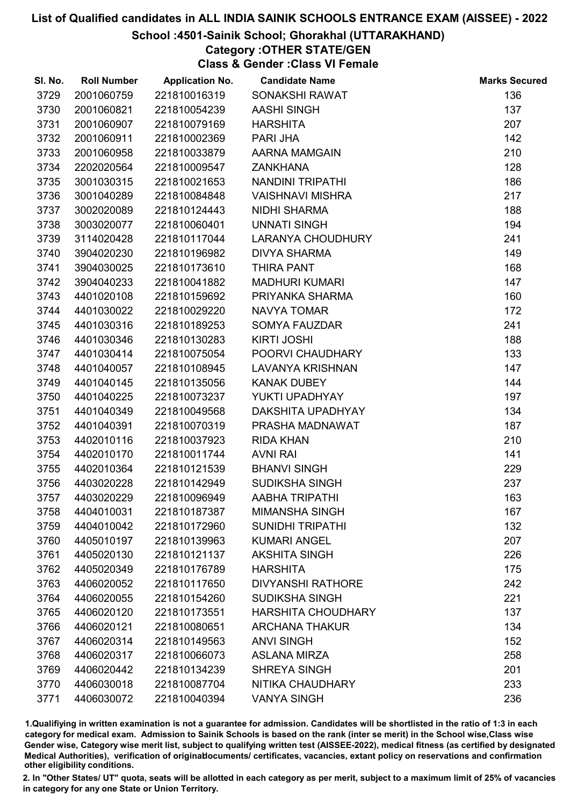### School :4501-Sainik School; Ghorakhal (UTTARAKHAND)

# Category :OTHER STATE/GEN

Class & Gender :Class VI Female

| SI. No. | <b>Roll Number</b> | <b>Application No.</b> | <b>Candidate Name</b>     | <b>Marks Secured</b> |
|---------|--------------------|------------------------|---------------------------|----------------------|
| 3729    | 2001060759         | 221810016319           | <b>SONAKSHI RAWAT</b>     | 136                  |
| 3730    | 2001060821         | 221810054239           | <b>AASHI SINGH</b>        | 137                  |
| 3731    | 2001060907         | 221810079169           | <b>HARSHITA</b>           | 207                  |
| 3732    | 2001060911         | 221810002369           | <b>PARI JHA</b>           | 142                  |
| 3733    | 2001060958         | 221810033879           | AARNA MAMGAIN             | 210                  |
| 3734    | 2202020564         | 221810009547           | <b>ZANKHANA</b>           | 128                  |
| 3735    | 3001030315         | 221810021653           | <b>NANDINI TRIPATHI</b>   | 186                  |
| 3736    | 3001040289         | 221810084848           | <b>VAISHNAVI MISHRA</b>   | 217                  |
| 3737    | 3002020089         | 221810124443           | <b>NIDHI SHARMA</b>       | 188                  |
| 3738    | 3003020077         | 221810060401           | <b>UNNATI SINGH</b>       | 194                  |
| 3739    | 3114020428         | 221810117044           | LARANYA CHOUDHURY         | 241                  |
| 3740    | 3904020230         | 221810196982           | <b>DIVYA SHARMA</b>       | 149                  |
| 3741    | 3904030025         | 221810173610           | <b>THIRA PANT</b>         | 168                  |
| 3742    | 3904040233         | 221810041882           | <b>MADHURI KUMARI</b>     | 147                  |
| 3743    | 4401020108         | 221810159692           | PRIYANKA SHARMA           | 160                  |
| 3744    | 4401030022         | 221810029220           | <b>NAVYA TOMAR</b>        | 172                  |
| 3745    | 4401030316         | 221810189253           | <b>SOMYA FAUZDAR</b>      | 241                  |
| 3746    | 4401030346         | 221810130283           | <b>KIRTI JOSHI</b>        | 188                  |
| 3747    | 4401030414         | 221810075054           | POORVI CHAUDHARY          | 133                  |
| 3748    | 4401040057         | 221810108945           | <b>LAVANYA KRISHNAN</b>   | 147                  |
| 3749    | 4401040145         | 221810135056           | <b>KANAK DUBEY</b>        | 144                  |
| 3750    | 4401040225         | 221810073237           | YUKTI UPADHYAY            | 197                  |
| 3751    | 4401040349         | 221810049568           | DAKSHITA UPADHYAY         | 134                  |
| 3752    | 4401040391         | 221810070319           | PRASHA MADNAWAT           | 187                  |
| 3753    | 4402010116         | 221810037923           | <b>RIDA KHAN</b>          | 210                  |
| 3754    | 4402010170         | 221810011744           | <b>AVNI RAI</b>           | 141                  |
| 3755    | 4402010364         | 221810121539           | <b>BHANVI SINGH</b>       | 229                  |
| 3756    | 4403020228         | 221810142949           | <b>SUDIKSHA SINGH</b>     | 237                  |
| 3757    | 4403020229         | 221810096949           | AABHA TRIPATHI            | 163                  |
| 3758    | 4404010031         | 221810187387           | <b>MIMANSHA SINGH</b>     | 167                  |
| 3759    | 4404010042         | 221810172960           | <b>SUNIDHI TRIPATHI</b>   | 132                  |
| 3760    | 4405010197         | 221810139963           | <b>KUMARI ANGEL</b>       | 207                  |
| 3761    | 4405020130         | 221810121137           | <b>AKSHITA SINGH</b>      | 226                  |
| 3762    | 4405020349         | 221810176789           | <b>HARSHITA</b>           | 175                  |
| 3763    | 4406020052         | 221810117650           | <b>DIVYANSHI RATHORE</b>  | 242                  |
| 3764    | 4406020055         | 221810154260           | <b>SUDIKSHA SINGH</b>     | 221                  |
| 3765    | 4406020120         | 221810173551           | <b>HARSHITA CHOUDHARY</b> | 137                  |
| 3766    | 4406020121         | 221810080651           | <b>ARCHANA THAKUR</b>     | 134                  |
| 3767    | 4406020314         | 221810149563           | <b>ANVI SINGH</b>         | 152                  |
| 3768    | 4406020317         | 221810066073           | <b>ASLANA MIRZA</b>       | 258                  |
| 3769    | 4406020442         | 221810134239           | <b>SHREYA SINGH</b>       | 201                  |
| 3770    | 4406030018         | 221810087704           | NITIKA CHAUDHARY          | 233                  |
| 3771    | 4406030072         | 221810040394           | <b>VANYA SINGH</b>        | 236                  |

1.Qualifiying in written examination is not a guarantee for admission. Candidates will be shortlisted in the ratio of 1:3 in each category for medical exam. Admission to Sainik Schools is based on the rank (inter se merit) in the School wise,Class wise Gender wise, Category wise merit list, subject to qualifying written test (AISSEE-2022), medical fitness (as certified by designated Medical Authorities), verification of originablocuments/ certificates, vacancies, extant policy on reservations and confirmation other eligibility conditions.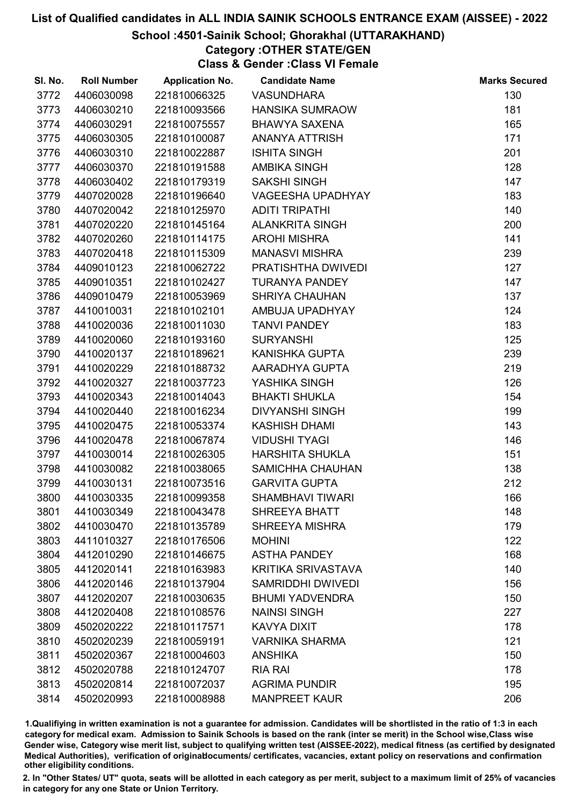### School :4501-Sainik School; Ghorakhal (UTTARAKHAND)

## Category :OTHER STATE/GEN

Class & Gender :Class VI Female

| SI. No. | <b>Roll Number</b> | <b>Application No.</b> | <b>Candidate Name</b>     | <b>Marks Secured</b> |
|---------|--------------------|------------------------|---------------------------|----------------------|
| 3772    | 4406030098         | 221810066325           | <b>VASUNDHARA</b>         | 130                  |
| 3773    | 4406030210         | 221810093566           | <b>HANSIKA SUMRAOW</b>    | 181                  |
| 3774    | 4406030291         | 221810075557           | <b>BHAWYA SAXENA</b>      | 165                  |
| 3775    | 4406030305         | 221810100087           | <b>ANANYA ATTRISH</b>     | 171                  |
| 3776    | 4406030310         | 221810022887           | <b>ISHITA SINGH</b>       | 201                  |
| 3777    | 4406030370         | 221810191588           | <b>AMBIKA SINGH</b>       | 128                  |
| 3778    | 4406030402         | 221810179319           | <b>SAKSHI SINGH</b>       | 147                  |
| 3779    | 4407020028         | 221810196640           | <b>VAGEESHA UPADHYAY</b>  | 183                  |
| 3780    | 4407020042         | 221810125970           | <b>ADITI TRIPATHI</b>     | 140                  |
| 3781    | 4407020220         | 221810145164           | <b>ALANKRITA SINGH</b>    | 200                  |
| 3782    | 4407020260         | 221810114175           | <b>AROHI MISHRA</b>       | 141                  |
| 3783    | 4407020418         | 221810115309           | <b>MANASVI MISHRA</b>     | 239                  |
| 3784    | 4409010123         | 221810062722           | PRATISHTHA DWIVEDI        | 127                  |
| 3785    | 4409010351         | 221810102427           | <b>TURANYA PANDEY</b>     | 147                  |
| 3786    | 4409010479         | 221810053969           | <b>SHRIYA CHAUHAN</b>     | 137                  |
| 3787    | 4410010031         | 221810102101           | AMBUJA UPADHYAY           | 124                  |
| 3788    | 4410020036         | 221810011030           | <b>TANVI PANDEY</b>       | 183                  |
| 3789    | 4410020060         | 221810193160           | <b>SURYANSHI</b>          | 125                  |
| 3790    | 4410020137         | 221810189621           | <b>KANISHKA GUPTA</b>     | 239                  |
| 3791    | 4410020229         | 221810188732           | AARADHYA GUPTA            | 219                  |
| 3792    | 4410020327         | 221810037723           | YASHIKA SINGH             | 126                  |
| 3793    | 4410020343         | 221810014043           | <b>BHAKTI SHUKLA</b>      | 154                  |
| 3794    | 4410020440         | 221810016234           | <b>DIVYANSHI SINGH</b>    | 199                  |
| 3795    | 4410020475         | 221810053374           | <b>KASHISH DHAMI</b>      | 143                  |
| 3796    | 4410020478         | 221810067874           | <b>VIDUSHI TYAGI</b>      | 146                  |
| 3797    | 4410030014         | 221810026305           | <b>HARSHITA SHUKLA</b>    | 151                  |
| 3798    | 4410030082         | 221810038065           | SAMICHHA CHAUHAN          | 138                  |
| 3799    | 4410030131         | 221810073516           | <b>GARVITA GUPTA</b>      | 212                  |
| 3800    | 4410030335         | 221810099358           | <b>SHAMBHAVI TIWARI</b>   | 166                  |
| 3801    | 4410030349         | 221810043478           | <b>SHREEYA BHATT</b>      | 148                  |
| 3802    | 4410030470         | 221810135789           | <b>SHREEYA MISHRA</b>     | 179                  |
| 3803    | 4411010327         | 221810176506           | <b>MOHINI</b>             | 122                  |
| 3804    | 4412010290         | 221810146675           | <b>ASTHA PANDEY</b>       | 168                  |
| 3805    | 4412020141         | 221810163983           | <b>KRITIKA SRIVASTAVA</b> | 140                  |
| 3806    | 4412020146         | 221810137904           | <b>SAMRIDDHI DWIVEDI</b>  | 156                  |
| 3807    | 4412020207         | 221810030635           | <b>BHUMI YADVENDRA</b>    | 150                  |
| 3808    | 4412020408         | 221810108576           | <b>NAINSI SINGH</b>       | 227                  |
| 3809    | 4502020222         | 221810117571           | <b>KAVYA DIXIT</b>        | 178                  |
| 3810    | 4502020239         | 221810059191           | <b>VARNIKA SHARMA</b>     | 121                  |
| 3811    | 4502020367         | 221810004603           | <b>ANSHIKA</b>            | 150                  |
| 3812    | 4502020788         | 221810124707           | <b>RIA RAI</b>            | 178                  |
| 3813    | 4502020814         | 221810072037           | <b>AGRIMA PUNDIR</b>      | 195                  |
| 3814    | 4502020993         | 221810008988           | <b>MANPREET KAUR</b>      | 206                  |

1.Qualifiying in written examination is not a guarantee for admission. Candidates will be shortlisted in the ratio of 1:3 in each category for medical exam. Admission to Sainik Schools is based on the rank (inter se merit) in the School wise,Class wise Gender wise, Category wise merit list, subject to qualifying written test (AISSEE-2022), medical fitness (as certified by designated Medical Authorities), verification of originablocuments/ certificates, vacancies, extant policy on reservations and confirmation other eligibility conditions.